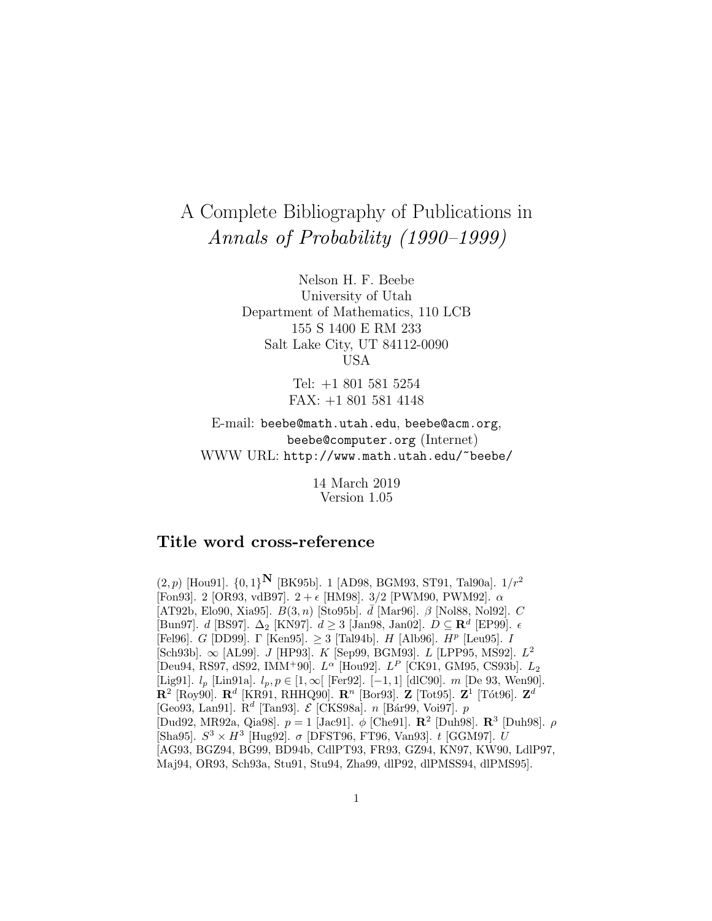# A Complete Bibliography of Publications in Annals of Probability (1990–1999)

Nelson H. F. Beebe University of Utah Department of Mathematics, 110 LCB 155 S 1400 E RM 233 Salt Lake City, UT 84112-0090 USA

> Tel: +1 801 581 5254 FAX: +1 801 581 4148

E-mail: beebe@math.utah.edu, beebe@acm.org, beebe@computer.org (Internet) WWW URL: http://www.math.utah.edu/~beebe/

> 14 March 2019 Version 1.05

# **Title word cross-reference**

 $(2, p)$  [Hou91].  $\{0, 1\}^N$  [BK95b]. 1 [AD98, BGM93, ST91, Tal90a].  $1/r^2$ [Fon93]. 2 [OR93, vdB97].  $2 + \epsilon$  [HM98]. 3/2 [PWM90, PWM92].  $\alpha$ [AT92b, Elo90, Xia95].  $B(3, n)$  [Sto95b].  $\overline{d}$  [Mar96].  $\beta$  [Nol88, Nol92]. C [Bun97]. d [BS97]. ∆<sup>2</sup> [KN97]. d ≥ 3 [Jan98, Jan02]. D ⊆ **R**<sup>d</sup> [EP99]. [Fel96]. G [DD99]. Γ [Ken95].  $\geq$  3 [Tal94b]. H [Alb96]. H<sup>p</sup> [Leu95]. I  $[Sch93b]$ .  $\infty$  [AL99]. *J* [HP93]. *K* [Sep99, BGM93]. *L* [LPP95, MS92]. *L*<sup>2</sup> [Deu94, RS97, dS92, IMM<sup>+</sup>90].  $L^{\alpha}$  [Hou92].  $L^{P}$  [CK91, GM95, CS93b].  $L_2$ [Lig91].  $l_p$  [Lin91a].  $l_p, p \in [1, \infty[$  [Fer92]. [-1, 1] [dlC90]. m [De 93, Wen90].  $\mathbf{R}^2$  [Roy90].  $\mathbf{R}^d$  [KR91, RHHQ90].  $\mathbf{R}^n$  [Bor93].  $\mathbf{Z}$  [Tot95].  $\mathbf{Z}^1$  [Tót96].  $\mathbf{Z}^d$ [Geo93, Lan91].  $R^d$  [Tan93].  $\mathcal E$  [CKS98a]. *n* [Bár99, Voi97]. *p* [Dud92, MR92a, Qia98]. p = 1 [Jac91]. φ [Che91]. **R**<sup>2</sup> [Duh98]. **R**<sup>3</sup> [Duh98]. ρ [Sha95].  $S^3 \times H^3$  [Hug92].  $\sigma$  [DFST96, FT96, Van93]. t [GGM97]. U [AG93, BGZ94, BG99, BD94b, CdlPT93, FR93, GZ94, KN97, KW90, LdlP97, Maj94, OR93, Sch93a, Stu91, Stu94, Zha99, dlP92, dlPMSS94, dlPMS95].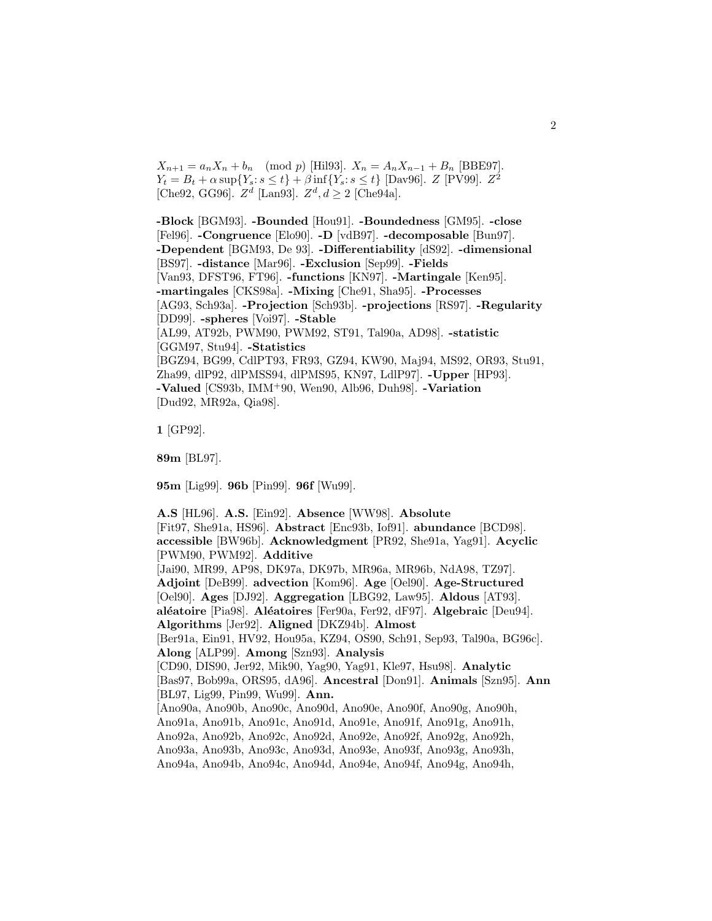$X_{n+1} = a_n X_n + b_n \pmod{p}$  [Hil93].  $X_n = A_n X_{n-1} + B_n$  [BBE97].  $Y_t = B_t + \alpha \sup \{ Y_s : s \le t \} + \beta \inf \{ Y_s : s \le t \}$  [Dav96].  $Z$  [PV99].  $Z^2$ [Che92, GG96].  $Z^d$  [Lan93].  $Z^d$ ,  $d \ge 2$  [Che94a].

**-Block** [BGM93]. **-Bounded** [Hou91]. **-Boundedness** [GM95]. **-close** [Fel96]. **-Congruence** [Elo90]. **-D** [vdB97]. **-decomposable** [Bun97]. **-Dependent** [BGM93, De 93]. **-Differentiability** [dS92]. **-dimensional** [BS97]. **-distance** [Mar96]. **-Exclusion** [Sep99]. **-Fields** [Van93, DFST96, FT96]. **-functions** [KN97]. **-Martingale** [Ken95]. **-martingales** [CKS98a]. **-Mixing** [Che91, Sha95]. **-Processes** [AG93, Sch93a]. **-Projection** [Sch93b]. **-projections** [RS97]. **-Regularity** [DD99]. **-spheres** [Voi97]. **-Stable** [AL99, AT92b, PWM90, PWM92, ST91, Tal90a, AD98]. **-statistic** [GGM97, Stu94]. **-Statistics** [BGZ94, BG99, CdlPT93, FR93, GZ94, KW90, Maj94, MS92, OR93, Stu91, Zha99, dlP92, dlPMSS94, dlPMS95, KN97, LdlP97]. **-Upper** [HP93]. **-Valued** [CS93b, IMM<sup>+</sup>90, Wen90, Alb96, Duh98]. **-Variation** [Dud92, MR92a, Qia98].

**1** [GP92].

**89m** [BL97].

**95m** [Lig99]. **96b** [Pin99]. **96f** [Wu99].

**A.S** [HL96]. **A.S.** [Ein92]. **Absence** [WW98]. **Absolute** [Fit97, She91a, HS96]. **Abstract** [Enc93b, Iof91]. **abundance** [BCD98]. **accessible** [BW96b]. **Acknowledgment** [PR92, She91a, Yag91]. **Acyclic** [PWM90, PWM92]. **Additive** [Jai90, MR99, AP98, DK97a, DK97b, MR96a, MR96b, NdA98, TZ97]. **Adjoint** [DeB99]. **advection** [Kom96]. **Age** [Oel90]. **Age-Structured** [Oel90]. **Ages** [DJ92]. **Aggregation** [LBG92, Law95]. **Aldous** [AT93]. **al´eatoire** [Pia98]. **Al´eatoires** [Fer90a, Fer92, dF97]. **Algebraic** [Deu94]. **Algorithms** [Jer92]. **Aligned** [DKZ94b]. **Almost** [Ber91a, Ein91, HV92, Hou95a, KZ94, OS90, Sch91, Sep93, Tal90a, BG96c]. **Along** [ALP99]. **Among** [Szn93]. **Analysis** [CD90, DIS90, Jer92, Mik90, Yag90, Yag91, Kle97, Hsu98]. **Analytic** [Bas97, Bob99a, ORS95, dA96]. **Ancestral** [Don91]. **Animals** [Szn95]. **Ann** [BL97, Lig99, Pin99, Wu99]. **Ann.** [Ano90a, Ano90b, Ano90c, Ano90d, Ano90e, Ano90f, Ano90g, Ano90h, Ano91a, Ano91b, Ano91c, Ano91d, Ano91e, Ano91f, Ano91g, Ano91h, Ano92a, Ano92b, Ano92c, Ano92d, Ano92e, Ano92f, Ano92g, Ano92h, Ano93a, Ano93b, Ano93c, Ano93d, Ano93e, Ano93f, Ano93g, Ano93h, Ano94a, Ano94b, Ano94c, Ano94d, Ano94e, Ano94f, Ano94g, Ano94h,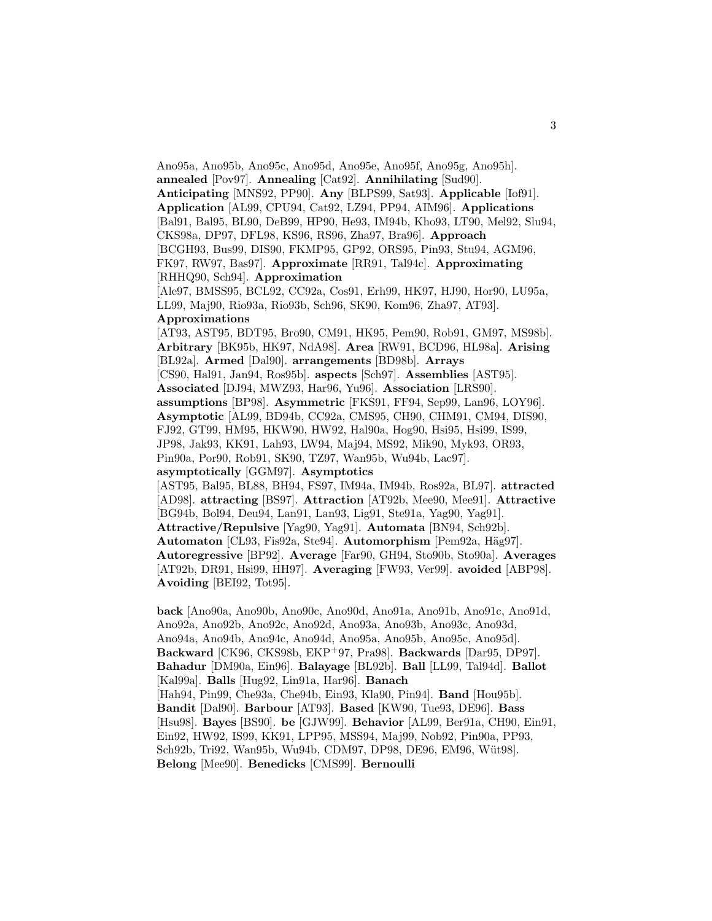Ano95a, Ano95b, Ano95c, Ano95d, Ano95e, Ano95f, Ano95g, Ano95h]. **annealed** [Pov97]. **Annealing** [Cat92]. **Annihilating** [Sud90]. **Anticipating** [MNS92, PP90]. **Any** [BLPS99, Sat93]. **Applicable** [Iof91]. **Application** [AL99, CPU94, Cat92, LZ94, PP94, AIM96]. **Applications** [Bal91, Bal95, BL90, DeB99, HP90, He93, IM94b, Kho93, LT90, Mel92, Slu94, CKS98a, DP97, DFL98, KS96, RS96, Zha97, Bra96]. **Approach** [BCGH93, Bus99, DIS90, FKMP95, GP92, ORS95, Pin93, Stu94, AGM96, FK97, RW97, Bas97]. **Approximate** [RR91, Tal94c]. **Approximating** [RHHQ90, Sch94]. **Approximation** [Ale97, BMSS95, BCL92, CC92a, Cos91, Erh99, HK97, HJ90, Hor90, LU95a, LL99, Maj90, Rio93a, Rio93b, Sch96, SK90, Kom96, Zha97, AT93]. **Approximations** [AT93, AST95, BDT95, Bro90, CM91, HK95, Pem90, Rob91, GM97, MS98b]. **Arbitrary** [BK95b, HK97, NdA98]. **Area** [RW91, BCD96, HL98a]. **Arising** [BL92a]. **Armed** [Dal90]. **arrangements** [BD98b]. **Arrays** [CS90, Hal91, Jan94, Ros95b]. **aspects** [Sch97]. **Assemblies** [AST95]. **Associated** [DJ94, MWZ93, Har96, Yu96]. **Association** [LRS90]. **assumptions** [BP98]. **Asymmetric** [FKS91, FF94, Sep99, Lan96, LOY96]. **Asymptotic** [AL99, BD94b, CC92a, CMS95, CH90, CHM91, CM94, DIS90, FJ92, GT99, HM95, HKW90, HW92, Hal90a, Hog90, Hsi95, Hsi99, IS99, JP98, Jak93, KK91, Lah93, LW94, Maj94, MS92, Mik90, Myk93, OR93, Pin90a, Por90, Rob91, SK90, TZ97, Wan95b, Wu94b, Lac97]. **asymptotically** [GGM97]. **Asymptotics** [AST95, Bal95, BL88, BH94, FS97, IM94a, IM94b, Ros92a, BL97]. **attracted** [AD98]. **attracting** [BS97]. **Attraction** [AT92b, Mee90, Mee91]. **Attractive** [BG94b, Bol94, Deu94, Lan91, Lan93, Lig91, Ste91a, Yag90, Yag91]. **Attractive/Repulsive** [Yag90, Yag91]. **Automata** [BN94, Sch92b]. Automaton [CL93, Fis92a, Ste94]. Automorphism [Pem92a, Häg97]. **Autoregressive** [BP92]. **Average** [Far90, GH94, Sto90b, Sto90a]. **Averages** [AT92b, DR91, Hsi99, HH97]. **Averaging** [FW93, Ver99]. **avoided** [ABP98]. **Avoiding** [BEI92, Tot95].

**back** [Ano90a, Ano90b, Ano90c, Ano90d, Ano91a, Ano91b, Ano91c, Ano91d, Ano92a, Ano92b, Ano92c, Ano92d, Ano93a, Ano93b, Ano93c, Ano93d, Ano94a, Ano94b, Ano94c, Ano94d, Ano95a, Ano95b, Ano95c, Ano95d]. **Backward** [CK96, CKS98b, EKP<sup>+</sup>97, Pra98]. **Backwards** [Dar95, DP97]. **Bahadur** [DM90a, Ein96]. **Balayage** [BL92b]. **Ball** [LL99, Tal94d]. **Ballot** [Kal99a]. **Balls** [Hug92, Lin91a, Har96]. **Banach** [Hah94, Pin99, Che93a, Che94b, Ein93, Kla90, Pin94]. **Band** [Hou95b]. **Bandit** [Dal90]. **Barbour** [AT93]. **Based** [KW90, Tue93, DE96]. **Bass** [Hsu98]. **Bayes** [BS90]. **be** [GJW99]. **Behavior** [AL99, Ber91a, CH90, Ein91, Ein92, HW92, IS99, KK91, LPP95, MSS94, Maj99, Nob92, Pin90a, PP93, Sch92b, Tri92, Wan95b, Wu94b, CDM97, DP98, DE96, EM96, Wüt98]. **Belong** [Mee90]. **Benedicks** [CMS99]. **Bernoulli**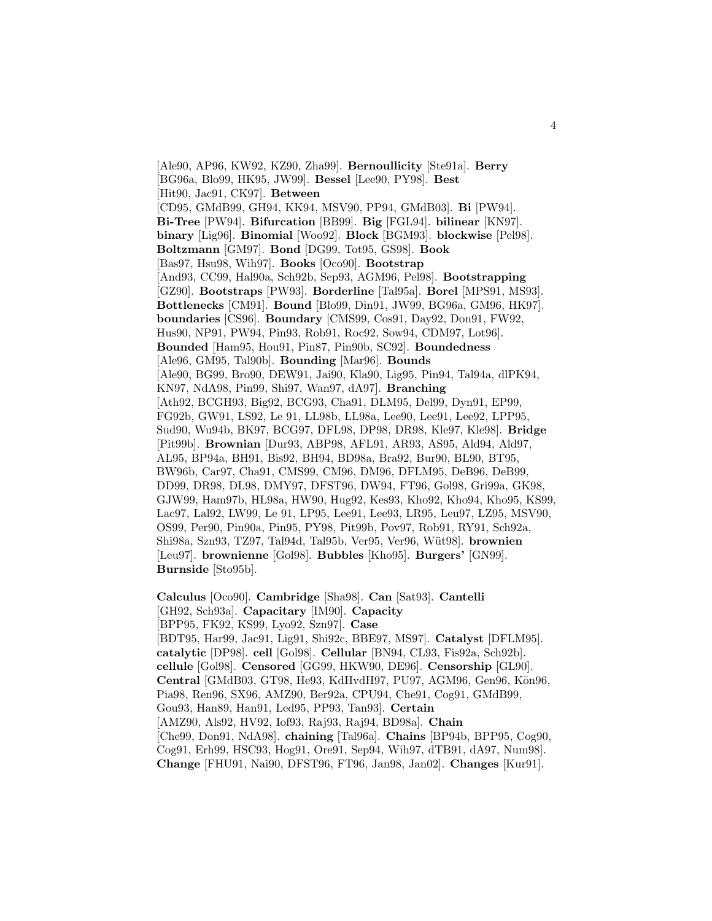[Ale90, AP96, KW92, KZ90, Zha99]. **Bernoullicity** [Ste91a]. **Berry** [BG96a, Blo99, HK95, JW99]. **Bessel** [Lee90, PY98]. **Best** [Hit90, Jac91, CK97]. **Between** [CD95, GMdB99, GH94, KK94, MSV90, PP94, GMdB03]. **Bi** [PW94]. **Bi-Tree** [PW94]. **Bifurcation** [BB99]. **Big** [FGL94]. **bilinear** [KN97]. **binary** [Lig96]. **Binomial** [Woo92]. **Block** [BGM93]. **blockwise** [Pel98]. **Boltzmann** [GM97]. **Bond** [DG99, Tot95, GS98]. **Book** [Bas97, Hsu98, Wih97]. **Books** [Oco90]. **Bootstrap** [And93, CC99, Hal90a, Sch92b, Sep93, AGM96, Pel98]. **Bootstrapping** [GZ90]. **Bootstraps** [PW93]. **Borderline** [Tal95a]. **Borel** [MPS91, MS93]. **Bottlenecks** [CM91]. **Bound** [Blo99, Din91, JW99, BG96a, GM96, HK97]. **boundaries** [CS96]. **Boundary** [CMS99, Cos91, Day92, Don91, FW92, Hus90, NP91, PW94, Pin93, Rob91, Roc92, Sow94, CDM97, Lot96]. **Bounded** [Ham95, Hou91, Pin87, Pin90b, SC92]. **Boundedness** [Ale96, GM95, Tal90b]. **Bounding** [Mar96]. **Bounds** [Ale90, BG99, Bro90, DEW91, Jai90, Kla90, Lig95, Pin94, Tal94a, dlPK94, KN97, NdA98, Pin99, Shi97, Wan97, dA97]. **Branching** [Ath92, BCGH93, Big92, BCG93, Cha91, DLM95, Del99, Dyn91, EP99, FG92b, GW91, LS92, Le 91, LL98b, LL98a, Lee90, Lee91, Lee92, LPP95, Sud90, Wu94b, BK97, BCG97, DFL98, DP98, DR98, Kle97, Kle98]. **Bridge** [Pit99b]. **Brownian** [Dur93, ABP98, AFL91, AR93, AS95, Ald94, Ald97, AL95, BP94a, BH91, Bis92, BH94, BD98a, Bra92, Bur90, BL90, BT95, BW96b, Car97, Cha91, CMS99, CM96, DM96, DFLM95, DeB96, DeB99, DD99, DR98, DL98, DMY97, DFST96, DW94, FT96, Gol98, Gri99a, GK98, GJW99, Ham97b, HL98a, HW90, Hug92, Kes93, Kho92, Kho94, Kho95, KS99, Lac97, Lal92, LW99, Le 91, LP95, Lee91, Lee93, LR95, Leu97, LZ95, MSV90, OS99, Per90, Pin90a, Pin95, PY98, Pit99b, Pov97, Rob91, RY91, Sch92a, Shi98a, Szn93, TZ97, Tal94d, Tal95b, Ver95, Ver96, W¨ut98]. **brownien** [Leu97]. **brownienne** [Gol98]. **Bubbles** [Kho95]. **Burgers'** [GN99]. **Burnside** [Sto95b].

**Calculus** [Oco90]. **Cambridge** [Sha98]. **Can** [Sat93]. **Cantelli** [GH92, Sch93a]. **Capacitary** [IM90]. **Capacity** [BPP95, FK92, KS99, Lyo92, Szn97]. **Case** [BDT95, Har99, Jac91, Lig91, Shi92c, BBE97, MS97]. **Catalyst** [DFLM95]. **catalytic** [DP98]. **cell** [Gol98]. **Cellular** [BN94, CL93, Fis92a, Sch92b]. **cellule** [Gol98]. **Censored** [GG99, HKW90, DE96]. **Censorship** [GL90]. Central [GMdB03, GT98, He93, KdHvdH97, PU97, AGM96, Gen96, Kön96, Pia98, Ren96, SX96, AMZ90, Ber92a, CPU94, Che91, Cog91, GMdB99, Gou93, Han89, Han91, Led95, PP93, Tan93]. **Certain** [AMZ90, Als92, HV92, Iof93, Raj93, Raj94, BD98a]. **Chain** [Che99, Don91, NdA98]. **chaining** [Tal96a]. **Chains** [BP94b, BPP95, Cog90, Cog91, Erh99, HSC93, Hog91, Ore91, Sep94, Wih97, dTB91, dA97, Num98]. **Change** [FHU91, Nai90, DFST96, FT96, Jan98, Jan02]. **Changes** [Kur91].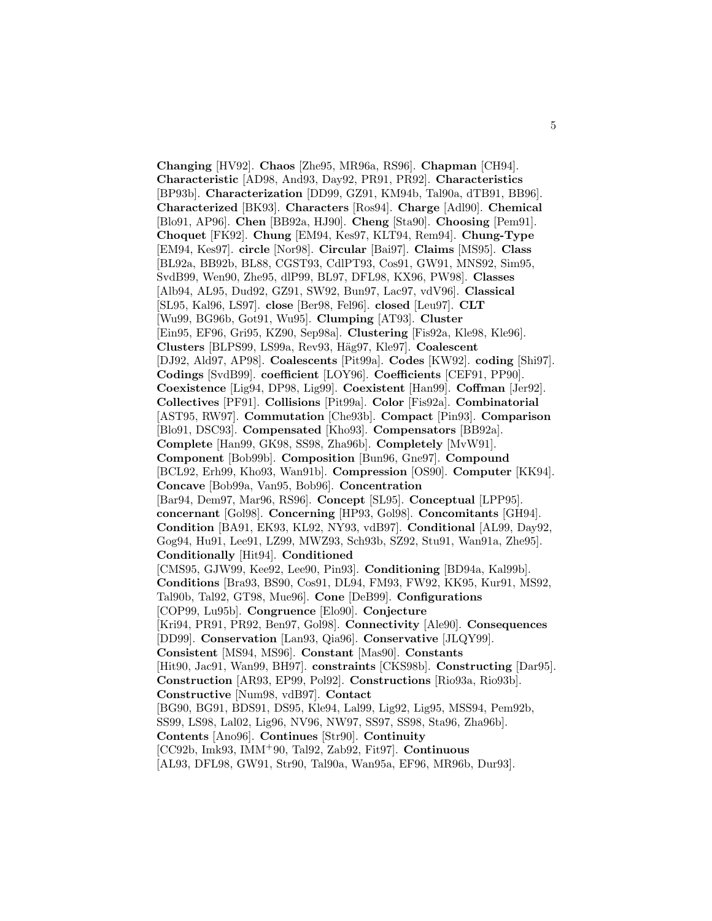**Changing** [HV92]. **Chaos** [Zhe95, MR96a, RS96]. **Chapman** [CH94]. **Characteristic** [AD98, And93, Day92, PR91, PR92]. **Characteristics** [BP93b]. **Characterization** [DD99, GZ91, KM94b, Tal90a, dTB91, BB96]. **Characterized** [BK93]. **Characters** [Ros94]. **Charge** [Adl90]. **Chemical** [Blo91, AP96]. **Chen** [BB92a, HJ90]. **Cheng** [Sta90]. **Choosing** [Pem91]. **Choquet** [FK92]. **Chung** [EM94, Kes97, KLT94, Rem94]. **Chung-Type** [EM94, Kes97]. **circle** [Nor98]. **Circular** [Bai97]. **Claims** [MS95]. **Class** [BL92a, BB92b, BL88, CGST93, CdlPT93, Cos91, GW91, MNS92, Sim95, SvdB99, Wen90, Zhe95, dlP99, BL97, DFL98, KX96, PW98]. **Classes** [Alb94, AL95, Dud92, GZ91, SW92, Bun97, Lac97, vdV96]. **Classical** [SL95, Kal96, LS97]. **close** [Ber98, Fel96]. **closed** [Leu97]. **CLT** [Wu99, BG96b, Got91, Wu95]. **Clumping** [AT93]. **Cluster** [Ein95, EF96, Gri95, KZ90, Sep98a]. **Clustering** [Fis92a, Kle98, Kle96]. **Clusters** [BLPS99, LS99a, Rev93, H¨ag97, Kle97]. **Coalescent** [DJ92, Ald97, AP98]. **Coalescents** [Pit99a]. **Codes** [KW92]. **coding** [Shi97]. **Codings** [SvdB99]. **coefficient** [LOY96]. **Coefficients** [CEF91, PP90]. **Coexistence** [Lig94, DP98, Lig99]. **Coexistent** [Han99]. **Coffman** [Jer92]. **Collectives** [PF91]. **Collisions** [Pit99a]. **Color** [Fis92a]. **Combinatorial** [AST95, RW97]. **Commutation** [Che93b]. **Compact** [Pin93]. **Comparison** [Blo91, DSC93]. **Compensated** [Kho93]. **Compensators** [BB92a]. **Complete** [Han99, GK98, SS98, Zha96b]. **Completely** [MvW91]. **Component** [Bob99b]. **Composition** [Bun96, Gne97]. **Compound** [BCL92, Erh99, Kho93, Wan91b]. **Compression** [OS90]. **Computer** [KK94]. **Concave** [Bob99a, Van95, Bob96]. **Concentration** [Bar94, Dem97, Mar96, RS96]. **Concept** [SL95]. **Conceptual** [LPP95]. **concernant** [Gol98]. **Concerning** [HP93, Gol98]. **Concomitants** [GH94]. **Condition** [BA91, EK93, KL92, NY93, vdB97]. **Conditional** [AL99, Day92, Gog94, Hu91, Lee91, LZ99, MWZ93, Sch93b, SZ92, Stu91, Wan91a, Zhe95]. **Conditionally** [Hit94]. **Conditioned** [CMS95, GJW99, Kee92, Lee90, Pin93]. **Conditioning** [BD94a, Kal99b]. **Conditions** [Bra93, BS90, Cos91, DL94, FM93, FW92, KK95, Kur91, MS92, Tal90b, Tal92, GT98, Mue96]. **Cone** [DeB99]. **Configurations** [COP99, Lu95b]. **Congruence** [Elo90]. **Conjecture** [Kri94, PR91, PR92, Ben97, Gol98]. **Connectivity** [Ale90]. **Consequences** [DD99]. **Conservation** [Lan93, Qia96]. **Conservative** [JLQY99]. **Consistent** [MS94, MS96]. **Constant** [Mas90]. **Constants** [Hit90, Jac91, Wan99, BH97]. **constraints** [CKS98b]. **Constructing** [Dar95]. **Construction** [AR93, EP99, Pol92]. **Constructions** [Rio93a, Rio93b]. **Constructive** [Num98, vdB97]. **Contact** [BG90, BG91, BDS91, DS95, Kle94, Lal99, Lig92, Lig95, MSS94, Pem92b, SS99, LS98, Lal02, Lig96, NV96, NW97, SS97, SS98, Sta96, Zha96b]. **Contents** [Ano96]. **Continues** [Str90]. **Continuity** [CC92b, Imk93, IMM<sup>+</sup>90, Tal92, Zab92, Fit97]. **Continuous** [AL93, DFL98, GW91, Str90, Tal90a, Wan95a, EF96, MR96b, Dur93].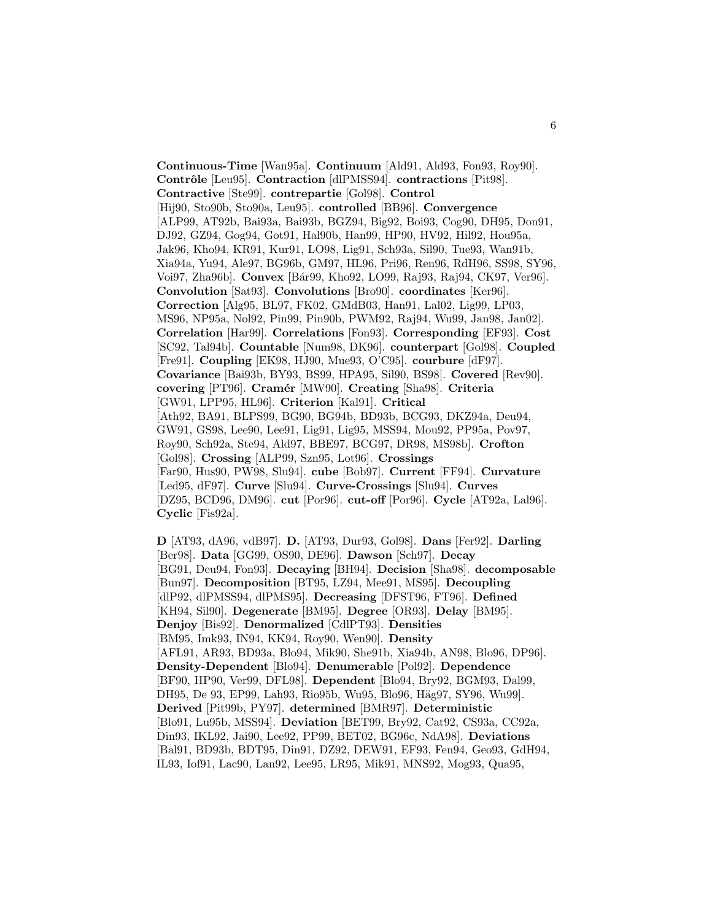**Continuous-Time** [Wan95a]. **Continuum** [Ald91, Ald93, Fon93, Roy90]. **Contrˆole** [Leu95]. **Contraction** [dlPMSS94]. **contractions** [Pit98]. **Contractive** [Ste99]. **contrepartie** [Gol98]. **Control** [Hij90, Sto90b, Sto90a, Leu95]. **controlled** [BB96]. **Convergence** [ALP99, AT92b, Bai93a, Bai93b, BGZ94, Big92, Boi93, Cog90, DH95, Don91, DJ92, GZ94, Gog94, Got91, Hal90b, Han99, HP90, HV92, Hil92, Hou95a, Jak96, Kho94, KR91, Kur91, LO98, Lig91, Sch93a, Sil90, Tue93, Wan91b, Xia94a, Yu94, Ale97, BG96b, GM97, HL96, Pri96, Ren96, RdH96, SS98, SY96, Voi97, Zha96b]. **Convex** [B´ar99, Kho92, LO99, Raj93, Raj94, CK97, Ver96]. **Convolution** [Sat93]. **Convolutions** [Bro90]. **coordinates** [Ker96]. **Correction** [Alg95, BL97, FK02, GMdB03, Han91, Lal02, Lig99, LP03, MS96, NP95a, Nol92, Pin99, Pin90b, PWM92, Raj94, Wu99, Jan98, Jan02]. **Correlation** [Har99]. **Correlations** [Fon93]. **Corresponding** [EF93]. **Cost** [SC92, Tal94b]. **Countable** [Num98, DK96]. **counterpart** [Gol98]. **Coupled** [Fre91]. **Coupling** [EK98, HJ90, Mue93, O'C95]. **courbure** [dF97]. **Covariance** [Bai93b, BY93, BS99, HPA95, Sil90, BS98]. **Covered** [Rev90]. **covering** [PT96]. **Cram´er** [MW90]. **Creating** [Sha98]. **Criteria** [GW91, LPP95, HL96]. **Criterion** [Kal91]. **Critical** [Ath92, BA91, BLPS99, BG90, BG94b, BD93b, BCG93, DKZ94a, Deu94, GW91, GS98, Lee90, Lee91, Lig91, Lig95, MSS94, Mou92, PP95a, Pov97, Roy90, Sch92a, Ste94, Ald97, BBE97, BCG97, DR98, MS98b]. **Crofton** [Gol98]. **Crossing** [ALP99, Szn95, Lot96]. **Crossings** [Far90, Hus90, PW98, Slu94]. **cube** [Bob97]. **Current** [FF94]. **Curvature** [Led95, dF97]. **Curve** [Slu94]. **Curve-Crossings** [Slu94]. **Curves** [DZ95, BCD96, DM96]. **cut** [Por96]. **cut-off** [Por96]. **Cycle** [AT92a, Lal96]. **Cyclic** [Fis92a].

**D** [AT93, dA96, vdB97]. **D.** [AT93, Dur93, Gol98]. **Dans** [Fer92]. **Darling** [Ber98]. **Data** [GG99, OS90, DE96]. **Dawson** [Sch97]. **Decay** [BG91, Deu94, Fon93]. **Decaying** [BH94]. **Decision** [Sha98]. **decomposable** [Bun97]. **Decomposition** [BT95, LZ94, Mee91, MS95]. **Decoupling** [dlP92, dlPMSS94, dlPMS95]. **Decreasing** [DFST96, FT96]. **Defined** [KH94, Sil90]. **Degenerate** [BM95]. **Degree** [OR93]. **Delay** [BM95]. **Denjoy** [Bis92]. **Denormalized** [CdlPT93]. **Densities** [BM95, Imk93, IN94, KK94, Roy90, Wen90]. **Density** [AFL91, AR93, BD93a, Blo94, Mik90, She91b, Xia94b, AN98, Blo96, DP96]. **Density-Dependent** [Blo94]. **Denumerable** [Pol92]. **Dependence** [BF90, HP90, Ver99, DFL98]. **Dependent** [Blo94, Bry92, BGM93, Dal99, DH95, De 93, EP99, Lah93, Rio95b, Wu95, Blo96, Häg97, SY96, Wu99]. **Derived** [Pit99b, PY97]. **determined** [BMR97]. **Deterministic** [Blo91, Lu95b, MSS94]. **Deviation** [BET99, Bry92, Cat92, CS93a, CC92a, Din93, IKL92, Jai90, Lee92, PP99, BET02, BG96c, NdA98]. **Deviations** [Bal91, BD93b, BDT95, Din91, DZ92, DEW91, EF93, Fen94, Geo93, GdH94, IL93, Iof91, Lac90, Lan92, Lee95, LR95, Mik91, MNS92, Mog93, Qua95,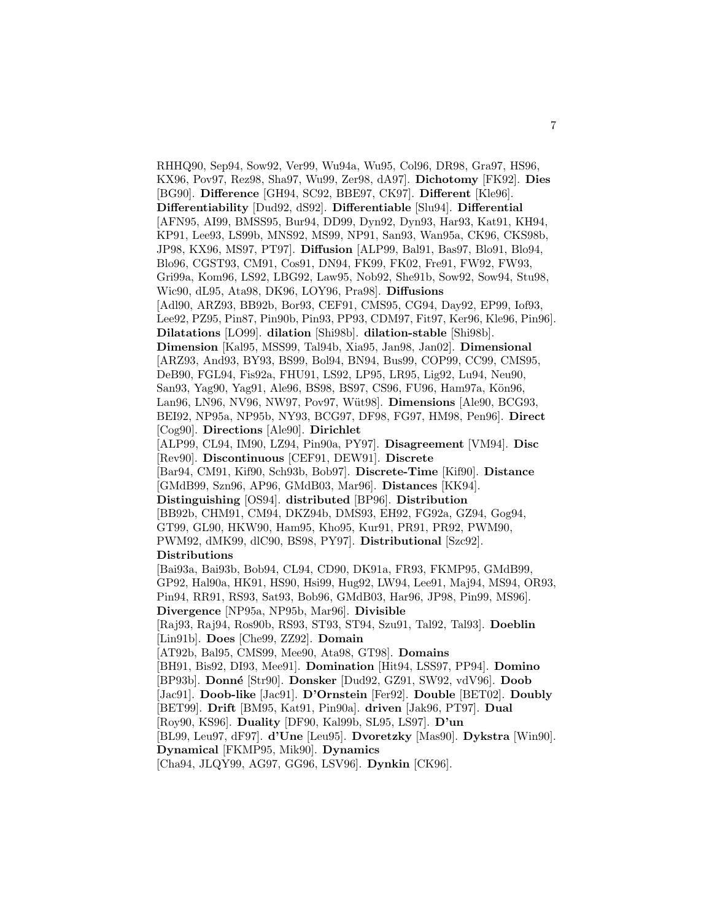RHHQ90, Sep94, Sow92, Ver99, Wu94a, Wu95, Col96, DR98, Gra97, HS96, KX96, Pov97, Rez98, Sha97, Wu99, Zer98, dA97]. **Dichotomy** [FK92]. **Dies** [BG90]. **Difference** [GH94, SC92, BBE97, CK97]. **Different** [Kle96]. **Differentiability** [Dud92, dS92]. **Differentiable** [Slu94]. **Differential** [AFN95, AI99, BMSS95, Bur94, DD99, Dyn92, Dyn93, Har93, Kat91, KH94, KP91, Lee93, LS99b, MNS92, MS99, NP91, San93, Wan95a, CK96, CKS98b, JP98, KX96, MS97, PT97]. **Diffusion** [ALP99, Bal91, Bas97, Blo91, Blo94, Blo96, CGST93, CM91, Cos91, DN94, FK99, FK02, Fre91, FW92, FW93, Gri99a, Kom96, LS92, LBG92, Law95, Nob92, She91b, Sow92, Sow94, Stu98, Wic90, dL95, Ata98, DK96, LOY96, Pra98]. **Diffusions** [Adl90, ARZ93, BB92b, Bor93, CEF91, CMS95, CG94, Day92, EP99, Iof93, Lee92, PZ95, Pin87, Pin90b, Pin93, PP93, CDM97, Fit97, Ker96, Kle96, Pin96]. **Dilatations** [LO99]. **dilation** [Shi98b]. **dilation-stable** [Shi98b]. **Dimension** [Kal95, MSS99, Tal94b, Xia95, Jan98, Jan02]. **Dimensional** [ARZ93, And93, BY93, BS99, Bol94, BN94, Bus99, COP99, CC99, CMS95, DeB90, FGL94, Fis92a, FHU91, LS92, LP95, LR95, Lig92, Lu94, Neu90, San93, Yag90, Yag91, Ale96, BS98, BS97, CS96, FU96, Ham97a, Kön96, Lan96, LN96, NV96, NW97, Pov97, Wüt98]. **Dimensions** [Ale90, BCG93, BEI92, NP95a, NP95b, NY93, BCG97, DF98, FG97, HM98, Pen96]. **Direct** [Cog90]. **Directions** [Ale90]. **Dirichlet** [ALP99, CL94, IM90, LZ94, Pin90a, PY97]. **Disagreement** [VM94]. **Disc** [Rev90]. **Discontinuous** [CEF91, DEW91]. **Discrete** [Bar94, CM91, Kif90, Sch93b, Bob97]. **Discrete-Time** [Kif90]. **Distance** [GMdB99, Szn96, AP96, GMdB03, Mar96]. **Distances** [KK94]. **Distinguishing** [OS94]. **distributed** [BP96]. **Distribution** [BB92b, CHM91, CM94, DKZ94b, DMS93, EH92, FG92a, GZ94, Gog94, GT99, GL90, HKW90, Ham95, Kho95, Kur91, PR91, PR92, PWM90, PWM92, dMK99, dlC90, BS98, PY97]. **Distributional** [Szc92]. **Distributions** [Bai93a, Bai93b, Bob94, CL94, CD90, DK91a, FR93, FKMP95, GMdB99, GP92, Hal90a, HK91, HS90, Hsi99, Hug92, LW94, Lee91, Maj94, MS94, OR93, Pin94, RR91, RS93, Sat93, Bob96, GMdB03, Har96, JP98, Pin99, MS96]. **Divergence** [NP95a, NP95b, Mar96]. **Divisible** [Raj93, Raj94, Ros90b, RS93, ST93, ST94, Szu91, Tal92, Tal93]. **Doeblin** [Lin91b]. **Does** [Che99, ZZ92]. **Domain** [AT92b, Bal95, CMS99, Mee90, Ata98, GT98]. **Domains** [BH91, Bis92, DI93, Mee91]. **Domination** [Hit94, LSS97, PP94]. **Domino** [BP93b]. **Donn´e** [Str90]. **Donsker** [Dud92, GZ91, SW92, vdV96]. **Doob** [Jac91]. **Doob-like** [Jac91]. **D'Ornstein** [Fer92]. **Double** [BET02]. **Doubly** [BET99]. **Drift** [BM95, Kat91, Pin90a]. **driven** [Jak96, PT97]. **Dual** [Roy90, KS96]. **Duality** [DF90, Kal99b, SL95, LS97]. **D'un** [BL99, Leu97, dF97]. **d'Une** [Leu95]. **Dvoretzky** [Mas90]. **Dykstra** [Win90]. **Dynamical** [FKMP95, Mik90]. **Dynamics** [Cha94, JLQY99, AG97, GG96, LSV96]. **Dynkin** [CK96].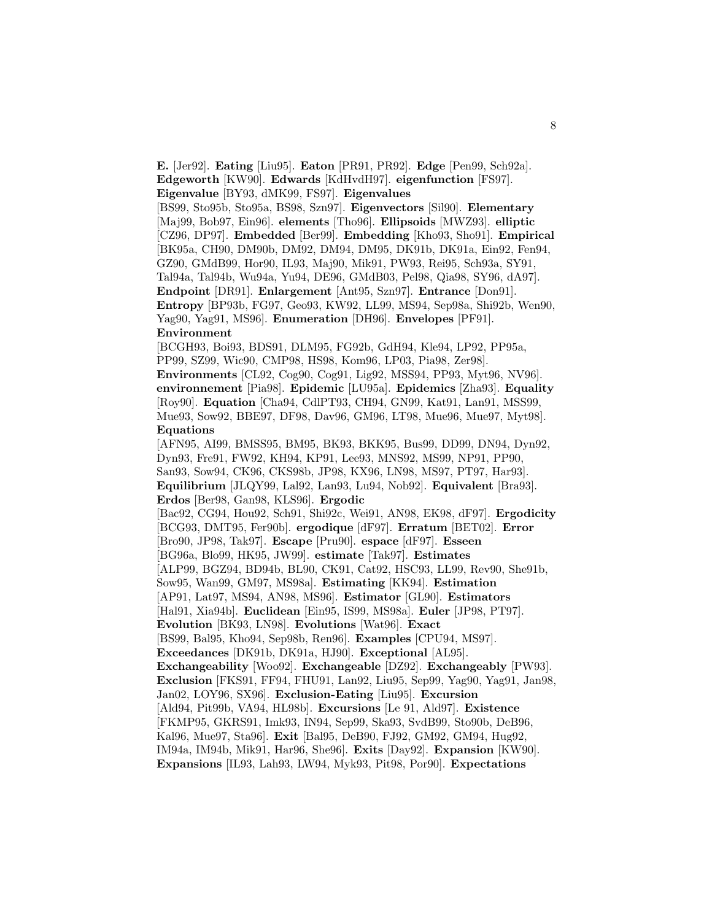**E.** [Jer92]. **Eating** [Liu95]. **Eaton** [PR91, PR92]. **Edge** [Pen99, Sch92a]. **Edgeworth** [KW90]. **Edwards** [KdHvdH97]. **eigenfunction** [FS97]. **Eigenvalue** [BY93, dMK99, FS97]. **Eigenvalues**

[BS99, Sto95b, Sto95a, BS98, Szn97]. **Eigenvectors** [Sil90]. **Elementary** [Maj99, Bob97, Ein96]. **elements** [Tho96]. **Ellipsoids** [MWZ93]. **elliptic** [CZ96, DP97]. **Embedded** [Ber99]. **Embedding** [Kho93, Sho91]. **Empirical** [BK95a, CH90, DM90b, DM92, DM94, DM95, DK91b, DK91a, Ein92, Fen94, GZ90, GMdB99, Hor90, IL93, Maj90, Mik91, PW93, Rei95, Sch93a, SY91, Tal94a, Tal94b, Wu94a, Yu94, DE96, GMdB03, Pel98, Qia98, SY96, dA97]. **Endpoint** [DR91]. **Enlargement** [Ant95, Szn97]. **Entrance** [Don91]. **Entropy** [BP93b, FG97, Geo93, KW92, LL99, MS94, Sep98a, Shi92b, Wen90, Yag90, Yag91, MS96]. **Enumeration** [DH96]. **Envelopes** [PF91]. **Environment**

[BCGH93, Boi93, BDS91, DLM95, FG92b, GdH94, Kle94, LP92, PP95a, PP99, SZ99, Wic90, CMP98, HS98, Kom96, LP03, Pia98, Zer98].

**Environments** [CL92, Cog90, Cog91, Lig92, MSS94, PP93, Myt96, NV96]. **environnement** [Pia98]. **Epidemic** [LU95a]. **Epidemics** [Zha93]. **Equality** [Roy90]. **Equation** [Cha94, CdlPT93, CH94, GN99, Kat91, Lan91, MSS99, Mue93, Sow92, BBE97, DF98, Dav96, GM96, LT98, Mue96, Mue97, Myt98]. **Equations**

[AFN95, AI99, BMSS95, BM95, BK93, BKK95, Bus99, DD99, DN94, Dyn92, Dyn93, Fre91, FW92, KH94, KP91, Lee93, MNS92, MS99, NP91, PP90, San93, Sow94, CK96, CKS98b, JP98, KX96, LN98, MS97, PT97, Har93]. **Equilibrium** [JLQY99, Lal92, Lan93, Lu94, Nob92]. **Equivalent** [Bra93]. **Erdos** [Ber98, Gan98, KLS96]. **Ergodic** [Bac92, CG94, Hou92, Sch91, Shi92c, Wei91, AN98, EK98, dF97]. **Ergodicity** [BCG93, DMT95, Fer90b]. **ergodique** [dF97]. **Erratum** [BET02]. **Error** [Bro90, JP98, Tak97]. **Escape** [Pru90]. **espace** [dF97]. **Esseen** [BG96a, Blo99, HK95, JW99]. **estimate** [Tak97]. **Estimates** [ALP99, BGZ94, BD94b, BL90, CK91, Cat92, HSC93, LL99, Rev90, She91b, Sow95, Wan99, GM97, MS98a]. **Estimating** [KK94]. **Estimation** [AP91, Lat97, MS94, AN98, MS96]. **Estimator** [GL90]. **Estimators** [Hal91, Xia94b]. **Euclidean** [Ein95, IS99, MS98a]. **Euler** [JP98, PT97]. **Evolution** [BK93, LN98]. **Evolutions** [Wat96]. **Exact** [BS99, Bal95, Kho94, Sep98b, Ren96]. **Examples** [CPU94, MS97]. **Exceedances** [DK91b, DK91a, HJ90]. **Exceptional** [AL95]. **Exchangeability** [Woo92]. **Exchangeable** [DZ92]. **Exchangeably** [PW93]. **Exclusion** [FKS91, FF94, FHU91, Lan92, Liu95, Sep99, Yag90, Yag91, Jan98, Jan02, LOY96, SX96]. **Exclusion-Eating** [Liu95]. **Excursion** [Ald94, Pit99b, VA94, HL98b]. **Excursions** [Le 91, Ald97]. **Existence** [FKMP95, GKRS91, Imk93, IN94, Sep99, Ska93, SvdB99, Sto90b, DeB96, Kal96, Mue97, Sta96]. **Exit** [Bal95, DeB90, FJ92, GM92, GM94, Hug92, IM94a, IM94b, Mik91, Har96, She96]. **Exits** [Day92]. **Expansion** [KW90]. **Expansions** [IL93, Lah93, LW94, Myk93, Pit98, Por90]. **Expectations**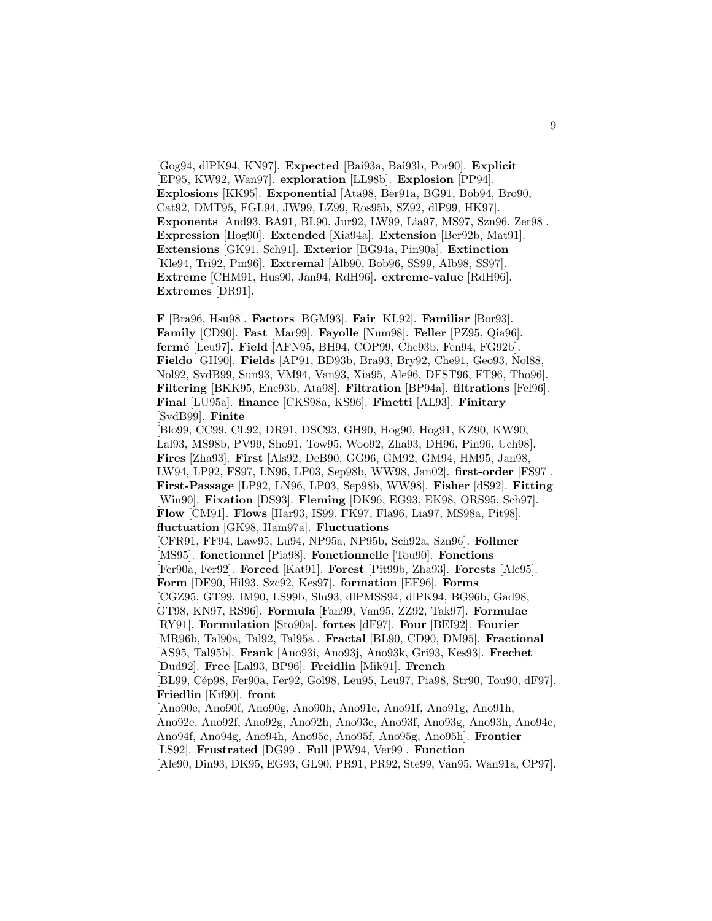[Gog94, dlPK94, KN97]. **Expected** [Bai93a, Bai93b, Por90]. **Explicit** [EP95, KW92, Wan97]. **exploration** [LL98b]. **Explosion** [PP94]. **Explosions** [KK95]. **Exponential** [Ata98, Ber91a, BG91, Bob94, Bro90, Cat92, DMT95, FGL94, JW99, LZ99, Ros95b, SZ92, dlP99, HK97]. **Exponents** [And93, BA91, BL90, Jur92, LW99, Lia97, MS97, Szn96, Zer98]. **Expression** [Hog90]. **Extended** [Xia94a]. **Extension** [Ber92b, Mat91]. **Extensions** [GK91, Sch91]. **Exterior** [BG94a, Pin90a]. **Extinction** [Kle94, Tri92, Pin96]. **Extremal** [Alb90, Bob96, SS99, Alb98, SS97]. **Extreme** [CHM91, Hus90, Jan94, RdH96]. **extreme-value** [RdH96]. **Extremes** [DR91].

**F** [Bra96, Hsu98]. **Factors** [BGM93]. **Fair** [KL92]. **Familiar** [Bor93]. **Family** [CD90]. **Fast** [Mar99]. **Fayolle** [Num98]. **Feller** [PZ95, Qia96]. **ferm´e** [Leu97]. **Field** [AFN95, BH94, COP99, Che93b, Fen94, FG92b]. **Fieldo** [GH90]. **Fields** [AP91, BD93b, Bra93, Bry92, Che91, Geo93, Nol88, Nol92, SvdB99, Sun93, VM94, Van93, Xia95, Ale96, DFST96, FT96, Tho96]. **Filtering** [BKK95, Enc93b, Ata98]. **Filtration** [BP94a]. **filtrations** [Fel96]. **Final** [LU95a]. **finance** [CKS98a, KS96]. **Finetti** [AL93]. **Finitary** [SvdB99]. **Finite**

[Blo99, CC99, CL92, DR91, DSC93, GH90, Hog90, Hog91, KZ90, KW90, Lal93, MS98b, PV99, Sho91, Tow95, Woo92, Zha93, DH96, Pin96, Uch98]. **Fires** [Zha93]. **First** [Als92, DeB90, GG96, GM92, GM94, HM95, Jan98, LW94, LP92, FS97, LN96, LP03, Sep98b, WW98, Jan02]. **first-order** [FS97]. **First-Passage** [LP92, LN96, LP03, Sep98b, WW98]. **Fisher** [dS92]. **Fitting** [Win90]. **Fixation** [DS93]. **Fleming** [DK96, EG93, EK98, ORS95, Sch97]. **Flow** [CM91]. **Flows** [Har93, IS99, FK97, Fla96, Lia97, MS98a, Pit98]. **fluctuation** [GK98, Ham97a]. **Fluctuations** [CFR91, FF94, Law95, Lu94, NP95a, NP95b, Sch92a, Szn96]. **Follmer** [MS95]. **fonctionnel** [Pia98]. **Fonctionnelle** [Tou90]. **Fonctions** [Fer90a, Fer92]. **Forced** [Kat91]. **Forest** [Pit99b, Zha93]. **Forests** [Ale95]. **Form** [DF90, Hil93, Szc92, Kes97]. **formation** [EF96]. **Forms** [CGZ95, GT99, IM90, LS99b, Slu93, dlPMSS94, dlPK94, BG96b, Gad98, GT98, KN97, RS96]. **Formula** [Fan99, Van95, ZZ92, Tak97]. **Formulae** [RY91]. **Formulation** [Sto90a]. **fortes** [dF97]. **Four** [BEI92]. **Fourier** [MR96b, Tal90a, Tal92, Tal95a]. **Fractal** [BL90, CD90, DM95]. **Fractional** [AS95, Tal95b]. **Frank** [Ano93i, Ano93j, Ano93k, Gri93, Kes93]. **Frechet** [Dud92]. **Free** [Lal93, BP96]. **Freidlin** [Mik91]. **French** [BL99, C´ep98, Fer90a, Fer92, Gol98, Leu95, Leu97, Pia98, Str90, Tou90, dF97]. **Friedlin** [Kif90]. **front** [Ano90e, Ano90f, Ano90g, Ano90h, Ano91e, Ano91f, Ano91g, Ano91h, Ano92e, Ano92f, Ano92g, Ano92h, Ano93e, Ano93f, Ano93g, Ano93h, Ano94e, Ano94f, Ano94g, Ano94h, Ano95e, Ano95f, Ano95g, Ano95h]. **Frontier** [LS92]. **Frustrated** [DG99]. **Full** [PW94, Ver99]. **Function**

[Ale90, Din93, DK95, EG93, GL90, PR91, PR92, Ste99, Van95, Wan91a, CP97].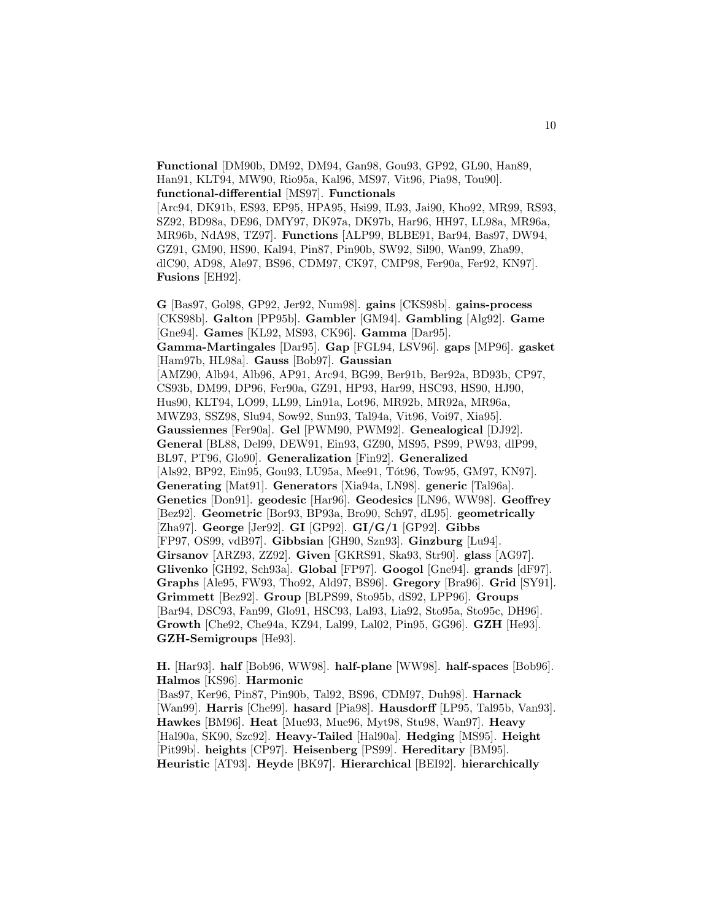**Functional** [DM90b, DM92, DM94, Gan98, Gou93, GP92, GL90, Han89, Han91, KLT94, MW90, Rio95a, Kal96, MS97, Vit96, Pia98, Tou90]. **functional-differential** [MS97]. **Functionals**

[Arc94, DK91b, ES93, EP95, HPA95, Hsi99, IL93, Jai90, Kho92, MR99, RS93, SZ92, BD98a, DE96, DMY97, DK97a, DK97b, Har96, HH97, LL98a, MR96a, MR96b, NdA98, TZ97]. **Functions** [ALP99, BLBE91, Bar94, Bas97, DW94, GZ91, GM90, HS90, Kal94, Pin87, Pin90b, SW92, Sil90, Wan99, Zha99, dlC90, AD98, Ale97, BS96, CDM97, CK97, CMP98, Fer90a, Fer92, KN97]. **Fusions** [EH92].

**G** [Bas97, Gol98, GP92, Jer92, Num98]. **gains** [CKS98b]. **gains-process** [CKS98b]. **Galton** [PP95b]. **Gambler** [GM94]. **Gambling** [Alg92]. **Game** [Gne94]. **Games** [KL92, MS93, CK96]. **Gamma** [Dar95]. **Gamma-Martingales** [Dar95]. **Gap** [FGL94, LSV96]. **gaps** [MP96]. **gasket** [Ham97b, HL98a]. **Gauss** [Bob97]. **Gaussian** [AMZ90, Alb94, Alb96, AP91, Arc94, BG99, Ber91b, Ber92a, BD93b, CP97, CS93b, DM99, DP96, Fer90a, GZ91, HP93, Har99, HSC93, HS90, HJ90, Hus90, KLT94, LO99, LL99, Lin91a, Lot96, MR92b, MR92a, MR96a, MWZ93, SSZ98, Slu94, Sow92, Sun93, Tal94a, Vit96, Voi97, Xia95]. **Gaussiennes** [Fer90a]. **Gel** [PWM90, PWM92]. **Genealogical** [DJ92]. **General** [BL88, Del99, DEW91, Ein93, GZ90, MS95, PS99, PW93, dlP99, BL97, PT96, Glo90]. **Generalization** [Fin92]. **Generalized** [Als92, BP92, Ein95, Gou93, LU95a, Mee91, Tót96, Tow95, GM97, KN97]. **Generating** [Mat91]. **Generators** [Xia94a, LN98]. **generic** [Tal96a]. **Genetics** [Don91]. **geodesic** [Har96]. **Geodesics** [LN96, WW98]. **Geoffrey** [Bez92]. **Geometric** [Bor93, BP93a, Bro90, Sch97, dL95]. **geometrically** [Zha97]. **George** [Jer92]. **GI** [GP92]. **GI/G/1** [GP92]. **Gibbs** [FP97, OS99, vdB97]. **Gibbsian** [GH90, Szn93]. **Ginzburg** [Lu94]. **Girsanov** [ARZ93, ZZ92]. **Given** [GKRS91, Ska93, Str90]. **glass** [AG97]. **Glivenko** [GH92, Sch93a]. **Global** [FP97]. **Googol** [Gne94]. **grands** [dF97]. **Graphs** [Ale95, FW93, Tho92, Ald97, BS96]. **Gregory** [Bra96]. **Grid** [SY91]. **Grimmett** [Bez92]. **Group** [BLPS99, Sto95b, dS92, LPP96]. **Groups** [Bar94, DSC93, Fan99, Glo91, HSC93, Lal93, Lia92, Sto95a, Sto95c, DH96]. **Growth** [Che92, Che94a, KZ94, Lal99, Lal02, Pin95, GG96]. **GZH** [He93]. **GZH-Semigroups** [He93].

**H.** [Har93]. **half** [Bob96, WW98]. **half-plane** [WW98]. **half-spaces** [Bob96]. **Halmos** [KS96]. **Harmonic**

[Bas97, Ker96, Pin87, Pin90b, Tal92, BS96, CDM97, Duh98]. **Harnack** [Wan99]. **Harris** [Che99]. **hasard** [Pia98]. **Hausdorff** [LP95, Tal95b, Van93]. **Hawkes** [BM96]. **Heat** [Mue93, Mue96, Myt98, Stu98, Wan97]. **Heavy** [Hal90a, SK90, Szc92]. **Heavy-Tailed** [Hal90a]. **Hedging** [MS95]. **Height** [Pit99b]. **heights** [CP97]. **Heisenberg** [PS99]. **Hereditary** [BM95]. **Heuristic** [AT93]. **Heyde** [BK97]. **Hierarchical** [BEI92]. **hierarchically**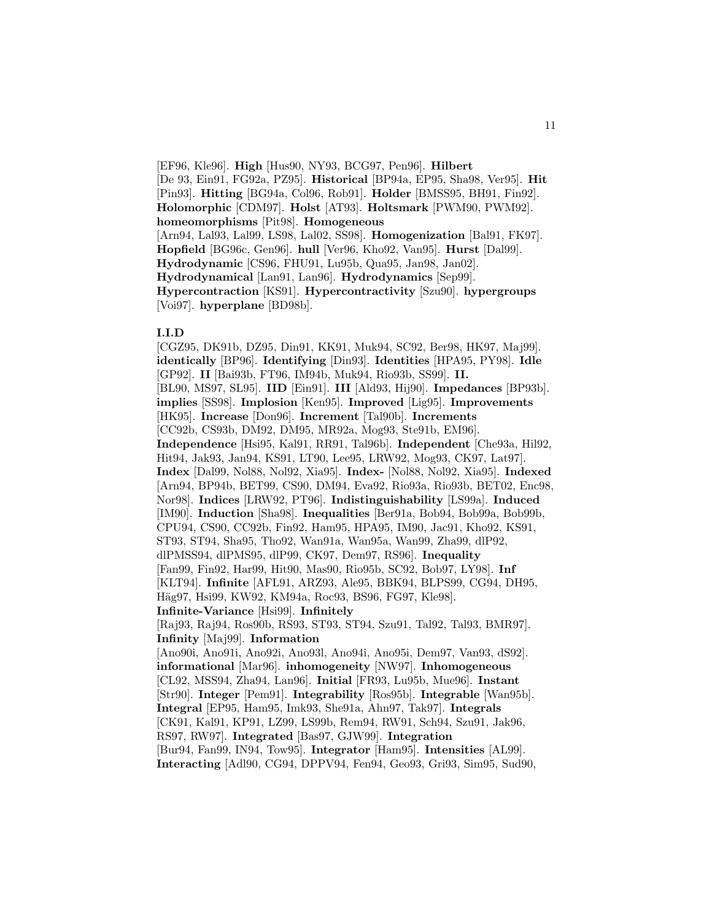[EF96, Kle96]. **High** [Hus90, NY93, BCG97, Pen96]. **Hilbert** [De 93, Ein91, FG92a, PZ95]. **Historical** [BP94a, EP95, Sha98, Ver95]. **Hit** [Pin93]. **Hitting** [BG94a, Col96, Rob91]. **Holder** [BMSS95, BH91, Fin92]. **Holomorphic** [CDM97]. **Holst** [AT93]. **Holtsmark** [PWM90, PWM92]. **homeomorphisms** [Pit98]. **Homogeneous** [Arn94, Lal93, Lal99, LS98, Lal02, SS98]. **Homogenization** [Bal91, FK97]. **Hopfield** [BG96c, Gen96]. **hull** [Ver96, Kho92, Van95]. **Hurst** [Dal99]. **Hydrodynamic** [CS96, FHU91, Lu95b, Qua95, Jan98, Jan02]. **Hydrodynamical** [Lan91, Lan96]. **Hydrodynamics** [Sep99]. **Hypercontraction** [KS91]. **Hypercontractivity** [Szu90]. **hypergroups** [Voi97]. **hyperplane** [BD98b].

### **I.I.D**

[CGZ95, DK91b, DZ95, Din91, KK91, Muk94, SC92, Ber98, HK97, Maj99]. **identically** [BP96]. **Identifying** [Din93]. **Identities** [HPA95, PY98]. **Idle** [GP92]. **II** [Bai93b, FT96, IM94b, Muk94, Rio93b, SS99]. **II.** [BL90, MS97, SL95]. **IID** [Ein91]. **III** [Ald93, Hij90]. **Impedances** [BP93b]. **implies** [SS98]. **Implosion** [Ken95]. **Improved** [Lig95]. **Improvements** [HK95]. **Increase** [Don96]. **Increment** [Tal90b]. **Increments** [CC92b, CS93b, DM92, DM95, MR92a, Mog93, Ste91b, EM96]. **Independence** [Hsi95, Kal91, RR91, Tal96b]. **Independent** [Che93a, Hil92, Hit94, Jak93, Jan94, KS91, LT90, Lee95, LRW92, Mog93, CK97, Lat97]. **Index** [Dal99, Nol88, Nol92, Xia95]. **Index-** [Nol88, Nol92, Xia95]. **Indexed** [Arn94, BP94b, BET99, CS90, DM94, Eva92, Rio93a, Rio93b, BET02, Enc98, Nor98]. **Indices** [LRW92, PT96]. **Indistinguishability** [LS99a]. **Induced** [IM90]. **Induction** [Sha98]. **Inequalities** [Ber91a, Bob94, Bob99a, Bob99b, CPU94, CS90, CC92b, Fin92, Ham95, HPA95, IM90, Jac91, Kho92, KS91, ST93, ST94, Sha95, Tho92, Wan91a, Wan95a, Wan99, Zha99, dlP92, dlPMSS94, dlPMS95, dlP99, CK97, Dem97, RS96]. **Inequality** [Fan99, Fin92, Har99, Hit90, Mas90, Rio95b, SC92, Bob97, LY98]. **Inf** [KLT94]. **Infinite** [AFL91, ARZ93, Ale95, BBK94, BLPS99, CG94, DH95, Häg97, Hsi99, KW92, KM94a, Roc93, BS96, FG97, Kle98]. **Infinite-Variance** [Hsi99]. **Infinitely** [Raj93, Raj94, Ros90b, RS93, ST93, ST94, Szu91, Tal92, Tal93, BMR97]. **Infinity** [Maj99]. **Information** [Ano90i, Ano91i, Ano92i, Ano93l, Ano94i, Ano95i, Dem97, Van93, dS92]. **informational** [Mar96]. **inhomogeneity** [NW97]. **Inhomogeneous** [CL92, MSS94, Zha94, Lan96]. **Initial** [FR93, Lu95b, Mue96]. **Instant** [Str90]. **Integer** [Pem91]. **Integrability** [Ros95b]. **Integrable** [Wan95b]. **Integral** [EP95, Ham95, Imk93, She91a, Ahn97, Tak97]. **Integrals** [CK91, Kal91, KP91, LZ99, LS99b, Rem94, RW91, Sch94, Szu91, Jak96, RS97, RW97]. **Integrated** [Bas97, GJW99]. **Integration** [Bur94, Fan99, IN94, Tow95]. **Integrator** [Ham95]. **Intensities** [AL99]. **Interacting** [Adl90, CG94, DPPV94, Fen94, Geo93, Gri93, Sim95, Sud90,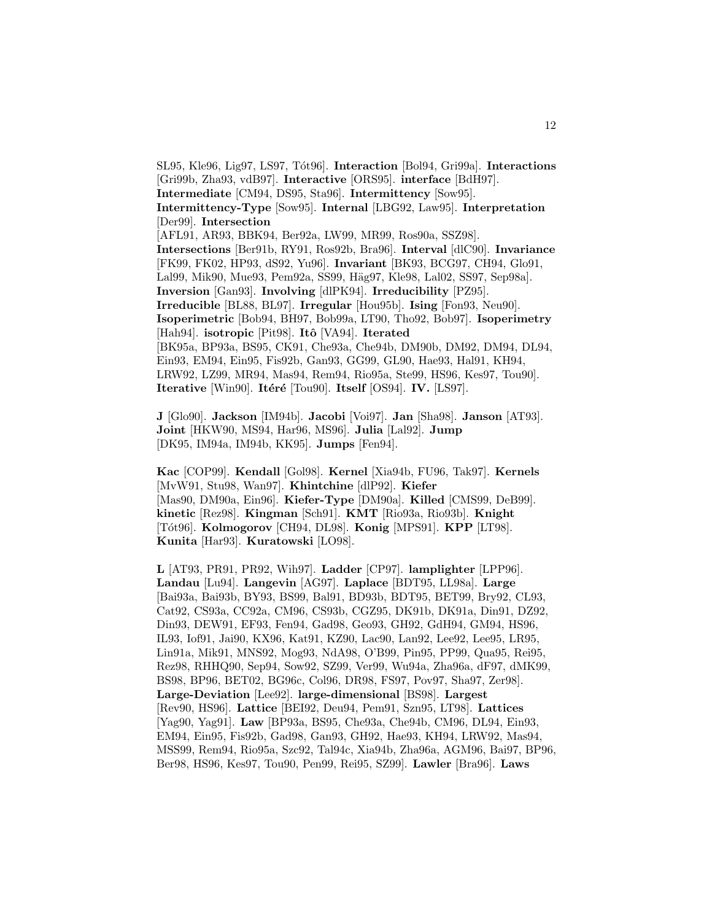SL95, Kle96, Lig97, LS97, T´ot96]. **Interaction** [Bol94, Gri99a]. **Interactions** [Gri99b, Zha93, vdB97]. **Interactive** [ORS95]. **interface** [BdH97]. **Intermediate** [CM94, DS95, Sta96]. **Intermittency** [Sow95]. **Intermittency-Type** [Sow95]. **Internal** [LBG92, Law95]. **Interpretation** [Der99]. **Intersection** [AFL91, AR93, BBK94, Ber92a, LW99, MR99, Ros90a, SSZ98]. **Intersections** [Ber91b, RY91, Ros92b, Bra96]. **Interval** [dlC90]. **Invariance** [FK99, FK02, HP93, dS92, Yu96]. **Invariant** [BK93, BCG97, CH94, Glo91, Lal99, Mik90, Mue93, Pem92a, SS99, Häg97, Kle98, Lal02, SS97, Sep98a]. **Inversion** [Gan93]. **Involving** [dlPK94]. **Irreducibility** [PZ95]. **Irreducible** [BL88, BL97]. **Irregular** [Hou95b]. **Ising** [Fon93, Neu90]. **Isoperimetric** [Bob94, BH97, Bob99a, LT90, Tho92, Bob97]. **Isoperimetry** [Hah94]. **isotropic** [Pit98]. **Itˆo** [VA94]. **Iterated** [BK95a, BP93a, BS95, CK91, Che93a, Che94b, DM90b, DM92, DM94, DL94, Ein93, EM94, Ein95, Fis92b, Gan93, GG99, GL90, Hae93, Hal91, KH94, LRW92, LZ99, MR94, Mas94, Rem94, Rio95a, Ste99, HS96, Kes97, Tou90]. **Iterative** [Win90]. **Itéré** [Tou90]. **Itself** [OS94]. **IV.** [LS97].

**J** [Glo90]. **Jackson** [IM94b]. **Jacobi** [Voi97]. **Jan** [Sha98]. **Janson** [AT93]. **Joint** [HKW90, MS94, Har96, MS96]. **Julia** [Lal92]. **Jump** [DK95, IM94a, IM94b, KK95]. **Jumps** [Fen94].

**Kac** [COP99]. **Kendall** [Gol98]. **Kernel** [Xia94b, FU96, Tak97]. **Kernels** [MvW91, Stu98, Wan97]. **Khintchine** [dlP92]. **Kiefer** [Mas90, DM90a, Ein96]. **Kiefer-Type** [DM90a]. **Killed** [CMS99, DeB99]. **kinetic** [Rez98]. **Kingman** [Sch91]. **KMT** [Rio93a, Rio93b]. **Knight** [T´ot96]. **Kolmogorov** [CH94, DL98]. **Konig** [MPS91]. **KPP** [LT98]. **Kunita** [Har93]. **Kuratowski** [LO98].

**L** [AT93, PR91, PR92, Wih97]. **Ladder** [CP97]. **lamplighter** [LPP96]. **Landau** [Lu94]. **Langevin** [AG97]. **Laplace** [BDT95, LL98a]. **Large** [Bai93a, Bai93b, BY93, BS99, Bal91, BD93b, BDT95, BET99, Bry92, CL93, Cat92, CS93a, CC92a, CM96, CS93b, CGZ95, DK91b, DK91a, Din91, DZ92, Din93, DEW91, EF93, Fen94, Gad98, Geo93, GH92, GdH94, GM94, HS96, IL93, Iof91, Jai90, KX96, Kat91, KZ90, Lac90, Lan92, Lee92, Lee95, LR95, Lin91a, Mik91, MNS92, Mog93, NdA98, O'B99, Pin95, PP99, Qua95, Rei95, Rez98, RHHQ90, Sep94, Sow92, SZ99, Ver99, Wu94a, Zha96a, dF97, dMK99, BS98, BP96, BET02, BG96c, Col96, DR98, FS97, Pov97, Sha97, Zer98]. **Large-Deviation** [Lee92]. **large-dimensional** [BS98]. **Largest** [Rev90, HS96]. **Lattice** [BEI92, Deu94, Pem91, Szn95, LT98]. **Lattices** [Yag90, Yag91]. **Law** [BP93a, BS95, Che93a, Che94b, CM96, DL94, Ein93, EM94, Ein95, Fis92b, Gad98, Gan93, GH92, Hae93, KH94, LRW92, Mas94, MSS99, Rem94, Rio95a, Szc92, Tal94c, Xia94b, Zha96a, AGM96, Bai97, BP96, Ber98, HS96, Kes97, Tou90, Pen99, Rei95, SZ99]. **Lawler** [Bra96]. **Laws**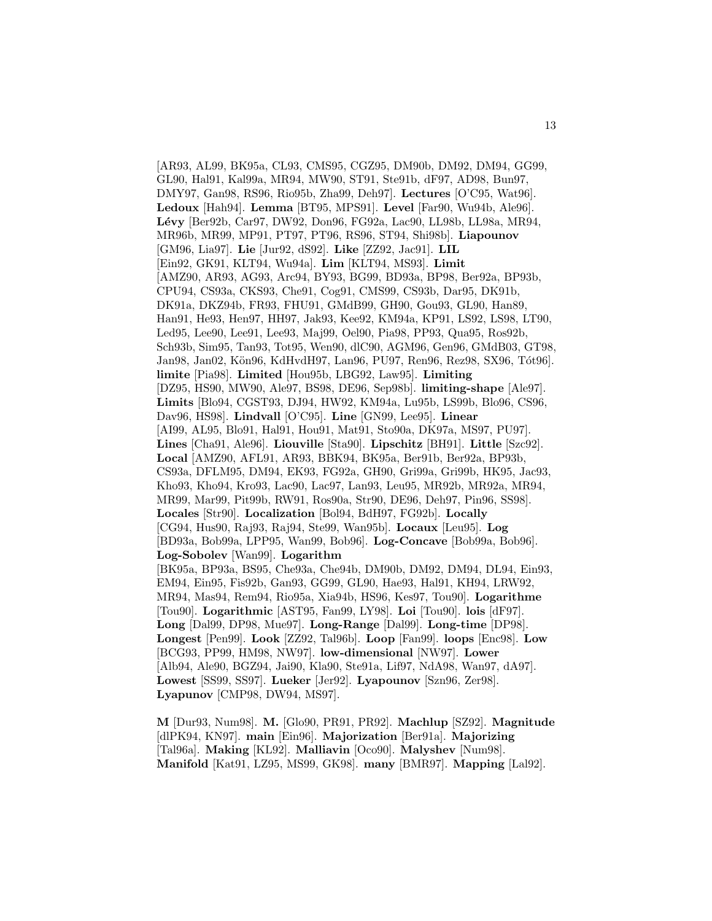[AR93, AL99, BK95a, CL93, CMS95, CGZ95, DM90b, DM92, DM94, GG99, GL90, Hal91, Kal99a, MR94, MW90, ST91, Ste91b, dF97, AD98, Bun97, DMY97, Gan98, RS96, Rio95b, Zha99, Deh97]. **Lectures** [O'C95, Wat96]. **Ledoux** [Hah94]. **Lemma** [BT95, MPS91]. **Level** [Far90, Wu94b, Ale96]. **L´evy** [Ber92b, Car97, DW92, Don96, FG92a, Lac90, LL98b, LL98a, MR94, MR96b, MR99, MP91, PT97, PT96, RS96, ST94, Shi98b]. **Liapounov** [GM96, Lia97]. **Lie** [Jur92, dS92]. **Like** [ZZ92, Jac91]. **LIL** [Ein92, GK91, KLT94, Wu94a]. **Lim** [KLT94, MS93]. **Limit** [AMZ90, AR93, AG93, Arc94, BY93, BG99, BD93a, BP98, Ber92a, BP93b, CPU94, CS93a, CKS93, Che91, Cog91, CMS99, CS93b, Dar95, DK91b, DK91a, DKZ94b, FR93, FHU91, GMdB99, GH90, Gou93, GL90, Han89, Han91, He93, Hen97, HH97, Jak93, Kee92, KM94a, KP91, LS92, LS98, LT90, Led95, Lee90, Lee91, Lee93, Maj99, Oel90, Pia98, PP93, Qua95, Ros92b, Sch93b, Sim95, Tan93, Tot95, Wen90, dlC90, AGM96, Gen96, GMdB03, GT98, Jan98, Jan02, Kön96, KdHvdH97, Lan96, PU97, Ren96, Rez98, SX96, Tót96]. **limite** [Pia98]. **Limited** [Hou95b, LBG92, Law95]. **Limiting** [DZ95, HS90, MW90, Ale97, BS98, DE96, Sep98b]. **limiting-shape** [Ale97]. **Limits** [Blo94, CGST93, DJ94, HW92, KM94a, Lu95b, LS99b, Blo96, CS96, Dav96, HS98]. **Lindvall** [O'C95]. **Line** [GN99, Lee95]. **Linear** [AI99, AL95, Blo91, Hal91, Hou91, Mat91, Sto90a, DK97a, MS97, PU97]. **Lines** [Cha91, Ale96]. **Liouville** [Sta90]. **Lipschitz** [BH91]. **Little** [Szc92]. **Local** [AMZ90, AFL91, AR93, BBK94, BK95a, Ber91b, Ber92a, BP93b, CS93a, DFLM95, DM94, EK93, FG92a, GH90, Gri99a, Gri99b, HK95, Jac93, Kho93, Kho94, Kro93, Lac90, Lac97, Lan93, Leu95, MR92b, MR92a, MR94, MR99, Mar99, Pit99b, RW91, Ros90a, Str90, DE96, Deh97, Pin96, SS98]. **Locales** [Str90]. **Localization** [Bol94, BdH97, FG92b]. **Locally** [CG94, Hus90, Raj93, Raj94, Ste99, Wan95b]. **Locaux** [Leu95]. **Log** [BD93a, Bob99a, LPP95, Wan99, Bob96]. **Log-Concave** [Bob99a, Bob96]. **Log-Sobolev** [Wan99]. **Logarithm** [BK95a, BP93a, BS95, Che93a, Che94b, DM90b, DM92, DM94, DL94, Ein93, EM94, Ein95, Fis92b, Gan93, GG99, GL90, Hae93, Hal91, KH94, LRW92, MR94, Mas94, Rem94, Rio95a, Xia94b, HS96, Kes97, Tou90]. **Logarithme** [Tou90]. **Logarithmic** [AST95, Fan99, LY98]. **Loi** [Tou90]. **lois** [dF97]. **Long** [Dal99, DP98, Mue97]. **Long-Range** [Dal99]. **Long-time** [DP98]. **Longest** [Pen99]. **Look** [ZZ92, Tal96b]. **Loop** [Fan99]. **loops** [Enc98]. **Low** [BCG93, PP99, HM98, NW97]. **low-dimensional** [NW97]. **Lower** [Alb94, Ale90, BGZ94, Jai90, Kla90, Ste91a, Lif97, NdA98, Wan97, dA97]. **Lowest** [SS99, SS97]. **Lueker** [Jer92]. **Lyapounov** [Szn96, Zer98]. **Lyapunov** [CMP98, DW94, MS97].

**M** [Dur93, Num98]. **M.** [Glo90, PR91, PR92]. **Machlup** [SZ92]. **Magnitude** [dlPK94, KN97]. **main** [Ein96]. **Majorization** [Ber91a]. **Majorizing** [Tal96a]. **Making** [KL92]. **Malliavin** [Oco90]. **Malyshev** [Num98]. **Manifold** [Kat91, LZ95, MS99, GK98]. **many** [BMR97]. **Mapping** [Lal92].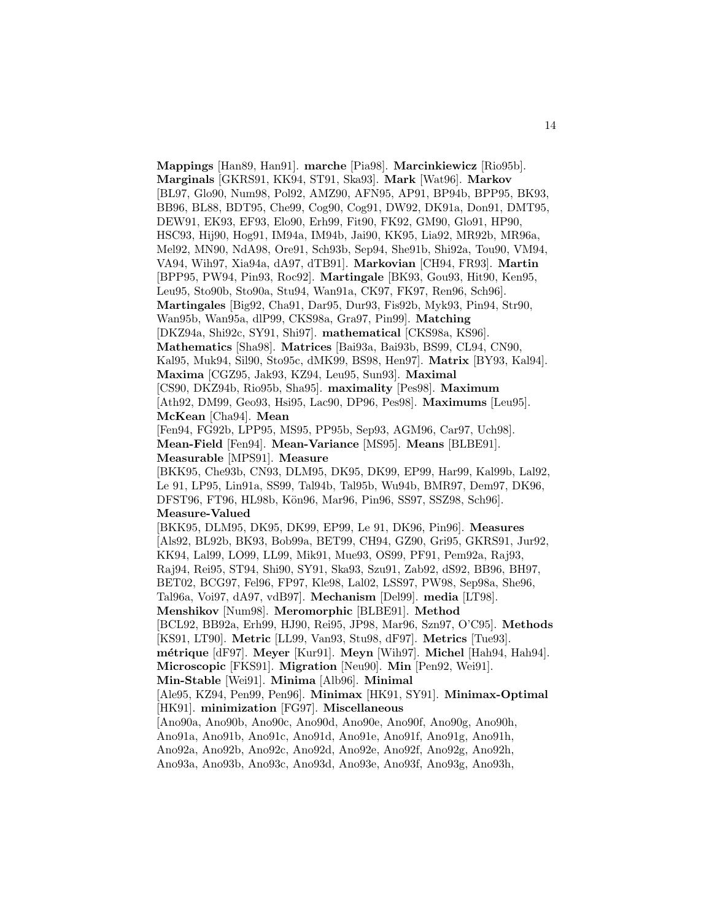**Mappings** [Han89, Han91]. **marche** [Pia98]. **Marcinkiewicz** [Rio95b]. **Marginals** [GKRS91, KK94, ST91, Ska93]. **Mark** [Wat96]. **Markov** [BL97, Glo90, Num98, Pol92, AMZ90, AFN95, AP91, BP94b, BPP95, BK93, BB96, BL88, BDT95, Che99, Cog90, Cog91, DW92, DK91a, Don91, DMT95, DEW91, EK93, EF93, Elo90, Erh99, Fit90, FK92, GM90, Glo91, HP90, HSC93, Hij90, Hog91, IM94a, IM94b, Jai90, KK95, Lia92, MR92b, MR96a, Mel92, MN90, NdA98, Ore91, Sch93b, Sep94, She91b, Shi92a, Tou90, VM94, VA94, Wih97, Xia94a, dA97, dTB91]. **Markovian** [CH94, FR93]. **Martin** [BPP95, PW94, Pin93, Roc92]. **Martingale** [BK93, Gou93, Hit90, Ken95, Leu95, Sto90b, Sto90a, Stu94, Wan91a, CK97, FK97, Ren96, Sch96]. **Martingales** [Big92, Cha91, Dar95, Dur93, Fis92b, Myk93, Pin94, Str90, Wan95b, Wan95a, dlP99, CKS98a, Gra97, Pin99]. **Matching** [DKZ94a, Shi92c, SY91, Shi97]. **mathematical** [CKS98a, KS96]. **Mathematics** [Sha98]. **Matrices** [Bai93a, Bai93b, BS99, CL94, CN90, Kal95, Muk94, Sil90, Sto95c, dMK99, BS98, Hen97]. **Matrix** [BY93, Kal94]. **Maxima** [CGZ95, Jak93, KZ94, Leu95, Sun93]. **Maximal** [CS90, DKZ94b, Rio95b, Sha95]. **maximality** [Pes98]. **Maximum** [Ath92, DM99, Geo93, Hsi95, Lac90, DP96, Pes98]. **Maximums** [Leu95]. **McKean** [Cha94]. **Mean** [Fen94, FG92b, LPP95, MS95, PP95b, Sep93, AGM96, Car97, Uch98]. **Mean-Field** [Fen94]. **Mean-Variance** [MS95]. **Means** [BLBE91]. **Measurable** [MPS91]. **Measure** [BKK95, Che93b, CN93, DLM95, DK95, DK99, EP99, Har99, Kal99b, Lal92, Le 91, LP95, Lin91a, SS99, Tal94b, Tal95b, Wu94b, BMR97, Dem97, DK96, DFST96, FT96, HL98b, Kön96, Mar96, Pin96, SS97, SSZ98, Sch96]. **Measure-Valued** [BKK95, DLM95, DK95, DK99, EP99, Le 91, DK96, Pin96]. **Measures** [Als92, BL92b, BK93, Bob99a, BET99, CH94, GZ90, Gri95, GKRS91, Jur92, KK94, Lal99, LO99, LL99, Mik91, Mue93, OS99, PF91, Pem92a, Raj93, Raj94, Rei95, ST94, Shi90, SY91, Ska93, Szu91, Zab92, dS92, BB96, BH97, BET02, BCG97, Fel96, FP97, Kle98, Lal02, LSS97, PW98, Sep98a, She96, Tal96a, Voi97, dA97, vdB97]. **Mechanism** [Del99]. **media** [LT98]. **Menshikov** [Num98]. **Meromorphic** [BLBE91]. **Method** [BCL92, BB92a, Erh99, HJ90, Rei95, JP98, Mar96, Szn97, O'C95]. **Methods** [KS91, LT90]. **Metric** [LL99, Van93, Stu98, dF97]. **Metrics** [Tue93]. **m´etrique** [dF97]. **Meyer** [Kur91]. **Meyn** [Wih97]. **Michel** [Hah94, Hah94]. **Microscopic** [FKS91]. **Migration** [Neu90]. **Min** [Pen92, Wei91]. **Min-Stable** [Wei91]. **Minima** [Alb96]. **Minimal** [Ale95, KZ94, Pen99, Pen96]. **Minimax** [HK91, SY91]. **Minimax-Optimal** [HK91]. **minimization** [FG97]. **Miscellaneous** [Ano90a, Ano90b, Ano90c, Ano90d, Ano90e, Ano90f, Ano90g, Ano90h, Ano91a, Ano91b, Ano91c, Ano91d, Ano91e, Ano91f, Ano91g, Ano91h, Ano92a, Ano92b, Ano92c, Ano92d, Ano92e, Ano92f, Ano92g, Ano92h, Ano93a, Ano93b, Ano93c, Ano93d, Ano93e, Ano93f, Ano93g, Ano93h,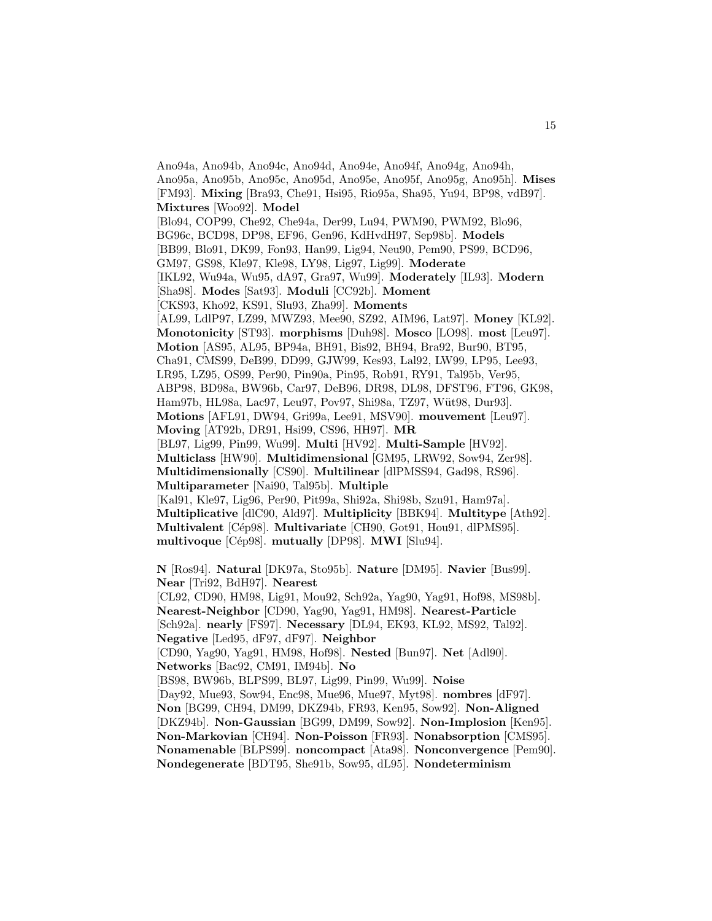Ano94a, Ano94b, Ano94c, Ano94d, Ano94e, Ano94f, Ano94g, Ano94h, Ano95a, Ano95b, Ano95c, Ano95d, Ano95e, Ano95f, Ano95g, Ano95h]. **Mises** [FM93]. **Mixing** [Bra93, Che91, Hsi95, Rio95a, Sha95, Yu94, BP98, vdB97]. **Mixtures** [Woo92]. **Model** [Blo94, COP99, Che92, Che94a, Der99, Lu94, PWM90, PWM92, Blo96, BG96c, BCD98, DP98, EF96, Gen96, KdHvdH97, Sep98b]. **Models** [BB99, Blo91, DK99, Fon93, Han99, Lig94, Neu90, Pem90, PS99, BCD96, GM97, GS98, Kle97, Kle98, LY98, Lig97, Lig99]. **Moderate** [IKL92, Wu94a, Wu95, dA97, Gra97, Wu99]. **Moderately** [IL93]. **Modern** [Sha98]. **Modes** [Sat93]. **Moduli** [CC92b]. **Moment** [CKS93, Kho92, KS91, Slu93, Zha99]. **Moments** [AL99, LdlP97, LZ99, MWZ93, Mee90, SZ92, AIM96, Lat97]. **Money** [KL92]. **Monotonicity** [ST93]. **morphisms** [Duh98]. **Mosco** [LO98]. **most** [Leu97]. **Motion** [AS95, AL95, BP94a, BH91, Bis92, BH94, Bra92, Bur90, BT95, Cha91, CMS99, DeB99, DD99, GJW99, Kes93, Lal92, LW99, LP95, Lee93, LR95, LZ95, OS99, Per90, Pin90a, Pin95, Rob91, RY91, Tal95b, Ver95, ABP98, BD98a, BW96b, Car97, DeB96, DR98, DL98, DFST96, FT96, GK98, Ham97b, HL98a, Lac97, Leu97, Pov97, Shi98a, TZ97, Wüt98, Dur93]. **Motions** [AFL91, DW94, Gri99a, Lee91, MSV90]. **mouvement** [Leu97]. **Moving** [AT92b, DR91, Hsi99, CS96, HH97]. **MR** [BL97, Lig99, Pin99, Wu99]. **Multi** [HV92]. **Multi-Sample** [HV92]. **Multiclass** [HW90]. **Multidimensional** [GM95, LRW92, Sow94, Zer98]. **Multidimensionally** [CS90]. **Multilinear** [dlPMSS94, Gad98, RS96]. **Multiparameter** [Nai90, Tal95b]. **Multiple** [Kal91, Kle97, Lig96, Per90, Pit99a, Shi92a, Shi98b, Szu91, Ham97a]. **Multiplicative** [dlC90, Ald97]. **Multiplicity** [BBK94]. **Multitype** [Ath92]. **Multivalent** [Cép98]. **Multivariate** [CH90, Got91, Hou91, dlPMS95]. **multivoque** [Cép98]. **mutually** [DP98]. **MWI** [Slu94]. **N** [Ros94]. **Natural** [DK97a, Sto95b]. **Nature** [DM95]. **Navier** [Bus99]. **Near** [Tri92, BdH97]. **Nearest** [CL92, CD90, HM98, Lig91, Mou92, Sch92a, Yag90, Yag91, Hof98, MS98b]. **Nearest-Neighbor** [CD90, Yag90, Yag91, HM98]. **Nearest-Particle** [Sch92a]. **nearly** [FS97]. **Necessary** [DL94, EK93, KL92, MS92, Tal92]. **Negative** [Led95, dF97, dF97]. **Neighbor** [CD90, Yag90, Yag91, HM98, Hof98]. **Nested** [Bun97]. **Net** [Adl90]. **Networks** [Bac92, CM91, IM94b]. **No** [BS98, BW96b, BLPS99, BL97, Lig99, Pin99, Wu99]. **Noise** [Day92, Mue93, Sow94, Enc98, Mue96, Mue97, Myt98]. **nombres** [dF97]. **Non** [BG99, CH94, DM99, DKZ94b, FR93, Ken95, Sow92]. **Non-Aligned** [DKZ94b]. **Non-Gaussian** [BG99, DM99, Sow92]. **Non-Implosion** [Ken95]. **Non-Markovian** [CH94]. **Non-Poisson** [FR93]. **Nonabsorption** [CMS95]. **Nonamenable** [BLPS99]. **noncompact** [Ata98]. **Nonconvergence** [Pem90]. **Nondegenerate** [BDT95, She91b, Sow95, dL95]. **Nondeterminism**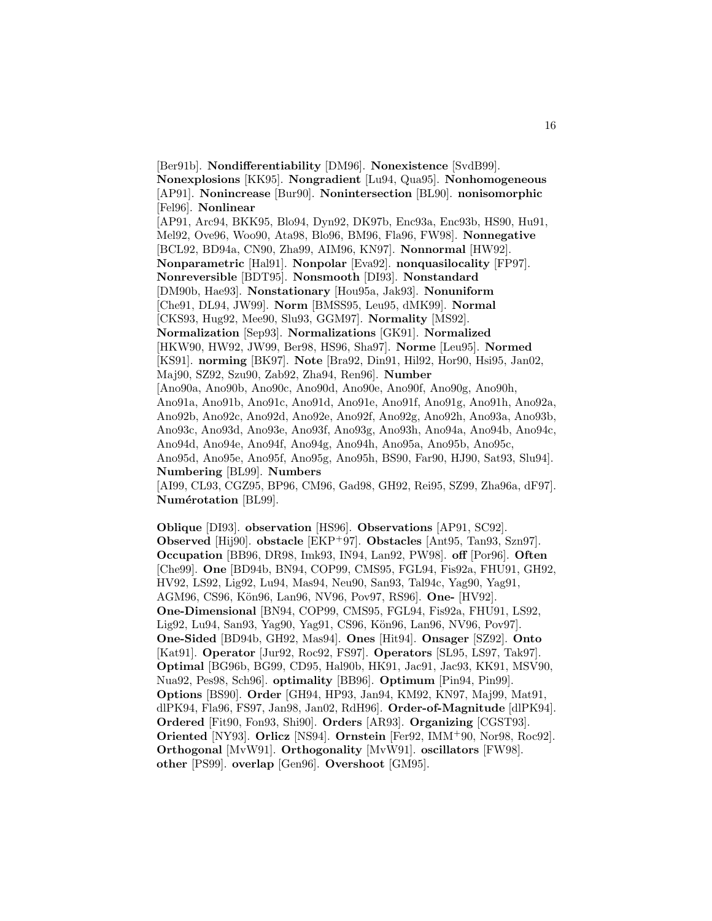[Ber91b]. **Nondifferentiability** [DM96]. **Nonexistence** [SvdB99]. **Nonexplosions** [KK95]. **Nongradient** [Lu94, Qua95]. **Nonhomogeneous** [AP91]. **Nonincrease** [Bur90]. **Nonintersection** [BL90]. **nonisomorphic** [Fel96]. **Nonlinear** [AP91, Arc94, BKK95, Blo94, Dyn92, DK97b, Enc93a, Enc93b, HS90, Hu91, Mel92, Ove96, Woo90, Ata98, Blo96, BM96, Fla96, FW98]. **Nonnegative** [BCL92, BD94a, CN90, Zha99, AIM96, KN97]. **Nonnormal** [HW92]. **Nonparametric** [Hal91]. **Nonpolar** [Eva92]. **nonquasilocality** [FP97]. **Nonreversible** [BDT95]. **Nonsmooth** [DI93]. **Nonstandard** [DM90b, Hae93]. **Nonstationary** [Hou95a, Jak93]. **Nonuniform** [Che91, DL94, JW99]. **Norm** [BMSS95, Leu95, dMK99]. **Normal** [CKS93, Hug92, Mee90, Slu93, GGM97]. **Normality** [MS92]. **Normalization** [Sep93]. **Normalizations** [GK91]. **Normalized** [HKW90, HW92, JW99, Ber98, HS96, Sha97]. **Norme** [Leu95]. **Normed** [KS91]. **norming** [BK97]. **Note** [Bra92, Din91, Hil92, Hor90, Hsi95, Jan02, Maj90, SZ92, Szu90, Zab92, Zha94, Ren96]. **Number** [Ano90a, Ano90b, Ano90c, Ano90d, Ano90e, Ano90f, Ano90g, Ano90h, Ano91a, Ano91b, Ano91c, Ano91d, Ano91e, Ano91f, Ano91g, Ano91h, Ano92a, Ano92b, Ano92c, Ano92d, Ano92e, Ano92f, Ano92g, Ano92h, Ano93a, Ano93b, Ano93c, Ano93d, Ano93e, Ano93f, Ano93g, Ano93h, Ano94a, Ano94b, Ano94c, Ano94d, Ano94e, Ano94f, Ano94g, Ano94h, Ano95a, Ano95b, Ano95c, Ano95d, Ano95e, Ano95f, Ano95g, Ano95h, BS90, Far90, HJ90, Sat93, Slu94]. **Numbering** [BL99]. **Numbers** [AI99, CL93, CGZ95, BP96, CM96, Gad98, GH92, Rei95, SZ99, Zha96a, dF97]. Numérotation<sup>[BL99]</sup>.

**Oblique** [DI93]. **observation** [HS96]. **Observations** [AP91, SC92]. **Observed** [Hij90]. **obstacle** [EKP<sup>+</sup>97]. **Obstacles** [Ant95, Tan93, Szn97]. **Occupation** [BB96, DR98, Imk93, IN94, Lan92, PW98]. **off** [Por96]. **Often** [Che99]. **One** [BD94b, BN94, COP99, CMS95, FGL94, Fis92a, FHU91, GH92, HV92, LS92, Lig92, Lu94, Mas94, Neu90, San93, Tal94c, Yag90, Yag91, AGM96, CS96, K¨on96, Lan96, NV96, Pov97, RS96]. **One-** [HV92]. **One-Dimensional** [BN94, COP99, CMS95, FGL94, Fis92a, FHU91, LS92, Lig92, Lu94, San93, Yag90, Yag91, CS96, Kön96, Lan96, NV96, Pov97. **One-Sided** [BD94b, GH92, Mas94]. **Ones** [Hit94]. **Onsager** [SZ92]. **Onto** [Kat91]. **Operator** [Jur92, Roc92, FS97]. **Operators** [SL95, LS97, Tak97]. **Optimal** [BG96b, BG99, CD95, Hal90b, HK91, Jac91, Jac93, KK91, MSV90, Nua92, Pes98, Sch96]. **optimality** [BB96]. **Optimum** [Pin94, Pin99]. **Options** [BS90]. **Order** [GH94, HP93, Jan94, KM92, KN97, Maj99, Mat91, dlPK94, Fla96, FS97, Jan98, Jan02, RdH96]. **Order-of-Magnitude** [dlPK94]. **Ordered** [Fit90, Fon93, Shi90]. **Orders** [AR93]. **Organizing** [CGST93]. **Oriented** [NY93]. **Orlicz** [NS94]. **Ornstein** [Fer92, IMM<sup>+</sup>90, Nor98, Roc92]. **Orthogonal** [MvW91]. **Orthogonality** [MvW91]. **oscillators** [FW98]. **other** [PS99]. **overlap** [Gen96]. **Overshoot** [GM95].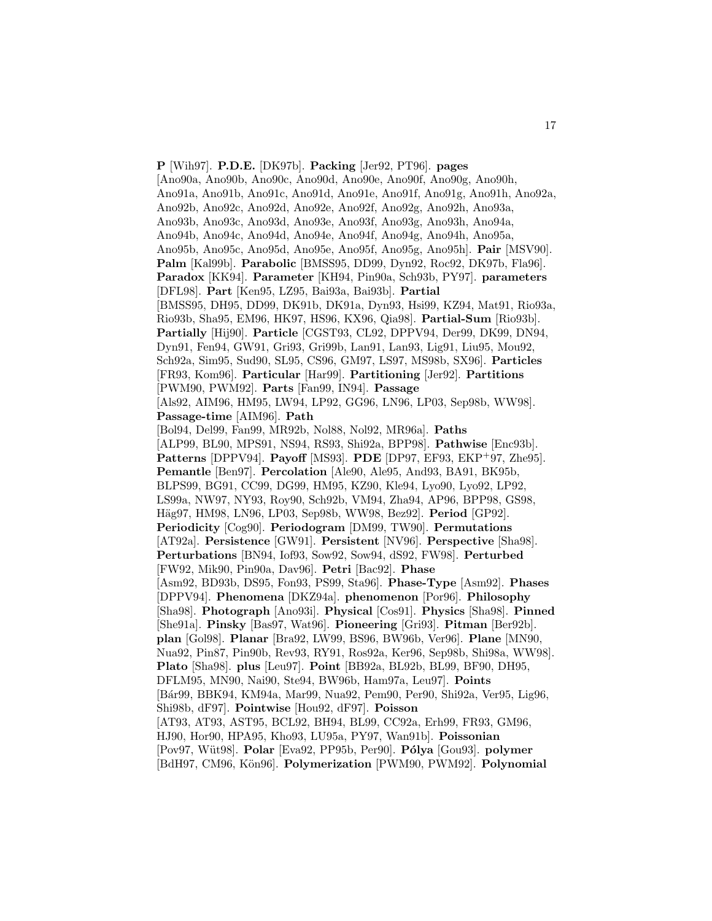**P** [Wih97]. **P.D.E.** [DK97b]. **Packing** [Jer92, PT96]. **pages** [Ano90a, Ano90b, Ano90c, Ano90d, Ano90e, Ano90f, Ano90g, Ano90h, Ano91a, Ano91b, Ano91c, Ano91d, Ano91e, Ano91f, Ano91g, Ano91h, Ano92a, Ano92b, Ano92c, Ano92d, Ano92e, Ano92f, Ano92g, Ano92h, Ano93a, Ano93b, Ano93c, Ano93d, Ano93e, Ano93f, Ano93g, Ano93h, Ano94a, Ano94b, Ano94c, Ano94d, Ano94e, Ano94f, Ano94g, Ano94h, Ano95a, Ano95b, Ano95c, Ano95d, Ano95e, Ano95f, Ano95g, Ano95h]. **Pair** [MSV90]. **Palm** [Kal99b]. **Parabolic** [BMSS95, DD99, Dyn92, Roc92, DK97b, Fla96]. **Paradox** [KK94]. **Parameter** [KH94, Pin90a, Sch93b, PY97]. **parameters** [DFL98]. **Part** [Ken95, LZ95, Bai93a, Bai93b]. **Partial** [BMSS95, DH95, DD99, DK91b, DK91a, Dyn93, Hsi99, KZ94, Mat91, Rio93a, Rio93b, Sha95, EM96, HK97, HS96, KX96, Qia98]. **Partial-Sum** [Rio93b]. **Partially** [Hij90]. **Particle** [CGST93, CL92, DPPV94, Der99, DK99, DN94, Dyn91, Fen94, GW91, Gri93, Gri99b, Lan91, Lan93, Lig91, Liu95, Mou92, Sch92a, Sim95, Sud90, SL95, CS96, GM97, LS97, MS98b, SX96]. **Particles** [FR93, Kom96]. **Particular** [Har99]. **Partitioning** [Jer92]. **Partitions** [PWM90, PWM92]. **Parts** [Fan99, IN94]. **Passage** [Als92, AIM96, HM95, LW94, LP92, GG96, LN96, LP03, Sep98b, WW98]. **Passage-time** [AIM96]. **Path** [Bol94, Del99, Fan99, MR92b, Nol88, Nol92, MR96a]. **Paths** [ALP99, BL90, MPS91, NS94, RS93, Shi92a, BPP98]. **Pathwise** [Enc93b]. **Patterns** [DPPV94]. **Payoff** [MS93]. **PDE** [DP97, EF93, EKP<sup>+</sup>97, Zhe95]. **Pemantle** [Ben97]. **Percolation** [Ale90, Ale95, And93, BA91, BK95b, BLPS99, BG91, CC99, DG99, HM95, KZ90, Kle94, Lyo90, Lyo92, LP92, LS99a, NW97, NY93, Roy90, Sch92b, VM94, Zha94, AP96, BPP98, GS98, Häg97, HM98, LN96, LP03, Sep98b, WW98, Bez92]. Period [GP92]. **Periodicity** [Cog90]. **Periodogram** [DM99, TW90]. **Permutations** [AT92a]. **Persistence** [GW91]. **Persistent** [NV96]. **Perspective** [Sha98]. **Perturbations** [BN94, Iof93, Sow92, Sow94, dS92, FW98]. **Perturbed** [FW92, Mik90, Pin90a, Dav96]. **Petri** [Bac92]. **Phase** [Asm92, BD93b, DS95, Fon93, PS99, Sta96]. **Phase-Type** [Asm92]. **Phases** [DPPV94]. **Phenomena** [DKZ94a]. **phenomenon** [Por96]. **Philosophy** [Sha98]. **Photograph** [Ano93i]. **Physical** [Cos91]. **Physics** [Sha98]. **Pinned** [She91a]. **Pinsky** [Bas97, Wat96]. **Pioneering** [Gri93]. **Pitman** [Ber92b]. **plan** [Gol98]. **Planar** [Bra92, LW99, BS96, BW96b, Ver96]. **Plane** [MN90, Nua92, Pin87, Pin90b, Rev93, RY91, Ros92a, Ker96, Sep98b, Shi98a, WW98]. **Plato** [Sha98]. **plus** [Leu97]. **Point** [BB92a, BL92b, BL99, BF90, DH95, DFLM95, MN90, Nai90, Ste94, BW96b, Ham97a, Leu97]. **Points** [B´ar99, BBK94, KM94a, Mar99, Nua92, Pem90, Per90, Shi92a, Ver95, Lig96, Shi98b, dF97]. **Pointwise** [Hou92, dF97]. **Poisson** [AT93, AT93, AST95, BCL92, BH94, BL99, CC92a, Erh99, FR93, GM96, HJ90, Hor90, HPA95, Kho93, LU95a, PY97, Wan91b]. **Poissonian** [Pov97, W¨ut98]. **Polar** [Eva92, PP95b, Per90]. **P´olya** [Gou93]. **polymer** [BdH97, CM96, Kön96]. **Polymerization** [PWM90, PWM92]. **Polynomial**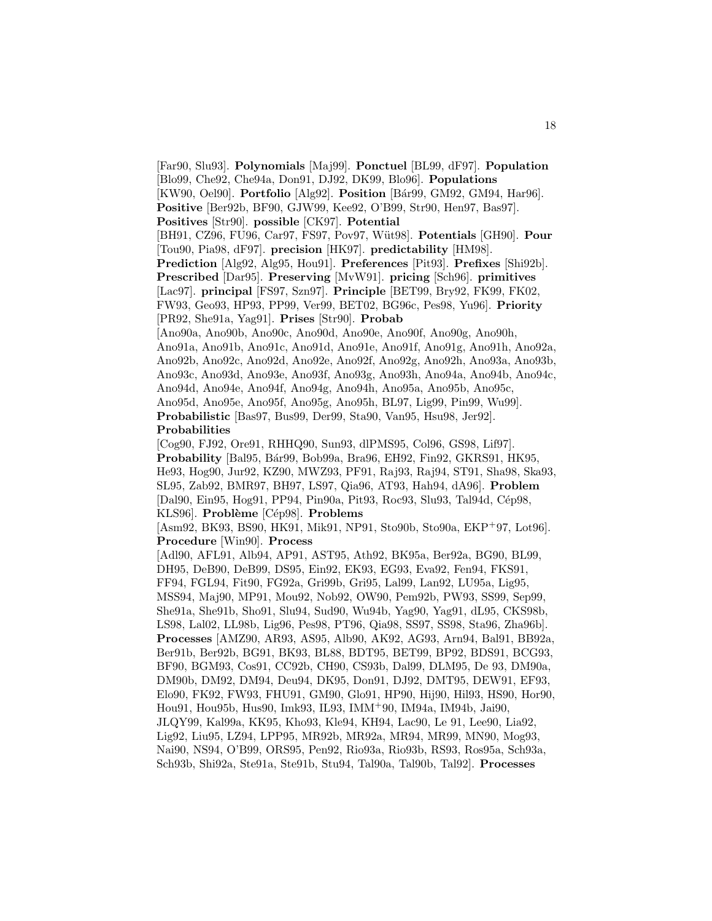[Far90, Slu93]. **Polynomials** [Maj99]. **Ponctuel** [BL99, dF97]. **Population** [Blo99, Che92, Che94a, Don91, DJ92, DK99, Blo96]. **Populations** [KW90, Oel90]. **Portfolio** [Alg92]. **Position** [B´ar99, GM92, GM94, Har96].

**Positive** [Ber92b, BF90, GJW99, Kee92, O'B99, Str90, Hen97, Bas97].

**Positives** [Str90]. **possible** [CK97]. **Potential**

[BH91, CZ96, FU96, Car97, FS97, Pov97, W¨ut98]. **Potentials** [GH90]. **Pour** [Tou90, Pia98, dF97]. **precision** [HK97]. **predictability** [HM98].

**Prediction** [Alg92, Alg95, Hou91]. **Preferences** [Pit93]. **Prefixes** [Shi92b]. **Prescribed** [Dar95]. **Preserving** [MvW91]. **pricing** [Sch96]. **primitives** [Lac97]. **principal** [FS97, Szn97]. **Principle** [BET99, Bry92, FK99, FK02, FW93, Geo93, HP93, PP99, Ver99, BET02, BG96c, Pes98, Yu96]. **Priority** [PR92, She91a, Yag91]. **Prises** [Str90]. **Probab**

[Ano90a, Ano90b, Ano90c, Ano90d, Ano90e, Ano90f, Ano90g, Ano90h, Ano91a, Ano91b, Ano91c, Ano91d, Ano91e, Ano91f, Ano91g, Ano91h, Ano92a,

Ano92b, Ano92c, Ano92d, Ano92e, Ano92f, Ano92g, Ano92h, Ano93a, Ano93b,

Ano93c, Ano93d, Ano93e, Ano93f, Ano93g, Ano93h, Ano94a, Ano94b, Ano94c,

Ano94d, Ano94e, Ano94f, Ano94g, Ano94h, Ano95a, Ano95b, Ano95c,

Ano95d, Ano95e, Ano95f, Ano95g, Ano95h, BL97, Lig99, Pin99, Wu99].

**Probabilistic** [Bas97, Bus99, Der99, Sta90, Van95, Hsu98, Jer92]. **Probabilities**

[Cog90, FJ92, Ore91, RHHQ90, Sun93, dlPMS95, Col96, GS98, Lif97]. **Probability** [Bal95, Bár99, Bob99a, Bra96, EH92, Fin92, GKRS91, HK95, He93, Hog90, Jur92, KZ90, MWZ93, PF91, Raj93, Raj94, ST91, Sha98, Ska93, SL95, Zab92, BMR97, BH97, LS97, Qia96, AT93, Hah94, dA96]. **Problem** [Dal90, Ein95, Hog91, PP94, Pin90a, Pit93, Roc93, Slu93, Tal94d, Cép98, KLS96]. **Probl`eme** [C´ep98]. **Problems**

[Asm92, BK93, BS90, HK91, Mik91, NP91, Sto90b, Sto90a, EKP<sup>+</sup>97, Lot96]. **Procedure** [Win90]. **Process**

[Adl90, AFL91, Alb94, AP91, AST95, Ath92, BK95a, Ber92a, BG90, BL99, DH95, DeB90, DeB99, DS95, Ein92, EK93, EG93, Eva92, Fen94, FKS91, FF94, FGL94, Fit90, FG92a, Gri99b, Gri95, Lal99, Lan92, LU95a, Lig95, MSS94, Maj90, MP91, Mou92, Nob92, OW90, Pem92b, PW93, SS99, Sep99, She91a, She91b, Sho91, Slu94, Sud90, Wu94b, Yag90, Yag91, dL95, CKS98b, LS98, Lal02, LL98b, Lig96, Pes98, PT96, Qia98, SS97, SS98, Sta96, Zha96b]. **Processes** [AMZ90, AR93, AS95, Alb90, AK92, AG93, Arn94, Bal91, BB92a, Ber91b, Ber92b, BG91, BK93, BL88, BDT95, BET99, BP92, BDS91, BCG93, BF90, BGM93, Cos91, CC92b, CH90, CS93b, Dal99, DLM95, De 93, DM90a, DM90b, DM92, DM94, Deu94, DK95, Don91, DJ92, DMT95, DEW91, EF93, Elo90, FK92, FW93, FHU91, GM90, Glo91, HP90, Hij90, Hil93, HS90, Hor90, Hou91, Hou95b, Hus90, Imk93, IL93, IMM<sup>+</sup>90, IM94a, IM94b, Jai90, JLQY99, Kal99a, KK95, Kho93, Kle94, KH94, Lac90, Le 91, Lee90, Lia92, Lig92, Liu95, LZ94, LPP95, MR92b, MR92a, MR94, MR99, MN90, Mog93, Nai90, NS94, O'B99, ORS95, Pen92, Rio93a, Rio93b, RS93, Ros95a, Sch93a, Sch93b, Shi92a, Ste91a, Ste91b, Stu94, Tal90a, Tal90b, Tal92]. **Processes**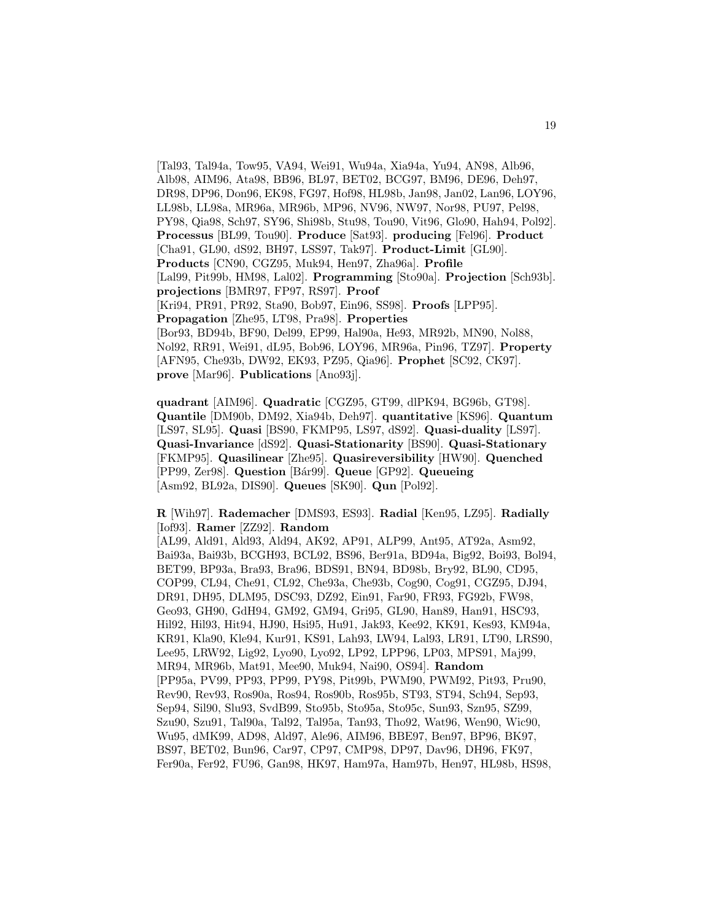[Tal93, Tal94a, Tow95, VA94, Wei91, Wu94a, Xia94a, Yu94, AN98, Alb96, Alb98, AIM96, Ata98, BB96, BL97, BET02, BCG97, BM96, DE96, Deh97, DR98, DP96, Don96, EK98, FG97, Hof98, HL98b, Jan98, Jan02, Lan96, LOY96, LL98b, LL98a, MR96a, MR96b, MP96, NV96, NW97, Nor98, PU97, Pel98, PY98, Qia98, Sch97, SY96, Shi98b, Stu98, Tou90, Vit96, Glo90, Hah94, Pol92]. **Processus** [BL99, Tou90]. **Produce** [Sat93]. **producing** [Fel96]. **Product** [Cha91, GL90, dS92, BH97, LSS97, Tak97]. **Product-Limit** [GL90]. **Products** [CN90, CGZ95, Muk94, Hen97, Zha96a]. **Profile** [Lal99, Pit99b, HM98, Lal02]. **Programming** [Sto90a]. **Projection** [Sch93b]. **projections** [BMR97, FP97, RS97]. **Proof** [Kri94, PR91, PR92, Sta90, Bob97, Ein96, SS98]. **Proofs** [LPP95]. **Propagation** [Zhe95, LT98, Pra98]. **Properties** [Bor93, BD94b, BF90, Del99, EP99, Hal90a, He93, MR92b, MN90, Nol88, Nol92, RR91, Wei91, dL95, Bob96, LOY96, MR96a, Pin96, TZ97]. **Property** [AFN95, Che93b, DW92, EK93, PZ95, Qia96]. **Prophet** [SC92, CK97]. **prove** [Mar96]. **Publications** [Ano93j].

**quadrant** [AIM96]. **Quadratic** [CGZ95, GT99, dlPK94, BG96b, GT98]. **Quantile** [DM90b, DM92, Xia94b, Deh97]. **quantitative** [KS96]. **Quantum** [LS97, SL95]. **Quasi** [BS90, FKMP95, LS97, dS92]. **Quasi-duality** [LS97]. **Quasi-Invariance** [dS92]. **Quasi-Stationarity** [BS90]. **Quasi-Stationary** [FKMP95]. **Quasilinear** [Zhe95]. **Quasireversibility** [HW90]. **Quenched** [PP99, Zer98]. **Question** [B´ar99]. **Queue** [GP92]. **Queueing** [Asm92, BL92a, DIS90]. **Queues** [SK90]. **Qun** [Pol92].

**R** [Wih97]. **Rademacher** [DMS93, ES93]. **Radial** [Ken95, LZ95]. **Radially** [Iof93]. **Ramer** [ZZ92]. **Random**

[AL99, Ald91, Ald93, Ald94, AK92, AP91, ALP99, Ant95, AT92a, Asm92, Bai93a, Bai93b, BCGH93, BCL92, BS96, Ber91a, BD94a, Big92, Boi93, Bol94, BET99, BP93a, Bra93, Bra96, BDS91, BN94, BD98b, Bry92, BL90, CD95, COP99, CL94, Che91, CL92, Che93a, Che93b, Cog90, Cog91, CGZ95, DJ94, DR91, DH95, DLM95, DSC93, DZ92, Ein91, Far90, FR93, FG92b, FW98, Geo93, GH90, GdH94, GM92, GM94, Gri95, GL90, Han89, Han91, HSC93, Hil92, Hil93, Hit94, HJ90, Hsi95, Hu91, Jak93, Kee92, KK91, Kes93, KM94a, KR91, Kla90, Kle94, Kur91, KS91, Lah93, LW94, Lal93, LR91, LT90, LRS90, Lee95, LRW92, Lig92, Lyo90, Lyo92, LP92, LPP96, LP03, MPS91, Maj99, MR94, MR96b, Mat91, Mee90, Muk94, Nai90, OS94]. **Random** [PP95a, PV99, PP93, PP99, PY98, Pit99b, PWM90, PWM92, Pit93, Pru90, Rev90, Rev93, Ros90a, Ros94, Ros90b, Ros95b, ST93, ST94, Sch94, Sep93, Sep94, Sil90, Slu93, SvdB99, Sto95b, Sto95a, Sto95c, Sun93, Szn95, SZ99, Szu90, Szu91, Tal90a, Tal92, Tal95a, Tan93, Tho92, Wat96, Wen90, Wic90, Wu95, dMK99, AD98, Ald97, Ale96, AIM96, BBE97, Ben97, BP96, BK97, BS97, BET02, Bun96, Car97, CP97, CMP98, DP97, Dav96, DH96, FK97, Fer90a, Fer92, FU96, Gan98, HK97, Ham97a, Ham97b, Hen97, HL98b, HS98,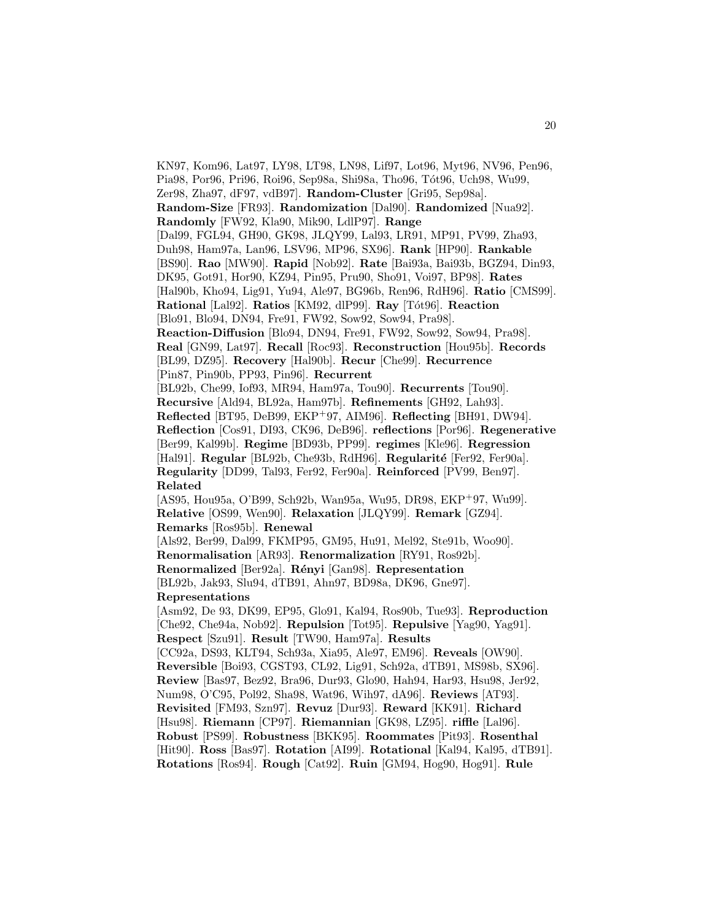KN97, Kom96, Lat97, LY98, LT98, LN98, Lif97, Lot96, Myt96, NV96, Pen96, Pia98, Por96, Pri96, Roi96, Sep98a, Shi98a, Tho96, Tót96, Uch98, Wu99, Zer98, Zha97, dF97, vdB97]. **Random-Cluster** [Gri95, Sep98a]. **Random-Size** [FR93]. **Randomization** [Dal90]. **Randomized** [Nua92]. **Randomly** [FW92, Kla90, Mik90, LdlP97]. **Range** [Dal99, FGL94, GH90, GK98, JLQY99, Lal93, LR91, MP91, PV99, Zha93, Duh98, Ham97a, Lan96, LSV96, MP96, SX96]. **Rank** [HP90]. **Rankable** [BS90]. **Rao** [MW90]. **Rapid** [Nob92]. **Rate** [Bai93a, Bai93b, BGZ94, Din93, DK95, Got91, Hor90, KZ94, Pin95, Pru90, Sho91, Voi97, BP98]. **Rates** [Hal90b, Kho94, Lig91, Yu94, Ale97, BG96b, Ren96, RdH96]. **Ratio** [CMS99]. **Rational** [Lal92]. **Ratios** [KM92, dlP99]. **Ray** [T´ot96]. **Reaction** [Blo91, Blo94, DN94, Fre91, FW92, Sow92, Sow94, Pra98]. **Reaction-Diffusion** [Blo94, DN94, Fre91, FW92, Sow92, Sow94, Pra98]. **Real** [GN99, Lat97]. **Recall** [Roc93]. **Reconstruction** [Hou95b]. **Records** [BL99, DZ95]. **Recovery** [Hal90b]. **Recur** [Che99]. **Recurrence** [Pin87, Pin90b, PP93, Pin96]. **Recurrent** [BL92b, Che99, Iof93, MR94, Ham97a, Tou90]. **Recurrents** [Tou90]. **Recursive** [Ald94, BL92a, Ham97b]. **Refinements** [GH92, Lah93]. **Reflected** [BT95, DeB99, EKP<sup>+</sup>97, AIM96]. **Reflecting** [BH91, DW94]. **Reflection** [Cos91, DI93, CK96, DeB96]. **reflections** [Por96]. **Regenerative** [Ber99, Kal99b]. **Regime** [BD93b, PP99]. **regimes** [Kle96]. **Regression** [Hal91]. **Regular** [BL92b, Che93b, RdH96]. **Regularité** [Fer92, Fer90a]. **Regularity** [DD99, Tal93, Fer92, Fer90a]. **Reinforced** [PV99, Ben97]. **Related** [AS95, Hou95a, O'B99, Sch92b, Wan95a, Wu95, DR98, EKP<sup>+</sup>97, Wu99]. **Relative** [OS99, Wen90]. **Relaxation** [JLQY99]. **Remark** [GZ94]. **Remarks** [Ros95b]. **Renewal** [Als92, Ber99, Dal99, FKMP95, GM95, Hu91, Mel92, Ste91b, Woo90]. **Renormalisation** [AR93]. **Renormalization** [RY91, Ros92b]. **Renormalized** [Ber92a]. **R´enyi** [Gan98]. **Representation** [BL92b, Jak93, Slu94, dTB91, Ahn97, BD98a, DK96, Gne97]. **Representations** [Asm92, De 93, DK99, EP95, Glo91, Kal94, Ros90b, Tue93]. **Reproduction** [Che92, Che94a, Nob92]. **Repulsion** [Tot95]. **Repulsive** [Yag90, Yag91]. **Respect** [Szu91]. **Result** [TW90, Ham97a]. **Results** [CC92a, DS93, KLT94, Sch93a, Xia95, Ale97, EM96]. **Reveals** [OW90]. **Reversible** [Boi93, CGST93, CL92, Lig91, Sch92a, dTB91, MS98b, SX96]. **Review** [Bas97, Bez92, Bra96, Dur93, Glo90, Hah94, Har93, Hsu98, Jer92, Num98, O'C95, Pol92, Sha98, Wat96, Wih97, dA96]. **Reviews** [AT93]. **Revisited** [FM93, Szn97]. **Revuz** [Dur93]. **Reward** [KK91]. **Richard** [Hsu98]. **Riemann** [CP97]. **Riemannian** [GK98, LZ95]. **riffle** [Lal96]. **Robust** [PS99]. **Robustness** [BKK95]. **Roommates** [Pit93]. **Rosenthal** [Hit90]. **Ross** [Bas97]. **Rotation** [AI99]. **Rotational** [Kal94, Kal95, dTB91]. **Rotations** [Ros94]. **Rough** [Cat92]. **Ruin** [GM94, Hog90, Hog91]. **Rule**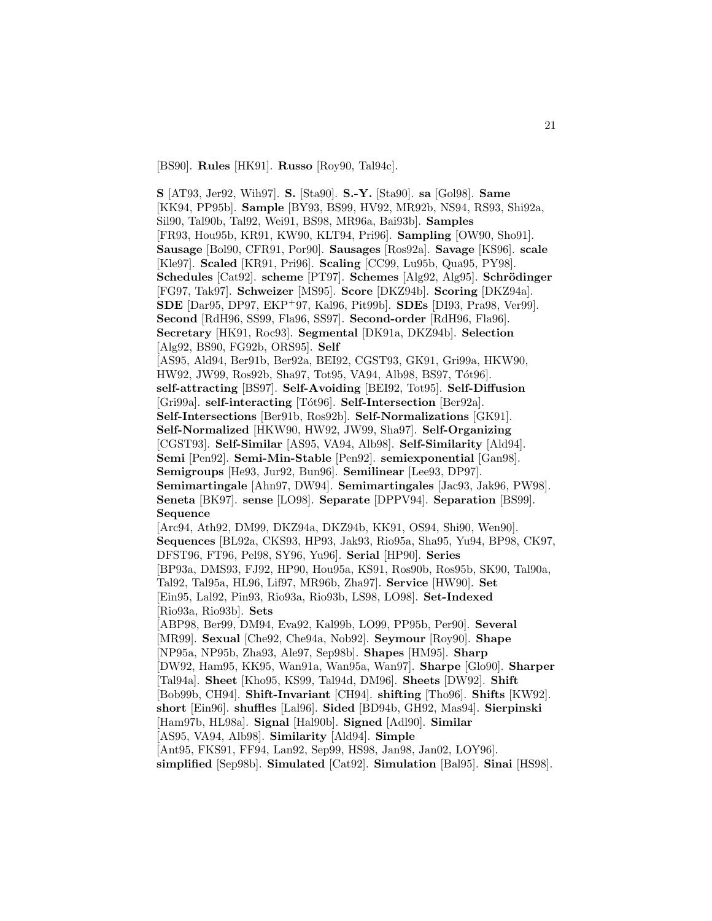[BS90]. **Rules** [HK91]. **Russo** [Roy90, Tal94c].

**S** [AT93, Jer92, Wih97]. **S.** [Sta90]. **S.-Y.** [Sta90]. **sa** [Gol98]. **Same** [KK94, PP95b]. **Sample** [BY93, BS99, HV92, MR92b, NS94, RS93, Shi92a, Sil90, Tal90b, Tal92, Wei91, BS98, MR96a, Bai93b]. **Samples** [FR93, Hou95b, KR91, KW90, KLT94, Pri96]. **Sampling** [OW90, Sho91]. **Sausage** [Bol90, CFR91, Por90]. **Sausages** [Ros92a]. **Savage** [KS96]. **scale** [Kle97]. **Scaled** [KR91, Pri96]. **Scaling** [CC99, Lu95b, Qua95, PY98]. **Schedules** [Cat92]. **scheme** [PT97]. **Schemes** [Alg92, Alg95]. **Schrödinger** [FG97, Tak97]. **Schweizer** [MS95]. **Score** [DKZ94b]. **Scoring** [DKZ94a]. **SDE** [Dar95, DP97, EKP<sup>+</sup>97, Kal96, Pit99b]. **SDEs** [DI93, Pra98, Ver99]. **Second** [RdH96, SS99, Fla96, SS97]. **Second-order** [RdH96, Fla96]. **Secretary** [HK91, Roc93]. **Segmental** [DK91a, DKZ94b]. **Selection** [Alg92, BS90, FG92b, ORS95]. **Self** [AS95, Ald94, Ber91b, Ber92a, BEI92, CGST93, GK91, Gri99a, HKW90, HW92, JW99, Ros92b, Sha97, Tot95, VA94, Alb98, BS97, Tót96]. **self-attracting** [BS97]. **Self-Avoiding** [BEI92, Tot95]. **Self-Diffusion** [Gri99a]. **self-interacting** [Tót96]. **Self-Intersection** [Ber92a]. **Self-Intersections** [Ber91b, Ros92b]. **Self-Normalizations** [GK91]. **Self-Normalized** [HKW90, HW92, JW99, Sha97]. **Self-Organizing** [CGST93]. **Self-Similar** [AS95, VA94, Alb98]. **Self-Similarity** [Ald94]. **Semi** [Pen92]. **Semi-Min-Stable** [Pen92]. **semiexponential** [Gan98]. **Semigroups** [He93, Jur92, Bun96]. **Semilinear** [Lee93, DP97]. **Semimartingale** [Ahn97, DW94]. **Semimartingales** [Jac93, Jak96, PW98]. **Seneta** [BK97]. **sense** [LO98]. **Separate** [DPPV94]. **Separation** [BS99]. **Sequence** [Arc94, Ath92, DM99, DKZ94a, DKZ94b, KK91, OS94, Shi90, Wen90]. **Sequences** [BL92a, CKS93, HP93, Jak93, Rio95a, Sha95, Yu94, BP98, CK97, DFST96, FT96, Pel98, SY96, Yu96]. **Serial** [HP90]. **Series** [BP93a, DMS93, FJ92, HP90, Hou95a, KS91, Ros90b, Ros95b, SK90, Tal90a, Tal92, Tal95a, HL96, Lif97, MR96b, Zha97]. **Service** [HW90]. **Set** [Ein95, Lal92, Pin93, Rio93a, Rio93b, LS98, LO98]. **Set-Indexed** [Rio93a, Rio93b]. **Sets** [ABP98, Ber99, DM94, Eva92, Kal99b, LO99, PP95b, Per90]. **Several** [MR99]. **Sexual** [Che92, Che94a, Nob92]. **Seymour** [Roy90]. **Shape** [NP95a, NP95b, Zha93, Ale97, Sep98b]. **Shapes** [HM95]. **Sharp** [DW92, Ham95, KK95, Wan91a, Wan95a, Wan97]. **Sharpe** [Glo90]. **Sharper** [Tal94a]. **Sheet** [Kho95, KS99, Tal94d, DM96]. **Sheets** [DW92]. **Shift** [Bob99b, CH94]. **Shift-Invariant** [CH94]. **shifting** [Tho96]. **Shifts** [KW92]. **short** [Ein96]. **shuffles** [Lal96]. **Sided** [BD94b, GH92, Mas94]. **Sierpinski** [Ham97b, HL98a]. **Signal** [Hal90b]. **Signed** [Adl90]. **Similar** [AS95, VA94, Alb98]. **Similarity** [Ald94]. **Simple** [Ant95, FKS91, FF94, Lan92, Sep99, HS98, Jan98, Jan02, LOY96]. **simplified** [Sep98b]. **Simulated** [Cat92]. **Simulation** [Bal95]. **Sinai** [HS98].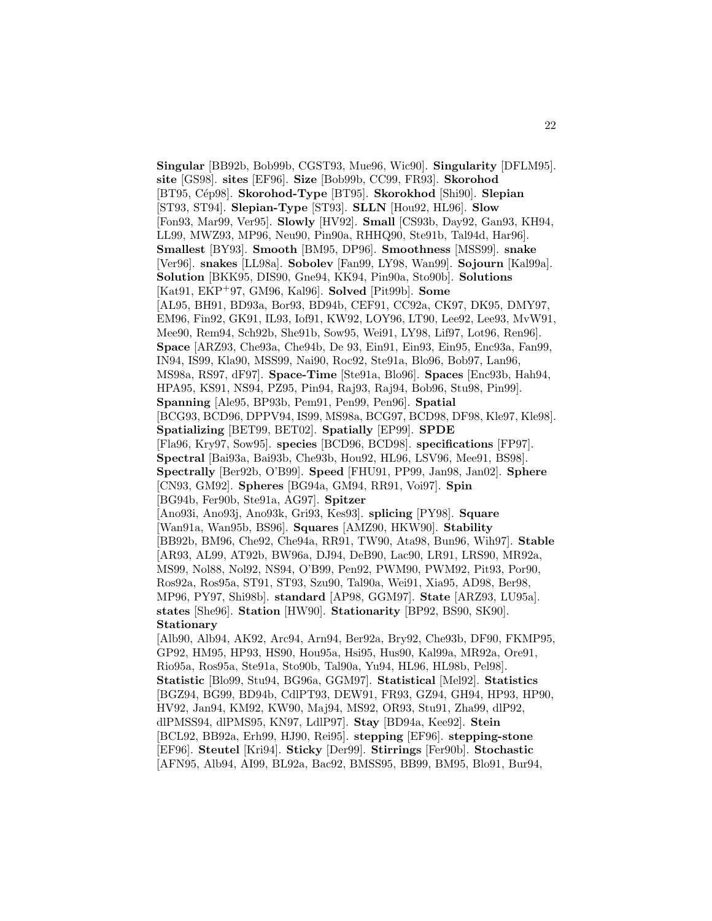**Singular** [BB92b, Bob99b, CGST93, Mue96, Wic90]. **Singularity** [DFLM95]. **site** [GS98]. **sites** [EF96]. **Size** [Bob99b, CC99, FR93]. **Skorohod** [BT95, C´ep98]. **Skorohod-Type** [BT95]. **Skorokhod** [Shi90]. **Slepian** [ST93, ST94]. **Slepian-Type** [ST93]. **SLLN** [Hou92, HL96]. **Slow** [Fon93, Mar99, Ver95]. **Slowly** [HV92]. **Small** [CS93b, Day92, Gan93, KH94, LL99, MWZ93, MP96, Neu90, Pin90a, RHHQ90, Ste91b, Tal94d, Har96]. **Smallest** [BY93]. **Smooth** [BM95, DP96]. **Smoothness** [MSS99]. **snake** [Ver96]. **snakes** [LL98a]. **Sobolev** [Fan99, LY98, Wan99]. **Sojourn** [Kal99a]. **Solution** [BKK95, DIS90, Gne94, KK94, Pin90a, Sto90b]. **Solutions** [Kat91, EKP<sup>+</sup>97, GM96, Kal96]. **Solved** [Pit99b]. **Some** [AL95, BH91, BD93a, Bor93, BD94b, CEF91, CC92a, CK97, DK95, DMY97, EM96, Fin92, GK91, IL93, Iof91, KW92, LOY96, LT90, Lee92, Lee93, MvW91, Mee90, Rem94, Sch92b, She91b, Sow95, Wei91, LY98, Lif97, Lot96, Ren96]. **Space** [ARZ93, Che93a, Che94b, De 93, Ein91, Ein93, Ein95, Enc93a, Fan99, IN94, IS99, Kla90, MSS99, Nai90, Roc92, Ste91a, Blo96, Bob97, Lan96, MS98a, RS97, dF97]. **Space-Time** [Ste91a, Blo96]. **Spaces** [Enc93b, Hah94, HPA95, KS91, NS94, PZ95, Pin94, Raj93, Raj94, Bob96, Stu98, Pin99]. **Spanning** [Ale95, BP93b, Pem91, Pen99, Pen96]. **Spatial** [BCG93, BCD96, DPPV94, IS99, MS98a, BCG97, BCD98, DF98, Kle97, Kle98]. **Spatializing** [BET99, BET02]. **Spatially** [EP99]. **SPDE** [Fla96, Kry97, Sow95]. **species** [BCD96, BCD98]. **specifications** [FP97]. **Spectral** [Bai93a, Bai93b, Che93b, Hou92, HL96, LSV96, Mee91, BS98]. **Spectrally** [Ber92b, O'B99]. **Speed** [FHU91, PP99, Jan98, Jan02]. **Sphere** [CN93, GM92]. **Spheres** [BG94a, GM94, RR91, Voi97]. **Spin** [BG94b, Fer90b, Ste91a, AG97]. **Spitzer** [Ano93i, Ano93j, Ano93k, Gri93, Kes93]. **splicing** [PY98]. **Square** [Wan91a, Wan95b, BS96]. **Squares** [AMZ90, HKW90]. **Stability** [BB92b, BM96, Che92, Che94a, RR91, TW90, Ata98, Bun96, Wih97]. **Stable** [AR93, AL99, AT92b, BW96a, DJ94, DeB90, Lac90, LR91, LRS90, MR92a, MS99, Nol88, Nol92, NS94, O'B99, Pen92, PWM90, PWM92, Pit93, Por90, Ros92a, Ros95a, ST91, ST93, Szu90, Tal90a, Wei91, Xia95, AD98, Ber98, MP96, PY97, Shi98b]. **standard** [AP98, GGM97]. **State** [ARZ93, LU95a]. **states** [She96]. **Station** [HW90]. **Stationarity** [BP92, BS90, SK90]. **Stationary** [Alb90, Alb94, AK92, Arc94, Arn94, Ber92a, Bry92, Che93b, DF90, FKMP95, GP92, HM95, HP93, HS90, Hou95a, Hsi95, Hus90, Kal99a, MR92a, Ore91, Rio95a, Ros95a, Ste91a, Sto90b, Tal90a, Yu94, HL96, HL98b, Pel98]. **Statistic** [Blo99, Stu94, BG96a, GGM97]. **Statistical** [Mel92]. **Statistics** [BGZ94, BG99, BD94b, CdlPT93, DEW91, FR93, GZ94, GH94, HP93, HP90, HV92, Jan94, KM92, KW90, Maj94, MS92, OR93, Stu91, Zha99, dlP92, dlPMSS94, dlPMS95, KN97, LdlP97]. **Stay** [BD94a, Kee92]. **Stein** [BCL92, BB92a, Erh99, HJ90, Rei95]. **stepping** [EF96]. **stepping-stone** [EF96]. **Steutel** [Kri94]. **Sticky** [Der99]. **Stirrings** [Fer90b]. **Stochastic**

[AFN95, Alb94, AI99, BL92a, Bac92, BMSS95, BB99, BM95, Blo91, Bur94,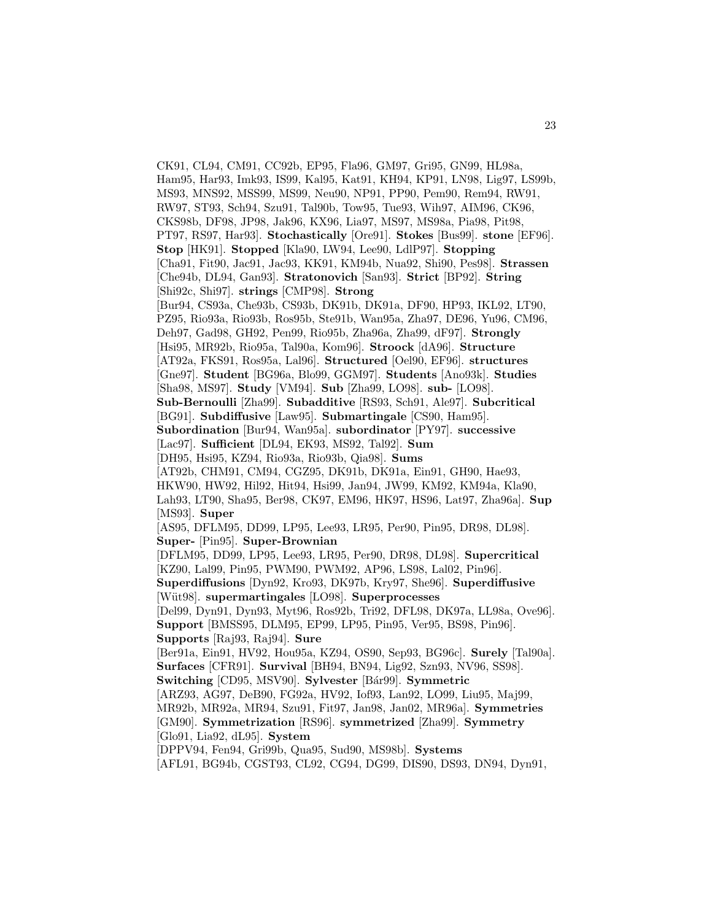CK91, CL94, CM91, CC92b, EP95, Fla96, GM97, Gri95, GN99, HL98a, Ham95, Har93, Imk93, IS99, Kal95, Kat91, KH94, KP91, LN98, Lig97, LS99b, MS93, MNS92, MSS99, MS99, Neu90, NP91, PP90, Pem90, Rem94, RW91, RW97, ST93, Sch94, Szu91, Tal90b, Tow95, Tue93, Wih97, AIM96, CK96, CKS98b, DF98, JP98, Jak96, KX96, Lia97, MS97, MS98a, Pia98, Pit98, PT97, RS97, Har93]. **Stochastically** [Ore91]. **Stokes** [Bus99]. **stone** [EF96]. **Stop** [HK91]. **Stopped** [Kla90, LW94, Lee90, LdlP97]. **Stopping** [Cha91, Fit90, Jac91, Jac93, KK91, KM94b, Nua92, Shi90, Pes98]. **Strassen** [Che94b, DL94, Gan93]. **Stratonovich** [San93]. **Strict** [BP92]. **String** [Shi92c, Shi97]. **strings** [CMP98]. **Strong** [Bur94, CS93a, Che93b, CS93b, DK91b, DK91a, DF90, HP93, IKL92, LT90, PZ95, Rio93a, Rio93b, Ros95b, Ste91b, Wan95a, Zha97, DE96, Yu96, CM96, Deh97, Gad98, GH92, Pen99, Rio95b, Zha96a, Zha99, dF97]. **Strongly** [Hsi95, MR92b, Rio95a, Tal90a, Kom96]. **Stroock** [dA96]. **Structure** [AT92a, FKS91, Ros95a, Lal96]. **Structured** [Oel90, EF96]. **structures** [Gne97]. **Student** [BG96a, Blo99, GGM97]. **Students** [Ano93k]. **Studies** [Sha98, MS97]. **Study** [VM94]. **Sub** [Zha99, LO98]. **sub-** [LO98]. **Sub-Bernoulli** [Zha99]. **Subadditive** [RS93, Sch91, Ale97]. **Subcritical** [BG91]. **Subdiffusive** [Law95]. **Submartingale** [CS90, Ham95]. **Subordination** [Bur94, Wan95a]. **subordinator** [PY97]. **successive** [Lac97]. **Sufficient** [DL94, EK93, MS92, Tal92]. **Sum** [DH95, Hsi95, KZ94, Rio93a, Rio93b, Qia98]. **Sums** [AT92b, CHM91, CM94, CGZ95, DK91b, DK91a, Ein91, GH90, Hae93, HKW90, HW92, Hil92, Hit94, Hsi99, Jan94, JW99, KM92, KM94a, Kla90, Lah93, LT90, Sha95, Ber98, CK97, EM96, HK97, HS96, Lat97, Zha96a]. **Sup** [MS93]. **Super** [AS95, DFLM95, DD99, LP95, Lee93, LR95, Per90, Pin95, DR98, DL98]. **Super-** [Pin95]. **Super-Brownian** [DFLM95, DD99, LP95, Lee93, LR95, Per90, DR98, DL98]. **Supercritical** [KZ90, Lal99, Pin95, PWM90, PWM92, AP96, LS98, Lal02, Pin96]. **Superdiffusions** [Dyn92, Kro93, DK97b, Kry97, She96]. **Superdiffusive** [W¨ut98]. **supermartingales** [LO98]. **Superprocesses** [Del99, Dyn91, Dyn93, Myt96, Ros92b, Tri92, DFL98, DK97a, LL98a, Ove96]. **Support** [BMSS95, DLM95, EP99, LP95, Pin95, Ver95, BS98, Pin96]. **Supports** [Raj93, Raj94]. **Sure** [Ber91a, Ein91, HV92, Hou95a, KZ94, OS90, Sep93, BG96c]. **Surely** [Tal90a]. **Surfaces** [CFR91]. **Survival** [BH94, BN94, Lig92, Szn93, NV96, SS98]. **Switching** [CD95, MSV90]. **Sylvester** [B´ar99]. **Symmetric** [ARZ93, AG97, DeB90, FG92a, HV92, Iof93, Lan92, LO99, Liu95, Maj99, MR92b, MR92a, MR94, Szu91, Fit97, Jan98, Jan02, MR96a]. **Symmetries** [GM90]. **Symmetrization** [RS96]. **symmetrized** [Zha99]. **Symmetry** [Glo91, Lia92, dL95]. **System** [DPPV94, Fen94, Gri99b, Qua95, Sud90, MS98b]. **Systems** [AFL91, BG94b, CGST93, CL92, CG94, DG99, DIS90, DS93, DN94, Dyn91,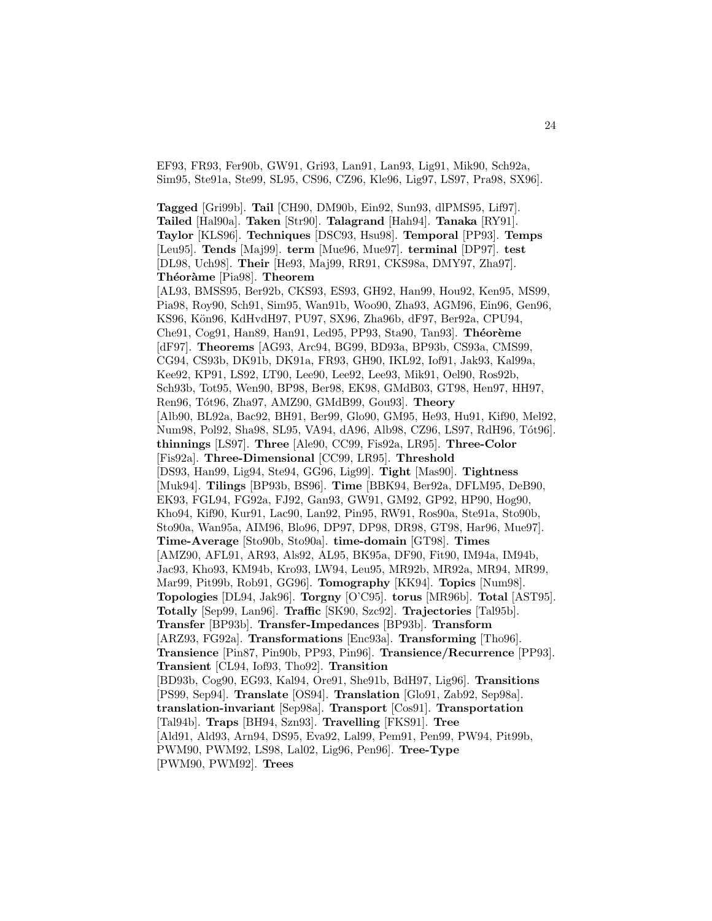EF93, FR93, Fer90b, GW91, Gri93, Lan91, Lan93, Lig91, Mik90, Sch92a, Sim95, Ste91a, Ste99, SL95, CS96, CZ96, Kle96, Lig97, LS97, Pra98, SX96].

**Tagged** [Gri99b]. **Tail** [CH90, DM90b, Ein92, Sun93, dlPMS95, Lif97]. **Tailed** [Hal90a]. **Taken** [Str90]. **Talagrand** [Hah94]. **Tanaka** [RY91]. **Taylor** [KLS96]. **Techniques** [DSC93, Hsu98]. **Temporal** [PP93]. **Temps** [Leu95]. **Tends** [Maj99]. **term** [Mue96, Mue97]. **terminal** [DP97]. **test** [DL98, Uch98]. **Their** [He93, Maj99, RR91, CKS98a, DMY97, Zha97]. **Th´eor`ame** [Pia98]. **Theorem** [AL93, BMSS95, Ber92b, CKS93, ES93, GH92, Han99, Hou92, Ken95, MS99, Pia98, Roy90, Sch91, Sim95, Wan91b, Woo90, Zha93, AGM96, Ein96, Gen96, KS96, Kön96, KdHvdH97, PU97, SX96, Zha96b, dF97, Ber92a, CPU94, Che91, Cog91, Han89, Han91, Led95, PP93, Sta90, Tan93<sup>]</sup>. Théorème [dF97]. **Theorems** [AG93, Arc94, BG99, BD93a, BP93b, CS93a, CMS99, CG94, CS93b, DK91b, DK91a, FR93, GH90, IKL92, Iof91, Jak93, Kal99a, Kee92, KP91, LS92, LT90, Lee90, Lee92, Lee93, Mik91, Oel90, Ros92b, Sch93b, Tot95, Wen90, BP98, Ber98, EK98, GMdB03, GT98, Hen97, HH97, Ren96, T´ot96, Zha97, AMZ90, GMdB99, Gou93]. **Theory** [Alb90, BL92a, Bac92, BH91, Ber99, Glo90, GM95, He93, Hu91, Kif90, Mel92, Num98, Pol92, Sha98, SL95, VA94, dA96, Alb98, CZ96, LS97, RdH96, Tót96. **thinnings** [LS97]. **Three** [Ale90, CC99, Fis92a, LR95]. **Three-Color** [Fis92a]. **Three-Dimensional** [CC99, LR95]. **Threshold** [DS93, Han99, Lig94, Ste94, GG96, Lig99]. **Tight** [Mas90]. **Tightness** [Muk94]. **Tilings** [BP93b, BS96]. **Time** [BBK94, Ber92a, DFLM95, DeB90, EK93, FGL94, FG92a, FJ92, Gan93, GW91, GM92, GP92, HP90, Hog90, Kho94, Kif90, Kur91, Lac90, Lan92, Pin95, RW91, Ros90a, Ste91a, Sto90b, Sto90a, Wan95a, AIM96, Blo96, DP97, DP98, DR98, GT98, Har96, Mue97]. **Time-Average** [Sto90b, Sto90a]. **time-domain** [GT98]. **Times** [AMZ90, AFL91, AR93, Als92, AL95, BK95a, DF90, Fit90, IM94a, IM94b, Jac93, Kho93, KM94b, Kro93, LW94, Leu95, MR92b, MR92a, MR94, MR99, Mar99, Pit99b, Rob91, GG96]. **Tomography** [KK94]. **Topics** [Num98]. **Topologies** [DL94, Jak96]. **Torgny** [O'C95]. **torus** [MR96b]. **Total** [AST95]. **Totally** [Sep99, Lan96]. **Traffic** [SK90, Szc92]. **Trajectories** [Tal95b]. **Transfer** [BP93b]. **Transfer-Impedances** [BP93b]. **Transform** [ARZ93, FG92a]. **Transformations** [Enc93a]. **Transforming** [Tho96]. **Transience** [Pin87, Pin90b, PP93, Pin96]. **Transience/Recurrence** [PP93]. **Transient** [CL94, Iof93, Tho92]. **Transition** [BD93b, Cog90, EG93, Kal94, Ore91, She91b, BdH97, Lig96]. **Transitions** [PS99, Sep94]. **Translate** [OS94]. **Translation** [Glo91, Zab92, Sep98a]. **translation-invariant** [Sep98a]. **Transport** [Cos91]. **Transportation** [Tal94b]. **Traps** [BH94, Szn93]. **Travelling** [FKS91]. **Tree** [Ald91, Ald93, Arn94, DS95, Eva92, Lal99, Pem91, Pen99, PW94, Pit99b, PWM90, PWM92, LS98, Lal02, Lig96, Pen96]. **Tree-Type** [PWM90, PWM92]. **Trees**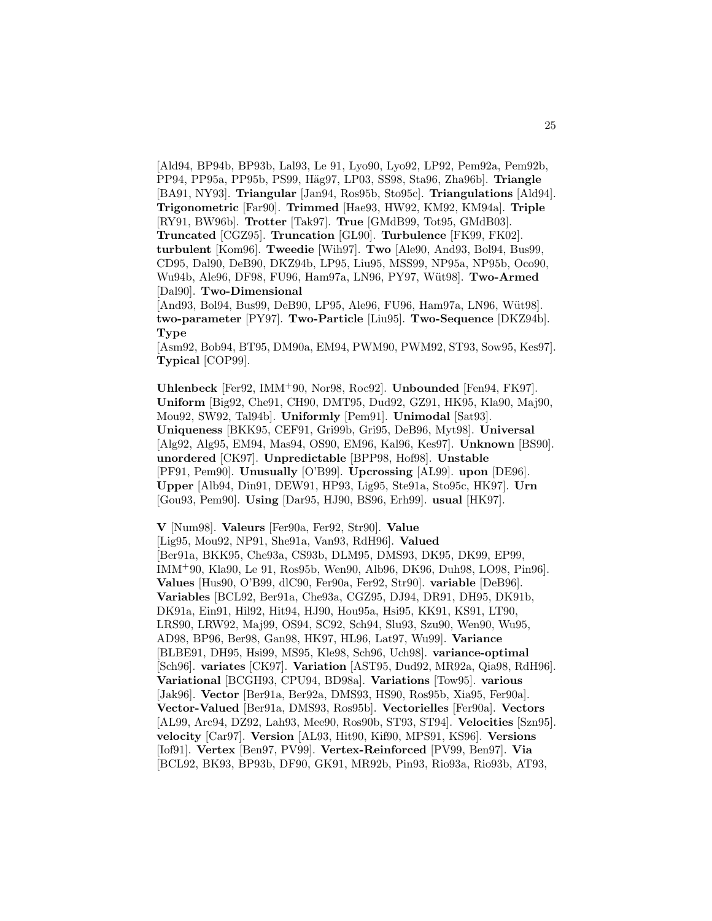[Ald94, BP94b, BP93b, Lal93, Le 91, Lyo90, Lyo92, LP92, Pem92a, Pem92b, PP94, PP95a, PP95b, PS99, H¨ag97, LP03, SS98, Sta96, Zha96b]. **Triangle** [BA91, NY93]. **Triangular** [Jan94, Ros95b, Sto95c]. **Triangulations** [Ald94]. **Trigonometric** [Far90]. **Trimmed** [Hae93, HW92, KM92, KM94a]. **Triple** [RY91, BW96b]. **Trotter** [Tak97]. **True** [GMdB99, Tot95, GMdB03]. **Truncated** [CGZ95]. **Truncation** [GL90]. **Turbulence** [FK99, FK02]. **turbulent** [Kom96]. **Tweedie** [Wih97]. **Two** [Ale90, And93, Bol94, Bus99, CD95, Dal90, DeB90, DKZ94b, LP95, Liu95, MSS99, NP95a, NP95b, Oco90, Wu94b, Ale96, DF98, FU96, Ham97a, LN96, PY97, Wüt98]. Two-Armed [Dal90]. **Two-Dimensional**

[And93, Bol94, Bus99, DeB90, LP95, Ale96, FU96, Ham97a, LN96, Wüt98]. **two-parameter** [PY97]. **Two-Particle** [Liu95]. **Two-Sequence** [DKZ94b]. **Type**

[Asm92, Bob94, BT95, DM90a, EM94, PWM90, PWM92, ST93, Sow95, Kes97]. **Typical** [COP99].

**Uhlenbeck** [Fer92, IMM<sup>+</sup>90, Nor98, Roc92]. **Unbounded** [Fen94, FK97]. **Uniform** [Big92, Che91, CH90, DMT95, Dud92, GZ91, HK95, Kla90, Maj90, Mou92, SW92, Tal94b]. **Uniformly** [Pem91]. **Unimodal** [Sat93]. **Uniqueness** [BKK95, CEF91, Gri99b, Gri95, DeB96, Myt98]. **Universal** [Alg92, Alg95, EM94, Mas94, OS90, EM96, Kal96, Kes97]. **Unknown** [BS90]. **unordered** [CK97]. **Unpredictable** [BPP98, Hof98]. **Unstable** [PF91, Pem90]. **Unusually** [O'B99]. **Upcrossing** [AL99]. **upon** [DE96]. **Upper** [Alb94, Din91, DEW91, HP93, Lig95, Ste91a, Sto95c, HK97]. **Urn** [Gou93, Pem90]. **Using** [Dar95, HJ90, BS96, Erh99]. **usual** [HK97].

**V** [Num98]. **Valeurs** [Fer90a, Fer92, Str90]. **Value** [Lig95, Mou92, NP91, She91a, Van93, RdH96]. **Valued** [Ber91a, BKK95, Che93a, CS93b, DLM95, DMS93, DK95, DK99, EP99, IMM<sup>+</sup>90, Kla90, Le 91, Ros95b, Wen90, Alb96, DK96, Duh98, LO98, Pin96]. **Values** [Hus90, O'B99, dlC90, Fer90a, Fer92, Str90]. **variable** [DeB96]. **Variables** [BCL92, Ber91a, Che93a, CGZ95, DJ94, DR91, DH95, DK91b, DK91a, Ein91, Hil92, Hit94, HJ90, Hou95a, Hsi95, KK91, KS91, LT90, LRS90, LRW92, Maj99, OS94, SC92, Sch94, Slu93, Szu90, Wen90, Wu95, AD98, BP96, Ber98, Gan98, HK97, HL96, Lat97, Wu99]. **Variance** [BLBE91, DH95, Hsi99, MS95, Kle98, Sch96, Uch98]. **variance-optimal** [Sch96]. **variates** [CK97]. **Variation** [AST95, Dud92, MR92a, Qia98, RdH96]. **Variational** [BCGH93, CPU94, BD98a]. **Variations** [Tow95]. **various** [Jak96]. **Vector** [Ber91a, Ber92a, DMS93, HS90, Ros95b, Xia95, Fer90a]. **Vector-Valued** [Ber91a, DMS93, Ros95b]. **Vectorielles** [Fer90a]. **Vectors** [AL99, Arc94, DZ92, Lah93, Mee90, Ros90b, ST93, ST94]. **Velocities** [Szn95]. **velocity** [Car97]. **Version** [AL93, Hit90, Kif90, MPS91, KS96]. **Versions** [Iof91]. **Vertex** [Ben97, PV99]. **Vertex-Reinforced** [PV99, Ben97]. **Via** [BCL92, BK93, BP93b, DF90, GK91, MR92b, Pin93, Rio93a, Rio93b, AT93,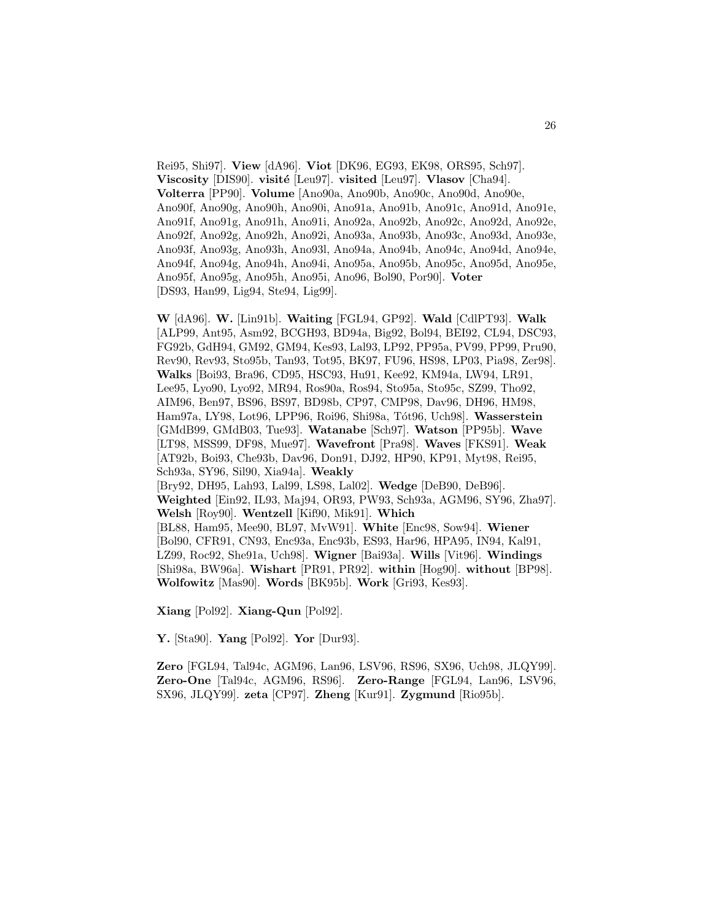Rei95, Shi97]. **View** [dA96]. **Viot** [DK96, EG93, EK98, ORS95, Sch97]. **Viscosity** [DIS90]. **visité** [Leu97]. **visited** [Leu97]. **Vlasov** [Cha94]. **Volterra** [PP90]. **Volume** [Ano90a, Ano90b, Ano90c, Ano90d, Ano90e, Ano90f, Ano90g, Ano90h, Ano90i, Ano91a, Ano91b, Ano91c, Ano91d, Ano91e, Ano91f, Ano91g, Ano91h, Ano91i, Ano92a, Ano92b, Ano92c, Ano92d, Ano92e, Ano92f, Ano92g, Ano92h, Ano92i, Ano93a, Ano93b, Ano93c, Ano93d, Ano93e, Ano93f, Ano93g, Ano93h, Ano93l, Ano94a, Ano94b, Ano94c, Ano94d, Ano94e, Ano94f, Ano94g, Ano94h, Ano94i, Ano95a, Ano95b, Ano95c, Ano95d, Ano95e, Ano95f, Ano95g, Ano95h, Ano95i, Ano96, Bol90, Por90]. **Voter** [DS93, Han99, Lig94, Ste94, Lig99].

**W** [dA96]. **W.** [Lin91b]. **Waiting** [FGL94, GP92]. **Wald** [CdlPT93]. **Walk** [ALP99, Ant95, Asm92, BCGH93, BD94a, Big92, Bol94, BEI92, CL94, DSC93, FG92b, GdH94, GM92, GM94, Kes93, Lal93, LP92, PP95a, PV99, PP99, Pru90, Rev90, Rev93, Sto95b, Tan93, Tot95, BK97, FU96, HS98, LP03, Pia98, Zer98]. **Walks** [Boi93, Bra96, CD95, HSC93, Hu91, Kee92, KM94a, LW94, LR91, Lee95, Lyo90, Lyo92, MR94, Ros90a, Ros94, Sto95a, Sto95c, SZ99, Tho92, AIM96, Ben97, BS96, BS97, BD98b, CP97, CMP98, Dav96, DH96, HM98, Ham97a, LY98, Lot96, LPP96, Roi96, Shi98a, T´ot96, Uch98]. **Wasserstein** [GMdB99, GMdB03, Tue93]. **Watanabe** [Sch97]. **Watson** [PP95b]. **Wave** [LT98, MSS99, DF98, Mue97]. **Wavefront** [Pra98]. **Waves** [FKS91]. **Weak** [AT92b, Boi93, Che93b, Dav96, Don91, DJ92, HP90, KP91, Myt98, Rei95, Sch93a, SY96, Sil90, Xia94a]. **Weakly** [Bry92, DH95, Lah93, Lal99, LS98, Lal02]. **Wedge** [DeB90, DeB96]. **Weighted** [Ein92, IL93, Maj94, OR93, PW93, Sch93a, AGM96, SY96, Zha97]. **Welsh** [Roy90]. **Wentzell** [Kif90, Mik91]. **Which** [BL88, Ham95, Mee90, BL97, MvW91]. **White** [Enc98, Sow94]. **Wiener** [Bol90, CFR91, CN93, Enc93a, Enc93b, ES93, Har96, HPA95, IN94, Kal91, LZ99, Roc92, She91a, Uch98]. **Wigner** [Bai93a]. **Wills** [Vit96]. **Windings** [Shi98a, BW96a]. **Wishart** [PR91, PR92]. **within** [Hog90]. **without** [BP98]. **Wolfowitz** [Mas90]. **Words** [BK95b]. **Work** [Gri93, Kes93].

**Xiang** [Pol92]. **Xiang-Qun** [Pol92].

**Y.** [Sta90]. **Yang** [Pol92]. **Yor** [Dur93].

**Zero** [FGL94, Tal94c, AGM96, Lan96, LSV96, RS96, SX96, Uch98, JLQY99]. **Zero-One** [Tal94c, AGM96, RS96]. **Zero-Range** [FGL94, Lan96, LSV96, SX96, JLQY99]. **zeta** [CP97]. **Zheng** [Kur91]. **Zygmund** [Rio95b].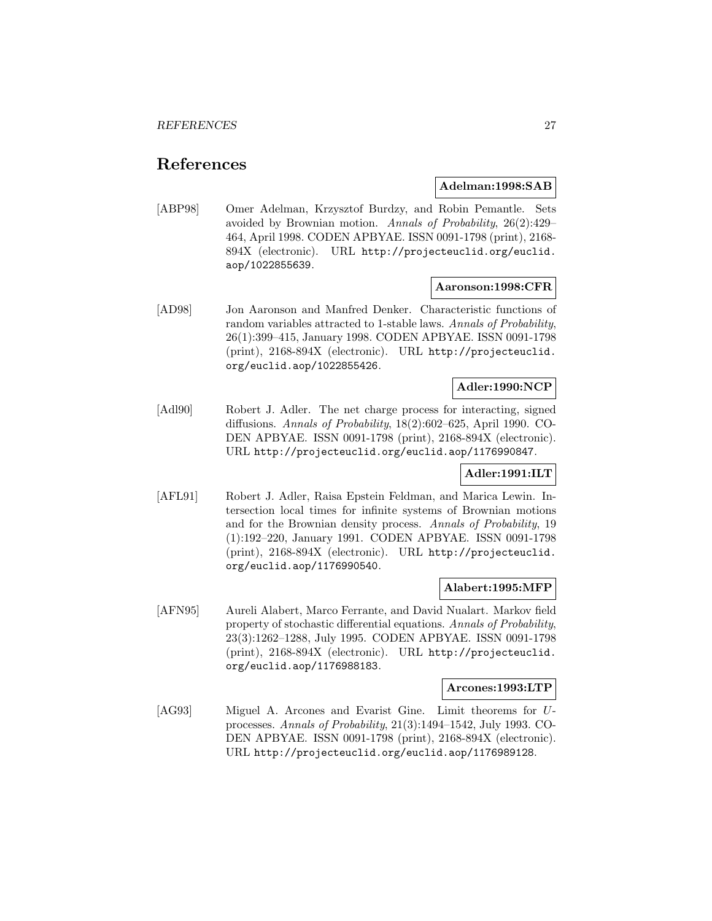# **References**

### **Adelman:1998:SAB**

[ABP98] Omer Adelman, Krzysztof Burdzy, and Robin Pemantle. Sets avoided by Brownian motion. Annals of Probability, 26(2):429– 464, April 1998. CODEN APBYAE. ISSN 0091-1798 (print), 2168- 894X (electronic). URL http://projecteuclid.org/euclid. aop/1022855639.

### **Aaronson:1998:CFR**

[AD98] Jon Aaronson and Manfred Denker. Characteristic functions of random variables attracted to 1-stable laws. Annals of Probability, 26(1):399–415, January 1998. CODEN APBYAE. ISSN 0091-1798 (print), 2168-894X (electronic). URL http://projecteuclid. org/euclid.aop/1022855426.

### **Adler:1990:NCP**

[Adl90] Robert J. Adler. The net charge process for interacting, signed diffusions. Annals of Probability, 18(2):602–625, April 1990. CO-DEN APBYAE. ISSN 0091-1798 (print), 2168-894X (electronic). URL http://projecteuclid.org/euclid.aop/1176990847.

### **Adler:1991:ILT**

[AFL91] Robert J. Adler, Raisa Epstein Feldman, and Marica Lewin. Intersection local times for infinite systems of Brownian motions and for the Brownian density process. Annals of Probability, 19 (1):192–220, January 1991. CODEN APBYAE. ISSN 0091-1798 (print), 2168-894X (electronic). URL http://projecteuclid. org/euclid.aop/1176990540.

### **Alabert:1995:MFP**

[AFN95] Aureli Alabert, Marco Ferrante, and David Nualart. Markov field property of stochastic differential equations. Annals of Probability, 23(3):1262–1288, July 1995. CODEN APBYAE. ISSN 0091-1798 (print), 2168-894X (electronic). URL http://projecteuclid. org/euclid.aop/1176988183.

### **Arcones:1993:LTP**

[AG93] Miguel A. Arcones and Evarist Gine. Limit theorems for Uprocesses. Annals of Probability, 21(3):1494–1542, July 1993. CO-DEN APBYAE. ISSN 0091-1798 (print), 2168-894X (electronic). URL http://projecteuclid.org/euclid.aop/1176989128.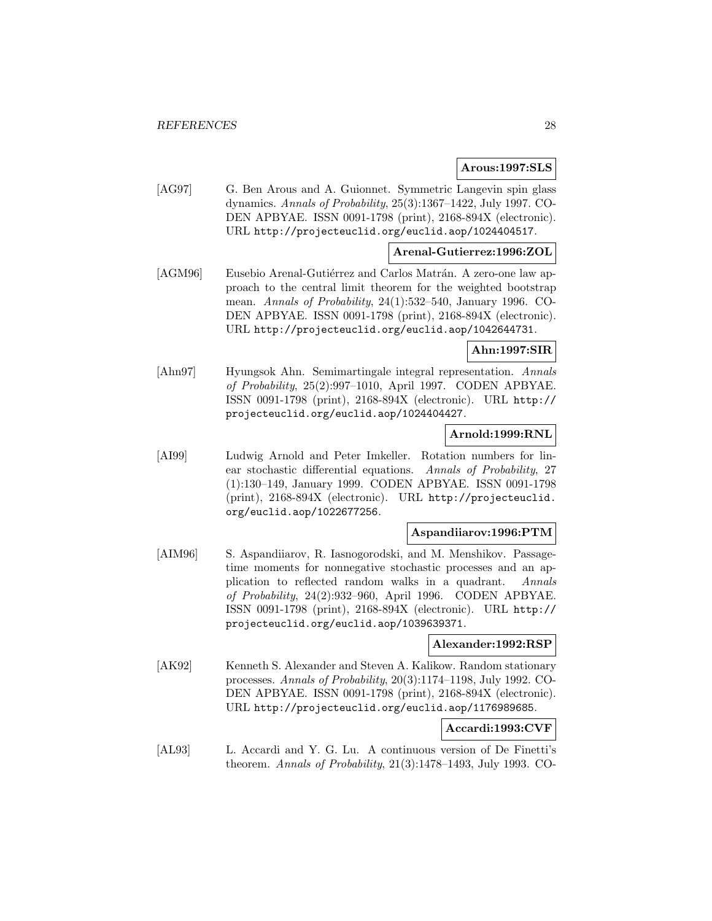### **Arous:1997:SLS**

[AG97] G. Ben Arous and A. Guionnet. Symmetric Langevin spin glass dynamics. Annals of Probability, 25(3):1367–1422, July 1997. CO-DEN APBYAE. ISSN 0091-1798 (print), 2168-894X (electronic). URL http://projecteuclid.org/euclid.aop/1024404517.

### **Arenal-Gutierrez:1996:ZOL**

[AGM96] Eusebio Arenal-Gutiérrez and Carlos Matrán. A zero-one law approach to the central limit theorem for the weighted bootstrap mean. Annals of Probability, 24(1):532–540, January 1996. CO-DEN APBYAE. ISSN 0091-1798 (print), 2168-894X (electronic). URL http://projecteuclid.org/euclid.aop/1042644731.

### **Ahn:1997:SIR**

[Ahn97] Hyungsok Ahn. Semimartingale integral representation. Annals of Probability, 25(2):997–1010, April 1997. CODEN APBYAE. ISSN 0091-1798 (print), 2168-894X (electronic). URL http:// projecteuclid.org/euclid.aop/1024404427.

### **Arnold:1999:RNL**

[AI99] Ludwig Arnold and Peter Imkeller. Rotation numbers for linear stochastic differential equations. Annals of Probability, 27 (1):130–149, January 1999. CODEN APBYAE. ISSN 0091-1798 (print), 2168-894X (electronic). URL http://projecteuclid. org/euclid.aop/1022677256.

### **Aspandiiarov:1996:PTM**

[AIM96] S. Aspandiiarov, R. Iasnogorodski, and M. Menshikov. Passagetime moments for nonnegative stochastic processes and an application to reflected random walks in a quadrant. Annals of Probability, 24(2):932–960, April 1996. CODEN APBYAE. ISSN 0091-1798 (print), 2168-894X (electronic). URL http:// projecteuclid.org/euclid.aop/1039639371.

#### **Alexander:1992:RSP**

[AK92] Kenneth S. Alexander and Steven A. Kalikow. Random stationary processes. Annals of Probability, 20(3):1174–1198, July 1992. CO-DEN APBYAE. ISSN 0091-1798 (print), 2168-894X (electronic). URL http://projecteuclid.org/euclid.aop/1176989685.

### **Accardi:1993:CVF**

[AL93] L. Accardi and Y. G. Lu. A continuous version of De Finetti's theorem. Annals of Probability, 21(3):1478–1493, July 1993. CO-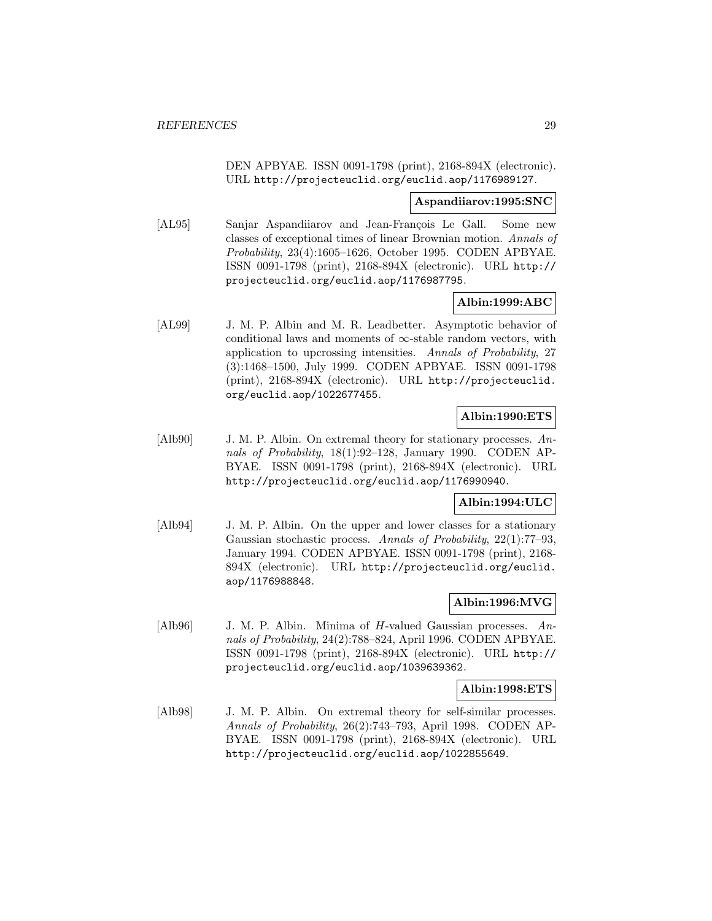DEN APBYAE. ISSN 0091-1798 (print), 2168-894X (electronic). URL http://projecteuclid.org/euclid.aop/1176989127.

### **Aspandiiarov:1995:SNC**

[AL95] Sanjar Aspandiiarov and Jean-François Le Gall. Some new classes of exceptional times of linear Brownian motion. Annals of Probability, 23(4):1605–1626, October 1995. CODEN APBYAE. ISSN 0091-1798 (print), 2168-894X (electronic). URL http:// projecteuclid.org/euclid.aop/1176987795.

### **Albin:1999:ABC**

[AL99] J. M. P. Albin and M. R. Leadbetter. Asymptotic behavior of conditional laws and moments of  $\infty$ -stable random vectors, with application to upcrossing intensities. Annals of Probability, 27 (3):1468–1500, July 1999. CODEN APBYAE. ISSN 0091-1798 (print), 2168-894X (electronic). URL http://projecteuclid. org/euclid.aop/1022677455.

### **Albin:1990:ETS**

[Alb90] J. M. P. Albin. On extremal theory for stationary processes. Annals of Probability, 18(1):92–128, January 1990. CODEN AP-BYAE. ISSN 0091-1798 (print), 2168-894X (electronic). URL http://projecteuclid.org/euclid.aop/1176990940.

### **Albin:1994:ULC**

[Alb94] J. M. P. Albin. On the upper and lower classes for a stationary Gaussian stochastic process. Annals of Probability, 22(1):77–93, January 1994. CODEN APBYAE. ISSN 0091-1798 (print), 2168- 894X (electronic). URL http://projecteuclid.org/euclid. aop/1176988848.

### **Albin:1996:MVG**

[Alb96] J. M. P. Albin. Minima of H-valued Gaussian processes. Annals of Probability, 24(2):788–824, April 1996. CODEN APBYAE. ISSN 0091-1798 (print), 2168-894X (electronic). URL http:// projecteuclid.org/euclid.aop/1039639362.

### **Albin:1998:ETS**

[Alb98] J. M. P. Albin. On extremal theory for self-similar processes. Annals of Probability, 26(2):743–793, April 1998. CODEN AP-BYAE. ISSN 0091-1798 (print), 2168-894X (electronic). URL http://projecteuclid.org/euclid.aop/1022855649.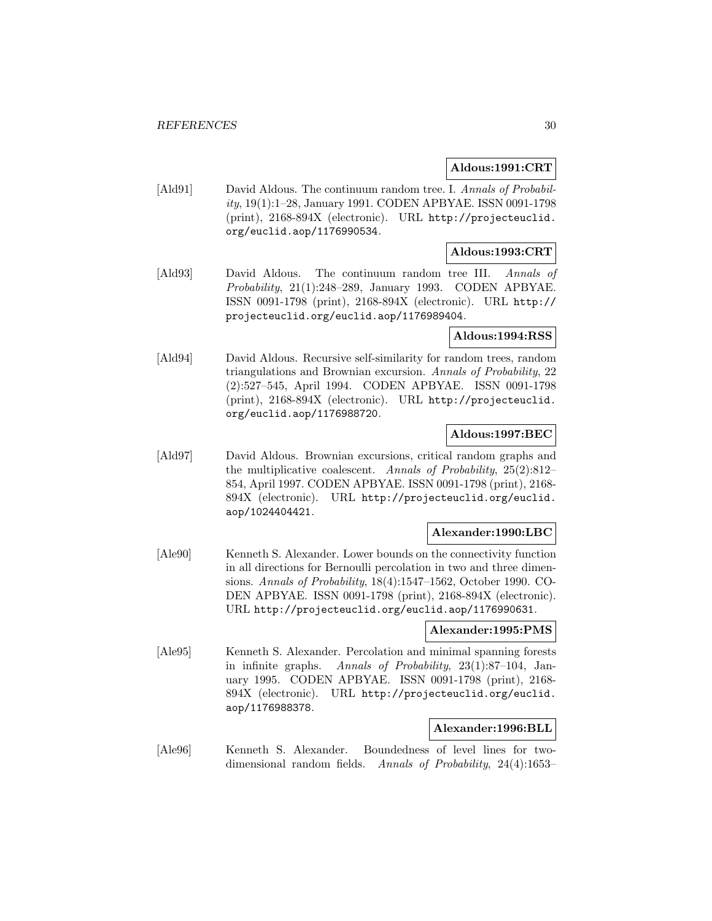### **Aldous:1991:CRT**

[Ald91] David Aldous. The continuum random tree. I. Annals of Probability, 19(1):1–28, January 1991. CODEN APBYAE. ISSN 0091-1798 (print), 2168-894X (electronic). URL http://projecteuclid. org/euclid.aop/1176990534.

### **Aldous:1993:CRT**

[Ald93] David Aldous. The continuum random tree III. Annals of Probability, 21(1):248–289, January 1993. CODEN APBYAE. ISSN 0091-1798 (print), 2168-894X (electronic). URL http:// projecteuclid.org/euclid.aop/1176989404.

### **Aldous:1994:RSS**

[Ald94] David Aldous. Recursive self-similarity for random trees, random triangulations and Brownian excursion. Annals of Probability, 22 (2):527–545, April 1994. CODEN APBYAE. ISSN 0091-1798 (print), 2168-894X (electronic). URL http://projecteuclid. org/euclid.aop/1176988720.

### **Aldous:1997:BEC**

[Ald97] David Aldous. Brownian excursions, critical random graphs and the multiplicative coalescent. Annals of Probability, 25(2):812– 854, April 1997. CODEN APBYAE. ISSN 0091-1798 (print), 2168- 894X (electronic). URL http://projecteuclid.org/euclid. aop/1024404421.

### **Alexander:1990:LBC**

[Ale90] Kenneth S. Alexander. Lower bounds on the connectivity function in all directions for Bernoulli percolation in two and three dimensions. Annals of Probability, 18(4):1547–1562, October 1990. CO-DEN APBYAE. ISSN 0091-1798 (print), 2168-894X (electronic). URL http://projecteuclid.org/euclid.aop/1176990631.

#### **Alexander:1995:PMS**

[Ale95] Kenneth S. Alexander. Percolation and minimal spanning forests in infinite graphs. Annals of Probability, 23(1):87–104, January 1995. CODEN APBYAE. ISSN 0091-1798 (print), 2168- 894X (electronic). URL http://projecteuclid.org/euclid. aop/1176988378.

### **Alexander:1996:BLL**

[Ale96] Kenneth S. Alexander. Boundedness of level lines for twodimensional random fields. Annals of Probability, 24(4):1653–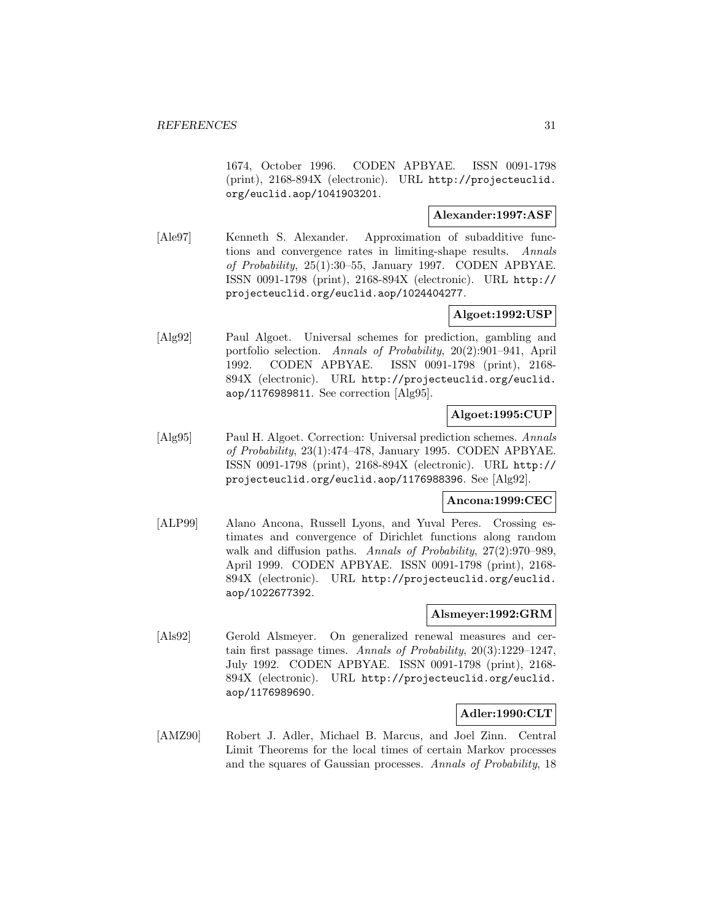1674, October 1996. CODEN APBYAE. ISSN 0091-1798 (print), 2168-894X (electronic). URL http://projecteuclid. org/euclid.aop/1041903201.

### **Alexander:1997:ASF**

[Ale97] Kenneth S. Alexander. Approximation of subadditive functions and convergence rates in limiting-shape results. Annals of Probability, 25(1):30–55, January 1997. CODEN APBYAE. ISSN 0091-1798 (print), 2168-894X (electronic). URL http:// projecteuclid.org/euclid.aop/1024404277.

### **Algoet:1992:USP**

[Alg92] Paul Algoet. Universal schemes for prediction, gambling and portfolio selection. Annals of Probability, 20(2):901–941, April 1992. CODEN APBYAE. ISSN 0091-1798 (print), 2168- 894X (electronic). URL http://projecteuclid.org/euclid. aop/1176989811. See correction [Alg95].

### **Algoet:1995:CUP**

[Alg95] Paul H. Algoet. Correction: Universal prediction schemes. Annals of Probability, 23(1):474–478, January 1995. CODEN APBYAE. ISSN 0091-1798 (print), 2168-894X (electronic). URL http:// projecteuclid.org/euclid.aop/1176988396. See [Alg92].

### **Ancona:1999:CEC**

[ALP99] Alano Ancona, Russell Lyons, and Yuval Peres. Crossing estimates and convergence of Dirichlet functions along random walk and diffusion paths. Annals of Probability, 27(2):970–989, April 1999. CODEN APBYAE. ISSN 0091-1798 (print), 2168- 894X (electronic). URL http://projecteuclid.org/euclid. aop/1022677392.

### **Alsmeyer:1992:GRM**

[Als92] Gerold Alsmeyer. On generalized renewal measures and certain first passage times. Annals of Probability, 20(3):1229–1247, July 1992. CODEN APBYAE. ISSN 0091-1798 (print), 2168- 894X (electronic). URL http://projecteuclid.org/euclid. aop/1176989690.

### **Adler:1990:CLT**

[AMZ90] Robert J. Adler, Michael B. Marcus, and Joel Zinn. Central Limit Theorems for the local times of certain Markov processes and the squares of Gaussian processes. Annals of Probability, 18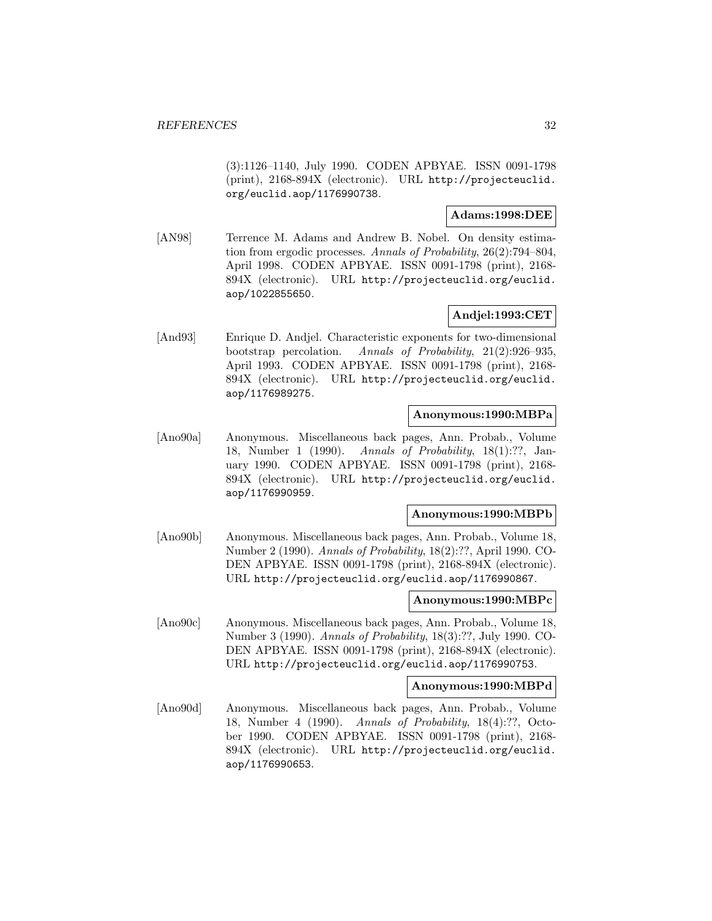(3):1126–1140, July 1990. CODEN APBYAE. ISSN 0091-1798 (print), 2168-894X (electronic). URL http://projecteuclid. org/euclid.aop/1176990738.

### **Adams:1998:DEE**

[AN98] Terrence M. Adams and Andrew B. Nobel. On density estimation from ergodic processes. Annals of Probability, 26(2):794–804, April 1998. CODEN APBYAE. ISSN 0091-1798 (print), 2168- 894X (electronic). URL http://projecteuclid.org/euclid. aop/1022855650.

### **Andjel:1993:CET**

[And93] Enrique D. Andjel. Characteristic exponents for two-dimensional bootstrap percolation. Annals of Probability, 21(2):926–935, April 1993. CODEN APBYAE. ISSN 0091-1798 (print), 2168- 894X (electronic). URL http://projecteuclid.org/euclid. aop/1176989275.

### **Anonymous:1990:MBPa**

[Ano90a] Anonymous. Miscellaneous back pages, Ann. Probab., Volume 18, Number 1 (1990). Annals of Probability, 18(1):??, January 1990. CODEN APBYAE. ISSN 0091-1798 (print), 2168- 894X (electronic). URL http://projecteuclid.org/euclid. aop/1176990959.

#### **Anonymous:1990:MBPb**

[Ano90b] Anonymous. Miscellaneous back pages, Ann. Probab., Volume 18, Number 2 (1990). Annals of Probability, 18(2):??, April 1990. CO-DEN APBYAE. ISSN 0091-1798 (print), 2168-894X (electronic). URL http://projecteuclid.org/euclid.aop/1176990867.

### **Anonymous:1990:MBPc**

[Ano90c] Anonymous. Miscellaneous back pages, Ann. Probab., Volume 18, Number 3 (1990). Annals of Probability, 18(3):??, July 1990. CO-DEN APBYAE. ISSN 0091-1798 (print), 2168-894X (electronic). URL http://projecteuclid.org/euclid.aop/1176990753.

### **Anonymous:1990:MBPd**

[Ano90d] Anonymous. Miscellaneous back pages, Ann. Probab., Volume 18, Number 4 (1990). Annals of Probability, 18(4):??, October 1990. CODEN APBYAE. ISSN 0091-1798 (print), 2168- 894X (electronic). URL http://projecteuclid.org/euclid. aop/1176990653.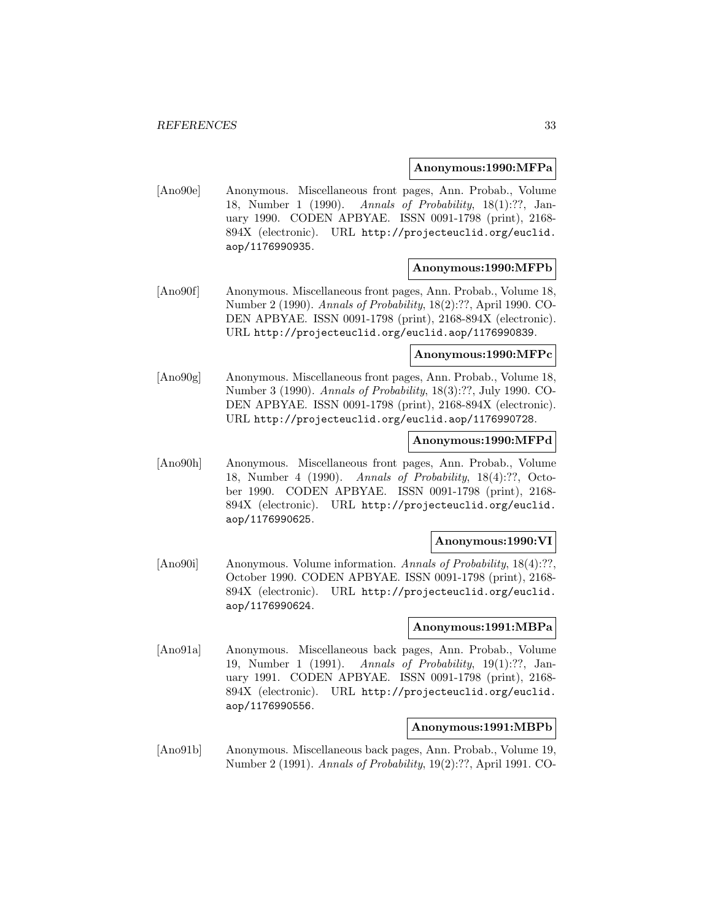#### **Anonymous:1990:MFPa**

[Ano90e] Anonymous. Miscellaneous front pages, Ann. Probab., Volume 18, Number 1 (1990). Annals of Probability, 18(1):??, January 1990. CODEN APBYAE. ISSN 0091-1798 (print), 2168- 894X (electronic). URL http://projecteuclid.org/euclid. aop/1176990935.

### **Anonymous:1990:MFPb**

[Ano90f] Anonymous. Miscellaneous front pages, Ann. Probab., Volume 18, Number 2 (1990). Annals of Probability, 18(2):??, April 1990. CO-DEN APBYAE. ISSN 0091-1798 (print), 2168-894X (electronic). URL http://projecteuclid.org/euclid.aop/1176990839.

#### **Anonymous:1990:MFPc**

[Ano90g] Anonymous. Miscellaneous front pages, Ann. Probab., Volume 18, Number 3 (1990). Annals of Probability, 18(3):??, July 1990. CO-DEN APBYAE. ISSN 0091-1798 (print), 2168-894X (electronic). URL http://projecteuclid.org/euclid.aop/1176990728.

### **Anonymous:1990:MFPd**

[Ano90h] Anonymous. Miscellaneous front pages, Ann. Probab., Volume 18, Number 4 (1990). Annals of Probability, 18(4):??, October 1990. CODEN APBYAE. ISSN 0091-1798 (print), 2168- 894X (electronic). URL http://projecteuclid.org/euclid. aop/1176990625.

### **Anonymous:1990:VI**

[Ano90i] Anonymous. Volume information. Annals of Probability, 18(4):??, October 1990. CODEN APBYAE. ISSN 0091-1798 (print), 2168- 894X (electronic). URL http://projecteuclid.org/euclid. aop/1176990624.

### **Anonymous:1991:MBPa**

[Ano91a] Anonymous. Miscellaneous back pages, Ann. Probab., Volume 19, Number 1 (1991). Annals of Probability, 19(1):??, January 1991. CODEN APBYAE. ISSN 0091-1798 (print), 2168- 894X (electronic). URL http://projecteuclid.org/euclid. aop/1176990556.

### **Anonymous:1991:MBPb**

[Ano91b] Anonymous. Miscellaneous back pages, Ann. Probab., Volume 19, Number 2 (1991). Annals of Probability, 19(2):??, April 1991. CO-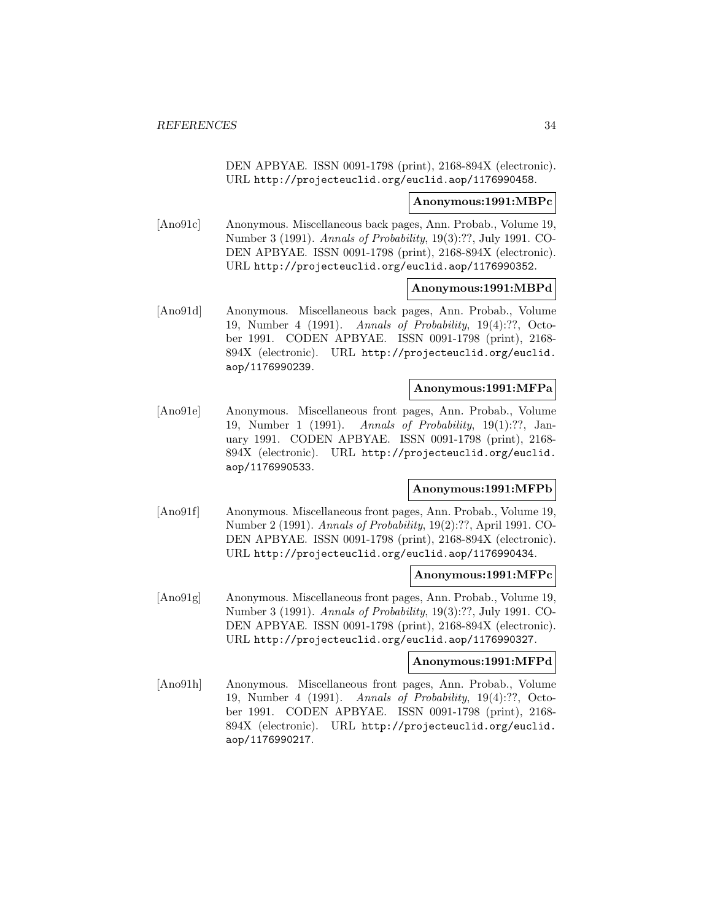DEN APBYAE. ISSN 0091-1798 (print), 2168-894X (electronic). URL http://projecteuclid.org/euclid.aop/1176990458.

#### **Anonymous:1991:MBPc**

[Ano91c] Anonymous. Miscellaneous back pages, Ann. Probab., Volume 19, Number 3 (1991). Annals of Probability, 19(3):??, July 1991. CO-DEN APBYAE. ISSN 0091-1798 (print), 2168-894X (electronic). URL http://projecteuclid.org/euclid.aop/1176990352.

### **Anonymous:1991:MBPd**

[Ano91d] Anonymous. Miscellaneous back pages, Ann. Probab., Volume 19, Number 4 (1991). Annals of Probability, 19(4):??, October 1991. CODEN APBYAE. ISSN 0091-1798 (print), 2168- 894X (electronic). URL http://projecteuclid.org/euclid. aop/1176990239.

### **Anonymous:1991:MFPa**

[Ano91e] Anonymous. Miscellaneous front pages, Ann. Probab., Volume 19, Number 1 (1991). Annals of Probability, 19(1):??, January 1991. CODEN APBYAE. ISSN 0091-1798 (print), 2168- 894X (electronic). URL http://projecteuclid.org/euclid. aop/1176990533.

### **Anonymous:1991:MFPb**

[Ano91f] Anonymous. Miscellaneous front pages, Ann. Probab., Volume 19, Number 2 (1991). Annals of Probability, 19(2):??, April 1991. CO-DEN APBYAE. ISSN 0091-1798 (print), 2168-894X (electronic). URL http://projecteuclid.org/euclid.aop/1176990434.

### **Anonymous:1991:MFPc**

[Ano91g] Anonymous. Miscellaneous front pages, Ann. Probab., Volume 19, Number 3 (1991). Annals of Probability, 19(3):??, July 1991. CO-DEN APBYAE. ISSN 0091-1798 (print), 2168-894X (electronic). URL http://projecteuclid.org/euclid.aop/1176990327.

#### **Anonymous:1991:MFPd**

[Ano91h] Anonymous. Miscellaneous front pages, Ann. Probab., Volume 19, Number 4 (1991). Annals of Probability, 19(4):??, October 1991. CODEN APBYAE. ISSN 0091-1798 (print), 2168- 894X (electronic). URL http://projecteuclid.org/euclid. aop/1176990217.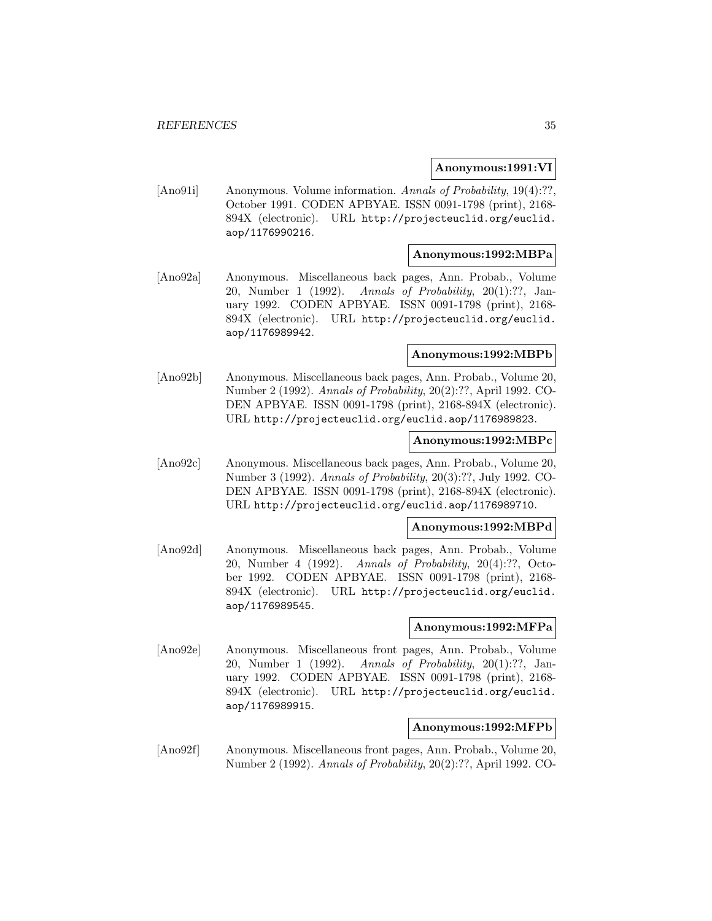### **Anonymous:1991:VI**

[Ano91i] Anonymous. Volume information. Annals of Probability, 19(4):??, October 1991. CODEN APBYAE. ISSN 0091-1798 (print), 2168- 894X (electronic). URL http://projecteuclid.org/euclid. aop/1176990216.

### **Anonymous:1992:MBPa**

[Ano92a] Anonymous. Miscellaneous back pages, Ann. Probab., Volume 20, Number 1 (1992). Annals of Probability, 20(1):??, January 1992. CODEN APBYAE. ISSN 0091-1798 (print), 2168- 894X (electronic). URL http://projecteuclid.org/euclid. aop/1176989942.

#### **Anonymous:1992:MBPb**

[Ano92b] Anonymous. Miscellaneous back pages, Ann. Probab., Volume 20, Number 2 (1992). Annals of Probability, 20(2):??, April 1992. CO-DEN APBYAE. ISSN 0091-1798 (print), 2168-894X (electronic). URL http://projecteuclid.org/euclid.aop/1176989823.

### **Anonymous:1992:MBPc**

[Ano92c] Anonymous. Miscellaneous back pages, Ann. Probab., Volume 20, Number 3 (1992). Annals of Probability, 20(3):??, July 1992. CO-DEN APBYAE. ISSN 0091-1798 (print), 2168-894X (electronic). URL http://projecteuclid.org/euclid.aop/1176989710.

#### **Anonymous:1992:MBPd**

[Ano92d] Anonymous. Miscellaneous back pages, Ann. Probab., Volume 20, Number 4 (1992). Annals of Probability, 20(4):??, October 1992. CODEN APBYAE. ISSN 0091-1798 (print), 2168- 894X (electronic). URL http://projecteuclid.org/euclid. aop/1176989545.

### **Anonymous:1992:MFPa**

[Ano92e] Anonymous. Miscellaneous front pages, Ann. Probab., Volume 20, Number 1 (1992). Annals of Probability, 20(1):??, January 1992. CODEN APBYAE. ISSN 0091-1798 (print), 2168- 894X (electronic). URL http://projecteuclid.org/euclid. aop/1176989915.

### **Anonymous:1992:MFPb**

[Ano92f] Anonymous. Miscellaneous front pages, Ann. Probab., Volume 20, Number 2 (1992). Annals of Probability, 20(2):??, April 1992. CO-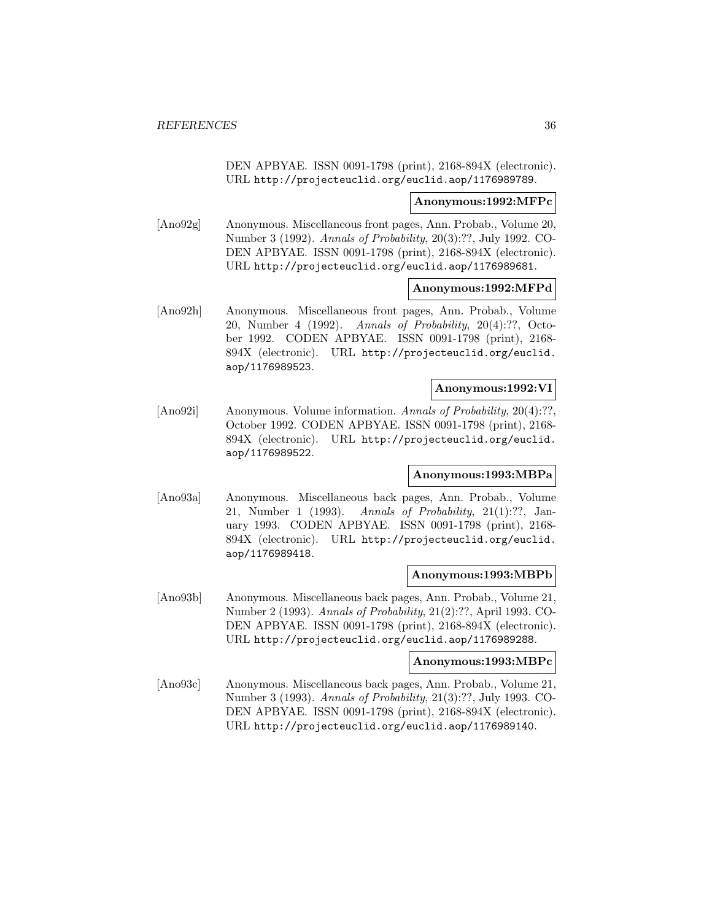DEN APBYAE. ISSN 0091-1798 (print), 2168-894X (electronic). URL http://projecteuclid.org/euclid.aop/1176989789.

#### **Anonymous:1992:MFPc**

[Ano92g] Anonymous. Miscellaneous front pages, Ann. Probab., Volume 20, Number 3 (1992). Annals of Probability, 20(3):??, July 1992. CO-DEN APBYAE. ISSN 0091-1798 (print), 2168-894X (electronic). URL http://projecteuclid.org/euclid.aop/1176989681.

### **Anonymous:1992:MFPd**

[Ano92h] Anonymous. Miscellaneous front pages, Ann. Probab., Volume 20, Number 4 (1992). Annals of Probability, 20(4):??, October 1992. CODEN APBYAE. ISSN 0091-1798 (print), 2168- 894X (electronic). URL http://projecteuclid.org/euclid. aop/1176989523.

### **Anonymous:1992:VI**

[Ano92i] Anonymous. Volume information. Annals of Probability, 20(4):??, October 1992. CODEN APBYAE. ISSN 0091-1798 (print), 2168- 894X (electronic). URL http://projecteuclid.org/euclid. aop/1176989522.

### **Anonymous:1993:MBPa**

[Ano93a] Anonymous. Miscellaneous back pages, Ann. Probab., Volume 21, Number 1 (1993). Annals of Probability, 21(1):??, January 1993. CODEN APBYAE. ISSN 0091-1798 (print), 2168- 894X (electronic). URL http://projecteuclid.org/euclid. aop/1176989418.

### **Anonymous:1993:MBPb**

[Ano93b] Anonymous. Miscellaneous back pages, Ann. Probab., Volume 21, Number 2 (1993). Annals of Probability, 21(2):??, April 1993. CO-DEN APBYAE. ISSN 0091-1798 (print), 2168-894X (electronic). URL http://projecteuclid.org/euclid.aop/1176989288.

#### **Anonymous:1993:MBPc**

[Ano93c] Anonymous. Miscellaneous back pages, Ann. Probab., Volume 21, Number 3 (1993). Annals of Probability, 21(3):??, July 1993. CO-DEN APBYAE. ISSN 0091-1798 (print), 2168-894X (electronic). URL http://projecteuclid.org/euclid.aop/1176989140.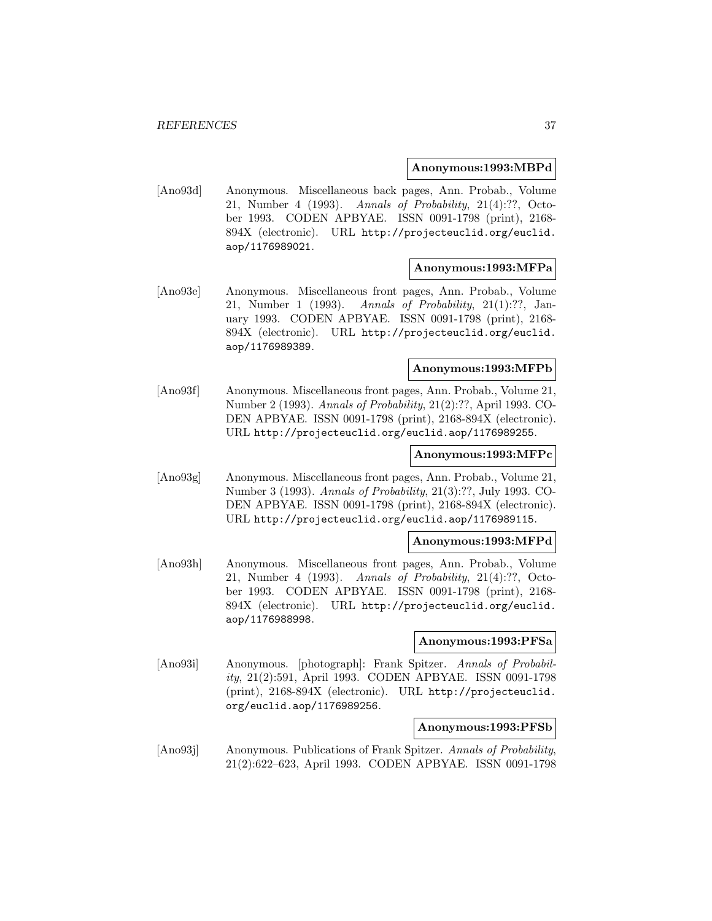#### **Anonymous:1993:MBPd**

[Ano93d] Anonymous. Miscellaneous back pages, Ann. Probab., Volume 21, Number 4 (1993). Annals of Probability, 21(4):??, October 1993. CODEN APBYAE. ISSN 0091-1798 (print), 2168- 894X (electronic). URL http://projecteuclid.org/euclid. aop/1176989021.

### **Anonymous:1993:MFPa**

[Ano93e] Anonymous. Miscellaneous front pages, Ann. Probab., Volume 21, Number 1 (1993). Annals of Probability, 21(1):??, January 1993. CODEN APBYAE. ISSN 0091-1798 (print), 2168- 894X (electronic). URL http://projecteuclid.org/euclid. aop/1176989389.

### **Anonymous:1993:MFPb**

[Ano93f] Anonymous. Miscellaneous front pages, Ann. Probab., Volume 21, Number 2 (1993). Annals of Probability, 21(2):??, April 1993. CO-DEN APBYAE. ISSN 0091-1798 (print), 2168-894X (electronic). URL http://projecteuclid.org/euclid.aop/1176989255.

#### **Anonymous:1993:MFPc**

[Ano93g] Anonymous. Miscellaneous front pages, Ann. Probab., Volume 21, Number 3 (1993). Annals of Probability, 21(3):??, July 1993. CO-DEN APBYAE. ISSN 0091-1798 (print), 2168-894X (electronic). URL http://projecteuclid.org/euclid.aop/1176989115.

### **Anonymous:1993:MFPd**

[Ano93h] Anonymous. Miscellaneous front pages, Ann. Probab., Volume 21, Number 4 (1993). Annals of Probability, 21(4):??, October 1993. CODEN APBYAE. ISSN 0091-1798 (print), 2168- 894X (electronic). URL http://projecteuclid.org/euclid. aop/1176988998.

#### **Anonymous:1993:PFSa**

[Ano93i] Anonymous. [photograph]: Frank Spitzer. Annals of Probability, 21(2):591, April 1993. CODEN APBYAE. ISSN 0091-1798 (print), 2168-894X (electronic). URL http://projecteuclid. org/euclid.aop/1176989256.

### **Anonymous:1993:PFSb**

[Ano93j] Anonymous. Publications of Frank Spitzer. Annals of Probability, 21(2):622–623, April 1993. CODEN APBYAE. ISSN 0091-1798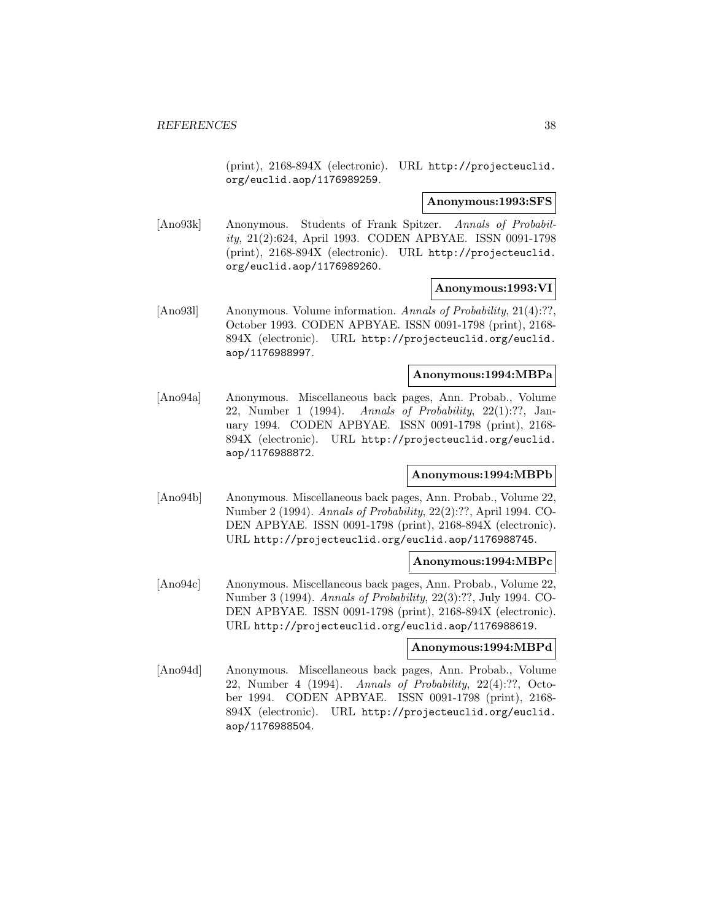(print), 2168-894X (electronic). URL http://projecteuclid. org/euclid.aop/1176989259.

#### **Anonymous:1993:SFS**

[Ano93k] Anonymous. Students of Frank Spitzer. Annals of Probability, 21(2):624, April 1993. CODEN APBYAE. ISSN 0091-1798 (print), 2168-894X (electronic). URL http://projecteuclid. org/euclid.aop/1176989260.

### **Anonymous:1993:VI**

[Ano931] Anonymous. Volume information. Annals of Probability, 21(4):??, October 1993. CODEN APBYAE. ISSN 0091-1798 (print), 2168- 894X (electronic). URL http://projecteuclid.org/euclid. aop/1176988997.

### **Anonymous:1994:MBPa**

[Ano94a] Anonymous. Miscellaneous back pages, Ann. Probab., Volume 22, Number 1 (1994). Annals of Probability, 22(1):??, January 1994. CODEN APBYAE. ISSN 0091-1798 (print), 2168- 894X (electronic). URL http://projecteuclid.org/euclid. aop/1176988872.

### **Anonymous:1994:MBPb**

[Ano94b] Anonymous. Miscellaneous back pages, Ann. Probab., Volume 22, Number 2 (1994). Annals of Probability, 22(2):??, April 1994. CO-DEN APBYAE. ISSN 0091-1798 (print), 2168-894X (electronic). URL http://projecteuclid.org/euclid.aop/1176988745.

#### **Anonymous:1994:MBPc**

[Ano94c] Anonymous. Miscellaneous back pages, Ann. Probab., Volume 22, Number 3 (1994). Annals of Probability, 22(3):??, July 1994. CO-DEN APBYAE. ISSN 0091-1798 (print), 2168-894X (electronic). URL http://projecteuclid.org/euclid.aop/1176988619.

### **Anonymous:1994:MBPd**

[Ano94d] Anonymous. Miscellaneous back pages, Ann. Probab., Volume 22, Number 4 (1994). Annals of Probability, 22(4):??, October 1994. CODEN APBYAE. ISSN 0091-1798 (print), 2168- 894X (electronic). URL http://projecteuclid.org/euclid. aop/1176988504.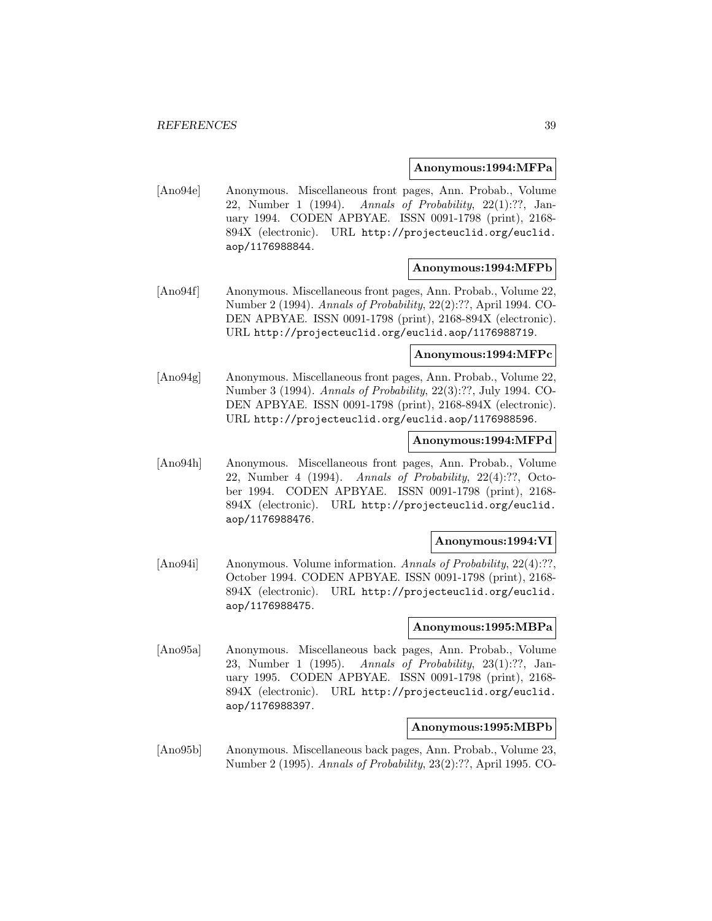#### **Anonymous:1994:MFPa**

[Ano94e] Anonymous. Miscellaneous front pages, Ann. Probab., Volume 22, Number 1 (1994). Annals of Probability, 22(1):??, January 1994. CODEN APBYAE. ISSN 0091-1798 (print), 2168- 894X (electronic). URL http://projecteuclid.org/euclid. aop/1176988844.

### **Anonymous:1994:MFPb**

[Ano94f] Anonymous. Miscellaneous front pages, Ann. Probab., Volume 22, Number 2 (1994). Annals of Probability, 22(2):??, April 1994. CO-DEN APBYAE. ISSN 0091-1798 (print), 2168-894X (electronic). URL http://projecteuclid.org/euclid.aop/1176988719.

#### **Anonymous:1994:MFPc**

[Ano94g] Anonymous. Miscellaneous front pages, Ann. Probab., Volume 22, Number 3 (1994). Annals of Probability, 22(3):??, July 1994. CO-DEN APBYAE. ISSN 0091-1798 (print), 2168-894X (electronic). URL http://projecteuclid.org/euclid.aop/1176988596.

### **Anonymous:1994:MFPd**

[Ano94h] Anonymous. Miscellaneous front pages, Ann. Probab., Volume 22, Number 4 (1994). Annals of Probability, 22(4):??, October 1994. CODEN APBYAE. ISSN 0091-1798 (print), 2168- 894X (electronic). URL http://projecteuclid.org/euclid. aop/1176988476.

### **Anonymous:1994:VI**

[Ano94i] Anonymous. Volume information. Annals of Probability, 22(4):??, October 1994. CODEN APBYAE. ISSN 0091-1798 (print), 2168- 894X (electronic). URL http://projecteuclid.org/euclid. aop/1176988475.

### **Anonymous:1995:MBPa**

[Ano95a] Anonymous. Miscellaneous back pages, Ann. Probab., Volume 23, Number 1 (1995). Annals of Probability, 23(1):??, January 1995. CODEN APBYAE. ISSN 0091-1798 (print), 2168- 894X (electronic). URL http://projecteuclid.org/euclid. aop/1176988397.

### **Anonymous:1995:MBPb**

[Ano95b] Anonymous. Miscellaneous back pages, Ann. Probab., Volume 23, Number 2 (1995). Annals of Probability, 23(2):??, April 1995. CO-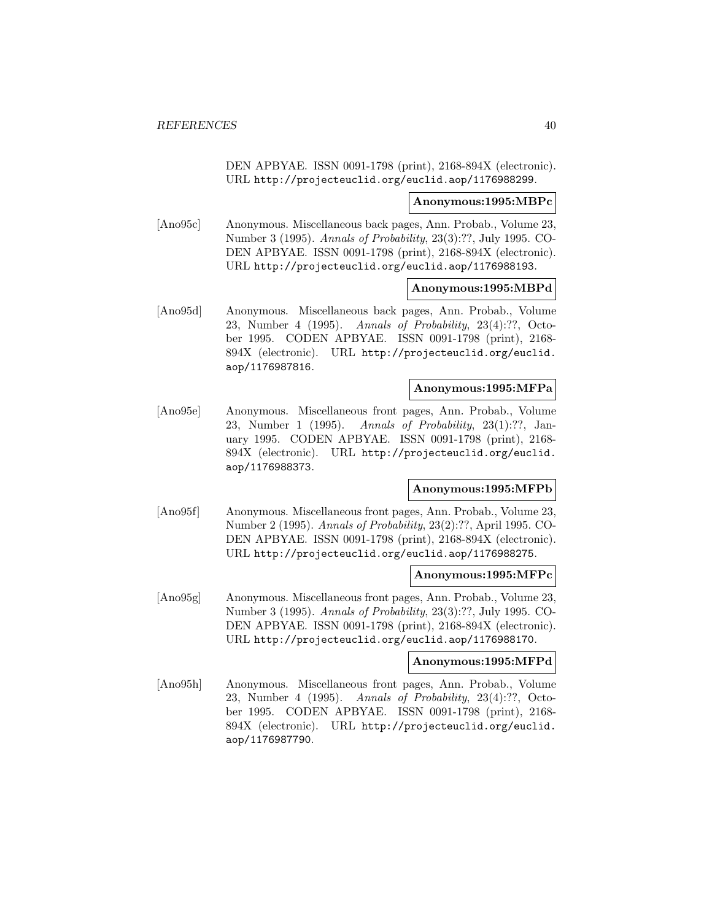DEN APBYAE. ISSN 0091-1798 (print), 2168-894X (electronic). URL http://projecteuclid.org/euclid.aop/1176988299.

#### **Anonymous:1995:MBPc**

[Ano95c] Anonymous. Miscellaneous back pages, Ann. Probab., Volume 23, Number 3 (1995). Annals of Probability, 23(3):??, July 1995. CO-DEN APBYAE. ISSN 0091-1798 (print), 2168-894X (electronic). URL http://projecteuclid.org/euclid.aop/1176988193.

#### **Anonymous:1995:MBPd**

[Ano95d] Anonymous. Miscellaneous back pages, Ann. Probab., Volume 23, Number 4 (1995). Annals of Probability, 23(4):??, October 1995. CODEN APBYAE. ISSN 0091-1798 (print), 2168- 894X (electronic). URL http://projecteuclid.org/euclid. aop/1176987816.

### **Anonymous:1995:MFPa**

[Ano95e] Anonymous. Miscellaneous front pages, Ann. Probab., Volume 23, Number 1 (1995). Annals of Probability, 23(1):??, January 1995. CODEN APBYAE. ISSN 0091-1798 (print), 2168- 894X (electronic). URL http://projecteuclid.org/euclid. aop/1176988373.

## **Anonymous:1995:MFPb**

[Ano95f] Anonymous. Miscellaneous front pages, Ann. Probab., Volume 23, Number 2 (1995). Annals of Probability, 23(2):??, April 1995. CO-DEN APBYAE. ISSN 0091-1798 (print), 2168-894X (electronic). URL http://projecteuclid.org/euclid.aop/1176988275.

## **Anonymous:1995:MFPc**

[Ano95g] Anonymous. Miscellaneous front pages, Ann. Probab., Volume 23, Number 3 (1995). Annals of Probability, 23(3):??, July 1995. CO-DEN APBYAE. ISSN 0091-1798 (print), 2168-894X (electronic). URL http://projecteuclid.org/euclid.aop/1176988170.

#### **Anonymous:1995:MFPd**

[Ano95h] Anonymous. Miscellaneous front pages, Ann. Probab., Volume 23, Number 4 (1995). Annals of Probability, 23(4):??, October 1995. CODEN APBYAE. ISSN 0091-1798 (print), 2168- 894X (electronic). URL http://projecteuclid.org/euclid. aop/1176987790.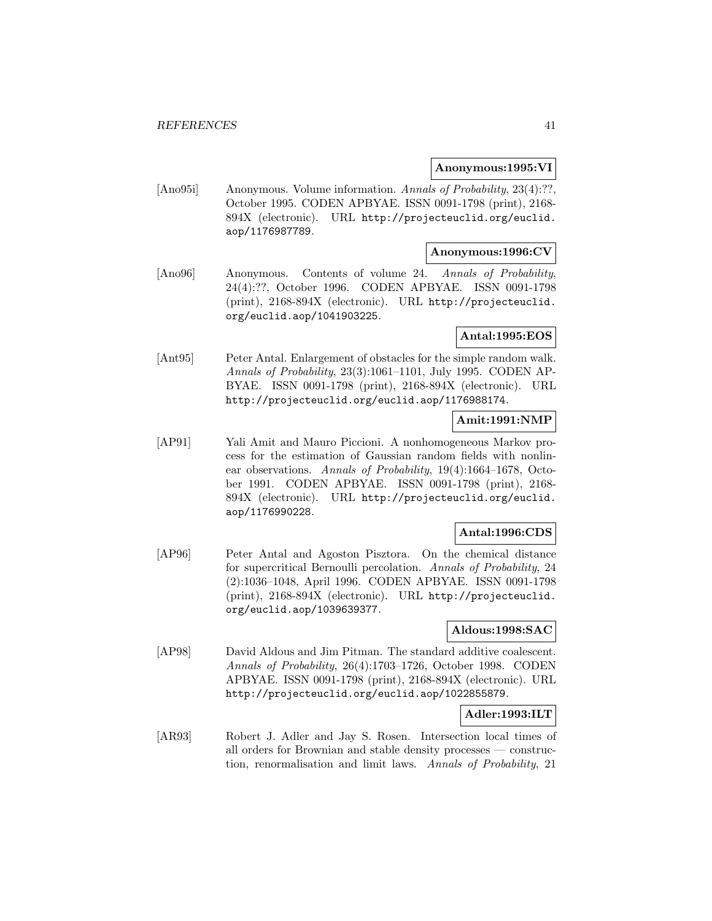### **Anonymous:1995:VI**

[Ano95i] Anonymous. Volume information. Annals of Probability, 23(4):??, October 1995. CODEN APBYAE. ISSN 0091-1798 (print), 2168- 894X (electronic). URL http://projecteuclid.org/euclid. aop/1176987789.

### **Anonymous:1996:CV**

[Ano96] Anonymous. Contents of volume 24. Annals of Probability, 24(4):??, October 1996. CODEN APBYAE. ISSN 0091-1798 (print), 2168-894X (electronic). URL http://projecteuclid. org/euclid.aop/1041903225.

# **Antal:1995:EOS**

[Ant95] Peter Antal. Enlargement of obstacles for the simple random walk. Annals of Probability, 23(3):1061–1101, July 1995. CODEN AP-BYAE. ISSN 0091-1798 (print), 2168-894X (electronic). URL http://projecteuclid.org/euclid.aop/1176988174.

# **Amit:1991:NMP**

[AP91] Yali Amit and Mauro Piccioni. A nonhomogeneous Markov process for the estimation of Gaussian random fields with nonlinear observations. Annals of Probability, 19(4):1664–1678, October 1991. CODEN APBYAE. ISSN 0091-1798 (print), 2168- 894X (electronic). URL http://projecteuclid.org/euclid. aop/1176990228.

### **Antal:1996:CDS**

[AP96] Peter Antal and Agoston Pisztora. On the chemical distance for supercritical Bernoulli percolation. Annals of Probability, 24 (2):1036–1048, April 1996. CODEN APBYAE. ISSN 0091-1798 (print), 2168-894X (electronic). URL http://projecteuclid. org/euclid.aop/1039639377.

### **Aldous:1998:SAC**

[AP98] David Aldous and Jim Pitman. The standard additive coalescent. Annals of Probability, 26(4):1703–1726, October 1998. CODEN APBYAE. ISSN 0091-1798 (print), 2168-894X (electronic). URL http://projecteuclid.org/euclid.aop/1022855879.

# **Adler:1993:ILT**

[AR93] Robert J. Adler and Jay S. Rosen. Intersection local times of all orders for Brownian and stable density processes — construction, renormalisation and limit laws. Annals of Probability, 21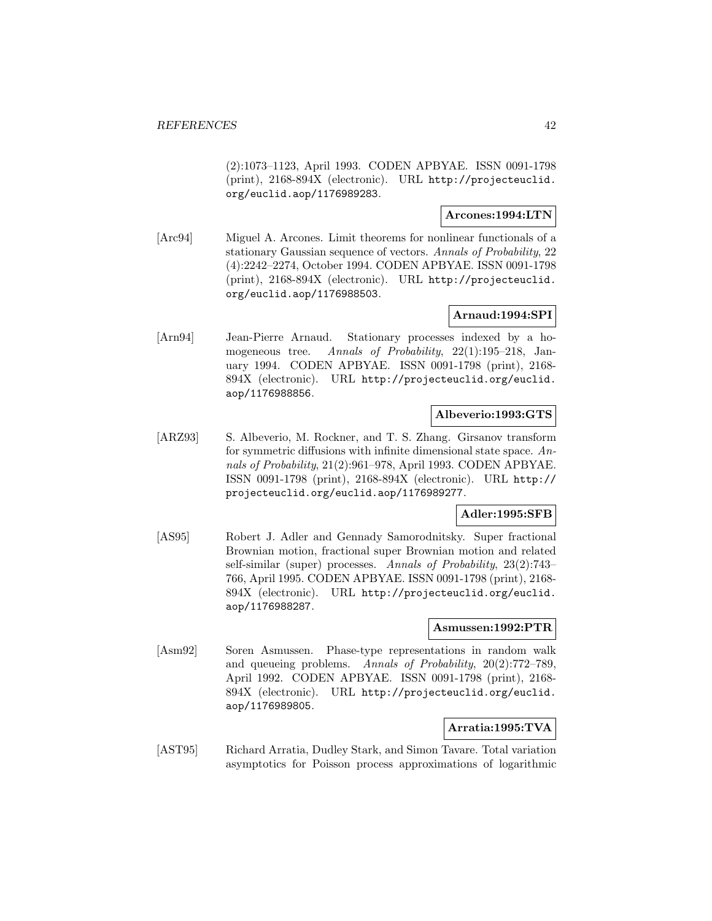(2):1073–1123, April 1993. CODEN APBYAE. ISSN 0091-1798 (print), 2168-894X (electronic). URL http://projecteuclid. org/euclid.aop/1176989283.

### **Arcones:1994:LTN**

[Arc94] Miguel A. Arcones. Limit theorems for nonlinear functionals of a stationary Gaussian sequence of vectors. Annals of Probability, 22 (4):2242–2274, October 1994. CODEN APBYAE. ISSN 0091-1798 (print), 2168-894X (electronic). URL http://projecteuclid. org/euclid.aop/1176988503.

# **Arnaud:1994:SPI**

[Arn94] Jean-Pierre Arnaud. Stationary processes indexed by a homogeneous tree. Annals of Probability, 22(1):195–218, January 1994. CODEN APBYAE. ISSN 0091-1798 (print), 2168- 894X (electronic). URL http://projecteuclid.org/euclid. aop/1176988856.

# **Albeverio:1993:GTS**

[ARZ93] S. Albeverio, M. Rockner, and T. S. Zhang. Girsanov transform for symmetric diffusions with infinite dimensional state space. Annals of Probability, 21(2):961–978, April 1993. CODEN APBYAE. ISSN 0091-1798 (print), 2168-894X (electronic). URL http:// projecteuclid.org/euclid.aop/1176989277.

### **Adler:1995:SFB**

[AS95] Robert J. Adler and Gennady Samorodnitsky. Super fractional Brownian motion, fractional super Brownian motion and related self-similar (super) processes. Annals of Probability, 23(2):743– 766, April 1995. CODEN APBYAE. ISSN 0091-1798 (print), 2168- 894X (electronic). URL http://projecteuclid.org/euclid. aop/1176988287.

### **Asmussen:1992:PTR**

[Asm92] Soren Asmussen. Phase-type representations in random walk and queueing problems. Annals of Probability, 20(2):772–789, April 1992. CODEN APBYAE. ISSN 0091-1798 (print), 2168- 894X (electronic). URL http://projecteuclid.org/euclid. aop/1176989805.

# **Arratia:1995:TVA**

[AST95] Richard Arratia, Dudley Stark, and Simon Tavare. Total variation asymptotics for Poisson process approximations of logarithmic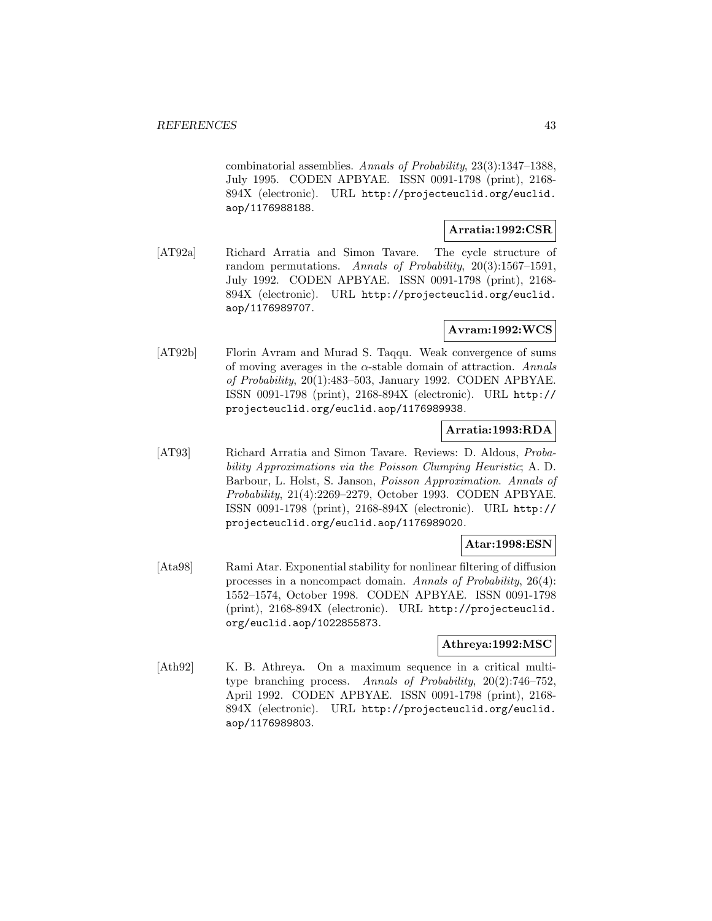combinatorial assemblies. Annals of Probability, 23(3):1347–1388, July 1995. CODEN APBYAE. ISSN 0091-1798 (print), 2168- 894X (electronic). URL http://projecteuclid.org/euclid. aop/1176988188.

# **Arratia:1992:CSR**

[AT92a] Richard Arratia and Simon Tavare. The cycle structure of random permutations. Annals of Probability, 20(3):1567–1591, July 1992. CODEN APBYAE. ISSN 0091-1798 (print), 2168- 894X (electronic). URL http://projecteuclid.org/euclid. aop/1176989707.

# **Avram:1992:WCS**

[AT92b] Florin Avram and Murad S. Taqqu. Weak convergence of sums of moving averages in the  $\alpha$ -stable domain of attraction. Annals of Probability, 20(1):483–503, January 1992. CODEN APBYAE. ISSN 0091-1798 (print), 2168-894X (electronic). URL http:// projecteuclid.org/euclid.aop/1176989938.

# **Arratia:1993:RDA**

[AT93] Richard Arratia and Simon Tavare. Reviews: D. Aldous, Probability Approximations via the Poisson Clumping Heuristic; A. D. Barbour, L. Holst, S. Janson, Poisson Approximation. Annals of Probability, 21(4):2269–2279, October 1993. CODEN APBYAE. ISSN 0091-1798 (print), 2168-894X (electronic). URL http:// projecteuclid.org/euclid.aop/1176989020.

### **Atar:1998:ESN**

[Ata98] Rami Atar. Exponential stability for nonlinear filtering of diffusion processes in a noncompact domain. Annals of Probability, 26(4): 1552–1574, October 1998. CODEN APBYAE. ISSN 0091-1798 (print), 2168-894X (electronic). URL http://projecteuclid. org/euclid.aop/1022855873.

### **Athreya:1992:MSC**

[Ath92] K. B. Athreya. On a maximum sequence in a critical multitype branching process. Annals of Probability, 20(2):746–752, April 1992. CODEN APBYAE. ISSN 0091-1798 (print), 2168- 894X (electronic). URL http://projecteuclid.org/euclid. aop/1176989803.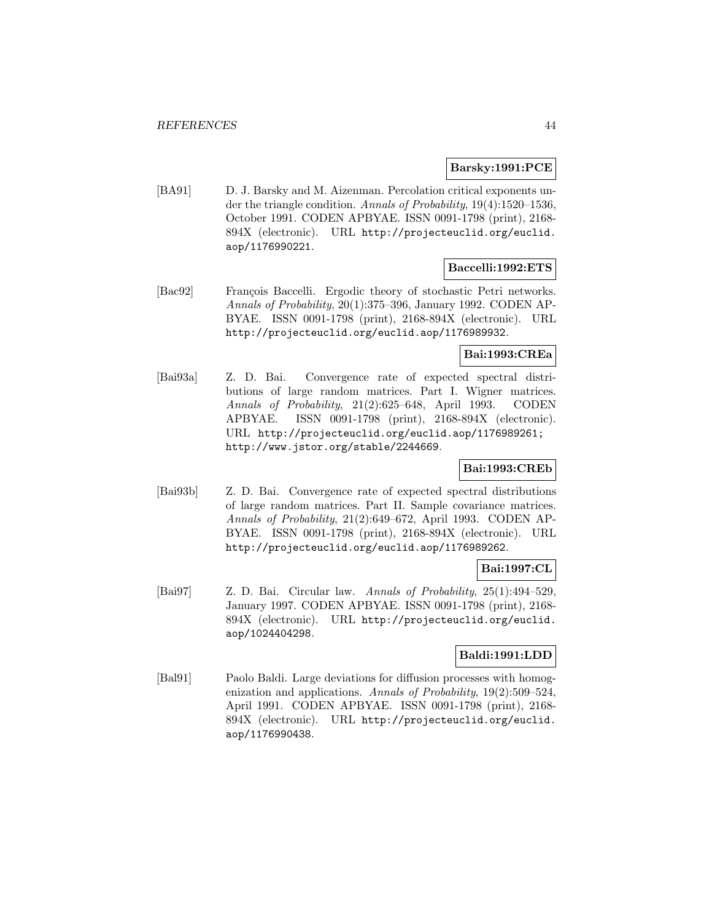### **Barsky:1991:PCE**

[BA91] D. J. Barsky and M. Aizenman. Percolation critical exponents under the triangle condition. Annals of Probability, 19(4):1520–1536, October 1991. CODEN APBYAE. ISSN 0091-1798 (print), 2168- 894X (electronic). URL http://projecteuclid.org/euclid. aop/1176990221.

### **Baccelli:1992:ETS**

[Bac92] François Baccelli. Ergodic theory of stochastic Petri networks. Annals of Probability, 20(1):375–396, January 1992. CODEN AP-BYAE. ISSN 0091-1798 (print), 2168-894X (electronic). URL http://projecteuclid.org/euclid.aop/1176989932.

### **Bai:1993:CREa**

[Bai93a] Z. D. Bai. Convergence rate of expected spectral distributions of large random matrices. Part I. Wigner matrices. Annals of Probability, 21(2):625–648, April 1993. CODEN APBYAE. ISSN 0091-1798 (print), 2168-894X (electronic). URL http://projecteuclid.org/euclid.aop/1176989261; http://www.jstor.org/stable/2244669.

### **Bai:1993:CREb**

[Bai93b] Z. D. Bai. Convergence rate of expected spectral distributions of large random matrices. Part II. Sample covariance matrices. Annals of Probability, 21(2):649–672, April 1993. CODEN AP-BYAE. ISSN 0091-1798 (print), 2168-894X (electronic). URL http://projecteuclid.org/euclid.aop/1176989262.

# **Bai:1997:CL**

[Bai97] Z. D. Bai. Circular law. Annals of Probability, 25(1):494–529, January 1997. CODEN APBYAE. ISSN 0091-1798 (print), 2168- 894X (electronic). URL http://projecteuclid.org/euclid. aop/1024404298.

# **Baldi:1991:LDD**

[Bal91] Paolo Baldi. Large deviations for diffusion processes with homogenization and applications. Annals of Probability, 19(2):509–524, April 1991. CODEN APBYAE. ISSN 0091-1798 (print), 2168- 894X (electronic). URL http://projecteuclid.org/euclid. aop/1176990438.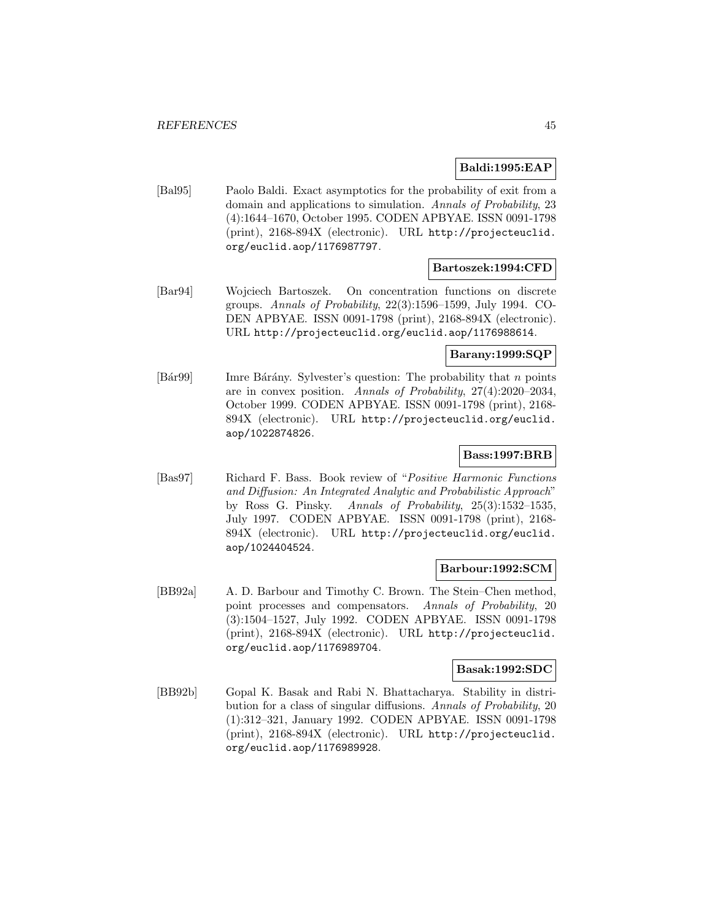### **Baldi:1995:EAP**

[Bal95] Paolo Baldi. Exact asymptotics for the probability of exit from a domain and applications to simulation. Annals of Probability, 23 (4):1644–1670, October 1995. CODEN APBYAE. ISSN 0091-1798 (print), 2168-894X (electronic). URL http://projecteuclid. org/euclid.aop/1176987797.

### **Bartoszek:1994:CFD**

[Bar94] Wojciech Bartoszek. On concentration functions on discrete groups. Annals of Probability, 22(3):1596–1599, July 1994. CO-DEN APBYAE. ISSN 0091-1798 (print), 2168-894X (electronic). URL http://projecteuclid.org/euclid.aop/1176988614.

### **Barany:1999:SQP**

[Bár99] Imre Bárány. Sylvester's question: The probability that  $n$  points are in convex position. Annals of Probability, 27(4):2020–2034, October 1999. CODEN APBYAE. ISSN 0091-1798 (print), 2168- 894X (electronic). URL http://projecteuclid.org/euclid. aop/1022874826.

### **Bass:1997:BRB**

[Bas97] Richard F. Bass. Book review of "Positive Harmonic Functions and Diffusion: An Integrated Analytic and Probabilistic Approach" by Ross G. Pinsky. Annals of Probability, 25(3):1532–1535, July 1997. CODEN APBYAE. ISSN 0091-1798 (print), 2168- 894X (electronic). URL http://projecteuclid.org/euclid. aop/1024404524.

### **Barbour:1992:SCM**

[BB92a] A. D. Barbour and Timothy C. Brown. The Stein–Chen method, point processes and compensators. Annals of Probability, 20 (3):1504–1527, July 1992. CODEN APBYAE. ISSN 0091-1798 (print), 2168-894X (electronic). URL http://projecteuclid. org/euclid.aop/1176989704.

### **Basak:1992:SDC**

[BB92b] Gopal K. Basak and Rabi N. Bhattacharya. Stability in distribution for a class of singular diffusions. Annals of Probability, 20 (1):312–321, January 1992. CODEN APBYAE. ISSN 0091-1798 (print), 2168-894X (electronic). URL http://projecteuclid. org/euclid.aop/1176989928.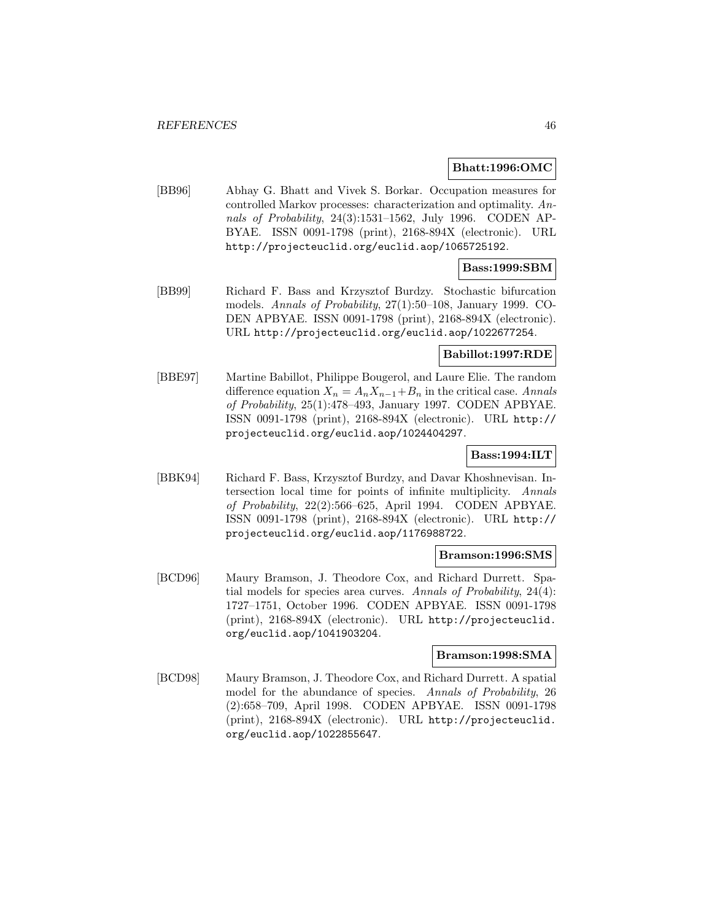#### **Bhatt:1996:OMC**

[BB96] Abhay G. Bhatt and Vivek S. Borkar. Occupation measures for controlled Markov processes: characterization and optimality. Annals of Probability, 24(3):1531–1562, July 1996. CODEN AP-BYAE. ISSN 0091-1798 (print), 2168-894X (electronic). URL http://projecteuclid.org/euclid.aop/1065725192.

# **Bass:1999:SBM**

[BB99] Richard F. Bass and Krzysztof Burdzy. Stochastic bifurcation models. Annals of Probability, 27(1):50–108, January 1999. CO-DEN APBYAE. ISSN 0091-1798 (print), 2168-894X (electronic). URL http://projecteuclid.org/euclid.aop/1022677254.

### **Babillot:1997:RDE**

[BBE97] Martine Babillot, Philippe Bougerol, and Laure Elie. The random difference equation  $X_n = A_n X_{n-1} + B_n$  in the critical case. Annals of Probability, 25(1):478–493, January 1997. CODEN APBYAE. ISSN 0091-1798 (print), 2168-894X (electronic). URL http:// projecteuclid.org/euclid.aop/1024404297.

# **Bass:1994:ILT**

[BBK94] Richard F. Bass, Krzysztof Burdzy, and Davar Khoshnevisan. Intersection local time for points of infinite multiplicity. Annals of Probability, 22(2):566–625, April 1994. CODEN APBYAE. ISSN 0091-1798 (print), 2168-894X (electronic). URL http:// projecteuclid.org/euclid.aop/1176988722.

### **Bramson:1996:SMS**

[BCD96] Maury Bramson, J. Theodore Cox, and Richard Durrett. Spatial models for species area curves. Annals of Probability, 24(4): 1727–1751, October 1996. CODEN APBYAE. ISSN 0091-1798 (print), 2168-894X (electronic). URL http://projecteuclid. org/euclid.aop/1041903204.

#### **Bramson:1998:SMA**

[BCD98] Maury Bramson, J. Theodore Cox, and Richard Durrett. A spatial model for the abundance of species. Annals of Probability, 26 (2):658–709, April 1998. CODEN APBYAE. ISSN 0091-1798 (print), 2168-894X (electronic). URL http://projecteuclid. org/euclid.aop/1022855647.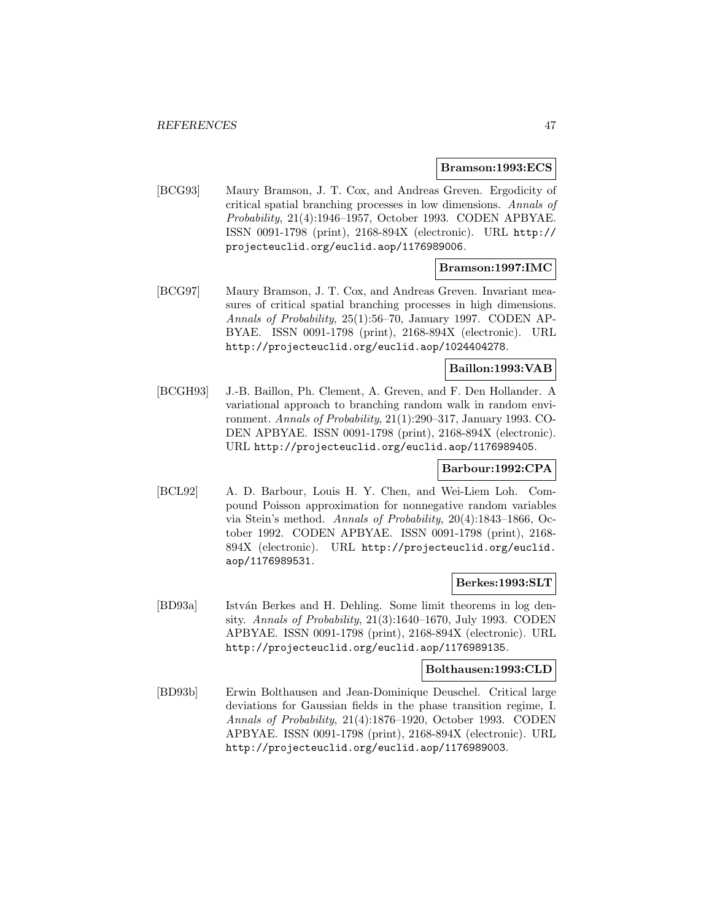#### **Bramson:1993:ECS**

[BCG93] Maury Bramson, J. T. Cox, and Andreas Greven. Ergodicity of critical spatial branching processes in low dimensions. Annals of Probability, 21(4):1946–1957, October 1993. CODEN APBYAE. ISSN 0091-1798 (print), 2168-894X (electronic). URL http:// projecteuclid.org/euclid.aop/1176989006.

# **Bramson:1997:IMC**

[BCG97] Maury Bramson, J. T. Cox, and Andreas Greven. Invariant measures of critical spatial branching processes in high dimensions. Annals of Probability, 25(1):56–70, January 1997. CODEN AP-BYAE. ISSN 0091-1798 (print), 2168-894X (electronic). URL http://projecteuclid.org/euclid.aop/1024404278.

# **Baillon:1993:VAB**

[BCGH93] J.-B. Baillon, Ph. Clement, A. Greven, and F. Den Hollander. A variational approach to branching random walk in random environment. Annals of Probability, 21(1):290–317, January 1993. CO-DEN APBYAE. ISSN 0091-1798 (print), 2168-894X (electronic). URL http://projecteuclid.org/euclid.aop/1176989405.

### **Barbour:1992:CPA**

[BCL92] A. D. Barbour, Louis H. Y. Chen, and Wei-Liem Loh. Compound Poisson approximation for nonnegative random variables via Stein's method. Annals of Probability, 20(4):1843–1866, October 1992. CODEN APBYAE. ISSN 0091-1798 (print), 2168- 894X (electronic). URL http://projecteuclid.org/euclid. aop/1176989531.

#### **Berkes:1993:SLT**

[BD93a] István Berkes and H. Dehling. Some limit theorems in log density. Annals of Probability, 21(3):1640–1670, July 1993. CODEN APBYAE. ISSN 0091-1798 (print), 2168-894X (electronic). URL http://projecteuclid.org/euclid.aop/1176989135.

### **Bolthausen:1993:CLD**

[BD93b] Erwin Bolthausen and Jean-Dominique Deuschel. Critical large deviations for Gaussian fields in the phase transition regime, I. Annals of Probability, 21(4):1876–1920, October 1993. CODEN APBYAE. ISSN 0091-1798 (print), 2168-894X (electronic). URL http://projecteuclid.org/euclid.aop/1176989003.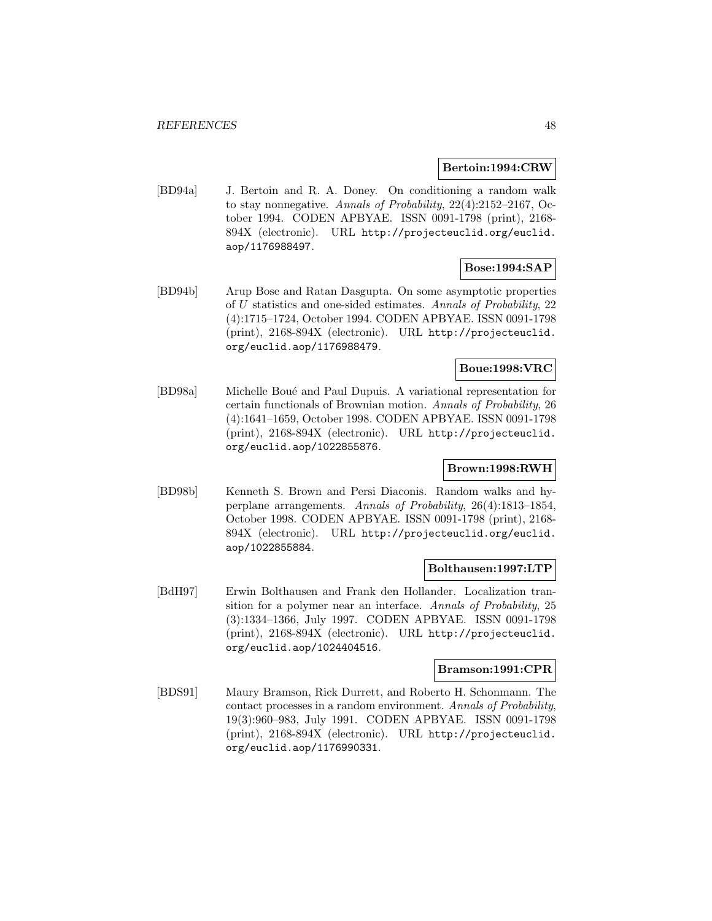### **Bertoin:1994:CRW**

[BD94a] J. Bertoin and R. A. Doney. On conditioning a random walk to stay nonnegative. Annals of Probability, 22(4):2152–2167, October 1994. CODEN APBYAE. ISSN 0091-1798 (print), 2168- 894X (electronic). URL http://projecteuclid.org/euclid. aop/1176988497.

# **Bose:1994:SAP**

[BD94b] Arup Bose and Ratan Dasgupta. On some asymptotic properties of U statistics and one-sided estimates. Annals of Probability, 22 (4):1715–1724, October 1994. CODEN APBYAE. ISSN 0091-1798 (print), 2168-894X (electronic). URL http://projecteuclid. org/euclid.aop/1176988479.

# **Boue:1998:VRC**

[BD98a] Michelle Bou´e and Paul Dupuis. A variational representation for certain functionals of Brownian motion. Annals of Probability, 26 (4):1641–1659, October 1998. CODEN APBYAE. ISSN 0091-1798 (print), 2168-894X (electronic). URL http://projecteuclid. org/euclid.aop/1022855876.

### **Brown:1998:RWH**

[BD98b] Kenneth S. Brown and Persi Diaconis. Random walks and hyperplane arrangements. Annals of Probability, 26(4):1813–1854, October 1998. CODEN APBYAE. ISSN 0091-1798 (print), 2168- 894X (electronic). URL http://projecteuclid.org/euclid. aop/1022855884.

#### **Bolthausen:1997:LTP**

[BdH97] Erwin Bolthausen and Frank den Hollander. Localization transition for a polymer near an interface. Annals of Probability, 25 (3):1334–1366, July 1997. CODEN APBYAE. ISSN 0091-1798 (print), 2168-894X (electronic). URL http://projecteuclid. org/euclid.aop/1024404516.

### **Bramson:1991:CPR**

[BDS91] Maury Bramson, Rick Durrett, and Roberto H. Schonmann. The contact processes in a random environment. Annals of Probability, 19(3):960–983, July 1991. CODEN APBYAE. ISSN 0091-1798 (print), 2168-894X (electronic). URL http://projecteuclid. org/euclid.aop/1176990331.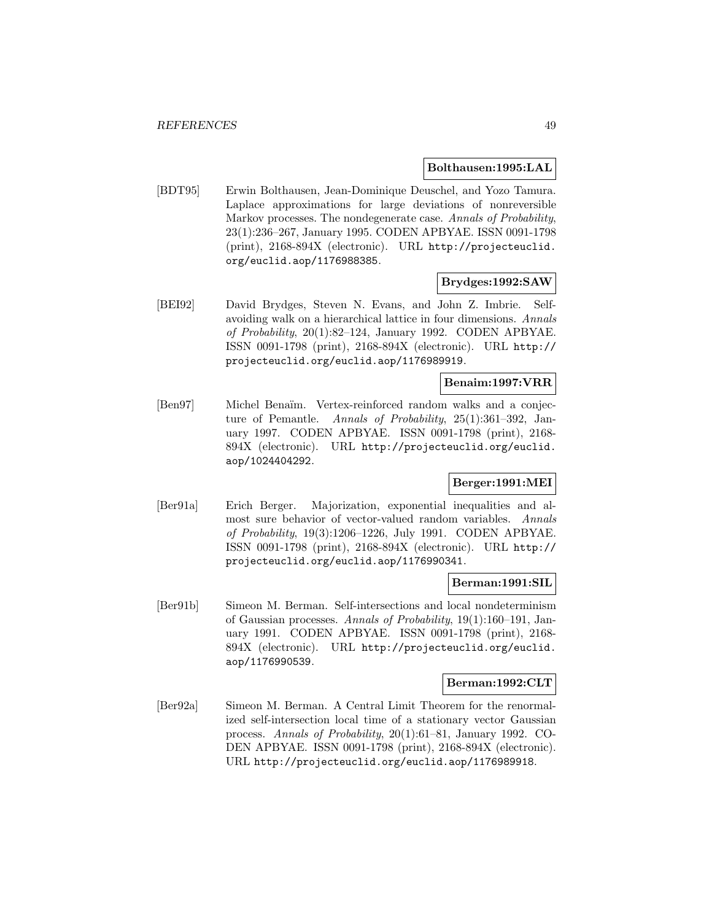#### **Bolthausen:1995:LAL**

[BDT95] Erwin Bolthausen, Jean-Dominique Deuschel, and Yozo Tamura. Laplace approximations for large deviations of nonreversible Markov processes. The nondegenerate case. Annals of Probability, 23(1):236–267, January 1995. CODEN APBYAE. ISSN 0091-1798 (print), 2168-894X (electronic). URL http://projecteuclid. org/euclid.aop/1176988385.

### **Brydges:1992:SAW**

[BEI92] David Brydges, Steven N. Evans, and John Z. Imbrie. Selfavoiding walk on a hierarchical lattice in four dimensions. Annals of Probability, 20(1):82–124, January 1992. CODEN APBYAE. ISSN 0091-1798 (print), 2168-894X (electronic). URL http:// projecteuclid.org/euclid.aop/1176989919.

## **Benaim:1997:VRR**

[Ben97] Michel Benaïm. Vertex-reinforced random walks and a conjecture of Pemantle. Annals of Probability, 25(1):361–392, January 1997. CODEN APBYAE. ISSN 0091-1798 (print), 2168- 894X (electronic). URL http://projecteuclid.org/euclid. aop/1024404292.

# **Berger:1991:MEI**

[Ber91a] Erich Berger. Majorization, exponential inequalities and almost sure behavior of vector-valued random variables. Annals of Probability, 19(3):1206–1226, July 1991. CODEN APBYAE. ISSN 0091-1798 (print), 2168-894X (electronic). URL http:// projecteuclid.org/euclid.aop/1176990341.

#### **Berman:1991:SIL**

[Ber91b] Simeon M. Berman. Self-intersections and local nondeterminism of Gaussian processes. Annals of Probability, 19(1):160–191, January 1991. CODEN APBYAE. ISSN 0091-1798 (print), 2168- 894X (electronic). URL http://projecteuclid.org/euclid. aop/1176990539.

#### **Berman:1992:CLT**

[Ber92a] Simeon M. Berman. A Central Limit Theorem for the renormalized self-intersection local time of a stationary vector Gaussian process. Annals of Probability, 20(1):61–81, January 1992. CO-DEN APBYAE. ISSN 0091-1798 (print), 2168-894X (electronic). URL http://projecteuclid.org/euclid.aop/1176989918.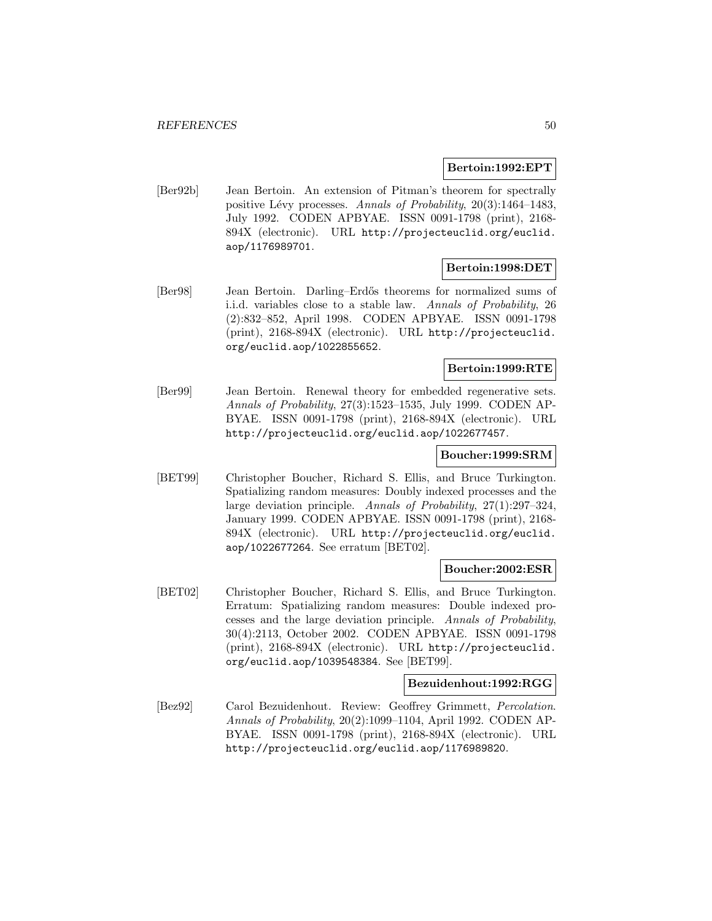#### **Bertoin:1992:EPT**

[Ber92b] Jean Bertoin. An extension of Pitman's theorem for spectrally positive Lévy processes. Annals of Probability,  $20(3):1464-1483$ , July 1992. CODEN APBYAE. ISSN 0091-1798 (print), 2168- 894X (electronic). URL http://projecteuclid.org/euclid. aop/1176989701.

### **Bertoin:1998:DET**

[Ber98] Jean Bertoin. Darling–Erd˝os theorems for normalized sums of i.i.d. variables close to a stable law. Annals of Probability, 26 (2):832–852, April 1998. CODEN APBYAE. ISSN 0091-1798 (print), 2168-894X (electronic). URL http://projecteuclid. org/euclid.aop/1022855652.

### **Bertoin:1999:RTE**

[Ber99] Jean Bertoin. Renewal theory for embedded regenerative sets. Annals of Probability, 27(3):1523–1535, July 1999. CODEN AP-BYAE. ISSN 0091-1798 (print), 2168-894X (electronic). URL http://projecteuclid.org/euclid.aop/1022677457.

### **Boucher:1999:SRM**

[BET99] Christopher Boucher, Richard S. Ellis, and Bruce Turkington. Spatializing random measures: Doubly indexed processes and the large deviation principle. Annals of Probability, 27(1):297–324, January 1999. CODEN APBYAE. ISSN 0091-1798 (print), 2168- 894X (electronic). URL http://projecteuclid.org/euclid. aop/1022677264. See erratum [BET02].

#### **Boucher:2002:ESR**

[BET02] Christopher Boucher, Richard S. Ellis, and Bruce Turkington. Erratum: Spatializing random measures: Double indexed processes and the large deviation principle. Annals of Probability, 30(4):2113, October 2002. CODEN APBYAE. ISSN 0091-1798 (print), 2168-894X (electronic). URL http://projecteuclid. org/euclid.aop/1039548384. See [BET99].

#### **Bezuidenhout:1992:RGG**

[Bez92] Carol Bezuidenhout. Review: Geoffrey Grimmett, Percolation. Annals of Probability, 20(2):1099–1104, April 1992. CODEN AP-BYAE. ISSN 0091-1798 (print), 2168-894X (electronic). URL http://projecteuclid.org/euclid.aop/1176989820.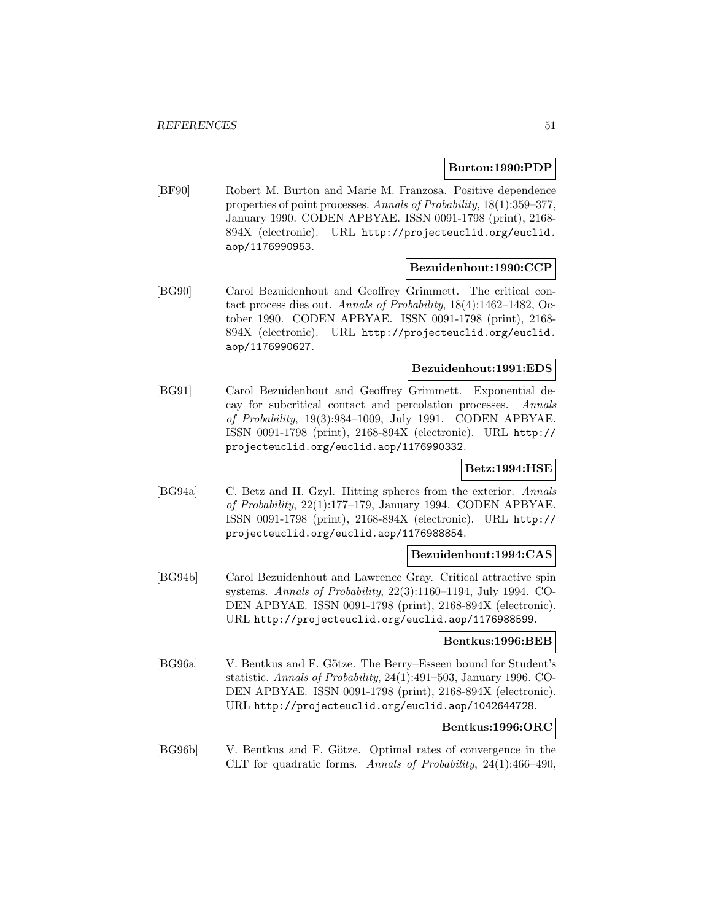#### **Burton:1990:PDP**

[BF90] Robert M. Burton and Marie M. Franzosa. Positive dependence properties of point processes. Annals of Probability, 18(1):359–377, January 1990. CODEN APBYAE. ISSN 0091-1798 (print), 2168- 894X (electronic). URL http://projecteuclid.org/euclid. aop/1176990953.

# **Bezuidenhout:1990:CCP**

[BG90] Carol Bezuidenhout and Geoffrey Grimmett. The critical contact process dies out. Annals of Probability, 18(4):1462–1482, October 1990. CODEN APBYAE. ISSN 0091-1798 (print), 2168- 894X (electronic). URL http://projecteuclid.org/euclid. aop/1176990627.

# **Bezuidenhout:1991:EDS**

[BG91] Carol Bezuidenhout and Geoffrey Grimmett. Exponential decay for subcritical contact and percolation processes. Annals of Probability, 19(3):984–1009, July 1991. CODEN APBYAE. ISSN 0091-1798 (print), 2168-894X (electronic). URL http:// projecteuclid.org/euclid.aop/1176990332.

### **Betz:1994:HSE**

[BG94a] C. Betz and H. Gzyl. Hitting spheres from the exterior. Annals of Probability, 22(1):177–179, January 1994. CODEN APBYAE. ISSN 0091-1798 (print), 2168-894X (electronic). URL http:// projecteuclid.org/euclid.aop/1176988854.

### **Bezuidenhout:1994:CAS**

[BG94b] Carol Bezuidenhout and Lawrence Gray. Critical attractive spin systems. Annals of Probability, 22(3):1160–1194, July 1994. CO-DEN APBYAE. ISSN 0091-1798 (print), 2168-894X (electronic). URL http://projecteuclid.org/euclid.aop/1176988599.

#### **Bentkus:1996:BEB**

[BG96a] V. Bentkus and F. Götze. The Berry–Esseen bound for Student's statistic. Annals of Probability, 24(1):491–503, January 1996. CO-DEN APBYAE. ISSN 0091-1798 (print), 2168-894X (electronic). URL http://projecteuclid.org/euclid.aop/1042644728.

# **Bentkus:1996:ORC**

[BG96b] V. Bentkus and F. Götze. Optimal rates of convergence in the CLT for quadratic forms. Annals of Probability, 24(1):466–490,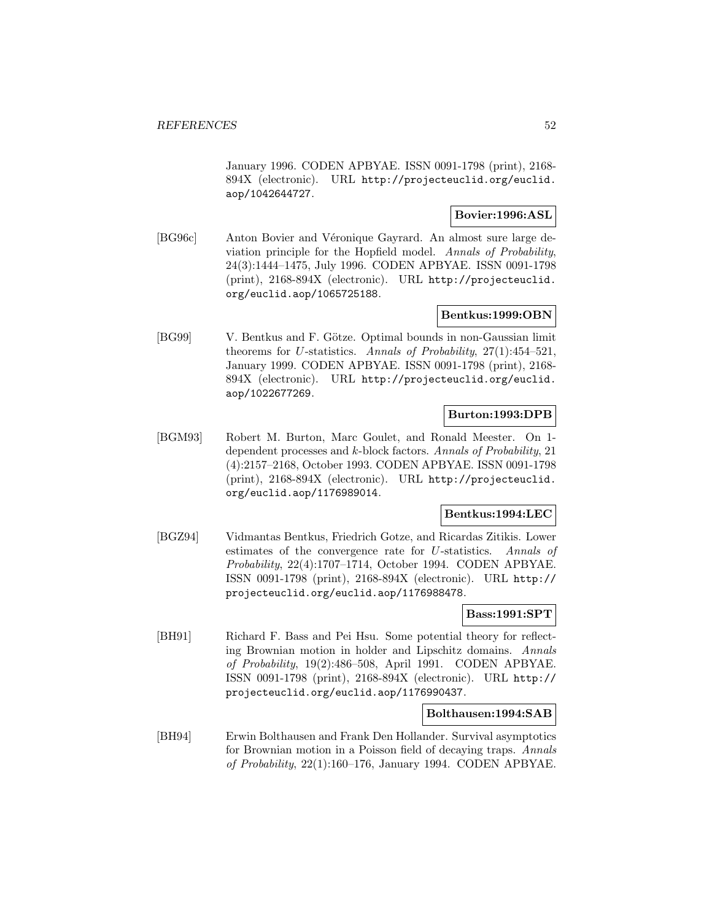January 1996. CODEN APBYAE. ISSN 0091-1798 (print), 2168- 894X (electronic). URL http://projecteuclid.org/euclid. aop/1042644727.

# **Bovier:1996:ASL**

[BG96c] Anton Bovier and Véronique Gayrard. An almost sure large deviation principle for the Hopfield model. Annals of Probability, 24(3):1444–1475, July 1996. CODEN APBYAE. ISSN 0091-1798 (print), 2168-894X (electronic). URL http://projecteuclid. org/euclid.aop/1065725188.

# **Bentkus:1999:OBN**

[BG99] V. Bentkus and F. Götze. Optimal bounds in non-Gaussian limit theorems for U-statistics. Annals of Probability, 27(1):454–521, January 1999. CODEN APBYAE. ISSN 0091-1798 (print), 2168- 894X (electronic). URL http://projecteuclid.org/euclid. aop/1022677269.

### **Burton:1993:DPB**

[BGM93] Robert M. Burton, Marc Goulet, and Ronald Meester. On 1 dependent processes and k-block factors. Annals of Probability, 21 (4):2157–2168, October 1993. CODEN APBYAE. ISSN 0091-1798 (print), 2168-894X (electronic). URL http://projecteuclid. org/euclid.aop/1176989014.

#### **Bentkus:1994:LEC**

[BGZ94] Vidmantas Bentkus, Friedrich Gotze, and Ricardas Zitikis. Lower estimates of the convergence rate for U-statistics. Annals of Probability, 22(4):1707–1714, October 1994. CODEN APBYAE. ISSN 0091-1798 (print), 2168-894X (electronic). URL http:// projecteuclid.org/euclid.aop/1176988478.

# **Bass:1991:SPT**

[BH91] Richard F. Bass and Pei Hsu. Some potential theory for reflecting Brownian motion in holder and Lipschitz domains. Annals of Probability, 19(2):486–508, April 1991. CODEN APBYAE. ISSN 0091-1798 (print), 2168-894X (electronic). URL http:// projecteuclid.org/euclid.aop/1176990437.

### **Bolthausen:1994:SAB**

[BH94] Erwin Bolthausen and Frank Den Hollander. Survival asymptotics for Brownian motion in a Poisson field of decaying traps. Annals of Probability, 22(1):160–176, January 1994. CODEN APBYAE.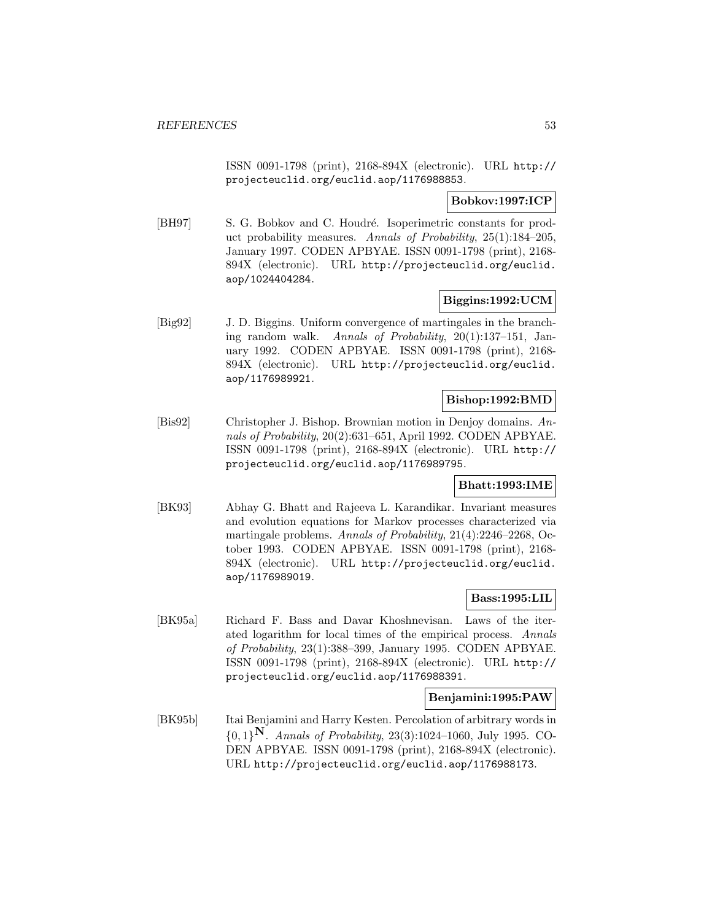ISSN 0091-1798 (print), 2168-894X (electronic). URL http:// projecteuclid.org/euclid.aop/1176988853.

# **Bobkov:1997:ICP**

[BH97] S. G. Bobkov and C. Houdré. Isoperimetric constants for product probability measures. Annals of Probability, 25(1):184–205, January 1997. CODEN APBYAE. ISSN 0091-1798 (print), 2168- 894X (electronic). URL http://projecteuclid.org/euclid. aop/1024404284.

# **Biggins:1992:UCM**

[Big92] J. D. Biggins. Uniform convergence of martingales in the branching random walk. Annals of Probability, 20(1):137–151, January 1992. CODEN APBYAE. ISSN 0091-1798 (print), 2168- 894X (electronic). URL http://projecteuclid.org/euclid. aop/1176989921.

### **Bishop:1992:BMD**

[Bis92] Christopher J. Bishop. Brownian motion in Denjoy domains. Annals of Probability, 20(2):631–651, April 1992. CODEN APBYAE. ISSN 0091-1798 (print), 2168-894X (electronic). URL http:// projecteuclid.org/euclid.aop/1176989795.

### **Bhatt:1993:IME**

[BK93] Abhay G. Bhatt and Rajeeva L. Karandikar. Invariant measures and evolution equations for Markov processes characterized via martingale problems. Annals of Probability, 21(4):2246–2268, October 1993. CODEN APBYAE. ISSN 0091-1798 (print), 2168- 894X (electronic). URL http://projecteuclid.org/euclid. aop/1176989019.

#### **Bass:1995:LIL**

[BK95a] Richard F. Bass and Davar Khoshnevisan. Laws of the iterated logarithm for local times of the empirical process. Annals of Probability, 23(1):388–399, January 1995. CODEN APBYAE. ISSN 0091-1798 (print), 2168-894X (electronic). URL http:// projecteuclid.org/euclid.aop/1176988391.

### **Benjamini:1995:PAW**

[BK95b] Itai Benjamini and Harry Kesten. Percolation of arbitrary words in {0, 1}**N**. Annals of Probability, 23(3):1024–1060, July 1995. CO-DEN APBYAE. ISSN 0091-1798 (print), 2168-894X (electronic). URL http://projecteuclid.org/euclid.aop/1176988173.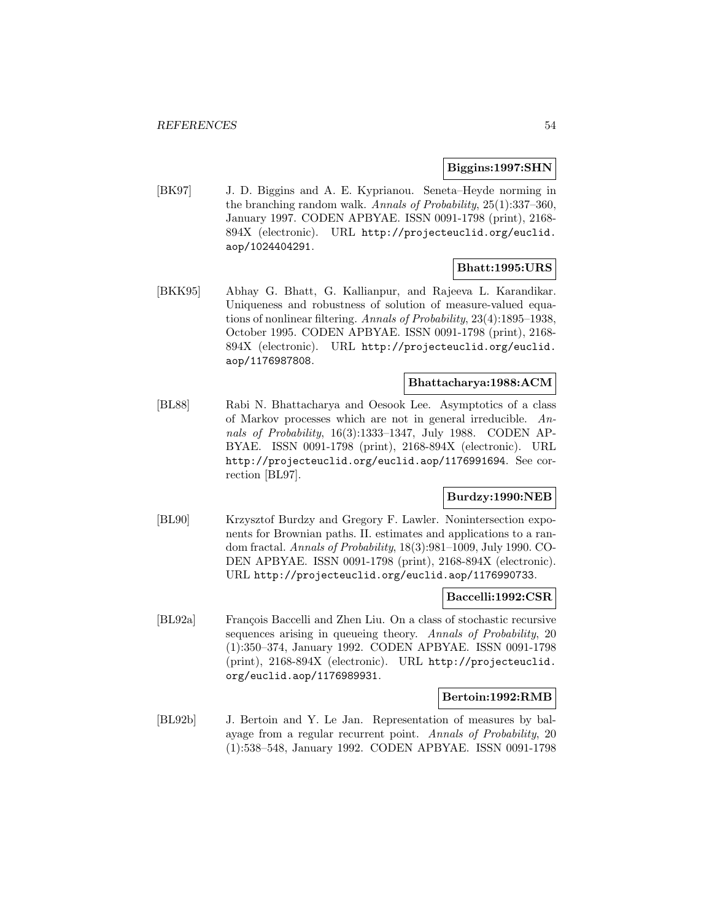#### **Biggins:1997:SHN**

[BK97] J. D. Biggins and A. E. Kyprianou. Seneta–Heyde norming in the branching random walk. Annals of Probability, 25(1):337–360, January 1997. CODEN APBYAE. ISSN 0091-1798 (print), 2168- 894X (electronic). URL http://projecteuclid.org/euclid. aop/1024404291.

# **Bhatt:1995:URS**

[BKK95] Abhay G. Bhatt, G. Kallianpur, and Rajeeva L. Karandikar. Uniqueness and robustness of solution of measure-valued equations of nonlinear filtering. Annals of Probability, 23(4):1895–1938, October 1995. CODEN APBYAE. ISSN 0091-1798 (print), 2168- 894X (electronic). URL http://projecteuclid.org/euclid. aop/1176987808.

# **Bhattacharya:1988:ACM**

[BL88] Rabi N. Bhattacharya and Oesook Lee. Asymptotics of a class of Markov processes which are not in general irreducible. Annals of Probability, 16(3):1333–1347, July 1988. CODEN AP-BYAE. ISSN 0091-1798 (print), 2168-894X (electronic). URL http://projecteuclid.org/euclid.aop/1176991694. See correction [BL97].

### **Burdzy:1990:NEB**

[BL90] Krzysztof Burdzy and Gregory F. Lawler. Nonintersection exponents for Brownian paths. II. estimates and applications to a random fractal. Annals of Probability, 18(3):981–1009, July 1990. CO-DEN APBYAE. ISSN 0091-1798 (print), 2168-894X (electronic). URL http://projecteuclid.org/euclid.aop/1176990733.

#### **Baccelli:1992:CSR**

[BL92a] François Baccelli and Zhen Liu. On a class of stochastic recursive sequences arising in queueing theory. Annals of Probability, 20 (1):350–374, January 1992. CODEN APBYAE. ISSN 0091-1798 (print), 2168-894X (electronic). URL http://projecteuclid. org/euclid.aop/1176989931.

### **Bertoin:1992:RMB**

[BL92b] J. Bertoin and Y. Le Jan. Representation of measures by balayage from a regular recurrent point. Annals of Probability, 20 (1):538–548, January 1992. CODEN APBYAE. ISSN 0091-1798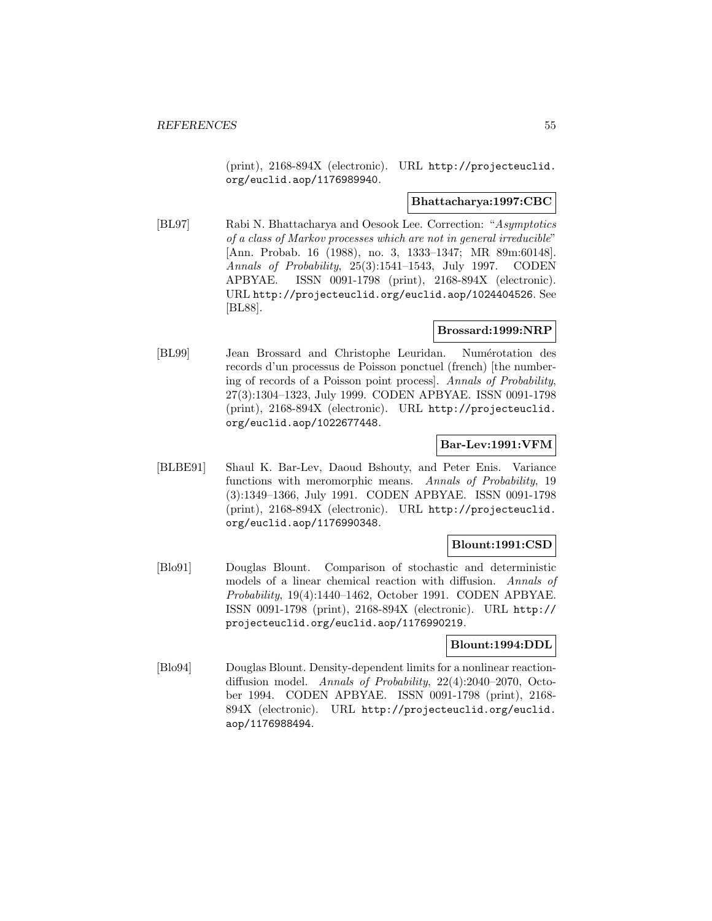(print), 2168-894X (electronic). URL http://projecteuclid. org/euclid.aop/1176989940.

### **Bhattacharya:1997:CBC**

[BL97] Rabi N. Bhattacharya and Oesook Lee. Correction: "Asymptotics of a class of Markov processes which are not in general irreducible" [Ann. Probab. 16 (1988), no. 3, 1333–1347; MR 89m:60148]. Annals of Probability, 25(3):1541–1543, July 1997. CODEN APBYAE. ISSN 0091-1798 (print), 2168-894X (electronic). URL http://projecteuclid.org/euclid.aop/1024404526. See [BL88].

### **Brossard:1999:NRP**

[BL99] Jean Brossard and Christophe Leuridan. Numérotation des records d'un processus de Poisson ponctuel (french) [the numbering of records of a Poisson point process]. Annals of Probability, 27(3):1304–1323, July 1999. CODEN APBYAE. ISSN 0091-1798 (print), 2168-894X (electronic). URL http://projecteuclid. org/euclid.aop/1022677448.

# **Bar-Lev:1991:VFM**

[BLBE91] Shaul K. Bar-Lev, Daoud Bshouty, and Peter Enis. Variance functions with meromorphic means. Annals of Probability, 19 (3):1349–1366, July 1991. CODEN APBYAE. ISSN 0091-1798 (print), 2168-894X (electronic). URL http://projecteuclid. org/euclid.aop/1176990348.

### **Blount:1991:CSD**

[Blo91] Douglas Blount. Comparison of stochastic and deterministic models of a linear chemical reaction with diffusion. Annals of Probability, 19(4):1440–1462, October 1991. CODEN APBYAE. ISSN 0091-1798 (print), 2168-894X (electronic). URL http:// projecteuclid.org/euclid.aop/1176990219.

# **Blount:1994:DDL**

[Blo94] Douglas Blount. Density-dependent limits for a nonlinear reactiondiffusion model. Annals of Probability, 22(4):2040–2070, October 1994. CODEN APBYAE. ISSN 0091-1798 (print), 2168- 894X (electronic). URL http://projecteuclid.org/euclid. aop/1176988494.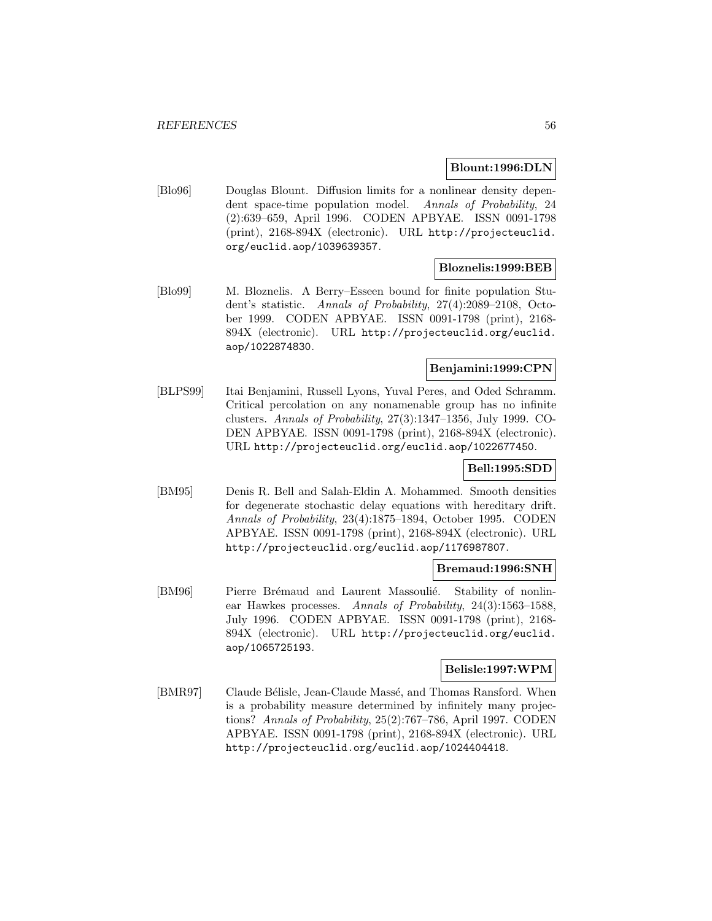### **Blount:1996:DLN**

[Blo96] Douglas Blount. Diffusion limits for a nonlinear density dependent space-time population model. Annals of Probability, 24 (2):639–659, April 1996. CODEN APBYAE. ISSN 0091-1798 (print), 2168-894X (electronic). URL http://projecteuclid. org/euclid.aop/1039639357.

### **Bloznelis:1999:BEB**

[Blo99] M. Bloznelis. A Berry–Esseen bound for finite population Student's statistic. Annals of Probability, 27(4):2089–2108, October 1999. CODEN APBYAE. ISSN 0091-1798 (print), 2168- 894X (electronic). URL http://projecteuclid.org/euclid. aop/1022874830.

### **Benjamini:1999:CPN**

[BLPS99] Itai Benjamini, Russell Lyons, Yuval Peres, and Oded Schramm. Critical percolation on any nonamenable group has no infinite clusters. Annals of Probability, 27(3):1347–1356, July 1999. CO-DEN APBYAE. ISSN 0091-1798 (print), 2168-894X (electronic). URL http://projecteuclid.org/euclid.aop/1022677450.

### **Bell:1995:SDD**

[BM95] Denis R. Bell and Salah-Eldin A. Mohammed. Smooth densities for degenerate stochastic delay equations with hereditary drift. Annals of Probability, 23(4):1875–1894, October 1995. CODEN APBYAE. ISSN 0091-1798 (print), 2168-894X (electronic). URL http://projecteuclid.org/euclid.aop/1176987807.

#### **Bremaud:1996:SNH**

[BM96] Pierre Brémaud and Laurent Massoulié. Stability of nonlinear Hawkes processes. Annals of Probability, 24(3):1563–1588, July 1996. CODEN APBYAE. ISSN 0091-1798 (print), 2168- 894X (electronic). URL http://projecteuclid.org/euclid. aop/1065725193.

### **Belisle:1997:WPM**

[BMR97] Claude Bélisle, Jean-Claude Massé, and Thomas Ransford. When is a probability measure determined by infinitely many projections? Annals of Probability, 25(2):767–786, April 1997. CODEN APBYAE. ISSN 0091-1798 (print), 2168-894X (electronic). URL http://projecteuclid.org/euclid.aop/1024404418.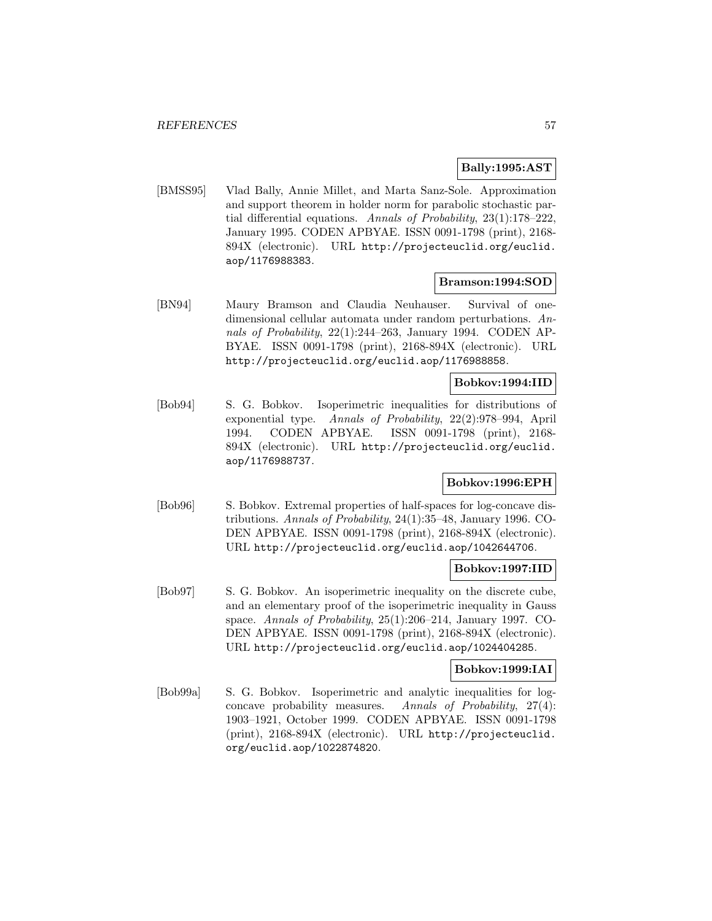### **Bally:1995:AST**

[BMSS95] Vlad Bally, Annie Millet, and Marta Sanz-Sole. Approximation and support theorem in holder norm for parabolic stochastic partial differential equations. Annals of Probability, 23(1):178–222, January 1995. CODEN APBYAE. ISSN 0091-1798 (print), 2168- 894X (electronic). URL http://projecteuclid.org/euclid. aop/1176988383.

#### **Bramson:1994:SOD**

[BN94] Maury Bramson and Claudia Neuhauser. Survival of onedimensional cellular automata under random perturbations. Annals of Probability, 22(1):244–263, January 1994. CODEN AP-BYAE. ISSN 0091-1798 (print), 2168-894X (electronic). URL http://projecteuclid.org/euclid.aop/1176988858.

# **Bobkov:1994:IID**

[Bob94] S. G. Bobkov. Isoperimetric inequalities for distributions of exponential type. Annals of Probability, 22(2):978–994, April 1994. CODEN APBYAE. ISSN 0091-1798 (print), 2168- 894X (electronic). URL http://projecteuclid.org/euclid. aop/1176988737.

# **Bobkov:1996:EPH**

[Bob96] S. Bobkov. Extremal properties of half-spaces for log-concave distributions. Annals of Probability, 24(1):35–48, January 1996. CO-DEN APBYAE. ISSN 0091-1798 (print), 2168-894X (electronic). URL http://projecteuclid.org/euclid.aop/1042644706.

# **Bobkov:1997:IID**

[Bob97] S. G. Bobkov. An isoperimetric inequality on the discrete cube, and an elementary proof of the isoperimetric inequality in Gauss space. Annals of Probability, 25(1):206–214, January 1997. CO-DEN APBYAE. ISSN 0091-1798 (print), 2168-894X (electronic). URL http://projecteuclid.org/euclid.aop/1024404285.

### **Bobkov:1999:IAI**

[Bob99a] S. G. Bobkov. Isoperimetric and analytic inequalities for logconcave probability measures. Annals of Probability, 27(4): 1903–1921, October 1999. CODEN APBYAE. ISSN 0091-1798 (print), 2168-894X (electronic). URL http://projecteuclid. org/euclid.aop/1022874820.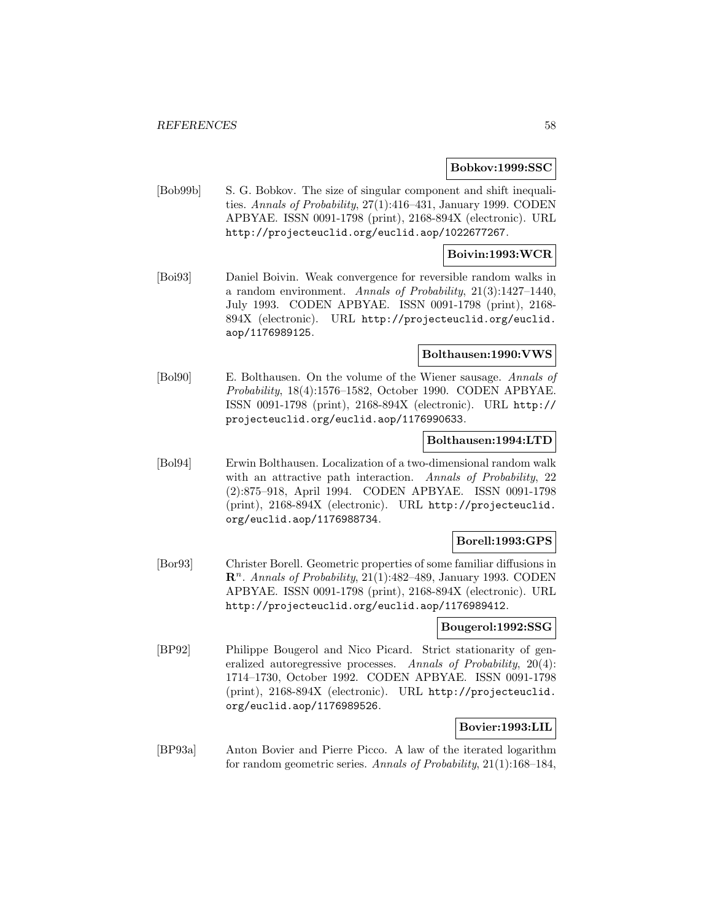#### **Bobkov:1999:SSC**

[Bob99b] S. G. Bobkov. The size of singular component and shift inequalities. Annals of Probability, 27(1):416–431, January 1999. CODEN APBYAE. ISSN 0091-1798 (print), 2168-894X (electronic). URL http://projecteuclid.org/euclid.aop/1022677267.

# **Boivin:1993:WCR**

[Boi93] Daniel Boivin. Weak convergence for reversible random walks in a random environment. Annals of Probability, 21(3):1427–1440, July 1993. CODEN APBYAE. ISSN 0091-1798 (print), 2168- 894X (electronic). URL http://projecteuclid.org/euclid. aop/1176989125.

# **Bolthausen:1990:VWS**

[Bol90] E. Bolthausen. On the volume of the Wiener sausage. Annals of Probability, 18(4):1576–1582, October 1990. CODEN APBYAE. ISSN 0091-1798 (print), 2168-894X (electronic). URL http:// projecteuclid.org/euclid.aop/1176990633.

#### **Bolthausen:1994:LTD**

[Bol94] Erwin Bolthausen. Localization of a two-dimensional random walk with an attractive path interaction. Annals of Probability, 22 (2):875–918, April 1994. CODEN APBYAE. ISSN 0091-1798 (print), 2168-894X (electronic). URL http://projecteuclid. org/euclid.aop/1176988734.

### **Borell:1993:GPS**

[Bor93] Christer Borell. Geometric properties of some familiar diffusions in  $\mathbb{R}^n$ . Annals of Probability, 21(1):482–489, January 1993. CODEN APBYAE. ISSN 0091-1798 (print), 2168-894X (electronic). URL http://projecteuclid.org/euclid.aop/1176989412.

# **Bougerol:1992:SSG**

[BP92] Philippe Bougerol and Nico Picard. Strict stationarity of generalized autoregressive processes. Annals of Probability, 20(4): 1714–1730, October 1992. CODEN APBYAE. ISSN 0091-1798 (print), 2168-894X (electronic). URL http://projecteuclid. org/euclid.aop/1176989526.

### **Bovier:1993:LIL**

[BP93a] Anton Bovier and Pierre Picco. A law of the iterated logarithm for random geometric series. Annals of Probability, 21(1):168–184,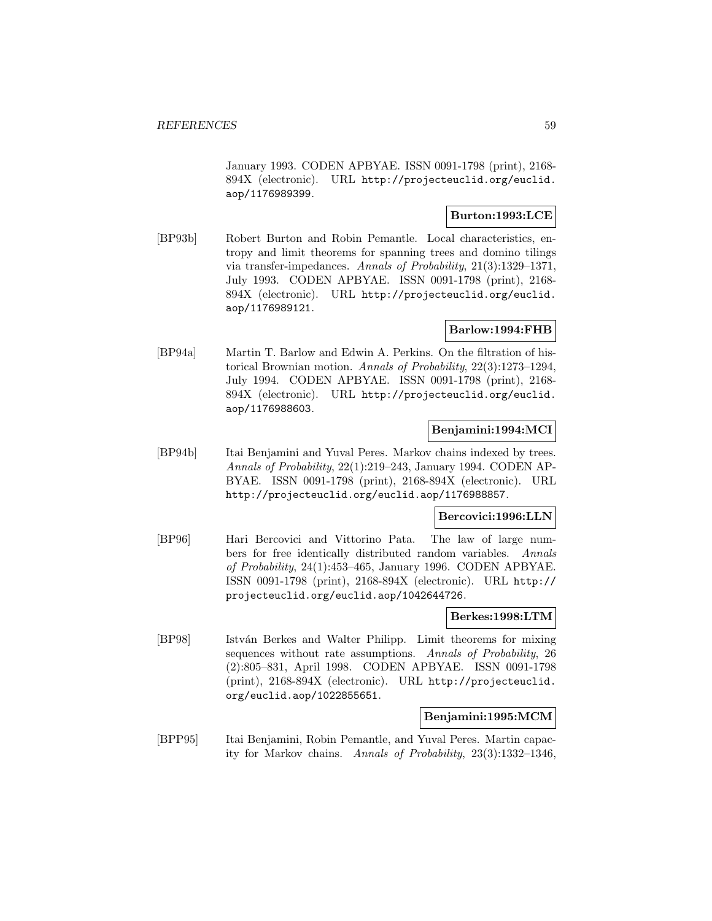January 1993. CODEN APBYAE. ISSN 0091-1798 (print), 2168- 894X (electronic). URL http://projecteuclid.org/euclid. aop/1176989399.

# **Burton:1993:LCE**

[BP93b] Robert Burton and Robin Pemantle. Local characteristics, entropy and limit theorems for spanning trees and domino tilings via transfer-impedances. Annals of Probability, 21(3):1329–1371, July 1993. CODEN APBYAE. ISSN 0091-1798 (print), 2168- 894X (electronic). URL http://projecteuclid.org/euclid. aop/1176989121.

### **Barlow:1994:FHB**

[BP94a] Martin T. Barlow and Edwin A. Perkins. On the filtration of historical Brownian motion. Annals of Probability, 22(3):1273–1294, July 1994. CODEN APBYAE. ISSN 0091-1798 (print), 2168- 894X (electronic). URL http://projecteuclid.org/euclid. aop/1176988603.

# **Benjamini:1994:MCI**

[BP94b] Itai Benjamini and Yuval Peres. Markov chains indexed by trees. Annals of Probability, 22(1):219–243, January 1994. CODEN AP-BYAE. ISSN 0091-1798 (print), 2168-894X (electronic). URL http://projecteuclid.org/euclid.aop/1176988857.

# **Bercovici:1996:LLN**

[BP96] Hari Bercovici and Vittorino Pata. The law of large numbers for free identically distributed random variables. Annals of Probability, 24(1):453–465, January 1996. CODEN APBYAE. ISSN 0091-1798 (print), 2168-894X (electronic). URL http:// projecteuclid.org/euclid.aop/1042644726.

#### **Berkes:1998:LTM**

[BP98] István Berkes and Walter Philipp. Limit theorems for mixing sequences without rate assumptions. Annals of Probability, 26 (2):805–831, April 1998. CODEN APBYAE. ISSN 0091-1798 (print), 2168-894X (electronic). URL http://projecteuclid. org/euclid.aop/1022855651.

### **Benjamini:1995:MCM**

[BPP95] Itai Benjamini, Robin Pemantle, and Yuval Peres. Martin capacity for Markov chains. Annals of Probability, 23(3):1332–1346,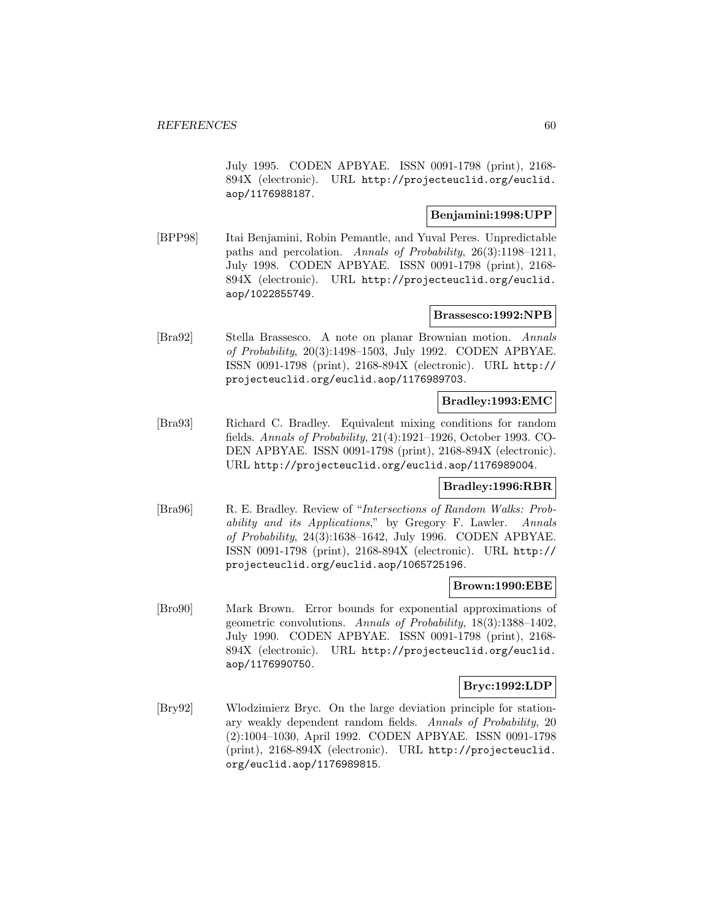July 1995. CODEN APBYAE. ISSN 0091-1798 (print), 2168- 894X (electronic). URL http://projecteuclid.org/euclid. aop/1176988187.

### **Benjamini:1998:UPP**

[BPP98] Itai Benjamini, Robin Pemantle, and Yuval Peres. Unpredictable paths and percolation. Annals of Probability, 26(3):1198–1211, July 1998. CODEN APBYAE. ISSN 0091-1798 (print), 2168- 894X (electronic). URL http://projecteuclid.org/euclid. aop/1022855749.

#### **Brassesco:1992:NPB**

[Bra92] Stella Brassesco. A note on planar Brownian motion. Annals of Probability, 20(3):1498–1503, July 1992. CODEN APBYAE. ISSN 0091-1798 (print), 2168-894X (electronic). URL http:// projecteuclid.org/euclid.aop/1176989703.

### **Bradley:1993:EMC**

[Bra93] Richard C. Bradley. Equivalent mixing conditions for random fields. Annals of Probability, 21(4):1921–1926, October 1993. CO-DEN APBYAE. ISSN 0091-1798 (print), 2168-894X (electronic). URL http://projecteuclid.org/euclid.aop/1176989004.

### **Bradley:1996:RBR**

[Bra96] R. E. Bradley. Review of "Intersections of Random Walks: Probability and its Applications," by Gregory F. Lawler. Annals of Probability, 24(3):1638–1642, July 1996. CODEN APBYAE. ISSN 0091-1798 (print), 2168-894X (electronic). URL http:// projecteuclid.org/euclid.aop/1065725196.

### **Brown:1990:EBE**

[Bro90] Mark Brown. Error bounds for exponential approximations of geometric convolutions. Annals of Probability, 18(3):1388–1402, July 1990. CODEN APBYAE. ISSN 0091-1798 (print), 2168- 894X (electronic). URL http://projecteuclid.org/euclid. aop/1176990750.

### **Bryc:1992:LDP**

[Bry92] Wlodzimierz Bryc. On the large deviation principle for stationary weakly dependent random fields. Annals of Probability, 20 (2):1004–1030, April 1992. CODEN APBYAE. ISSN 0091-1798 (print), 2168-894X (electronic). URL http://projecteuclid. org/euclid.aop/1176989815.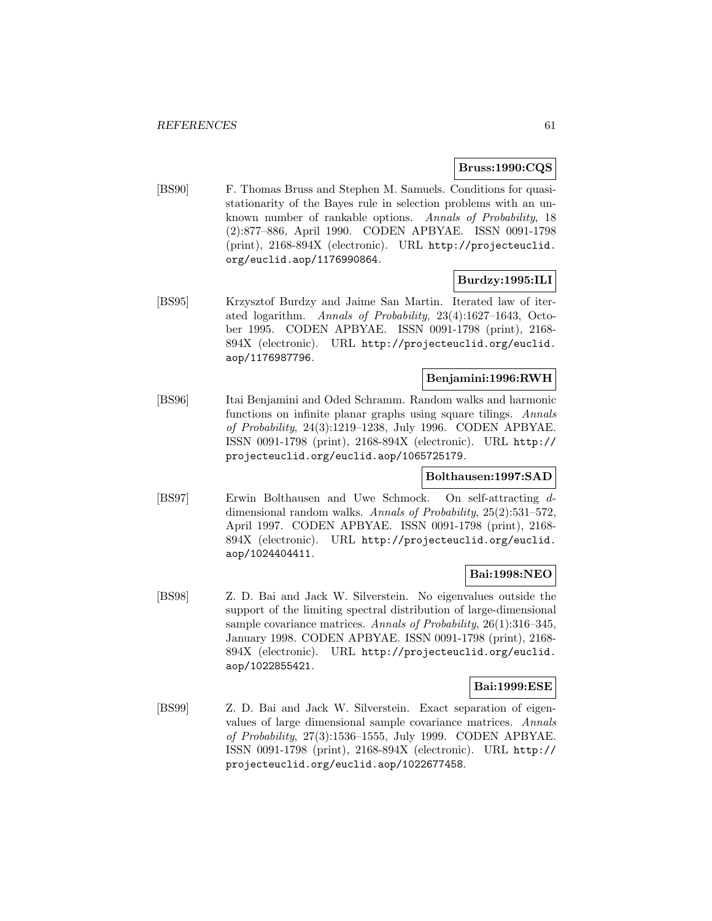### **Bruss:1990:CQS**

[BS90] F. Thomas Bruss and Stephen M. Samuels. Conditions for quasistationarity of the Bayes rule in selection problems with an unknown number of rankable options. Annals of Probability, 18 (2):877–886, April 1990. CODEN APBYAE. ISSN 0091-1798 (print), 2168-894X (electronic). URL http://projecteuclid. org/euclid.aop/1176990864.

# **Burdzy:1995:ILI**

[BS95] Krzysztof Burdzy and Jaime San Martin. Iterated law of iterated logarithm. Annals of Probability, 23(4):1627–1643, October 1995. CODEN APBYAE. ISSN 0091-1798 (print), 2168- 894X (electronic). URL http://projecteuclid.org/euclid. aop/1176987796.

# **Benjamini:1996:RWH**

[BS96] Itai Benjamini and Oded Schramm. Random walks and harmonic functions on infinite planar graphs using square tilings. Annals of Probability, 24(3):1219–1238, July 1996. CODEN APBYAE. ISSN 0091-1798 (print), 2168-894X (electronic). URL http:// projecteuclid.org/euclid.aop/1065725179.

### **Bolthausen:1997:SAD**

[BS97] Erwin Bolthausen and Uwe Schmock. On self-attracting ddimensional random walks. Annals of Probability, 25(2):531–572, April 1997. CODEN APBYAE. ISSN 0091-1798 (print), 2168- 894X (electronic). URL http://projecteuclid.org/euclid. aop/1024404411.

# **Bai:1998:NEO**

[BS98] Z. D. Bai and Jack W. Silverstein. No eigenvalues outside the support of the limiting spectral distribution of large-dimensional sample covariance matrices. Annals of Probability, 26(1):316–345, January 1998. CODEN APBYAE. ISSN 0091-1798 (print), 2168- 894X (electronic). URL http://projecteuclid.org/euclid. aop/1022855421.

### **Bai:1999:ESE**

[BS99] Z. D. Bai and Jack W. Silverstein. Exact separation of eigenvalues of large dimensional sample covariance matrices. Annals of Probability, 27(3):1536–1555, July 1999. CODEN APBYAE. ISSN 0091-1798 (print), 2168-894X (electronic). URL http:// projecteuclid.org/euclid.aop/1022677458.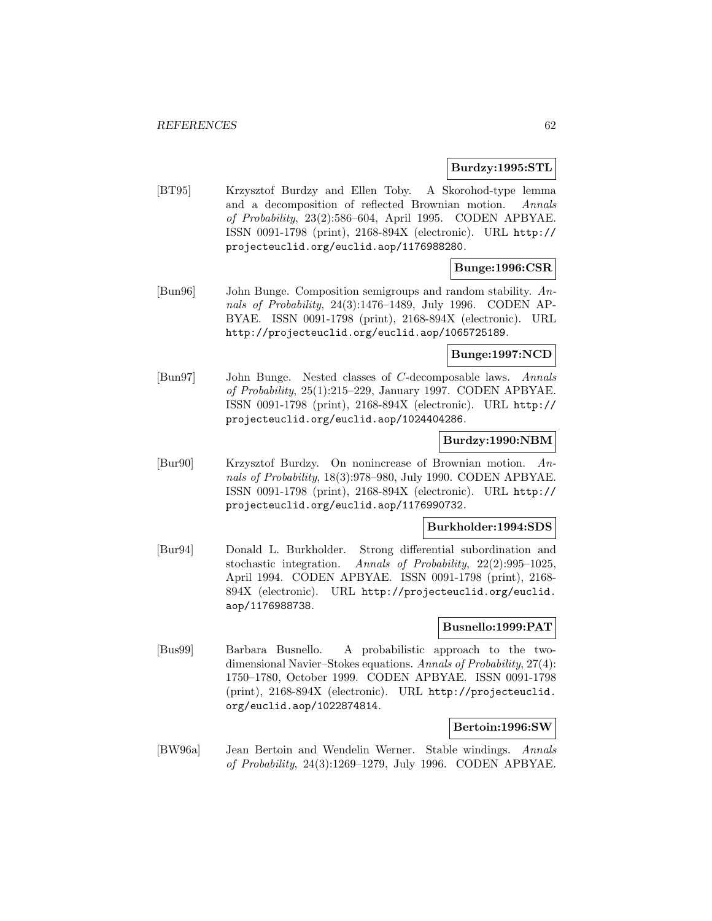### **Burdzy:1995:STL**

[BT95] Krzysztof Burdzy and Ellen Toby. A Skorohod-type lemma and a decomposition of reflected Brownian motion. Annals of Probability, 23(2):586–604, April 1995. CODEN APBYAE. ISSN 0091-1798 (print), 2168-894X (electronic). URL http:// projecteuclid.org/euclid.aop/1176988280.

# **Bunge:1996:CSR**

[Bun96] John Bunge. Composition semigroups and random stability. Annals of Probability, 24(3):1476–1489, July 1996. CODEN AP-BYAE. ISSN 0091-1798 (print), 2168-894X (electronic). URL http://projecteuclid.org/euclid.aop/1065725189.

# **Bunge:1997:NCD**

[Bun97] John Bunge. Nested classes of C-decomposable laws. Annals of Probability, 25(1):215–229, January 1997. CODEN APBYAE. ISSN 0091-1798 (print), 2168-894X (electronic). URL http:// projecteuclid.org/euclid.aop/1024404286.

### **Burdzy:1990:NBM**

[Bur90] Krzysztof Burdzy. On nonincrease of Brownian motion. Annals of Probability, 18(3):978–980, July 1990. CODEN APBYAE. ISSN 0091-1798 (print), 2168-894X (electronic). URL http:// projecteuclid.org/euclid.aop/1176990732.

### **Burkholder:1994:SDS**

[Bur94] Donald L. Burkholder. Strong differential subordination and stochastic integration. Annals of Probability, 22(2):995–1025, April 1994. CODEN APBYAE. ISSN 0091-1798 (print), 2168- 894X (electronic). URL http://projecteuclid.org/euclid. aop/1176988738.

# **Busnello:1999:PAT**

[Bus99] Barbara Busnello. A probabilistic approach to the twodimensional Navier–Stokes equations. Annals of Probability, 27(4): 1750–1780, October 1999. CODEN APBYAE. ISSN 0091-1798 (print), 2168-894X (electronic). URL http://projecteuclid. org/euclid.aop/1022874814.

### **Bertoin:1996:SW**

[BW96a] Jean Bertoin and Wendelin Werner. Stable windings. Annals of Probability, 24(3):1269–1279, July 1996. CODEN APBYAE.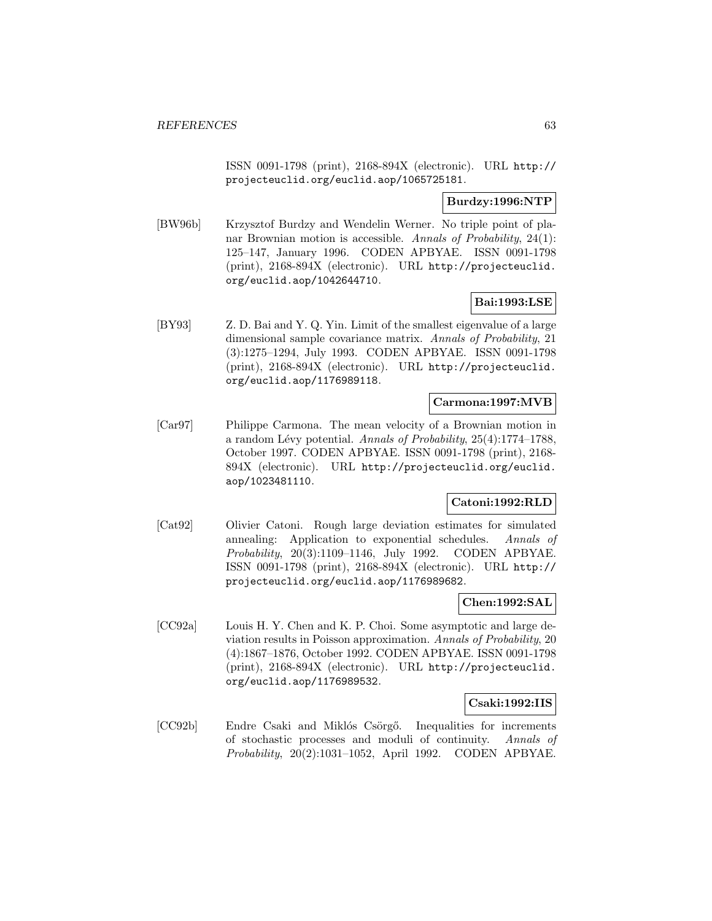ISSN 0091-1798 (print), 2168-894X (electronic). URL http:// projecteuclid.org/euclid.aop/1065725181.

### **Burdzy:1996:NTP**

[BW96b] Krzysztof Burdzy and Wendelin Werner. No triple point of planar Brownian motion is accessible. Annals of Probability, 24(1): 125–147, January 1996. CODEN APBYAE. ISSN 0091-1798 (print), 2168-894X (electronic). URL http://projecteuclid. org/euclid.aop/1042644710.

# **Bai:1993:LSE**

[BY93] Z. D. Bai and Y. Q. Yin. Limit of the smallest eigenvalue of a large dimensional sample covariance matrix. Annals of Probability, 21 (3):1275–1294, July 1993. CODEN APBYAE. ISSN 0091-1798 (print), 2168-894X (electronic). URL http://projecteuclid. org/euclid.aop/1176989118.

# **Carmona:1997:MVB**

[Car97] Philippe Carmona. The mean velocity of a Brownian motion in a random Lévy potential. Annals of Probability,  $25(4):1774-1788$ , October 1997. CODEN APBYAE. ISSN 0091-1798 (print), 2168- 894X (electronic). URL http://projecteuclid.org/euclid. aop/1023481110.

# **Catoni:1992:RLD**

[Cat92] Olivier Catoni. Rough large deviation estimates for simulated annealing: Application to exponential schedules. Annals of Probability, 20(3):1109–1146, July 1992. CODEN APBYAE. ISSN 0091-1798 (print), 2168-894X (electronic). URL http:// projecteuclid.org/euclid.aop/1176989682.

### **Chen:1992:SAL**

[CC92a] Louis H. Y. Chen and K. P. Choi. Some asymptotic and large deviation results in Poisson approximation. Annals of Probability, 20 (4):1867–1876, October 1992. CODEN APBYAE. ISSN 0091-1798 (print), 2168-894X (electronic). URL http://projecteuclid. org/euclid.aop/1176989532.

# **Csaki:1992:IIS**

[CC92b] Endre Csaki and Miklós Csörgő. Inequalities for increments of stochastic processes and moduli of continuity. Annals of Probability, 20(2):1031–1052, April 1992. CODEN APBYAE.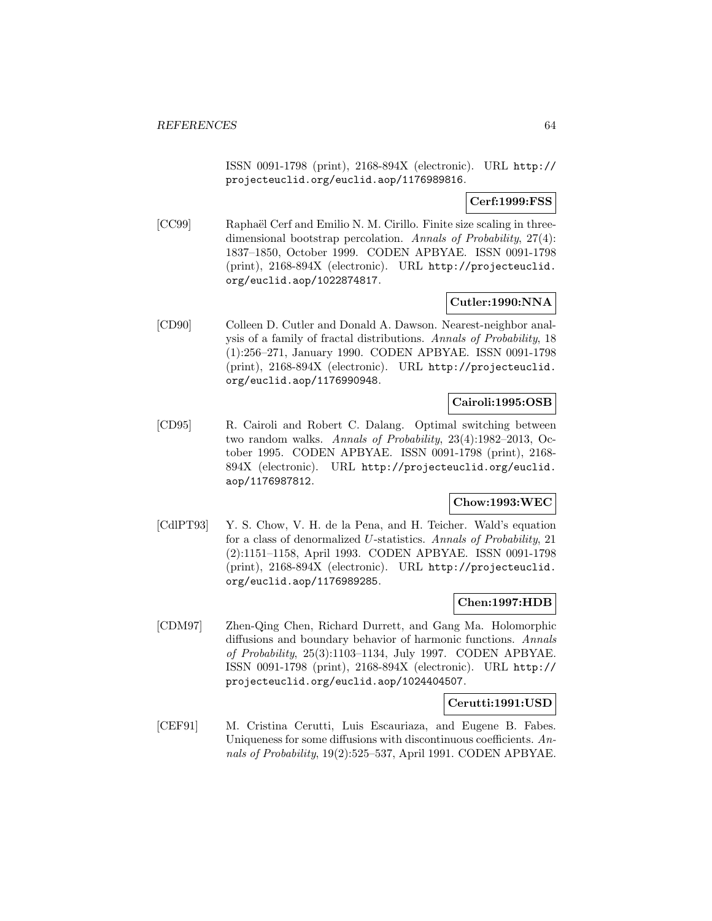ISSN 0091-1798 (print), 2168-894X (electronic). URL http:// projecteuclid.org/euclid.aop/1176989816.

**Cerf:1999:FSS**

[CC99] Raphaël Cerf and Emilio N. M. Cirillo. Finite size scaling in threedimensional bootstrap percolation. Annals of Probability, 27(4): 1837–1850, October 1999. CODEN APBYAE. ISSN 0091-1798 (print), 2168-894X (electronic). URL http://projecteuclid. org/euclid.aop/1022874817.

# **Cutler:1990:NNA**

[CD90] Colleen D. Cutler and Donald A. Dawson. Nearest-neighbor analysis of a family of fractal distributions. Annals of Probability, 18 (1):256–271, January 1990. CODEN APBYAE. ISSN 0091-1798 (print), 2168-894X (electronic). URL http://projecteuclid. org/euclid.aop/1176990948.

# **Cairoli:1995:OSB**

[CD95] R. Cairoli and Robert C. Dalang. Optimal switching between two random walks. Annals of Probability, 23(4):1982–2013, October 1995. CODEN APBYAE. ISSN 0091-1798 (print), 2168- 894X (electronic). URL http://projecteuclid.org/euclid. aop/1176987812.

### **Chow:1993:WEC**

[CdlPT93] Y. S. Chow, V. H. de la Pena, and H. Teicher. Wald's equation for a class of denormalized U-statistics. Annals of Probability, 21 (2):1151–1158, April 1993. CODEN APBYAE. ISSN 0091-1798 (print), 2168-894X (electronic). URL http://projecteuclid. org/euclid.aop/1176989285.

### **Chen:1997:HDB**

[CDM97] Zhen-Qing Chen, Richard Durrett, and Gang Ma. Holomorphic diffusions and boundary behavior of harmonic functions. Annals of Probability, 25(3):1103–1134, July 1997. CODEN APBYAE. ISSN 0091-1798 (print), 2168-894X (electronic). URL http:// projecteuclid.org/euclid.aop/1024404507.

### **Cerutti:1991:USD**

[CEF91] M. Cristina Cerutti, Luis Escauriaza, and Eugene B. Fabes. Uniqueness for some diffusions with discontinuous coefficients. Annals of Probability, 19(2):525–537, April 1991. CODEN APBYAE.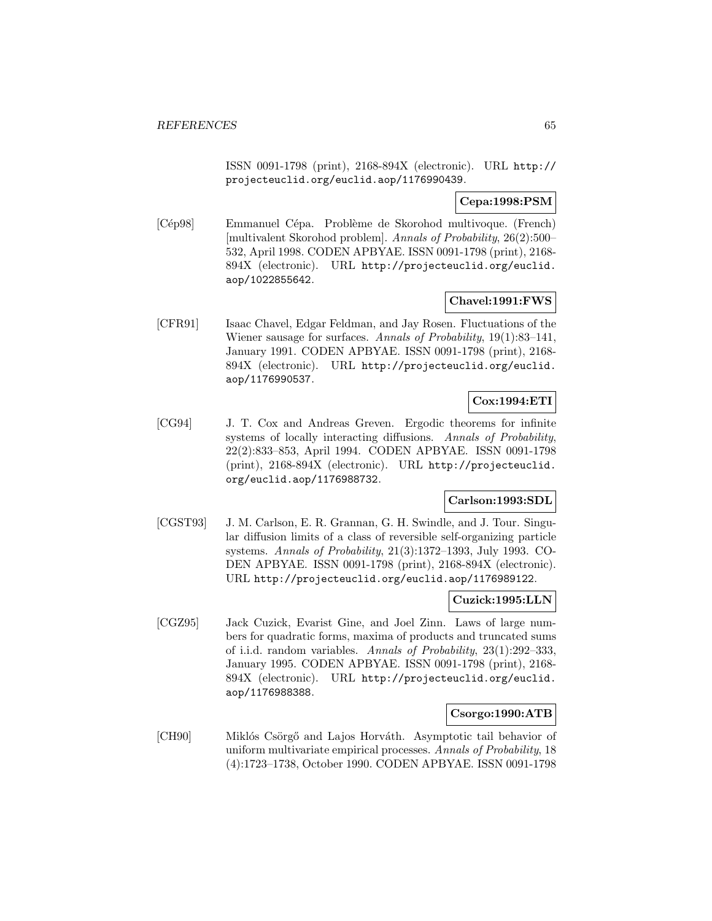ISSN 0091-1798 (print), 2168-894X (electronic). URL http:// projecteuclid.org/euclid.aop/1176990439.

# **Cepa:1998:PSM**

[Cép98] Emmanuel Cépa. Problème de Skorohod multivoque. (French) [multivalent Skorohod problem]. Annals of Probability, 26(2):500– 532, April 1998. CODEN APBYAE. ISSN 0091-1798 (print), 2168- 894X (electronic). URL http://projecteuclid.org/euclid. aop/1022855642.

# **Chavel:1991:FWS**

[CFR91] Isaac Chavel, Edgar Feldman, and Jay Rosen. Fluctuations of the Wiener sausage for surfaces. Annals of Probability, 19(1):83–141, January 1991. CODEN APBYAE. ISSN 0091-1798 (print), 2168- 894X (electronic). URL http://projecteuclid.org/euclid. aop/1176990537.

# **Cox:1994:ETI**

[CG94] J. T. Cox and Andreas Greven. Ergodic theorems for infinite systems of locally interacting diffusions. Annals of Probability, 22(2):833–853, April 1994. CODEN APBYAE. ISSN 0091-1798 (print), 2168-894X (electronic). URL http://projecteuclid. org/euclid.aop/1176988732.

# **Carlson:1993:SDL**

[CGST93] J. M. Carlson, E. R. Grannan, G. H. Swindle, and J. Tour. Singular diffusion limits of a class of reversible self-organizing particle systems. Annals of Probability, 21(3):1372–1393, July 1993. CO-DEN APBYAE. ISSN 0091-1798 (print), 2168-894X (electronic). URL http://projecteuclid.org/euclid.aop/1176989122.

### **Cuzick:1995:LLN**

[CGZ95] Jack Cuzick, Evarist Gine, and Joel Zinn. Laws of large numbers for quadratic forms, maxima of products and truncated sums of i.i.d. random variables. Annals of Probability, 23(1):292–333, January 1995. CODEN APBYAE. ISSN 0091-1798 (print), 2168- 894X (electronic). URL http://projecteuclid.org/euclid. aop/1176988388.

### **Csorgo:1990:ATB**

[CH90] Miklós Csörgő and Lajos Horváth. Asymptotic tail behavior of uniform multivariate empirical processes. Annals of Probability, 18 (4):1723–1738, October 1990. CODEN APBYAE. ISSN 0091-1798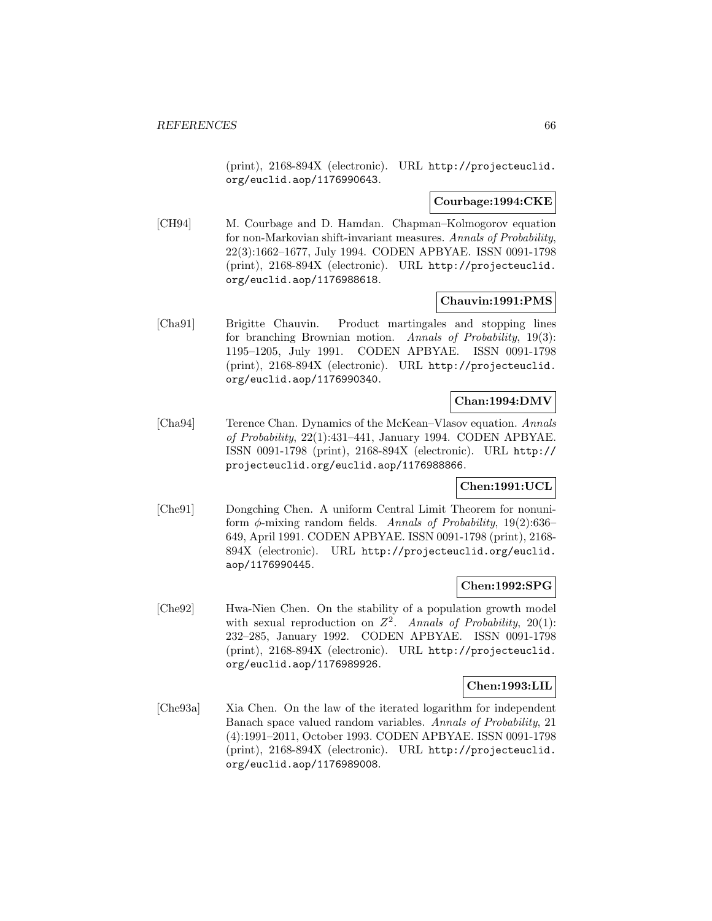(print), 2168-894X (electronic). URL http://projecteuclid. org/euclid.aop/1176990643.

# **Courbage:1994:CKE**

[CH94] M. Courbage and D. Hamdan. Chapman–Kolmogorov equation for non-Markovian shift-invariant measures. Annals of Probability, 22(3):1662–1677, July 1994. CODEN APBYAE. ISSN 0091-1798 (print), 2168-894X (electronic). URL http://projecteuclid. org/euclid.aop/1176988618.

### **Chauvin:1991:PMS**

[Cha91] Brigitte Chauvin. Product martingales and stopping lines for branching Brownian motion. Annals of Probability, 19(3): 1195–1205, July 1991. CODEN APBYAE. ISSN 0091-1798 (print), 2168-894X (electronic). URL http://projecteuclid. org/euclid.aop/1176990340.

# **Chan:1994:DMV**

[Cha94] Terence Chan. Dynamics of the McKean–Vlasov equation. Annals of Probability, 22(1):431–441, January 1994. CODEN APBYAE. ISSN 0091-1798 (print), 2168-894X (electronic). URL http:// projecteuclid.org/euclid.aop/1176988866.

# **Chen:1991:UCL**

[Che91] Dongching Chen. A uniform Central Limit Theorem for nonuniform  $\phi$ -mixing random fields. Annals of Probability, 19(2):636– 649, April 1991. CODEN APBYAE. ISSN 0091-1798 (print), 2168- 894X (electronic). URL http://projecteuclid.org/euclid. aop/1176990445.

# **Chen:1992:SPG**

[Che92] Hwa-Nien Chen. On the stability of a population growth model with sexual reproduction on  $Z^2$ . Annals of Probability, 20(1): 232–285, January 1992. CODEN APBYAE. ISSN 0091-1798 (print), 2168-894X (electronic). URL http://projecteuclid. org/euclid.aop/1176989926.

### **Chen:1993:LIL**

[Che93a] Xia Chen. On the law of the iterated logarithm for independent Banach space valued random variables. Annals of Probability, 21 (4):1991–2011, October 1993. CODEN APBYAE. ISSN 0091-1798 (print), 2168-894X (electronic). URL http://projecteuclid. org/euclid.aop/1176989008.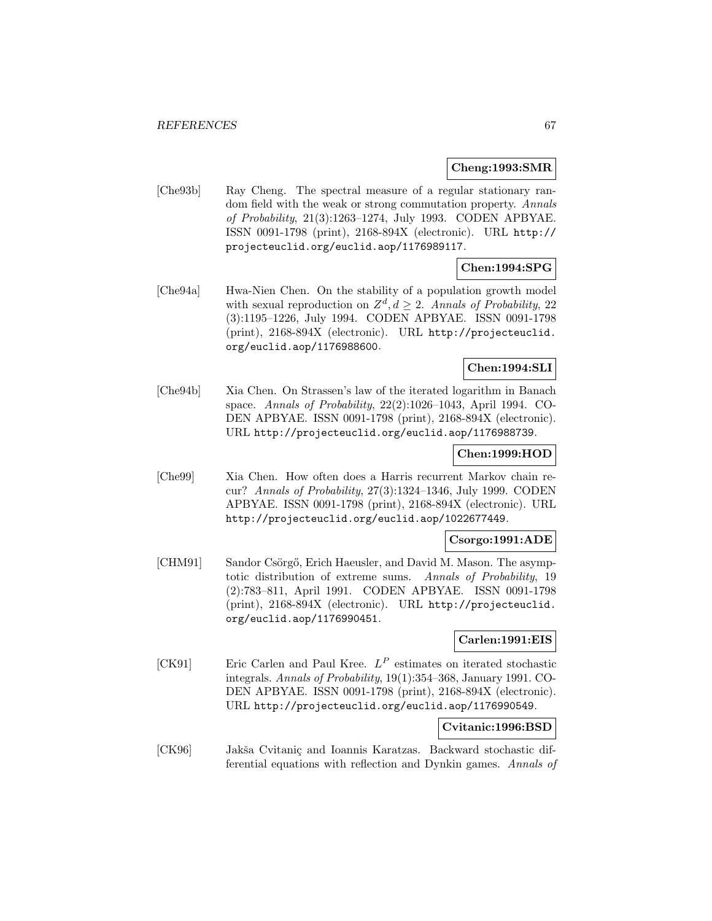#### **Cheng:1993:SMR**

[Che93b] Ray Cheng. The spectral measure of a regular stationary random field with the weak or strong commutation property. Annals of Probability, 21(3):1263–1274, July 1993. CODEN APBYAE. ISSN 0091-1798 (print), 2168-894X (electronic). URL http:// projecteuclid.org/euclid.aop/1176989117.

# **Chen:1994:SPG**

[Che94a] Hwa-Nien Chen. On the stability of a population growth model with sexual reproduction on  $Z^d$ ,  $d > 2$ . Annals of Probability, 22 (3):1195–1226, July 1994. CODEN APBYAE. ISSN 0091-1798 (print), 2168-894X (electronic). URL http://projecteuclid. org/euclid.aop/1176988600.

### **Chen:1994:SLI**

[Che94b] Xia Chen. On Strassen's law of the iterated logarithm in Banach space. Annals of Probability, 22(2):1026–1043, April 1994. CO-DEN APBYAE. ISSN 0091-1798 (print), 2168-894X (electronic). URL http://projecteuclid.org/euclid.aop/1176988739.

### **Chen:1999:HOD**

[Che99] Xia Chen. How often does a Harris recurrent Markov chain recur? Annals of Probability, 27(3):1324–1346, July 1999. CODEN APBYAE. ISSN 0091-1798 (print), 2168-894X (electronic). URL http://projecteuclid.org/euclid.aop/1022677449.

### **Csorgo:1991:ADE**

[CHM91] Sandor Csörgő, Erich Haeusler, and David M. Mason. The asymptotic distribution of extreme sums. Annals of Probability, 19 (2):783–811, April 1991. CODEN APBYAE. ISSN 0091-1798 (print), 2168-894X (electronic). URL http://projecteuclid. org/euclid.aop/1176990451.

# **Carlen:1991:EIS**

[CK91] Eric Carlen and Paul Kree.  $L^P$  estimates on iterated stochastic integrals. Annals of Probability, 19(1):354–368, January 1991. CO-DEN APBYAE. ISSN 0091-1798 (print), 2168-894X (electronic). URL http://projecteuclid.org/euclid.aop/1176990549.

# **Cvitanic:1996:BSD**

[CK96] Jakša Cvitaniç and Ioannis Karatzas. Backward stochastic differential equations with reflection and Dynkin games. Annals of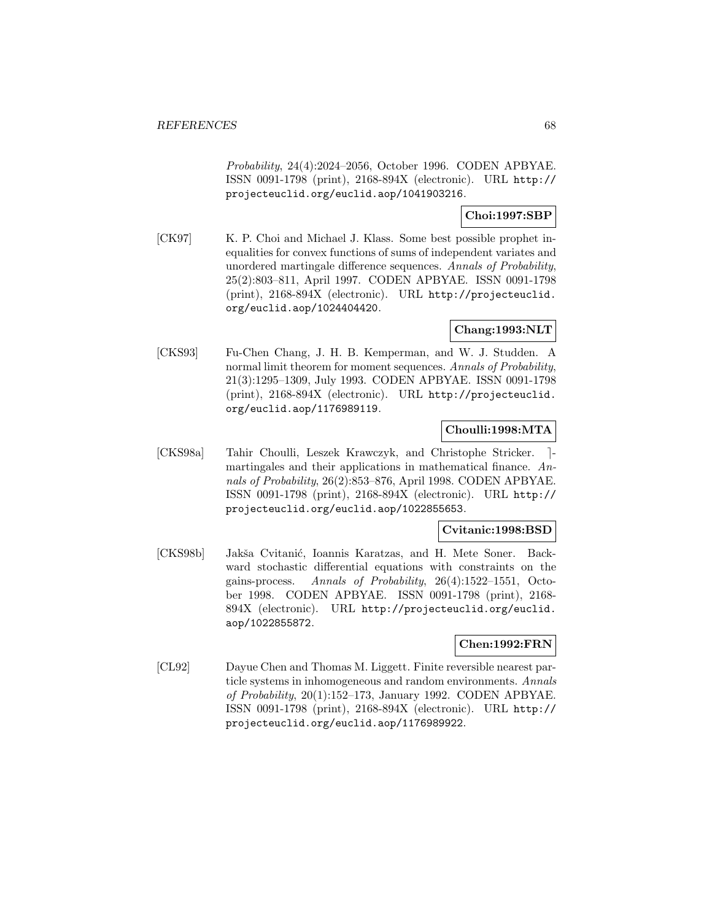Probability, 24(4):2024–2056, October 1996. CODEN APBYAE. ISSN 0091-1798 (print), 2168-894X (electronic). URL http:// projecteuclid.org/euclid.aop/1041903216.

# **Choi:1997:SBP**

[CK97] K. P. Choi and Michael J. Klass. Some best possible prophet inequalities for convex functions of sums of independent variates and unordered martingale difference sequences. Annals of Probability, 25(2):803–811, April 1997. CODEN APBYAE. ISSN 0091-1798 (print), 2168-894X (electronic). URL http://projecteuclid. org/euclid.aop/1024404420.

# **Chang:1993:NLT**

[CKS93] Fu-Chen Chang, J. H. B. Kemperman, and W. J. Studden. A normal limit theorem for moment sequences. Annals of Probability, 21(3):1295–1309, July 1993. CODEN APBYAE. ISSN 0091-1798 (print), 2168-894X (electronic). URL http://projecteuclid. org/euclid.aop/1176989119.

### **Choulli:1998:MTA**

[CKS98a] Tahir Choulli, Leszek Krawczyk, and Christophe Stricker. [martingales and their applications in mathematical finance. Annals of Probability, 26(2):853–876, April 1998. CODEN APBYAE. ISSN 0091-1798 (print), 2168-894X (electronic). URL http:// projecteuclid.org/euclid.aop/1022855653.

### **Cvitanic:1998:BSD**

[CKS98b] Jakša Cvitanić, Ioannis Karatzas, and H. Mete Soner. Backward stochastic differential equations with constraints on the gains-process. Annals of Probability, 26(4):1522–1551, October 1998. CODEN APBYAE. ISSN 0091-1798 (print), 2168- 894X (electronic). URL http://projecteuclid.org/euclid. aop/1022855872.

### **Chen:1992:FRN**

[CL92] Dayue Chen and Thomas M. Liggett. Finite reversible nearest particle systems in inhomogeneous and random environments. Annals of Probability, 20(1):152–173, January 1992. CODEN APBYAE. ISSN 0091-1798 (print), 2168-894X (electronic). URL http:// projecteuclid.org/euclid.aop/1176989922.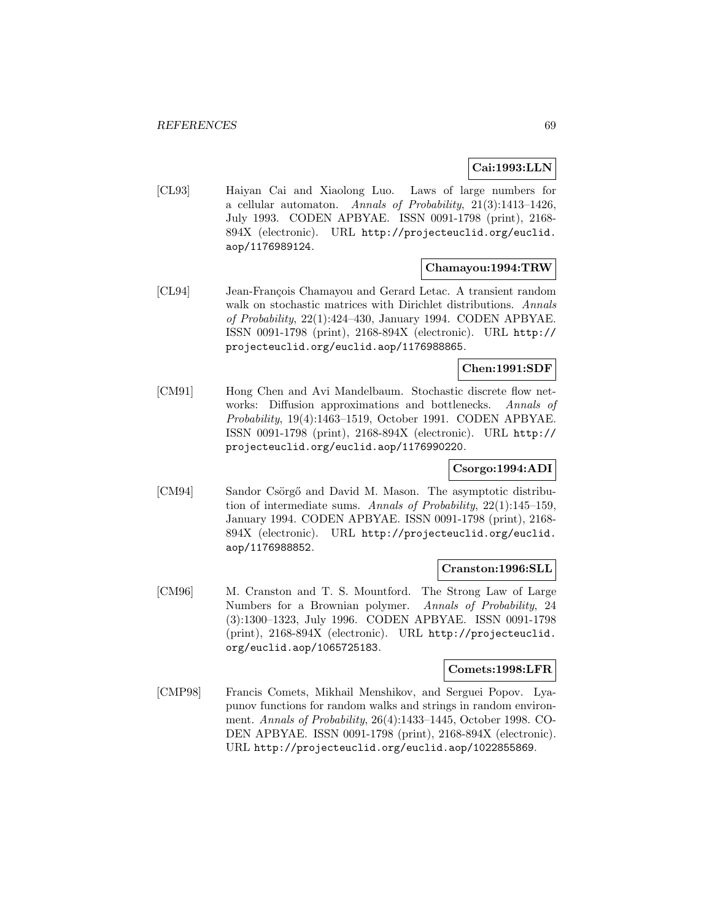# **Cai:1993:LLN**

[CL93] Haiyan Cai and Xiaolong Luo. Laws of large numbers for a cellular automaton. Annals of Probability, 21(3):1413–1426, July 1993. CODEN APBYAE. ISSN 0091-1798 (print), 2168- 894X (electronic). URL http://projecteuclid.org/euclid. aop/1176989124.

### **Chamayou:1994:TRW**

[CL94] Jean-François Chamayou and Gerard Letac. A transient random walk on stochastic matrices with Dirichlet distributions. Annals of Probability, 22(1):424–430, January 1994. CODEN APBYAE. ISSN 0091-1798 (print), 2168-894X (electronic). URL http:// projecteuclid.org/euclid.aop/1176988865.

### **Chen:1991:SDF**

[CM91] Hong Chen and Avi Mandelbaum. Stochastic discrete flow networks: Diffusion approximations and bottlenecks. Annals of Probability, 19(4):1463–1519, October 1991. CODEN APBYAE. ISSN 0091-1798 (print), 2168-894X (electronic). URL http:// projecteuclid.org/euclid.aop/1176990220.

# **Csorgo:1994:ADI**

[CM94] Sandor Csörgő and David M. Mason. The asymptotic distribution of intermediate sums. Annals of Probability, 22(1):145–159, January 1994. CODEN APBYAE. ISSN 0091-1798 (print), 2168- 894X (electronic). URL http://projecteuclid.org/euclid. aop/1176988852.

### **Cranston:1996:SLL**

[CM96] M. Cranston and T. S. Mountford. The Strong Law of Large Numbers for a Brownian polymer. Annals of Probability, 24 (3):1300–1323, July 1996. CODEN APBYAE. ISSN 0091-1798 (print), 2168-894X (electronic). URL http://projecteuclid. org/euclid.aop/1065725183.

### **Comets:1998:LFR**

[CMP98] Francis Comets, Mikhail Menshikov, and Serguei Popov. Lyapunov functions for random walks and strings in random environment. Annals of Probability, 26(4):1433–1445, October 1998. CO-DEN APBYAE. ISSN 0091-1798 (print), 2168-894X (electronic). URL http://projecteuclid.org/euclid.aop/1022855869.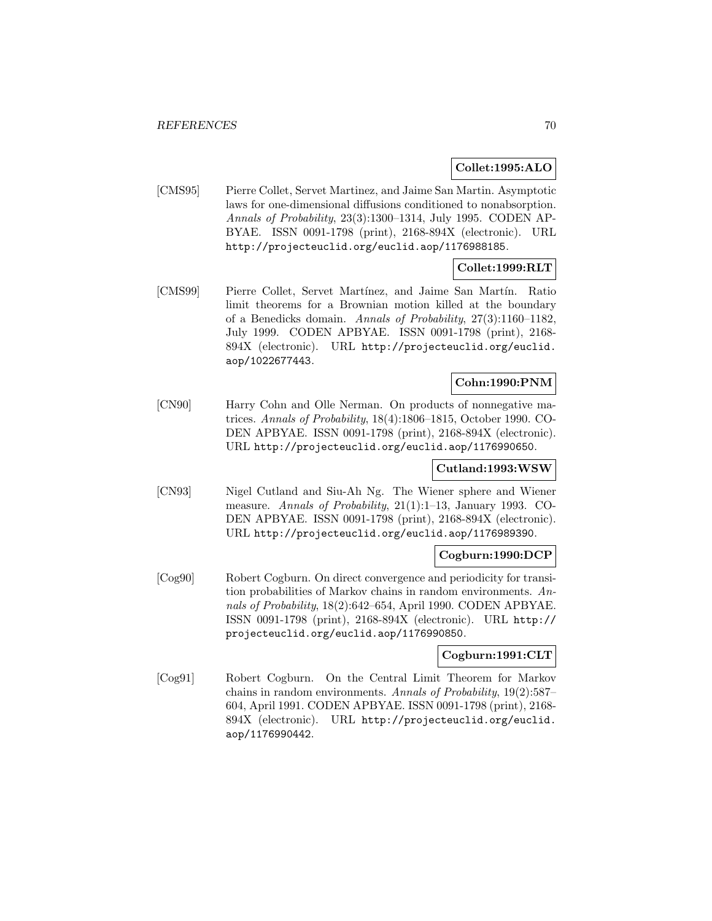### **Collet:1995:ALO**

[CMS95] Pierre Collet, Servet Martinez, and Jaime San Martin. Asymptotic laws for one-dimensional diffusions conditioned to nonabsorption. Annals of Probability, 23(3):1300–1314, July 1995. CODEN AP-BYAE. ISSN 0091-1798 (print), 2168-894X (electronic). URL http://projecteuclid.org/euclid.aop/1176988185.

# **Collet:1999:RLT**

[CMS99] Pierre Collet, Servet Mart´ınez, and Jaime San Mart´ın. Ratio limit theorems for a Brownian motion killed at the boundary of a Benedicks domain. Annals of Probability, 27(3):1160–1182, July 1999. CODEN APBYAE. ISSN 0091-1798 (print), 2168- 894X (electronic). URL http://projecteuclid.org/euclid. aop/1022677443.

# **Cohn:1990:PNM**

[CN90] Harry Cohn and Olle Nerman. On products of nonnegative matrices. Annals of Probability, 18(4):1806–1815, October 1990. CO-DEN APBYAE. ISSN 0091-1798 (print), 2168-894X (electronic). URL http://projecteuclid.org/euclid.aop/1176990650.

# **Cutland:1993:WSW**

[CN93] Nigel Cutland and Siu-Ah Ng. The Wiener sphere and Wiener measure. Annals of Probability, 21(1):1–13, January 1993. CO-DEN APBYAE. ISSN 0091-1798 (print), 2168-894X (electronic). URL http://projecteuclid.org/euclid.aop/1176989390.

### **Cogburn:1990:DCP**

[Cog90] Robert Cogburn. On direct convergence and periodicity for transition probabilities of Markov chains in random environments. Annals of Probability, 18(2):642–654, April 1990. CODEN APBYAE. ISSN 0091-1798 (print), 2168-894X (electronic). URL http:// projecteuclid.org/euclid.aop/1176990850.

# **Cogburn:1991:CLT**

[Cog91] Robert Cogburn. On the Central Limit Theorem for Markov chains in random environments. Annals of Probability, 19(2):587– 604, April 1991. CODEN APBYAE. ISSN 0091-1798 (print), 2168- 894X (electronic). URL http://projecteuclid.org/euclid. aop/1176990442.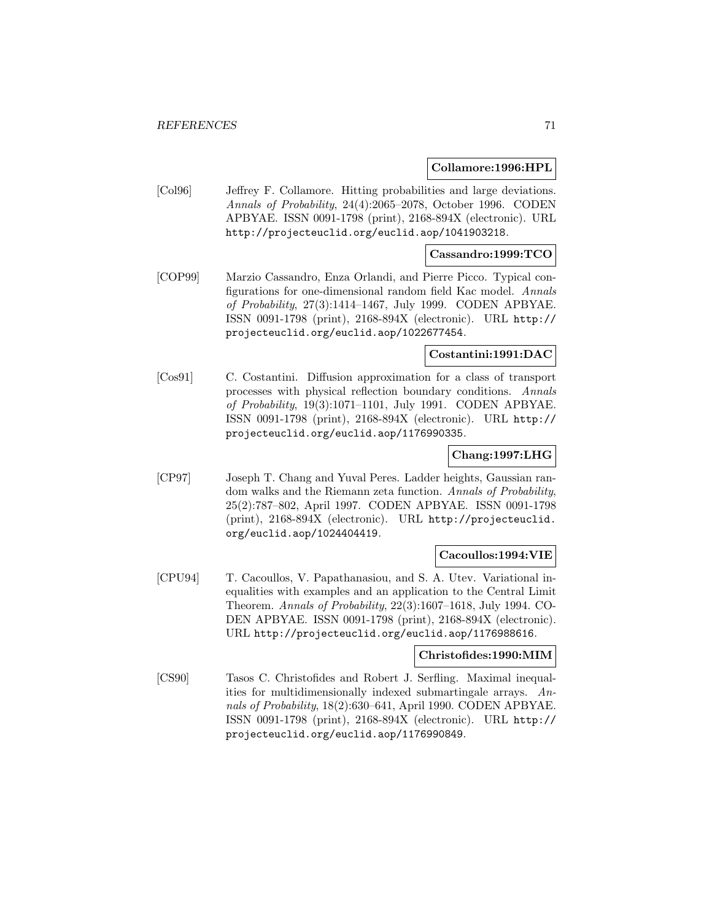#### **Collamore:1996:HPL**

[Col96] Jeffrey F. Collamore. Hitting probabilities and large deviations. Annals of Probability, 24(4):2065–2078, October 1996. CODEN APBYAE. ISSN 0091-1798 (print), 2168-894X (electronic). URL http://projecteuclid.org/euclid.aop/1041903218.

### **Cassandro:1999:TCO**

[COP99] Marzio Cassandro, Enza Orlandi, and Pierre Picco. Typical configurations for one-dimensional random field Kac model. Annals of Probability, 27(3):1414–1467, July 1999. CODEN APBYAE. ISSN 0091-1798 (print), 2168-894X (electronic). URL http:// projecteuclid.org/euclid.aop/1022677454.

### **Costantini:1991:DAC**

[Cos91] C. Costantini. Diffusion approximation for a class of transport processes with physical reflection boundary conditions. Annals of Probability, 19(3):1071–1101, July 1991. CODEN APBYAE. ISSN 0091-1798 (print), 2168-894X (electronic). URL http:// projecteuclid.org/euclid.aop/1176990335.

### **Chang:1997:LHG**

[CP97] Joseph T. Chang and Yuval Peres. Ladder heights, Gaussian random walks and the Riemann zeta function. Annals of Probability, 25(2):787–802, April 1997. CODEN APBYAE. ISSN 0091-1798 (print), 2168-894X (electronic). URL http://projecteuclid. org/euclid.aop/1024404419.

# **Cacoullos:1994:VIE**

[CPU94] T. Cacoullos, V. Papathanasiou, and S. A. Utev. Variational inequalities with examples and an application to the Central Limit Theorem. Annals of Probability, 22(3):1607–1618, July 1994. CO-DEN APBYAE. ISSN 0091-1798 (print), 2168-894X (electronic). URL http://projecteuclid.org/euclid.aop/1176988616.

#### **Christofides:1990:MIM**

[CS90] Tasos C. Christofides and Robert J. Serfling. Maximal inequalities for multidimensionally indexed submartingale arrays. Annals of Probability, 18(2):630–641, April 1990. CODEN APBYAE. ISSN 0091-1798 (print), 2168-894X (electronic). URL http:// projecteuclid.org/euclid.aop/1176990849.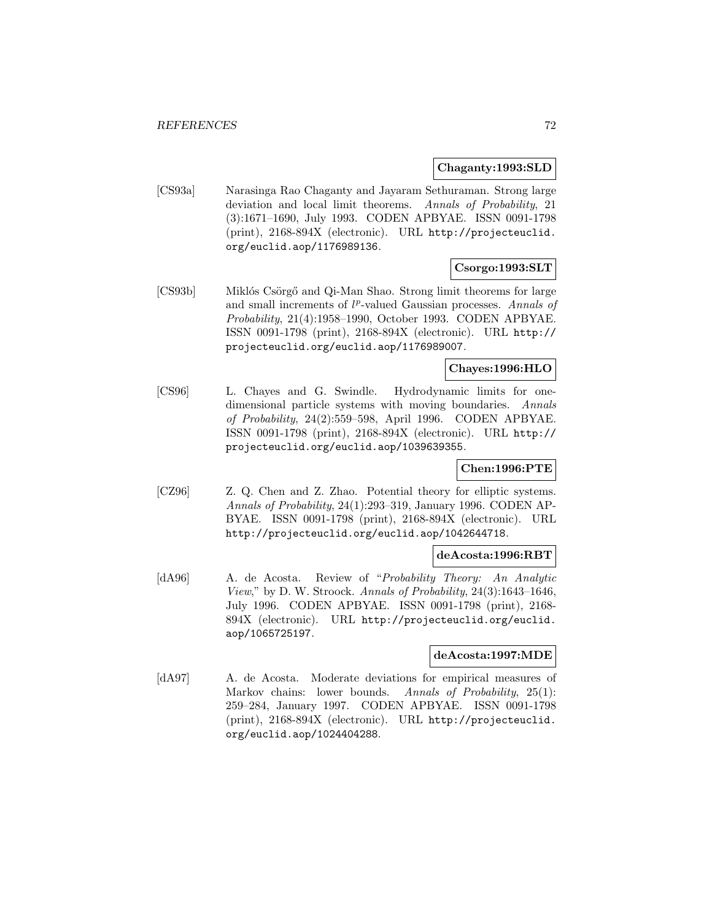#### **Chaganty:1993:SLD**

[CS93a] Narasinga Rao Chaganty and Jayaram Sethuraman. Strong large deviation and local limit theorems. Annals of Probability, 21 (3):1671–1690, July 1993. CODEN APBYAE. ISSN 0091-1798 (print), 2168-894X (electronic). URL http://projecteuclid. org/euclid.aop/1176989136.

# **Csorgo:1993:SLT**

[CS93b] Miklós Csörgő and Qi-Man Shao. Strong limit theorems for large and small increments of  $l^p$ -valued Gaussian processes. Annals of Probability, 21(4):1958–1990, October 1993. CODEN APBYAE. ISSN 0091-1798 (print), 2168-894X (electronic). URL http:// projecteuclid.org/euclid.aop/1176989007.

# **Chayes:1996:HLO**

[CS96] L. Chayes and G. Swindle. Hydrodynamic limits for onedimensional particle systems with moving boundaries. Annals of Probability, 24(2):559–598, April 1996. CODEN APBYAE. ISSN 0091-1798 (print), 2168-894X (electronic). URL http:// projecteuclid.org/euclid.aop/1039639355.

# **Chen:1996:PTE**

[CZ96] Z. Q. Chen and Z. Zhao. Potential theory for elliptic systems. Annals of Probability, 24(1):293–319, January 1996. CODEN AP-BYAE. ISSN 0091-1798 (print), 2168-894X (electronic). URL http://projecteuclid.org/euclid.aop/1042644718.

### **deAcosta:1996:RBT**

[dA96] A. de Acosta. Review of "Probability Theory: An Analytic View," by D. W. Stroock. Annals of Probability, 24(3):1643–1646, July 1996. CODEN APBYAE. ISSN 0091-1798 (print), 2168- 894X (electronic). URL http://projecteuclid.org/euclid. aop/1065725197.

#### **deAcosta:1997:MDE**

[dA97] A. de Acosta. Moderate deviations for empirical measures of Markov chains: lower bounds. Annals of Probability, 25(1): 259–284, January 1997. CODEN APBYAE. ISSN 0091-1798 (print), 2168-894X (electronic). URL http://projecteuclid. org/euclid.aop/1024404288.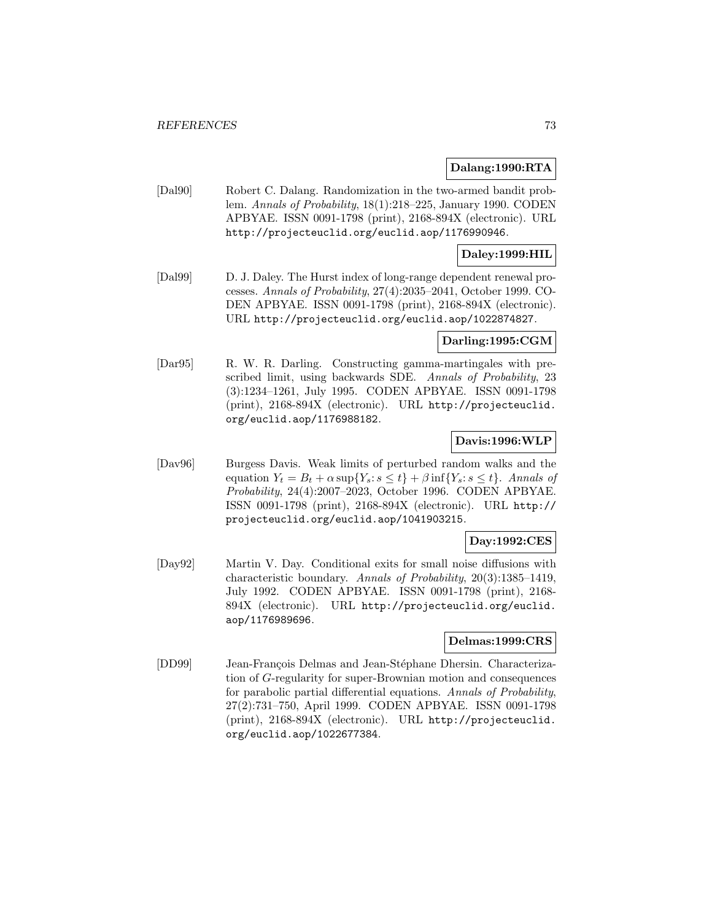#### **Dalang:1990:RTA**

[Dal90] Robert C. Dalang. Randomization in the two-armed bandit problem. Annals of Probability, 18(1):218–225, January 1990. CODEN APBYAE. ISSN 0091-1798 (print), 2168-894X (electronic). URL http://projecteuclid.org/euclid.aop/1176990946.

## **Daley:1999:HIL**

[Dal99] D. J. Daley. The Hurst index of long-range dependent renewal processes. Annals of Probability, 27(4):2035–2041, October 1999. CO-DEN APBYAE. ISSN 0091-1798 (print), 2168-894X (electronic). URL http://projecteuclid.org/euclid.aop/1022874827.

#### **Darling:1995:CGM**

[Dar95] R. W. R. Darling. Constructing gamma-martingales with prescribed limit, using backwards SDE. Annals of Probability, 23 (3):1234–1261, July 1995. CODEN APBYAE. ISSN 0091-1798 (print), 2168-894X (electronic). URL http://projecteuclid. org/euclid.aop/1176988182.

### **Davis:1996:WLP**

[Dav96] Burgess Davis. Weak limits of perturbed random walks and the equation  $Y_t = B_t + \alpha \sup\{Y_s : s \leq t\} + \beta \inf\{Y_s : s \leq t\}$ . Annals of Probability, 24(4):2007–2023, October 1996. CODEN APBYAE. ISSN 0091-1798 (print), 2168-894X (electronic). URL http:// projecteuclid.org/euclid.aop/1041903215.

### **Day:1992:CES**

[Day92] Martin V. Day. Conditional exits for small noise diffusions with characteristic boundary. Annals of Probability, 20(3):1385–1419, July 1992. CODEN APBYAE. ISSN 0091-1798 (print), 2168- 894X (electronic). URL http://projecteuclid.org/euclid. aop/1176989696.

#### **Delmas:1999:CRS**

[DD99] Jean-François Delmas and Jean-Stéphane Dhersin. Characterization of G-regularity for super-Brownian motion and consequences for parabolic partial differential equations. Annals of Probability, 27(2):731–750, April 1999. CODEN APBYAE. ISSN 0091-1798 (print), 2168-894X (electronic). URL http://projecteuclid. org/euclid.aop/1022677384.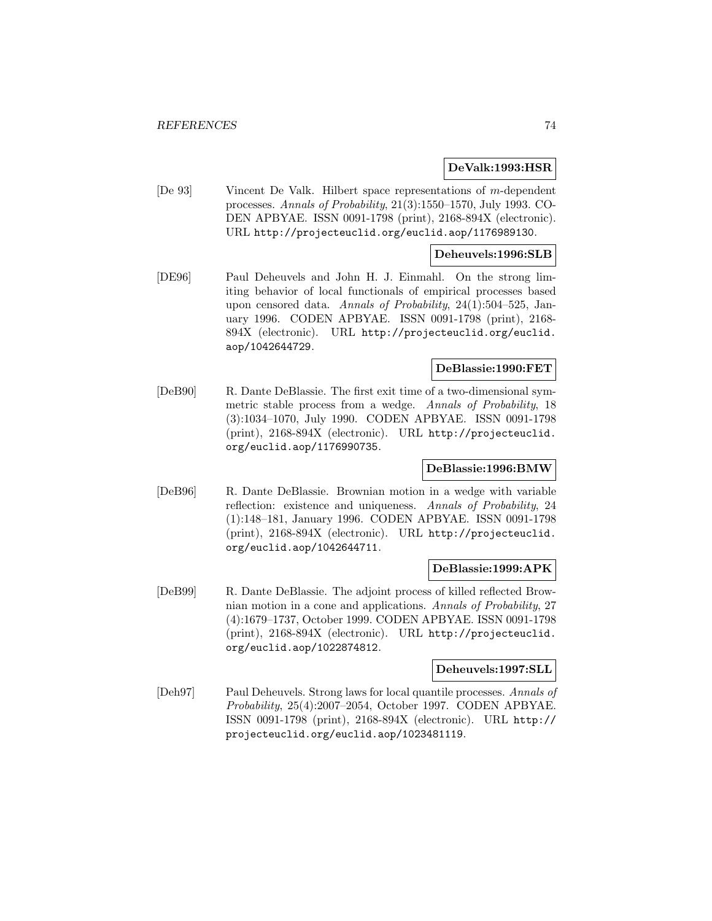#### **DeValk:1993:HSR**

[De 93] Vincent De Valk. Hilbert space representations of m-dependent processes. Annals of Probability, 21(3):1550–1570, July 1993. CO-DEN APBYAE. ISSN 0091-1798 (print), 2168-894X (electronic). URL http://projecteuclid.org/euclid.aop/1176989130.

#### **Deheuvels:1996:SLB**

[DE96] Paul Deheuvels and John H. J. Einmahl. On the strong limiting behavior of local functionals of empirical processes based upon censored data. Annals of Probability, 24(1):504–525, January 1996. CODEN APBYAE. ISSN 0091-1798 (print), 2168- 894X (electronic). URL http://projecteuclid.org/euclid. aop/1042644729.

# **DeBlassie:1990:FET**

[DeB90] R. Dante DeBlassie. The first exit time of a two-dimensional symmetric stable process from a wedge. Annals of Probability, 18 (3):1034–1070, July 1990. CODEN APBYAE. ISSN 0091-1798 (print), 2168-894X (electronic). URL http://projecteuclid. org/euclid.aop/1176990735.

# **DeBlassie:1996:BMW**

[DeB96] R. Dante DeBlassie. Brownian motion in a wedge with variable reflection: existence and uniqueness. Annals of Probability, 24 (1):148–181, January 1996. CODEN APBYAE. ISSN 0091-1798 (print), 2168-894X (electronic). URL http://projecteuclid. org/euclid.aop/1042644711.

#### **DeBlassie:1999:APK**

[DeB99] R. Dante DeBlassie. The adjoint process of killed reflected Brownian motion in a cone and applications. Annals of Probability, 27 (4):1679–1737, October 1999. CODEN APBYAE. ISSN 0091-1798 (print), 2168-894X (electronic). URL http://projecteuclid. org/euclid.aop/1022874812.

### **Deheuvels:1997:SLL**

[Deh97] Paul Deheuvels. Strong laws for local quantile processes. Annals of Probability, 25(4):2007–2054, October 1997. CODEN APBYAE. ISSN 0091-1798 (print), 2168-894X (electronic). URL http:// projecteuclid.org/euclid.aop/1023481119.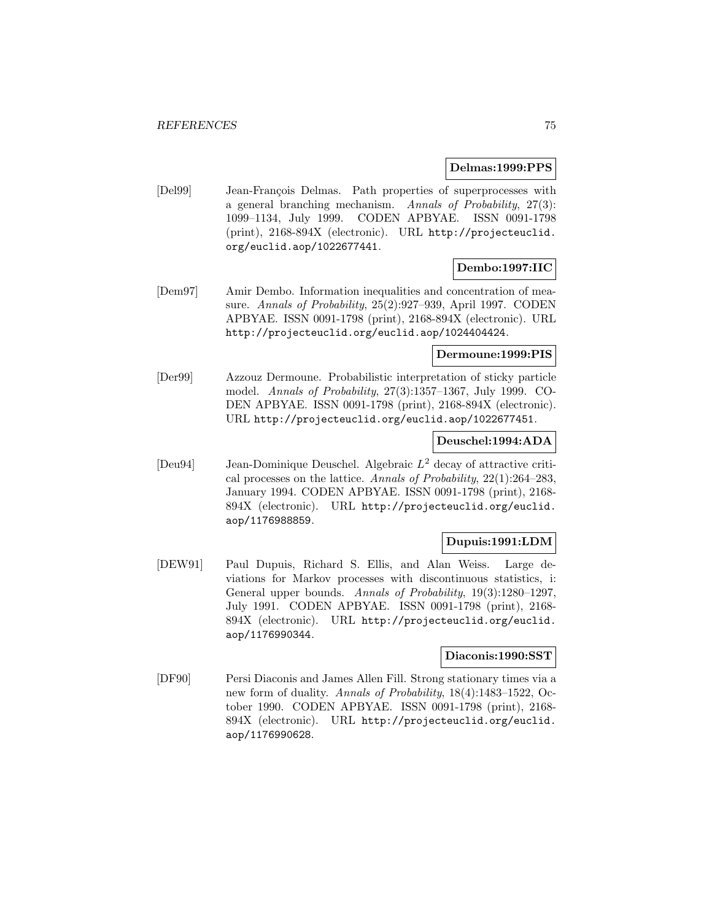#### **Delmas:1999:PPS**

[Del99] Jean-François Delmas. Path properties of superprocesses with a general branching mechanism. Annals of Probability, 27(3): 1099–1134, July 1999. CODEN APBYAE. ISSN 0091-1798 (print), 2168-894X (electronic). URL http://projecteuclid. org/euclid.aop/1022677441.

# **Dembo:1997:IIC**

[Dem97] Amir Dembo. Information inequalities and concentration of measure. Annals of Probability, 25(2):927–939, April 1997. CODEN APBYAE. ISSN 0091-1798 (print), 2168-894X (electronic). URL http://projecteuclid.org/euclid.aop/1024404424.

### **Dermoune:1999:PIS**

[Der99] Azzouz Dermoune. Probabilistic interpretation of sticky particle model. Annals of Probability, 27(3):1357–1367, July 1999. CO-DEN APBYAE. ISSN 0091-1798 (print), 2168-894X (electronic). URL http://projecteuclid.org/euclid.aop/1022677451.

### **Deuschel:1994:ADA**

[Deu94] Jean-Dominique Deuschel. Algebraic  $L^2$  decay of attractive critical processes on the lattice. Annals of Probability, 22(1):264–283, January 1994. CODEN APBYAE. ISSN 0091-1798 (print), 2168- 894X (electronic). URL http://projecteuclid.org/euclid. aop/1176988859.

### **Dupuis:1991:LDM**

[DEW91] Paul Dupuis, Richard S. Ellis, and Alan Weiss. Large deviations for Markov processes with discontinuous statistics, i: General upper bounds. Annals of Probability, 19(3):1280–1297, July 1991. CODEN APBYAE. ISSN 0091-1798 (print), 2168- 894X (electronic). URL http://projecteuclid.org/euclid. aop/1176990344.

#### **Diaconis:1990:SST**

[DF90] Persi Diaconis and James Allen Fill. Strong stationary times via a new form of duality. Annals of Probability, 18(4):1483–1522, October 1990. CODEN APBYAE. ISSN 0091-1798 (print), 2168- 894X (electronic). URL http://projecteuclid.org/euclid. aop/1176990628.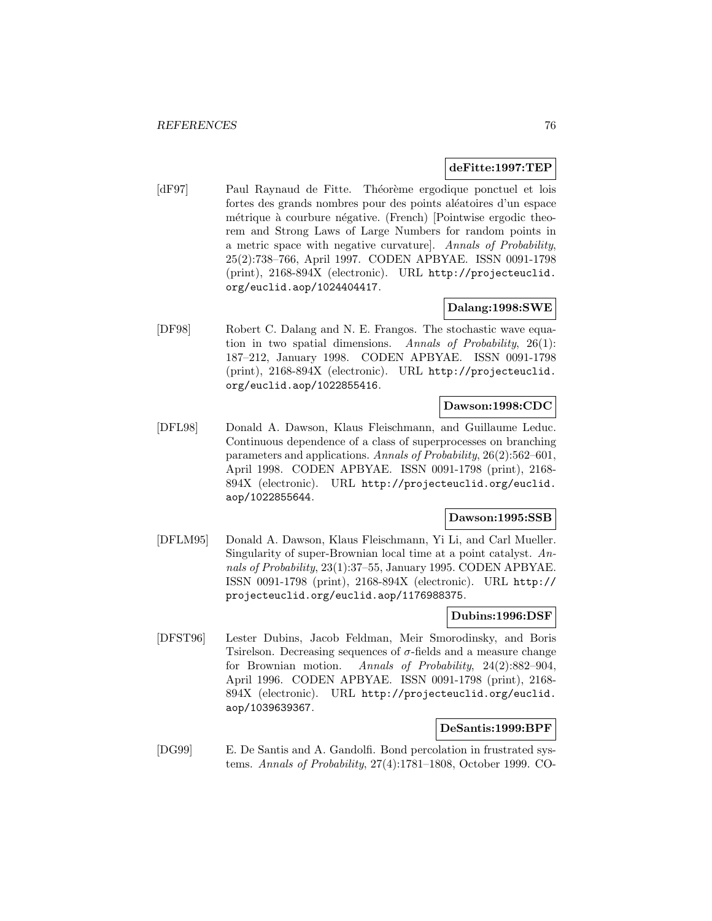### **deFitte:1997:TEP**

[dF97] Paul Raynaud de Fitte. Théorème ergodique ponctuel et lois fortes des grands nombres pour des points aléatoires d'un espace métrique à courbure négative. (French) [Pointwise ergodic theorem and Strong Laws of Large Numbers for random points in a metric space with negative curvature]. Annals of Probability, 25(2):738–766, April 1997. CODEN APBYAE. ISSN 0091-1798 (print), 2168-894X (electronic). URL http://projecteuclid. org/euclid.aop/1024404417.

# **Dalang:1998:SWE**

[DF98] Robert C. Dalang and N. E. Frangos. The stochastic wave equation in two spatial dimensions. Annals of Probability, 26(1): 187–212, January 1998. CODEN APBYAE. ISSN 0091-1798 (print), 2168-894X (electronic). URL http://projecteuclid. org/euclid.aop/1022855416.

# **Dawson:1998:CDC**

[DFL98] Donald A. Dawson, Klaus Fleischmann, and Guillaume Leduc. Continuous dependence of a class of superprocesses on branching parameters and applications. Annals of Probability, 26(2):562–601, April 1998. CODEN APBYAE. ISSN 0091-1798 (print), 2168- 894X (electronic). URL http://projecteuclid.org/euclid. aop/1022855644.

# **Dawson:1995:SSB**

[DFLM95] Donald A. Dawson, Klaus Fleischmann, Yi Li, and Carl Mueller. Singularity of super-Brownian local time at a point catalyst. Annals of Probability, 23(1):37–55, January 1995. CODEN APBYAE. ISSN 0091-1798 (print), 2168-894X (electronic). URL http:// projecteuclid.org/euclid.aop/1176988375.

#### **Dubins:1996:DSF**

[DFST96] Lester Dubins, Jacob Feldman, Meir Smorodinsky, and Boris Tsirelson. Decreasing sequences of  $\sigma$ -fields and a measure change for Brownian motion. Annals of Probability, 24(2):882–904, April 1996. CODEN APBYAE. ISSN 0091-1798 (print), 2168- 894X (electronic). URL http://projecteuclid.org/euclid. aop/1039639367.

# **DeSantis:1999:BPF**

[DG99] E. De Santis and A. Gandolfi. Bond percolation in frustrated systems. Annals of Probability, 27(4):1781–1808, October 1999. CO-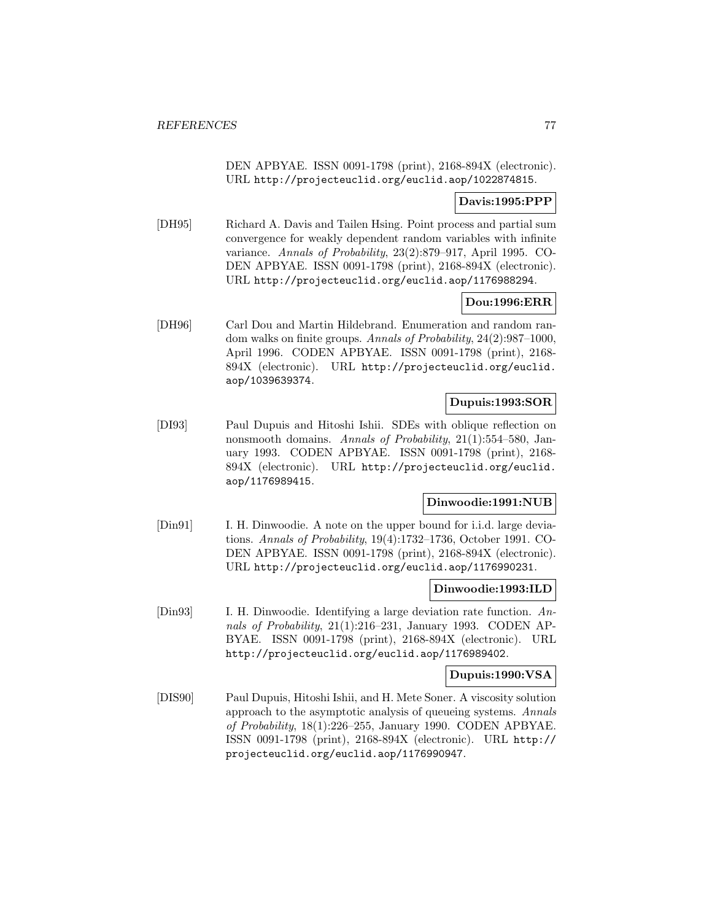DEN APBYAE. ISSN 0091-1798 (print), 2168-894X (electronic). URL http://projecteuclid.org/euclid.aop/1022874815.

# **Davis:1995:PPP**

[DH95] Richard A. Davis and Tailen Hsing. Point process and partial sum convergence for weakly dependent random variables with infinite variance. Annals of Probability, 23(2):879–917, April 1995. CO-DEN APBYAE. ISSN 0091-1798 (print), 2168-894X (electronic). URL http://projecteuclid.org/euclid.aop/1176988294.

# **Dou:1996:ERR**

[DH96] Carl Dou and Martin Hildebrand. Enumeration and random random walks on finite groups. Annals of Probability, 24(2):987–1000, April 1996. CODEN APBYAE. ISSN 0091-1798 (print), 2168- 894X (electronic). URL http://projecteuclid.org/euclid. aop/1039639374.

# **Dupuis:1993:SOR**

[DI93] Paul Dupuis and Hitoshi Ishii. SDEs with oblique reflection on nonsmooth domains. Annals of Probability, 21(1):554–580, January 1993. CODEN APBYAE. ISSN 0091-1798 (print), 2168- 894X (electronic). URL http://projecteuclid.org/euclid. aop/1176989415.

### **Dinwoodie:1991:NUB**

[Din91] I. H. Dinwoodie. A note on the upper bound for i.i.d. large deviations. Annals of Probability, 19(4):1732–1736, October 1991. CO-DEN APBYAE. ISSN 0091-1798 (print), 2168-894X (electronic). URL http://projecteuclid.org/euclid.aop/1176990231.

### **Dinwoodie:1993:ILD**

[Din93] I. H. Dinwoodie. Identifying a large deviation rate function. Annals of Probability, 21(1):216–231, January 1993. CODEN AP-BYAE. ISSN 0091-1798 (print), 2168-894X (electronic). URL http://projecteuclid.org/euclid.aop/1176989402.

## **Dupuis:1990:VSA**

[DIS90] Paul Dupuis, Hitoshi Ishii, and H. Mete Soner. A viscosity solution approach to the asymptotic analysis of queueing systems. Annals of Probability, 18(1):226–255, January 1990. CODEN APBYAE. ISSN 0091-1798 (print), 2168-894X (electronic). URL http:// projecteuclid.org/euclid.aop/1176990947.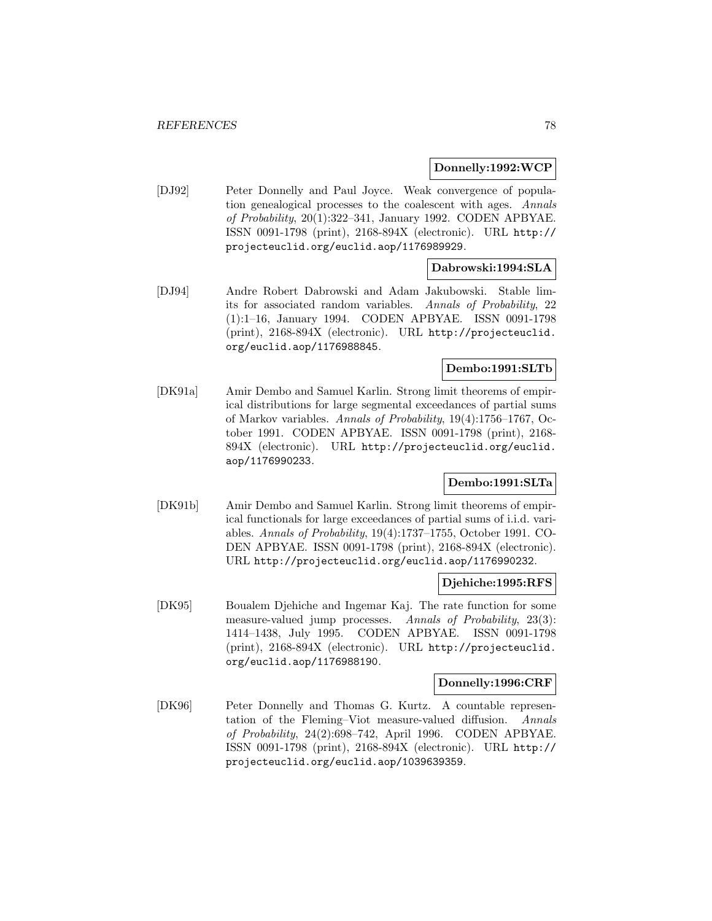### **Donnelly:1992:WCP**

[DJ92] Peter Donnelly and Paul Joyce. Weak convergence of population genealogical processes to the coalescent with ages. Annals of Probability, 20(1):322–341, January 1992. CODEN APBYAE. ISSN 0091-1798 (print), 2168-894X (electronic). URL http:// projecteuclid.org/euclid.aop/1176989929.

# **Dabrowski:1994:SLA**

[DJ94] Andre Robert Dabrowski and Adam Jakubowski. Stable limits for associated random variables. Annals of Probability, 22 (1):1–16, January 1994. CODEN APBYAE. ISSN 0091-1798 (print), 2168-894X (electronic). URL http://projecteuclid. org/euclid.aop/1176988845.

# **Dembo:1991:SLTb**

[DK91a] Amir Dembo and Samuel Karlin. Strong limit theorems of empirical distributions for large segmental exceedances of partial sums of Markov variables. Annals of Probability, 19(4):1756–1767, October 1991. CODEN APBYAE. ISSN 0091-1798 (print), 2168- 894X (electronic). URL http://projecteuclid.org/euclid. aop/1176990233.

# **Dembo:1991:SLTa**

[DK91b] Amir Dembo and Samuel Karlin. Strong limit theorems of empirical functionals for large exceedances of partial sums of i.i.d. variables. Annals of Probability, 19(4):1737–1755, October 1991. CO-DEN APBYAE. ISSN 0091-1798 (print), 2168-894X (electronic). URL http://projecteuclid.org/euclid.aop/1176990232.

### **Djehiche:1995:RFS**

[DK95] Boualem Djehiche and Ingemar Kaj. The rate function for some measure-valued jump processes. Annals of Probability, 23(3): 1414–1438, July 1995. CODEN APBYAE. ISSN 0091-1798 (print), 2168-894X (electronic). URL http://projecteuclid. org/euclid.aop/1176988190.

#### **Donnelly:1996:CRF**

[DK96] Peter Donnelly and Thomas G. Kurtz. A countable representation of the Fleming–Viot measure-valued diffusion. Annals of Probability, 24(2):698–742, April 1996. CODEN APBYAE. ISSN 0091-1798 (print), 2168-894X (electronic). URL http:// projecteuclid.org/euclid.aop/1039639359.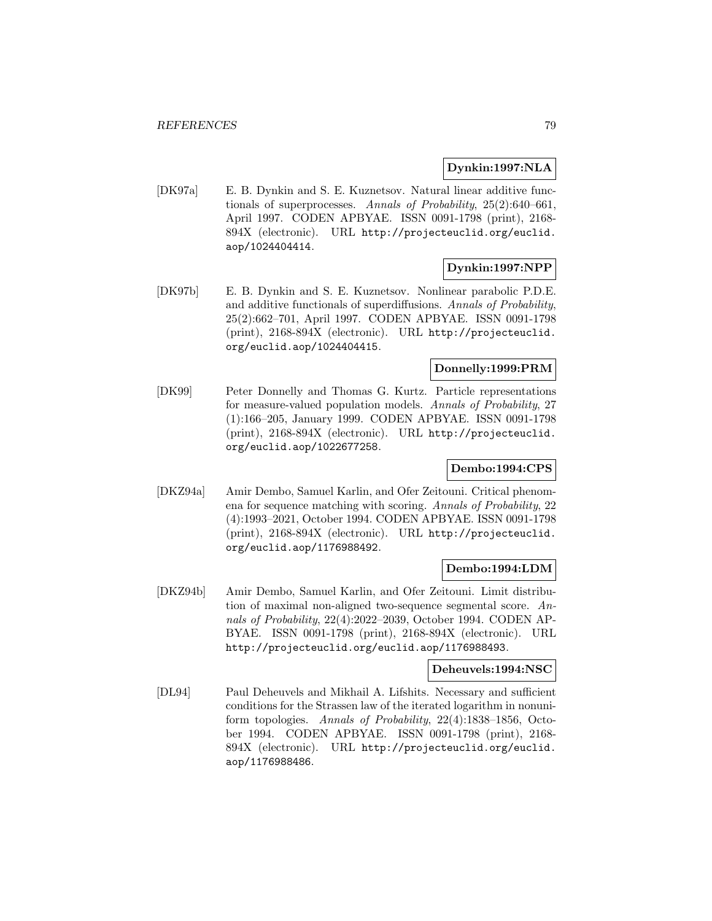# **Dynkin:1997:NLA**

[DK97a] E. B. Dynkin and S. E. Kuznetsov. Natural linear additive functionals of superprocesses. Annals of Probability, 25(2):640–661, April 1997. CODEN APBYAE. ISSN 0091-1798 (print), 2168- 894X (electronic). URL http://projecteuclid.org/euclid. aop/1024404414.

# **Dynkin:1997:NPP**

[DK97b] E. B. Dynkin and S. E. Kuznetsov. Nonlinear parabolic P.D.E. and additive functionals of superdiffusions. Annals of Probability, 25(2):662–701, April 1997. CODEN APBYAE. ISSN 0091-1798 (print), 2168-894X (electronic). URL http://projecteuclid. org/euclid.aop/1024404415.

# **Donnelly:1999:PRM**

[DK99] Peter Donnelly and Thomas G. Kurtz. Particle representations for measure-valued population models. Annals of Probability, 27 (1):166–205, January 1999. CODEN APBYAE. ISSN 0091-1798 (print), 2168-894X (electronic). URL http://projecteuclid. org/euclid.aop/1022677258.

# **Dembo:1994:CPS**

[DKZ94a] Amir Dembo, Samuel Karlin, and Ofer Zeitouni. Critical phenomena for sequence matching with scoring. Annals of Probability, 22 (4):1993–2021, October 1994. CODEN APBYAE. ISSN 0091-1798 (print), 2168-894X (electronic). URL http://projecteuclid. org/euclid.aop/1176988492.

# **Dembo:1994:LDM**

[DKZ94b] Amir Dembo, Samuel Karlin, and Ofer Zeitouni. Limit distribution of maximal non-aligned two-sequence segmental score. Annals of Probability, 22(4):2022–2039, October 1994. CODEN AP-BYAE. ISSN 0091-1798 (print), 2168-894X (electronic). URL http://projecteuclid.org/euclid.aop/1176988493.

# **Deheuvels:1994:NSC**

[DL94] Paul Deheuvels and Mikhail A. Lifshits. Necessary and sufficient conditions for the Strassen law of the iterated logarithm in nonuniform topologies. Annals of Probability, 22(4):1838–1856, October 1994. CODEN APBYAE. ISSN 0091-1798 (print), 2168- 894X (electronic). URL http://projecteuclid.org/euclid. aop/1176988486.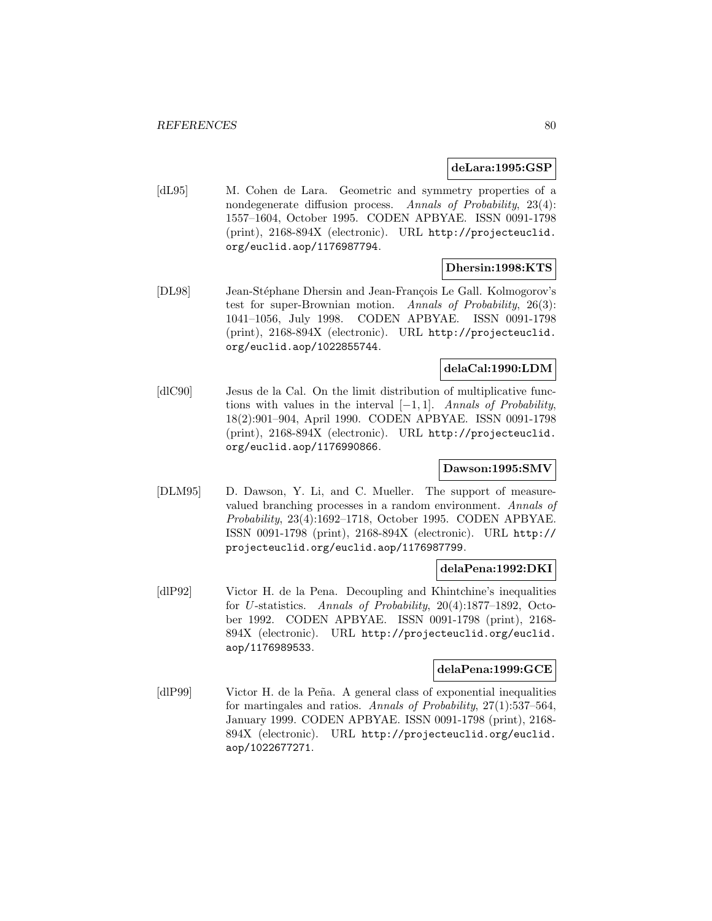#### **deLara:1995:GSP**

[dL95] M. Cohen de Lara. Geometric and symmetry properties of a nondegenerate diffusion process. Annals of Probability, 23(4): 1557–1604, October 1995. CODEN APBYAE. ISSN 0091-1798 (print), 2168-894X (electronic). URL http://projecteuclid. org/euclid.aop/1176987794.

### **Dhersin:1998:KTS**

[DL98] Jean-Stéphane Dhersin and Jean-François Le Gall. Kolmogorov's test for super-Brownian motion. Annals of Probability, 26(3): 1041–1056, July 1998. CODEN APBYAE. ISSN 0091-1798 (print), 2168-894X (electronic). URL http://projecteuclid. org/euclid.aop/1022855744.

# **delaCal:1990:LDM**

[dlC90] Jesus de la Cal. On the limit distribution of multiplicative functions with values in the interval  $[-1, 1]$ . Annals of Probability, 18(2):901–904, April 1990. CODEN APBYAE. ISSN 0091-1798 (print), 2168-894X (electronic). URL http://projecteuclid. org/euclid.aop/1176990866.

# **Dawson:1995:SMV**

[DLM95] D. Dawson, Y. Li, and C. Mueller. The support of measurevalued branching processes in a random environment. Annals of Probability, 23(4):1692–1718, October 1995. CODEN APBYAE. ISSN 0091-1798 (print), 2168-894X (electronic). URL http:// projecteuclid.org/euclid.aop/1176987799.

#### **delaPena:1992:DKI**

[dlP92] Victor H. de la Pena. Decoupling and Khintchine's inequalities for U-statistics. Annals of Probability, 20(4):1877–1892, October 1992. CODEN APBYAE. ISSN 0091-1798 (print), 2168- 894X (electronic). URL http://projecteuclid.org/euclid. aop/1176989533.

#### **delaPena:1999:GCE**

[dlP99] Victor H. de la Peña. A general class of exponential inequalities for martingales and ratios. Annals of Probability, 27(1):537–564, January 1999. CODEN APBYAE. ISSN 0091-1798 (print), 2168- 894X (electronic). URL http://projecteuclid.org/euclid. aop/1022677271.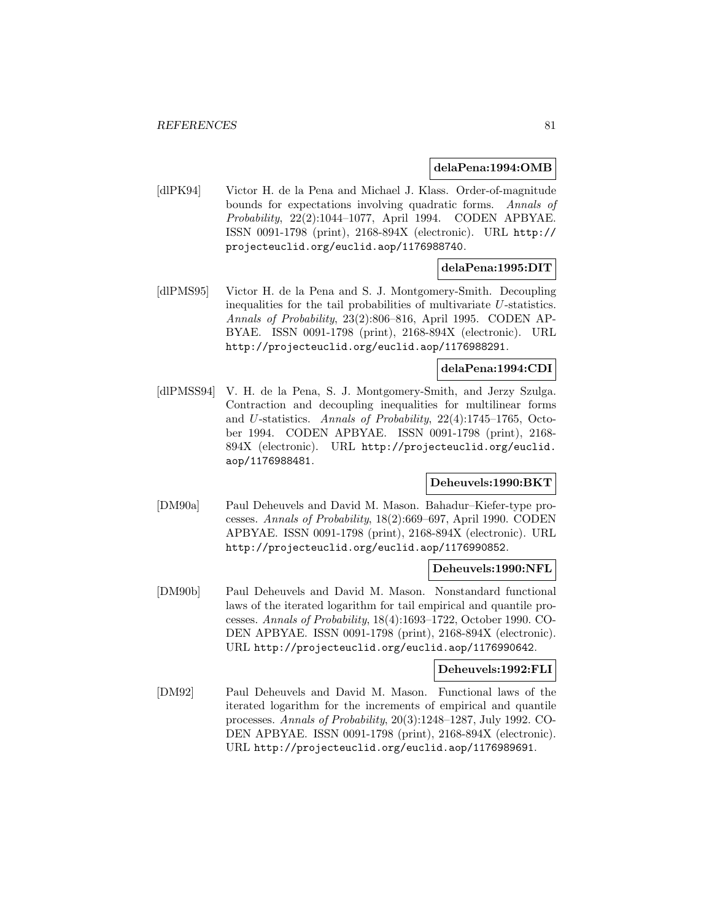#### **delaPena:1994:OMB**

[dlPK94] Victor H. de la Pena and Michael J. Klass. Order-of-magnitude bounds for expectations involving quadratic forms. Annals of Probability, 22(2):1044–1077, April 1994. CODEN APBYAE. ISSN 0091-1798 (print), 2168-894X (electronic). URL http:// projecteuclid.org/euclid.aop/1176988740.

# **delaPena:1995:DIT**

[dlPMS95] Victor H. de la Pena and S. J. Montgomery-Smith. Decoupling inequalities for the tail probabilities of multivariate U-statistics. Annals of Probability, 23(2):806–816, April 1995. CODEN AP-BYAE. ISSN 0091-1798 (print), 2168-894X (electronic). URL http://projecteuclid.org/euclid.aop/1176988291.

### **delaPena:1994:CDI**

[dlPMSS94] V. H. de la Pena, S. J. Montgomery-Smith, and Jerzy Szulga. Contraction and decoupling inequalities for multilinear forms and U-statistics. Annals of Probability, 22(4):1745–1765, October 1994. CODEN APBYAE. ISSN 0091-1798 (print), 2168- 894X (electronic). URL http://projecteuclid.org/euclid. aop/1176988481.

# **Deheuvels:1990:BKT**

[DM90a] Paul Deheuvels and David M. Mason. Bahadur–Kiefer-type processes. Annals of Probability, 18(2):669–697, April 1990. CODEN APBYAE. ISSN 0091-1798 (print), 2168-894X (electronic). URL http://projecteuclid.org/euclid.aop/1176990852.

#### **Deheuvels:1990:NFL**

[DM90b] Paul Deheuvels and David M. Mason. Nonstandard functional laws of the iterated logarithm for tail empirical and quantile processes. Annals of Probability, 18(4):1693–1722, October 1990. CO-DEN APBYAE. ISSN 0091-1798 (print), 2168-894X (electronic). URL http://projecteuclid.org/euclid.aop/1176990642.

# **Deheuvels:1992:FLI**

[DM92] Paul Deheuvels and David M. Mason. Functional laws of the iterated logarithm for the increments of empirical and quantile processes. Annals of Probability, 20(3):1248–1287, July 1992. CO-DEN APBYAE. ISSN 0091-1798 (print), 2168-894X (electronic). URL http://projecteuclid.org/euclid.aop/1176989691.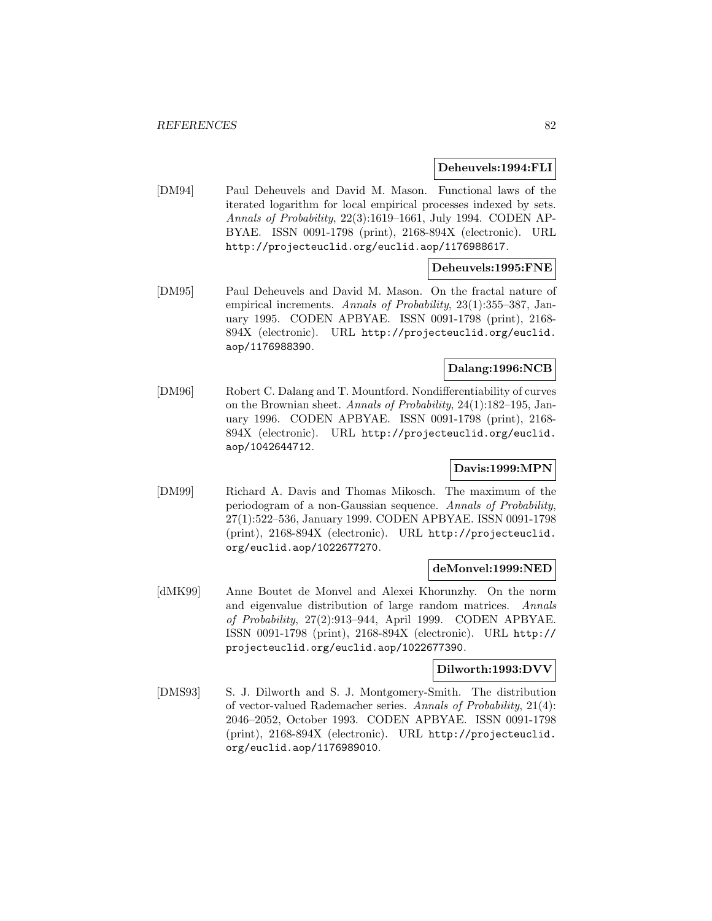#### **Deheuvels:1994:FLI**

[DM94] Paul Deheuvels and David M. Mason. Functional laws of the iterated logarithm for local empirical processes indexed by sets. Annals of Probability, 22(3):1619–1661, July 1994. CODEN AP-BYAE. ISSN 0091-1798 (print), 2168-894X (electronic). URL http://projecteuclid.org/euclid.aop/1176988617.

### **Deheuvels:1995:FNE**

[DM95] Paul Deheuvels and David M. Mason. On the fractal nature of empirical increments. Annals of Probability, 23(1):355-387, January 1995. CODEN APBYAE. ISSN 0091-1798 (print), 2168- 894X (electronic). URL http://projecteuclid.org/euclid. aop/1176988390.

# **Dalang:1996:NCB**

[DM96] Robert C. Dalang and T. Mountford. Nondifferentiability of curves on the Brownian sheet. Annals of Probability, 24(1):182–195, January 1996. CODEN APBYAE. ISSN 0091-1798 (print), 2168- 894X (electronic). URL http://projecteuclid.org/euclid. aop/1042644712.

# **Davis:1999:MPN**

[DM99] Richard A. Davis and Thomas Mikosch. The maximum of the periodogram of a non-Gaussian sequence. Annals of Probability, 27(1):522–536, January 1999. CODEN APBYAE. ISSN 0091-1798 (print), 2168-894X (electronic). URL http://projecteuclid. org/euclid.aop/1022677270.

#### **deMonvel:1999:NED**

[dMK99] Anne Boutet de Monvel and Alexei Khorunzhy. On the norm and eigenvalue distribution of large random matrices. Annals of Probability, 27(2):913–944, April 1999. CODEN APBYAE. ISSN 0091-1798 (print), 2168-894X (electronic). URL http:// projecteuclid.org/euclid.aop/1022677390.

### **Dilworth:1993:DVV**

[DMS93] S. J. Dilworth and S. J. Montgomery-Smith. The distribution of vector-valued Rademacher series. Annals of Probability, 21(4): 2046–2052, October 1993. CODEN APBYAE. ISSN 0091-1798 (print), 2168-894X (electronic). URL http://projecteuclid. org/euclid.aop/1176989010.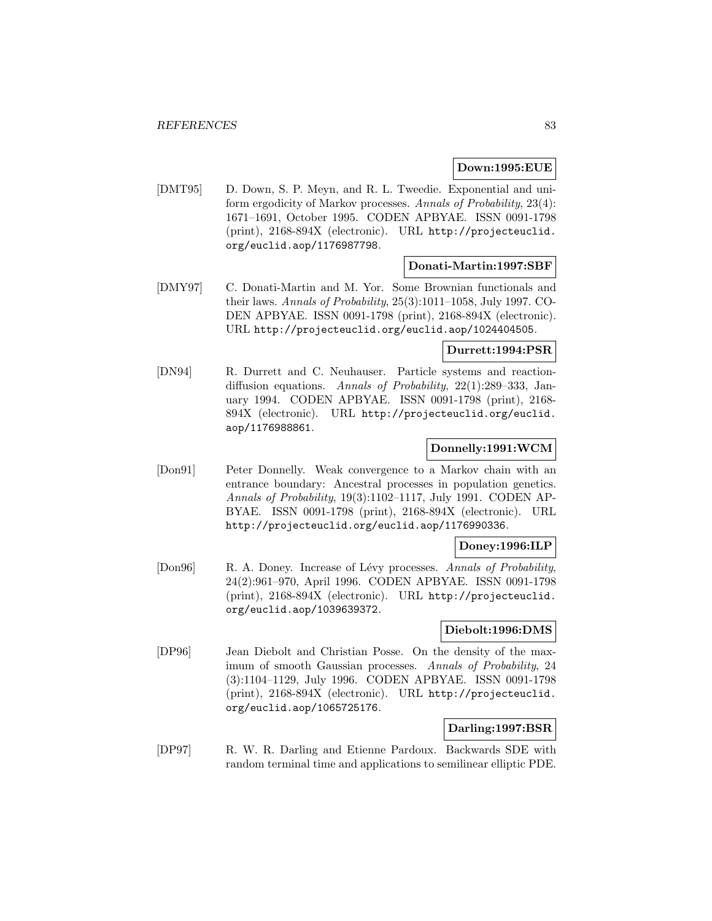# **Down:1995:EUE**

[DMT95] D. Down, S. P. Meyn, and R. L. Tweedie. Exponential and uniform ergodicity of Markov processes. Annals of Probability, 23(4): 1671–1691, October 1995. CODEN APBYAE. ISSN 0091-1798 (print), 2168-894X (electronic). URL http://projecteuclid. org/euclid.aop/1176987798.

#### **Donati-Martin:1997:SBF**

[DMY97] C. Donati-Martin and M. Yor. Some Brownian functionals and their laws. Annals of Probability, 25(3):1011–1058, July 1997. CO-DEN APBYAE. ISSN 0091-1798 (print), 2168-894X (electronic). URL http://projecteuclid.org/euclid.aop/1024404505.

# **Durrett:1994:PSR**

[DN94] R. Durrett and C. Neuhauser. Particle systems and reactiondiffusion equations. Annals of Probability, 22(1):289–333, January 1994. CODEN APBYAE. ISSN 0091-1798 (print), 2168- 894X (electronic). URL http://projecteuclid.org/euclid. aop/1176988861.

# **Donnelly:1991:WCM**

[Don91] Peter Donnelly. Weak convergence to a Markov chain with an entrance boundary: Ancestral processes in population genetics. Annals of Probability, 19(3):1102–1117, July 1991. CODEN AP-BYAE. ISSN 0091-1798 (print), 2168-894X (electronic). URL http://projecteuclid.org/euclid.aop/1176990336.

### **Doney:1996:ILP**

[Don96] R. A. Doney. Increase of Lévy processes. Annals of Probability, 24(2):961–970, April 1996. CODEN APBYAE. ISSN 0091-1798 (print), 2168-894X (electronic). URL http://projecteuclid. org/euclid.aop/1039639372.

#### **Diebolt:1996:DMS**

[DP96] Jean Diebolt and Christian Posse. On the density of the maximum of smooth Gaussian processes. Annals of Probability, 24 (3):1104–1129, July 1996. CODEN APBYAE. ISSN 0091-1798 (print), 2168-894X (electronic). URL http://projecteuclid. org/euclid.aop/1065725176.

### **Darling:1997:BSR**

[DP97] R. W. R. Darling and Etienne Pardoux. Backwards SDE with random terminal time and applications to semilinear elliptic PDE.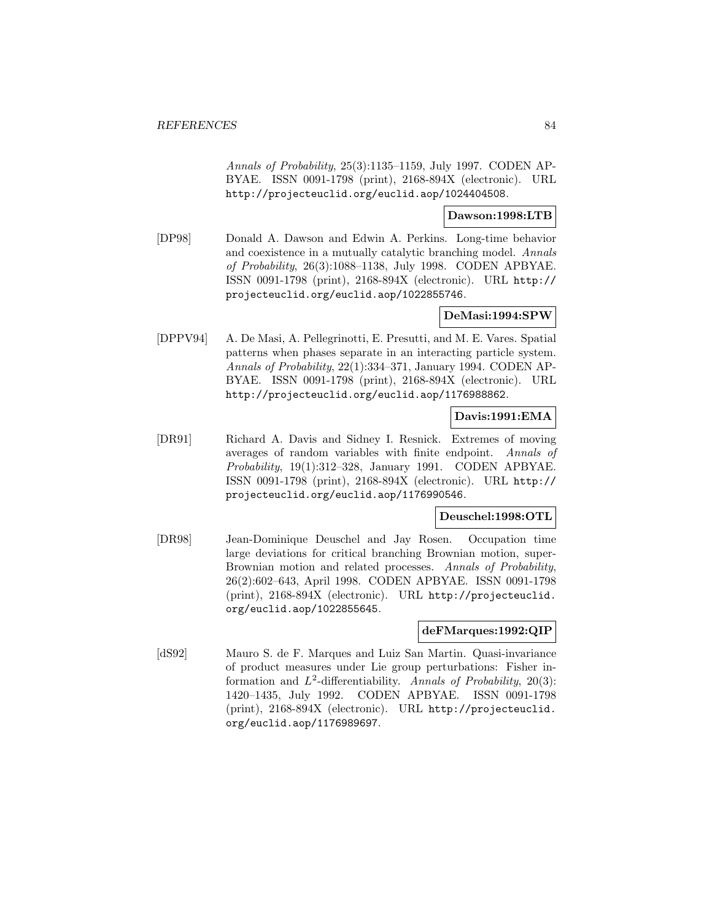Annals of Probability, 25(3):1135–1159, July 1997. CODEN AP-BYAE. ISSN 0091-1798 (print), 2168-894X (electronic). URL http://projecteuclid.org/euclid.aop/1024404508.

### **Dawson:1998:LTB**

[DP98] Donald A. Dawson and Edwin A. Perkins. Long-time behavior and coexistence in a mutually catalytic branching model. Annals of Probability, 26(3):1088–1138, July 1998. CODEN APBYAE. ISSN 0091-1798 (print), 2168-894X (electronic). URL http:// projecteuclid.org/euclid.aop/1022855746.

# **DeMasi:1994:SPW**

[DPPV94] A. De Masi, A. Pellegrinotti, E. Presutti, and M. E. Vares. Spatial patterns when phases separate in an interacting particle system. Annals of Probability, 22(1):334–371, January 1994. CODEN AP-BYAE. ISSN 0091-1798 (print), 2168-894X (electronic). URL http://projecteuclid.org/euclid.aop/1176988862.

### **Davis:1991:EMA**

[DR91] Richard A. Davis and Sidney I. Resnick. Extremes of moving averages of random variables with finite endpoint. Annals of Probability, 19(1):312–328, January 1991. CODEN APBYAE. ISSN 0091-1798 (print), 2168-894X (electronic). URL http:// projecteuclid.org/euclid.aop/1176990546.

# **Deuschel:1998:OTL**

[DR98] Jean-Dominique Deuschel and Jay Rosen. Occupation time large deviations for critical branching Brownian motion, super-Brownian motion and related processes. Annals of Probability, 26(2):602–643, April 1998. CODEN APBYAE. ISSN 0091-1798 (print), 2168-894X (electronic). URL http://projecteuclid. org/euclid.aop/1022855645.

### **deFMarques:1992:QIP**

[dS92] Mauro S. de F. Marques and Luiz San Martin. Quasi-invariance of product measures under Lie group perturbations: Fisher information and  $L^2$ -differentiability. Annals of Probability, 20(3): 1420–1435, July 1992. CODEN APBYAE. ISSN 0091-1798 (print), 2168-894X (electronic). URL http://projecteuclid. org/euclid.aop/1176989697.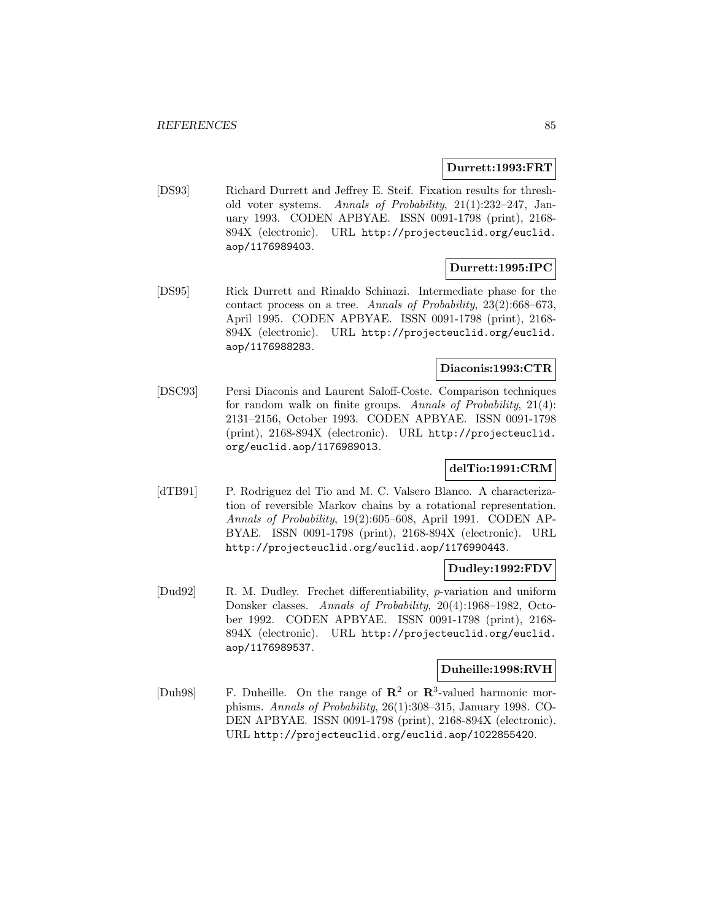### **Durrett:1993:FRT**

[DS93] Richard Durrett and Jeffrey E. Steif. Fixation results for threshold voter systems. Annals of Probability, 21(1):232–247, January 1993. CODEN APBYAE. ISSN 0091-1798 (print), 2168- 894X (electronic). URL http://projecteuclid.org/euclid. aop/1176989403.

# **Durrett:1995:IPC**

[DS95] Rick Durrett and Rinaldo Schinazi. Intermediate phase for the contact process on a tree. Annals of Probability, 23(2):668–673, April 1995. CODEN APBYAE. ISSN 0091-1798 (print), 2168- 894X (electronic). URL http://projecteuclid.org/euclid. aop/1176988283.

# **Diaconis:1993:CTR**

[DSC93] Persi Diaconis and Laurent Saloff-Coste. Comparison techniques for random walk on finite groups. Annals of Probability, 21(4): 2131–2156, October 1993. CODEN APBYAE. ISSN 0091-1798 (print), 2168-894X (electronic). URL http://projecteuclid. org/euclid.aop/1176989013.

### **delTio:1991:CRM**

[dTB91] P. Rodriguez del Tio and M. C. Valsero Blanco. A characterization of reversible Markov chains by a rotational representation. Annals of Probability, 19(2):605–608, April 1991. CODEN AP-BYAE. ISSN 0091-1798 (print), 2168-894X (electronic). URL http://projecteuclid.org/euclid.aop/1176990443.

# **Dudley:1992:FDV**

[Dud92] R. M. Dudley. Frechet differentiability, p-variation and uniform Donsker classes. Annals of Probability, 20(4):1968–1982, October 1992. CODEN APBYAE. ISSN 0091-1798 (print), 2168- 894X (electronic). URL http://projecteuclid.org/euclid. aop/1176989537.

### **Duheille:1998:RVH**

[Duh98] F. Duheille. On the range of **R**<sup>2</sup> or **R**<sup>3</sup>-valued harmonic morphisms. Annals of Probability, 26(1):308–315, January 1998. CO-DEN APBYAE. ISSN 0091-1798 (print), 2168-894X (electronic). URL http://projecteuclid.org/euclid.aop/1022855420.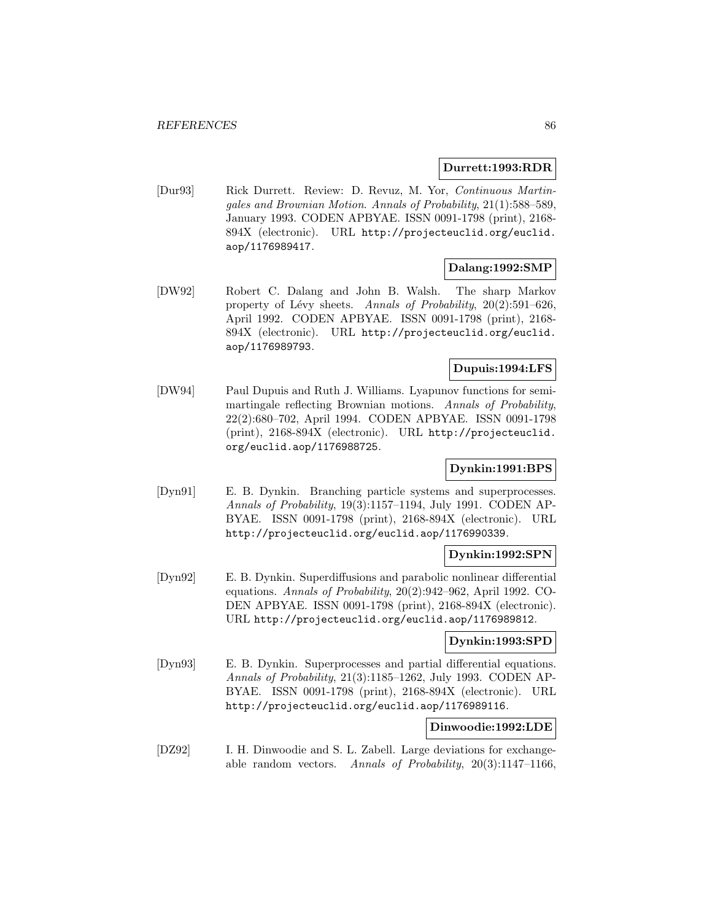#### **Durrett:1993:RDR**

[Dur93] Rick Durrett. Review: D. Revuz, M. Yor, Continuous Martingales and Brownian Motion. Annals of Probability, 21(1):588–589, January 1993. CODEN APBYAE. ISSN 0091-1798 (print), 2168- 894X (electronic). URL http://projecteuclid.org/euclid. aop/1176989417.

#### **Dalang:1992:SMP**

[DW92] Robert C. Dalang and John B. Walsh. The sharp Markov property of Lévy sheets. Annals of Probability,  $20(2):591-626$ , April 1992. CODEN APBYAE. ISSN 0091-1798 (print), 2168- 894X (electronic). URL http://projecteuclid.org/euclid. aop/1176989793.

# **Dupuis:1994:LFS**

[DW94] Paul Dupuis and Ruth J. Williams. Lyapunov functions for semimartingale reflecting Brownian motions. Annals of Probability, 22(2):680–702, April 1994. CODEN APBYAE. ISSN 0091-1798 (print), 2168-894X (electronic). URL http://projecteuclid. org/euclid.aop/1176988725.

# **Dynkin:1991:BPS**

[Dyn91] E. B. Dynkin. Branching particle systems and superprocesses. Annals of Probability, 19(3):1157–1194, July 1991. CODEN AP-BYAE. ISSN 0091-1798 (print), 2168-894X (electronic). URL http://projecteuclid.org/euclid.aop/1176990339.

# **Dynkin:1992:SPN**

[Dyn92] E. B. Dynkin. Superdiffusions and parabolic nonlinear differential equations. Annals of Probability, 20(2):942–962, April 1992. CO-DEN APBYAE. ISSN 0091-1798 (print), 2168-894X (electronic). URL http://projecteuclid.org/euclid.aop/1176989812.

#### **Dynkin:1993:SPD**

[Dyn93] E. B. Dynkin. Superprocesses and partial differential equations. Annals of Probability, 21(3):1185–1262, July 1993. CODEN AP-BYAE. ISSN 0091-1798 (print), 2168-894X (electronic). URL http://projecteuclid.org/euclid.aop/1176989116.

### **Dinwoodie:1992:LDE**

[DZ92] I. H. Dinwoodie and S. L. Zabell. Large deviations for exchangeable random vectors. Annals of Probability, 20(3):1147–1166,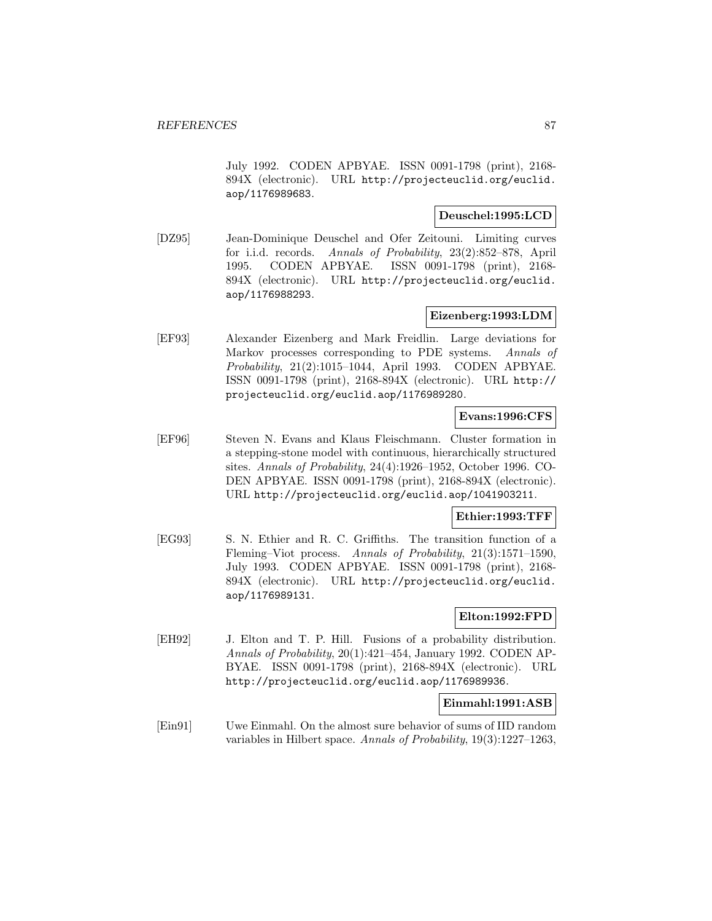July 1992. CODEN APBYAE. ISSN 0091-1798 (print), 2168- 894X (electronic). URL http://projecteuclid.org/euclid. aop/1176989683.

### **Deuschel:1995:LCD**

[DZ95] Jean-Dominique Deuschel and Ofer Zeitouni. Limiting curves for i.i.d. records. Annals of Probability, 23(2):852–878, April 1995. CODEN APBYAE. ISSN 0091-1798 (print), 2168- 894X (electronic). URL http://projecteuclid.org/euclid. aop/1176988293.

### **Eizenberg:1993:LDM**

[EF93] Alexander Eizenberg and Mark Freidlin. Large deviations for Markov processes corresponding to PDE systems. Annals of Probability, 21(2):1015–1044, April 1993. CODEN APBYAE. ISSN 0091-1798 (print), 2168-894X (electronic). URL http:// projecteuclid.org/euclid.aop/1176989280.

#### **Evans:1996:CFS**

[EF96] Steven N. Evans and Klaus Fleischmann. Cluster formation in a stepping-stone model with continuous, hierarchically structured sites. Annals of Probability, 24(4):1926–1952, October 1996. CO-DEN APBYAE. ISSN 0091-1798 (print), 2168-894X (electronic). URL http://projecteuclid.org/euclid.aop/1041903211.

# **Ethier:1993:TFF**

[EG93] S. N. Ethier and R. C. Griffiths. The transition function of a Fleming–Viot process. Annals of Probability, 21(3):1571–1590, July 1993. CODEN APBYAE. ISSN 0091-1798 (print), 2168- 894X (electronic). URL http://projecteuclid.org/euclid. aop/1176989131.

# **Elton:1992:FPD**

[EH92] J. Elton and T. P. Hill. Fusions of a probability distribution. Annals of Probability, 20(1):421–454, January 1992. CODEN AP-BYAE. ISSN 0091-1798 (print), 2168-894X (electronic). URL http://projecteuclid.org/euclid.aop/1176989936.

### **Einmahl:1991:ASB**

[Ein91] Uwe Einmahl. On the almost sure behavior of sums of IID random variables in Hilbert space. Annals of Probability, 19(3):1227–1263,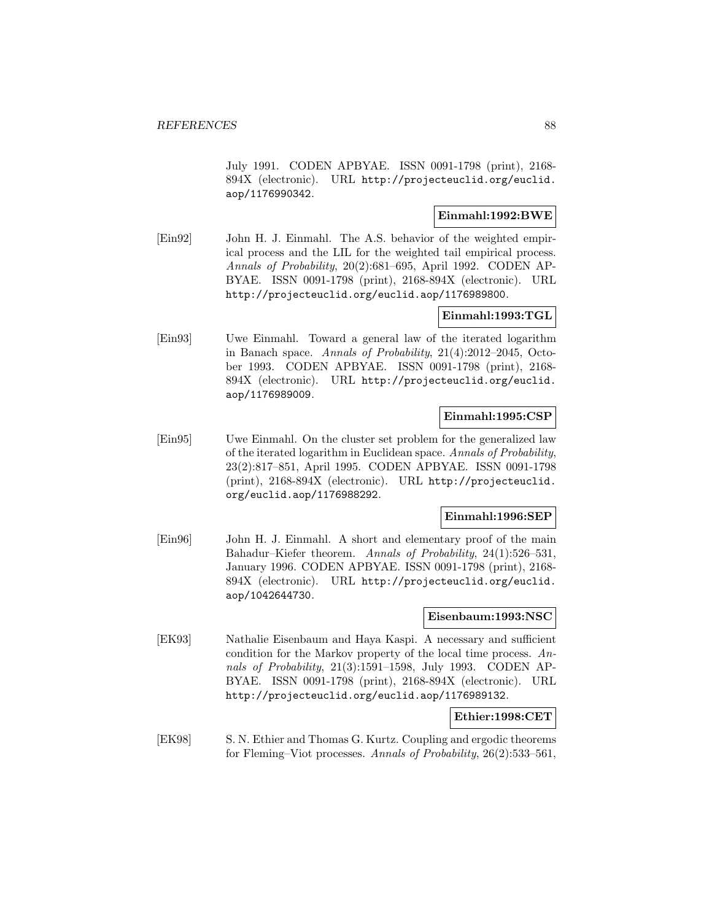July 1991. CODEN APBYAE. ISSN 0091-1798 (print), 2168- 894X (electronic). URL http://projecteuclid.org/euclid. aop/1176990342.

# **Einmahl:1992:BWE**

[Ein92] John H. J. Einmahl. The A.S. behavior of the weighted empirical process and the LIL for the weighted tail empirical process. Annals of Probability, 20(2):681–695, April 1992. CODEN AP-BYAE. ISSN 0091-1798 (print), 2168-894X (electronic). URL http://projecteuclid.org/euclid.aop/1176989800.

# **Einmahl:1993:TGL**

[Ein93] Uwe Einmahl. Toward a general law of the iterated logarithm in Banach space. Annals of Probability, 21(4):2012–2045, October 1993. CODEN APBYAE. ISSN 0091-1798 (print), 2168- 894X (electronic). URL http://projecteuclid.org/euclid. aop/1176989009.

#### **Einmahl:1995:CSP**

[Ein95] Uwe Einmahl. On the cluster set problem for the generalized law of the iterated logarithm in Euclidean space. Annals of Probability, 23(2):817–851, April 1995. CODEN APBYAE. ISSN 0091-1798 (print), 2168-894X (electronic). URL http://projecteuclid. org/euclid.aop/1176988292.

# **Einmahl:1996:SEP**

[Ein96] John H. J. Einmahl. A short and elementary proof of the main Bahadur–Kiefer theorem. Annals of Probability, 24(1):526–531, January 1996. CODEN APBYAE. ISSN 0091-1798 (print), 2168- 894X (electronic). URL http://projecteuclid.org/euclid. aop/1042644730.

# **Eisenbaum:1993:NSC**

[EK93] Nathalie Eisenbaum and Haya Kaspi. A necessary and sufficient condition for the Markov property of the local time process. Annals of Probability, 21(3):1591–1598, July 1993. CODEN AP-BYAE. ISSN 0091-1798 (print), 2168-894X (electronic). URL http://projecteuclid.org/euclid.aop/1176989132.

### **Ethier:1998:CET**

[EK98] S. N. Ethier and Thomas G. Kurtz. Coupling and ergodic theorems for Fleming–Viot processes. Annals of Probability, 26(2):533–561,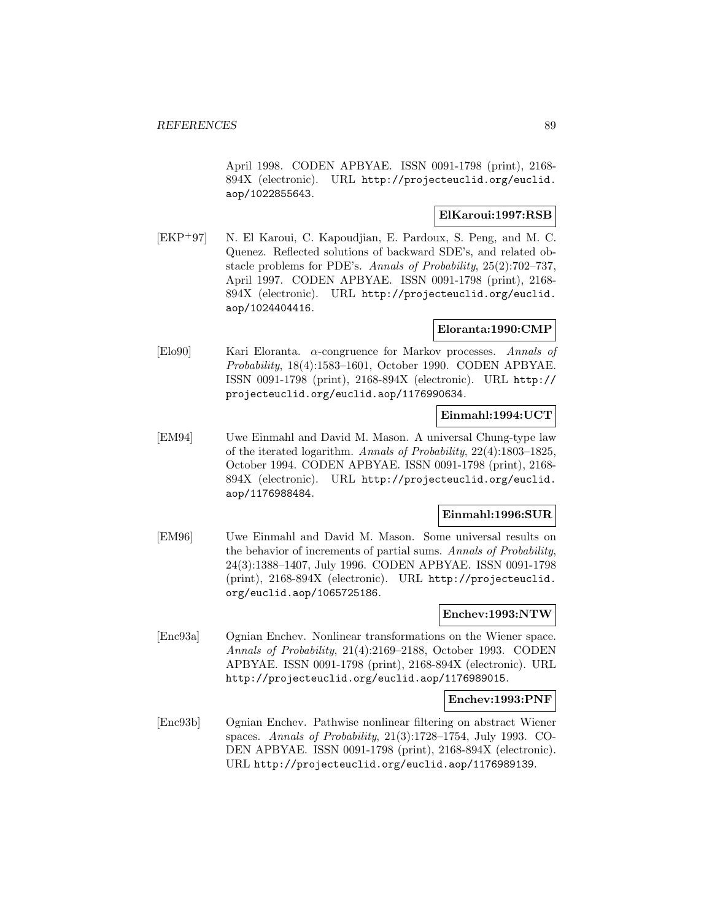April 1998. CODEN APBYAE. ISSN 0091-1798 (print), 2168- 894X (electronic). URL http://projecteuclid.org/euclid. aop/1022855643.

# **ElKaroui:1997:RSB**

[EKP<sup>+</sup>97] N. El Karoui, C. Kapoudjian, E. Pardoux, S. Peng, and M. C. Quenez. Reflected solutions of backward SDE's, and related obstacle problems for PDE's. Annals of Probability, 25(2):702–737, April 1997. CODEN APBYAE. ISSN 0091-1798 (print), 2168- 894X (electronic). URL http://projecteuclid.org/euclid. aop/1024404416.

# **Eloranta:1990:CMP**

[Elo90] Kari Eloranta. α-congruence for Markov processes. Annals of Probability, 18(4):1583–1601, October 1990. CODEN APBYAE. ISSN 0091-1798 (print), 2168-894X (electronic). URL http:// projecteuclid.org/euclid.aop/1176990634.

### **Einmahl:1994:UCT**

[EM94] Uwe Einmahl and David M. Mason. A universal Chung-type law of the iterated logarithm. Annals of Probability, 22(4):1803–1825, October 1994. CODEN APBYAE. ISSN 0091-1798 (print), 2168- 894X (electronic). URL http://projecteuclid.org/euclid. aop/1176988484.

# **Einmahl:1996:SUR**

[EM96] Uwe Einmahl and David M. Mason. Some universal results on the behavior of increments of partial sums. Annals of Probability, 24(3):1388–1407, July 1996. CODEN APBYAE. ISSN 0091-1798 (print), 2168-894X (electronic). URL http://projecteuclid. org/euclid.aop/1065725186.

# **Enchev:1993:NTW**

[Enc93a] Ognian Enchev. Nonlinear transformations on the Wiener space. Annals of Probability, 21(4):2169–2188, October 1993. CODEN APBYAE. ISSN 0091-1798 (print), 2168-894X (electronic). URL http://projecteuclid.org/euclid.aop/1176989015.

#### **Enchev:1993:PNF**

[Enc93b] Ognian Enchev. Pathwise nonlinear filtering on abstract Wiener spaces. Annals of Probability, 21(3):1728–1754, July 1993. CO-DEN APBYAE. ISSN 0091-1798 (print), 2168-894X (electronic). URL http://projecteuclid.org/euclid.aop/1176989139.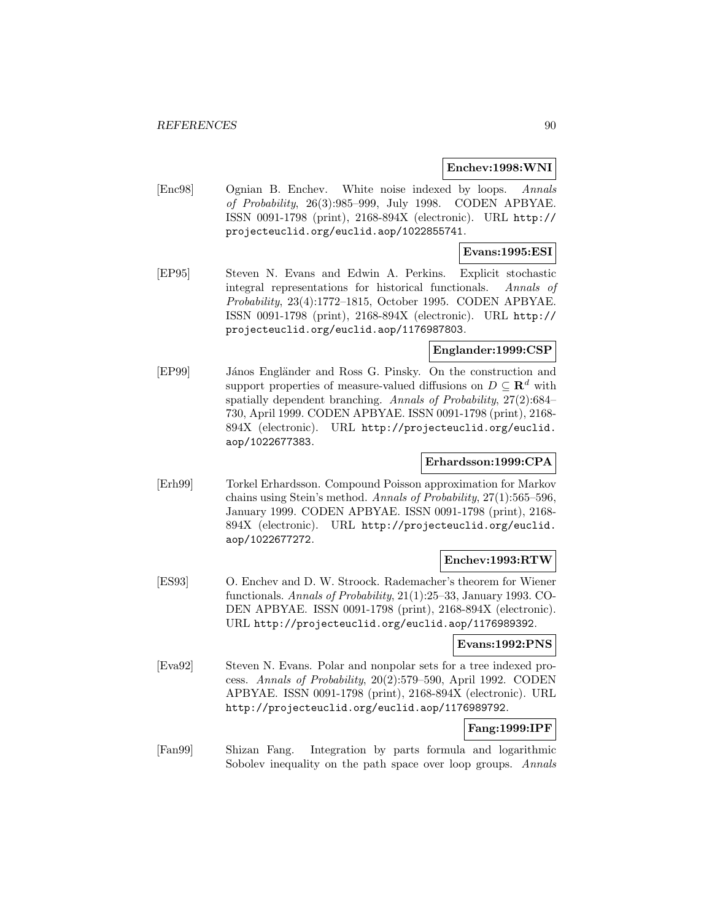#### **Enchev:1998:WNI**

[Enc98] Ognian B. Enchev. White noise indexed by loops. Annals of Probability, 26(3):985–999, July 1998. CODEN APBYAE. ISSN 0091-1798 (print), 2168-894X (electronic). URL http:// projecteuclid.org/euclid.aop/1022855741.

## **Evans:1995:ESI**

[EP95] Steven N. Evans and Edwin A. Perkins. Explicit stochastic integral representations for historical functionals. Annals of Probability, 23(4):1772–1815, October 1995. CODEN APBYAE. ISSN 0091-1798 (print), 2168-894X (electronic). URL http:// projecteuclid.org/euclid.aop/1176987803.

# **Englander:1999:CSP**

[EP99] János Engländer and Ross G. Pinsky. On the construction and support properties of measure-valued diffusions on  $D \subseteq \mathbb{R}^d$  with spatially dependent branching. Annals of Probability, 27(2):684– 730, April 1999. CODEN APBYAE. ISSN 0091-1798 (print), 2168- 894X (electronic). URL http://projecteuclid.org/euclid. aop/1022677383.

### **Erhardsson:1999:CPA**

[Erh99] Torkel Erhardsson. Compound Poisson approximation for Markov chains using Stein's method. Annals of Probability, 27(1):565–596, January 1999. CODEN APBYAE. ISSN 0091-1798 (print), 2168- 894X (electronic). URL http://projecteuclid.org/euclid. aop/1022677272.

### **Enchev:1993:RTW**

[ES93] O. Enchev and D. W. Stroock. Rademacher's theorem for Wiener functionals. Annals of Probability, 21(1):25–33, January 1993. CO-DEN APBYAE. ISSN 0091-1798 (print), 2168-894X (electronic). URL http://projecteuclid.org/euclid.aop/1176989392.

#### **Evans:1992:PNS**

[Eva92] Steven N. Evans. Polar and nonpolar sets for a tree indexed process. Annals of Probability, 20(2):579–590, April 1992. CODEN APBYAE. ISSN 0091-1798 (print), 2168-894X (electronic). URL http://projecteuclid.org/euclid.aop/1176989792.

# **Fang:1999:IPF**

[Fan99] Shizan Fang. Integration by parts formula and logarithmic Sobolev inequality on the path space over loop groups. Annals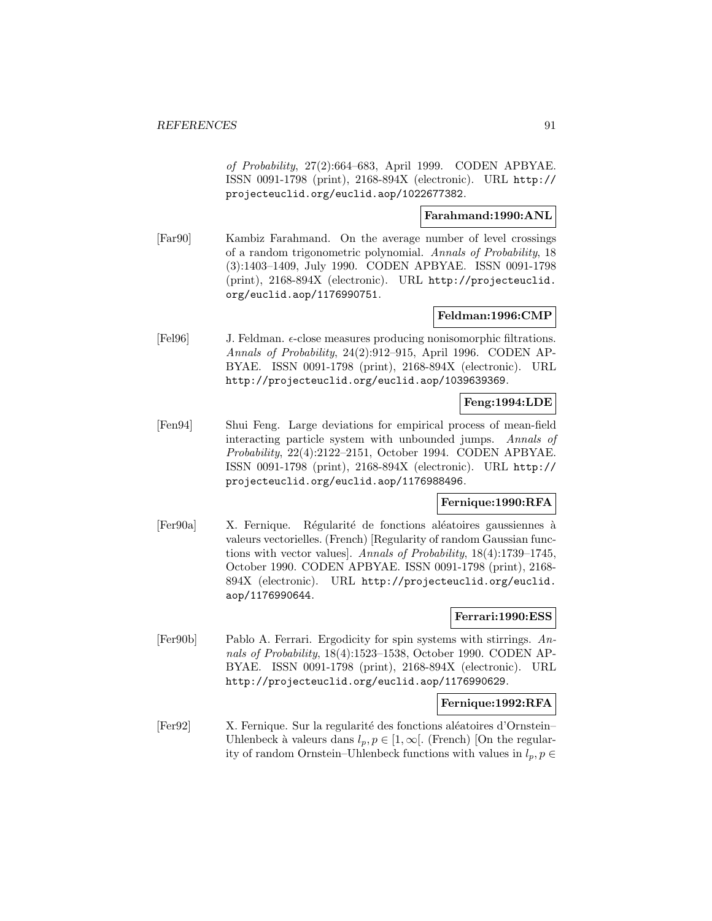of Probability, 27(2):664–683, April 1999. CODEN APBYAE. ISSN 0091-1798 (print), 2168-894X (electronic). URL http:// projecteuclid.org/euclid.aop/1022677382.

## **Farahmand:1990:ANL**

[Far90] Kambiz Farahmand. On the average number of level crossings of a random trigonometric polynomial. Annals of Probability, 18 (3):1403–1409, July 1990. CODEN APBYAE. ISSN 0091-1798 (print), 2168-894X (electronic). URL http://projecteuclid. org/euclid.aop/1176990751.

# **Feldman:1996:CMP**

[Fel96] J. Feldman.  $\epsilon$ -close measures producing nonisomorphic filtrations. Annals of Probability, 24(2):912–915, April 1996. CODEN AP-BYAE. ISSN 0091-1798 (print), 2168-894X (electronic). URL http://projecteuclid.org/euclid.aop/1039639369.

# **Feng:1994:LDE**

[Fen94] Shui Feng. Large deviations for empirical process of mean-field interacting particle system with unbounded jumps. Annals of Probability, 22(4):2122–2151, October 1994. CODEN APBYAE. ISSN 0091-1798 (print), 2168-894X (electronic). URL http:// projecteuclid.org/euclid.aop/1176988496.

# **Fernique:1990:RFA**

[Fer90a] X. Fernique. Régularité de fonctions aléatoires gaussiennes à valeurs vectorielles. (French) [Regularity of random Gaussian functions with vector values]. Annals of Probability, 18(4):1739–1745, October 1990. CODEN APBYAE. ISSN 0091-1798 (print), 2168- 894X (electronic). URL http://projecteuclid.org/euclid. aop/1176990644.

### **Ferrari:1990:ESS**

[Fer90b] Pablo A. Ferrari. Ergodicity for spin systems with stirrings. Annals of Probability, 18(4):1523–1538, October 1990. CODEN AP-BYAE. ISSN 0091-1798 (print), 2168-894X (electronic). URL http://projecteuclid.org/euclid.aop/1176990629.

### **Fernique:1992:RFA**

[Fer92] X. Fernique. Sur la regularité des fonctions aléatoires d'Ornstein– Uhlenbeck à valeurs dans  $l_p, p \in [1, \infty]$ . (French) [On the regularity of random Ornstein–Uhlenbeck functions with values in  $l_p, p \in$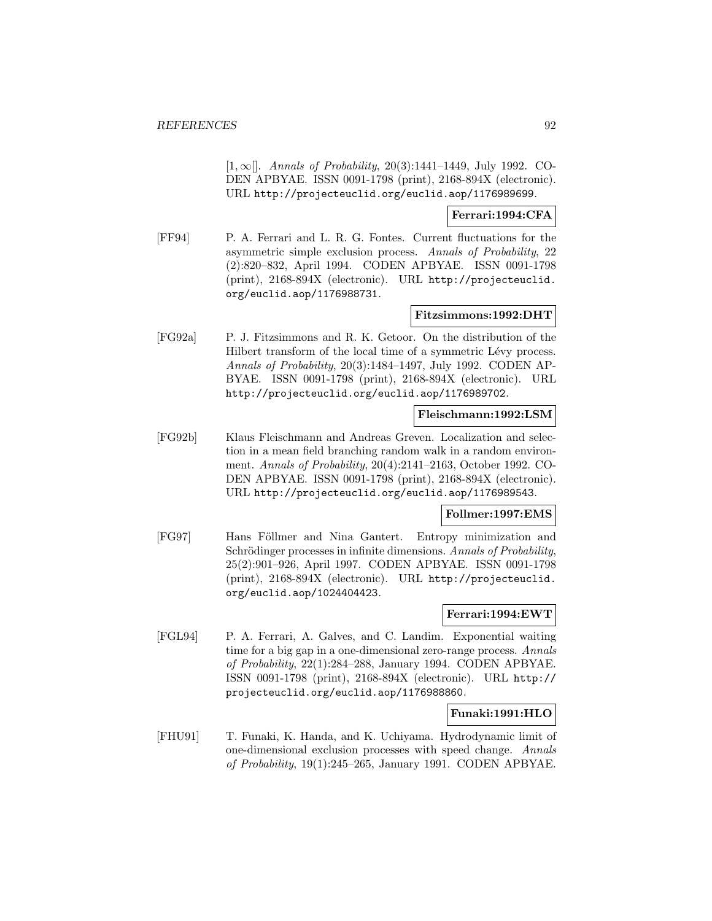$[1, \infty]$ . Annals of Probability, 20(3):1441–1449, July 1992. CO-DEN APBYAE. ISSN 0091-1798 (print), 2168-894X (electronic). URL http://projecteuclid.org/euclid.aop/1176989699.

#### **Ferrari:1994:CFA**

[FF94] P. A. Ferrari and L. R. G. Fontes. Current fluctuations for the asymmetric simple exclusion process. Annals of Probability, 22 (2):820–832, April 1994. CODEN APBYAE. ISSN 0091-1798 (print), 2168-894X (electronic). URL http://projecteuclid. org/euclid.aop/1176988731.

# **Fitzsimmons:1992:DHT**

[FG92a] P. J. Fitzsimmons and R. K. Getoor. On the distribution of the Hilbert transform of the local time of a symmetric Lévy process. Annals of Probability, 20(3):1484–1497, July 1992. CODEN AP-BYAE. ISSN 0091-1798 (print), 2168-894X (electronic). URL http://projecteuclid.org/euclid.aop/1176989702.

#### **Fleischmann:1992:LSM**

[FG92b] Klaus Fleischmann and Andreas Greven. Localization and selection in a mean field branching random walk in a random environment. Annals of Probability, 20(4):2141–2163, October 1992. CO-DEN APBYAE. ISSN 0091-1798 (print), 2168-894X (electronic). URL http://projecteuclid.org/euclid.aop/1176989543.

### **Follmer:1997:EMS**

[FG97] Hans Föllmer and Nina Gantert. Entropy minimization and Schrödinger processes in infinite dimensions. Annals of Probability, 25(2):901–926, April 1997. CODEN APBYAE. ISSN 0091-1798 (print), 2168-894X (electronic). URL http://projecteuclid. org/euclid.aop/1024404423.

# **Ferrari:1994:EWT**

[FGL94] P. A. Ferrari, A. Galves, and C. Landim. Exponential waiting time for a big gap in a one-dimensional zero-range process. Annals of Probability, 22(1):284–288, January 1994. CODEN APBYAE. ISSN 0091-1798 (print), 2168-894X (electronic). URL http:// projecteuclid.org/euclid.aop/1176988860.

### **Funaki:1991:HLO**

[FHU91] T. Funaki, K. Handa, and K. Uchiyama. Hydrodynamic limit of one-dimensional exclusion processes with speed change. Annals of Probability, 19(1):245–265, January 1991. CODEN APBYAE.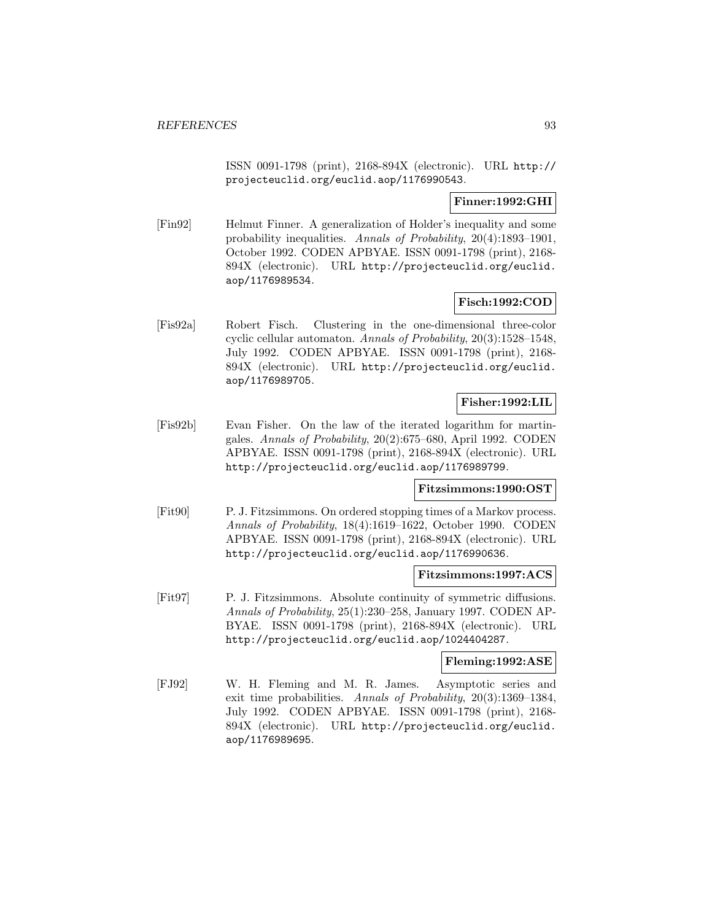ISSN 0091-1798 (print), 2168-894X (electronic). URL http:// projecteuclid.org/euclid.aop/1176990543.

# **Finner:1992:GHI**

[Fin92] Helmut Finner. A generalization of Holder's inequality and some probability inequalities. Annals of Probability, 20(4):1893–1901, October 1992. CODEN APBYAE. ISSN 0091-1798 (print), 2168- 894X (electronic). URL http://projecteuclid.org/euclid. aop/1176989534.

# **Fisch:1992:COD**

[Fis92a] Robert Fisch. Clustering in the one-dimensional three-color cyclic cellular automaton. Annals of Probability, 20(3):1528–1548, July 1992. CODEN APBYAE. ISSN 0091-1798 (print), 2168- 894X (electronic). URL http://projecteuclid.org/euclid. aop/1176989705.

# **Fisher:1992:LIL**

[Fis92b] Evan Fisher. On the law of the iterated logarithm for martingales. Annals of Probability, 20(2):675–680, April 1992. CODEN APBYAE. ISSN 0091-1798 (print), 2168-894X (electronic). URL http://projecteuclid.org/euclid.aop/1176989799.

# **Fitzsimmons:1990:OST**

[Fit90] P. J. Fitzsimmons. On ordered stopping times of a Markov process. Annals of Probability, 18(4):1619–1622, October 1990. CODEN APBYAE. ISSN 0091-1798 (print), 2168-894X (electronic). URL http://projecteuclid.org/euclid.aop/1176990636.

### **Fitzsimmons:1997:ACS**

[Fit97] P. J. Fitzsimmons. Absolute continuity of symmetric diffusions. Annals of Probability, 25(1):230–258, January 1997. CODEN AP-BYAE. ISSN 0091-1798 (print), 2168-894X (electronic). URL http://projecteuclid.org/euclid.aop/1024404287.

#### **Fleming:1992:ASE**

[FJ92] W. H. Fleming and M. R. James. Asymptotic series and exit time probabilities. Annals of Probability, 20(3):1369–1384, July 1992. CODEN APBYAE. ISSN 0091-1798 (print), 2168- 894X (electronic). URL http://projecteuclid.org/euclid. aop/1176989695.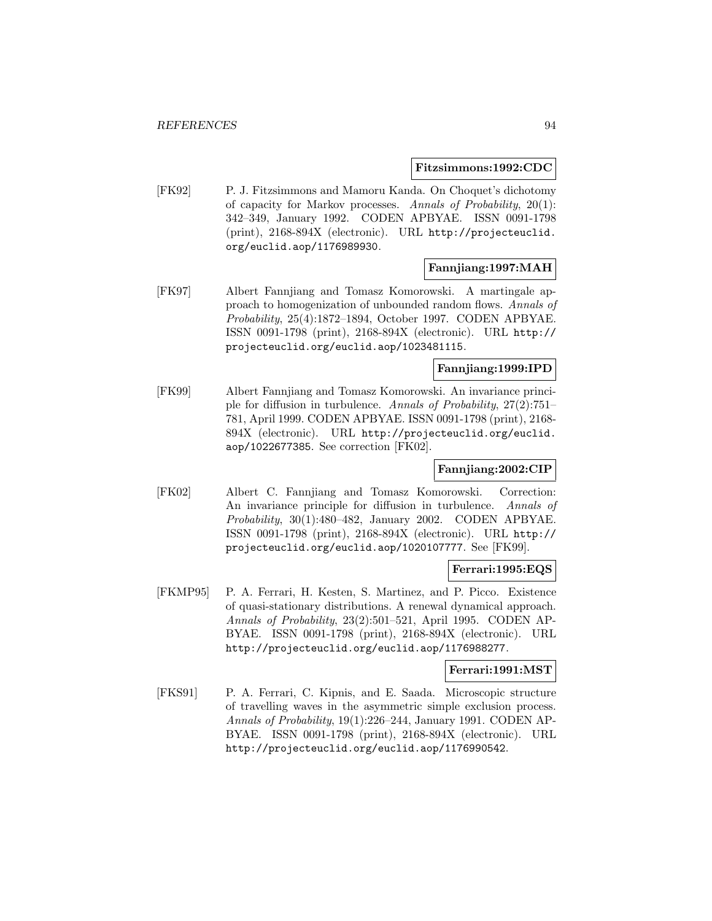#### **Fitzsimmons:1992:CDC**

[FK92] P. J. Fitzsimmons and Mamoru Kanda. On Choquet's dichotomy of capacity for Markov processes. Annals of Probability, 20(1): 342–349, January 1992. CODEN APBYAE. ISSN 0091-1798 (print), 2168-894X (electronic). URL http://projecteuclid. org/euclid.aop/1176989930.

# **Fannjiang:1997:MAH**

[FK97] Albert Fannjiang and Tomasz Komorowski. A martingale approach to homogenization of unbounded random flows. Annals of Probability, 25(4):1872–1894, October 1997. CODEN APBYAE. ISSN 0091-1798 (print), 2168-894X (electronic). URL http:// projecteuclid.org/euclid.aop/1023481115.

## **Fannjiang:1999:IPD**

[FK99] Albert Fannjiang and Tomasz Komorowski. An invariance principle for diffusion in turbulence. Annals of Probability, 27(2):751– 781, April 1999. CODEN APBYAE. ISSN 0091-1798 (print), 2168- 894X (electronic). URL http://projecteuclid.org/euclid. aop/1022677385. See correction [FK02].

# **Fannjiang:2002:CIP**

[FK02] Albert C. Fannjiang and Tomasz Komorowski. Correction: An invariance principle for diffusion in turbulence. Annals of Probability, 30(1):480–482, January 2002. CODEN APBYAE. ISSN 0091-1798 (print), 2168-894X (electronic). URL http:// projecteuclid.org/euclid.aop/1020107777. See [FK99].

### **Ferrari:1995:EQS**

[FKMP95] P. A. Ferrari, H. Kesten, S. Martinez, and P. Picco. Existence of quasi-stationary distributions. A renewal dynamical approach. Annals of Probability, 23(2):501–521, April 1995. CODEN AP-BYAE. ISSN 0091-1798 (print), 2168-894X (electronic). URL http://projecteuclid.org/euclid.aop/1176988277.

### **Ferrari:1991:MST**

[FKS91] P. A. Ferrari, C. Kipnis, and E. Saada. Microscopic structure of travelling waves in the asymmetric simple exclusion process. Annals of Probability, 19(1):226–244, January 1991. CODEN AP-BYAE. ISSN 0091-1798 (print), 2168-894X (electronic). URL http://projecteuclid.org/euclid.aop/1176990542.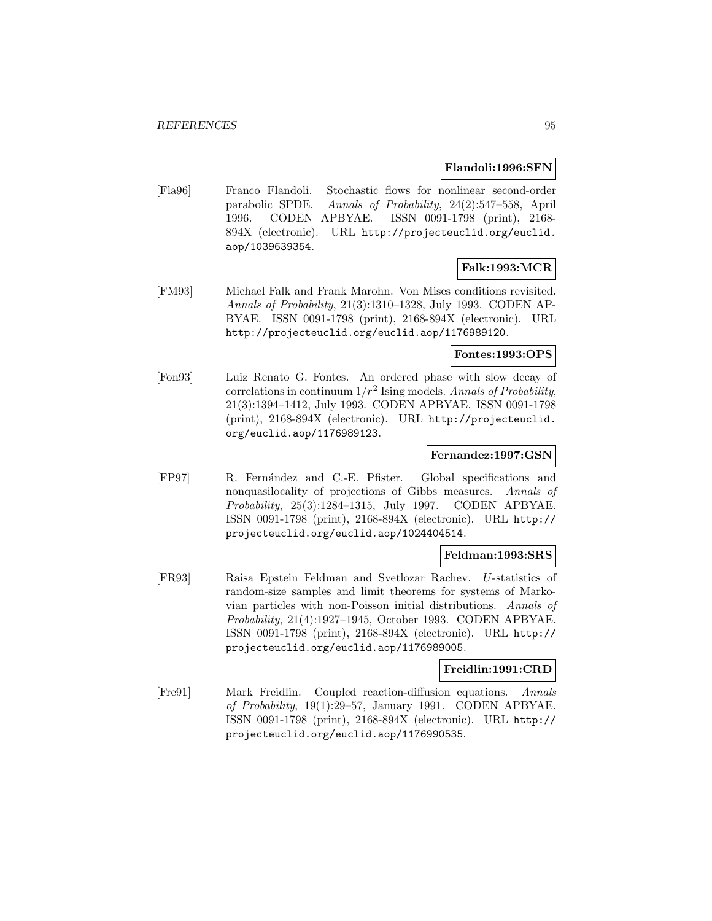#### **Flandoli:1996:SFN**

[Fla96] Franco Flandoli. Stochastic flows for nonlinear second-order parabolic SPDE. Annals of Probability, 24(2):547–558, April 1996. CODEN APBYAE. ISSN 0091-1798 (print), 2168- 894X (electronic). URL http://projecteuclid.org/euclid. aop/1039639354.

# **Falk:1993:MCR**

[FM93] Michael Falk and Frank Marohn. Von Mises conditions revisited. Annals of Probability, 21(3):1310–1328, July 1993. CODEN AP-BYAE. ISSN 0091-1798 (print), 2168-894X (electronic). URL http://projecteuclid.org/euclid.aop/1176989120.

#### **Fontes:1993:OPS**

[Fon93] Luiz Renato G. Fontes. An ordered phase with slow decay of correlations in continuum  $1/r^2$  Ising models. Annals of Probability, 21(3):1394–1412, July 1993. CODEN APBYAE. ISSN 0091-1798 (print), 2168-894X (electronic). URL http://projecteuclid. org/euclid.aop/1176989123.

#### **Fernandez:1997:GSN**

[FP97] R. Fernández and C.-E. Pfister. Global specifications and nonquasilocality of projections of Gibbs measures. Annals of Probability, 25(3):1284–1315, July 1997. CODEN APBYAE. ISSN 0091-1798 (print), 2168-894X (electronic). URL http:// projecteuclid.org/euclid.aop/1024404514.

#### **Feldman:1993:SRS**

[FR93] Raisa Epstein Feldman and Svetlozar Rachev. U-statistics of random-size samples and limit theorems for systems of Markovian particles with non-Poisson initial distributions. Annals of Probability, 21(4):1927–1945, October 1993. CODEN APBYAE. ISSN 0091-1798 (print), 2168-894X (electronic). URL http:// projecteuclid.org/euclid.aop/1176989005.

#### **Freidlin:1991:CRD**

[Fre91] Mark Freidlin. Coupled reaction-diffusion equations. Annals of Probability, 19(1):29–57, January 1991. CODEN APBYAE. ISSN 0091-1798 (print), 2168-894X (electronic). URL http:// projecteuclid.org/euclid.aop/1176990535.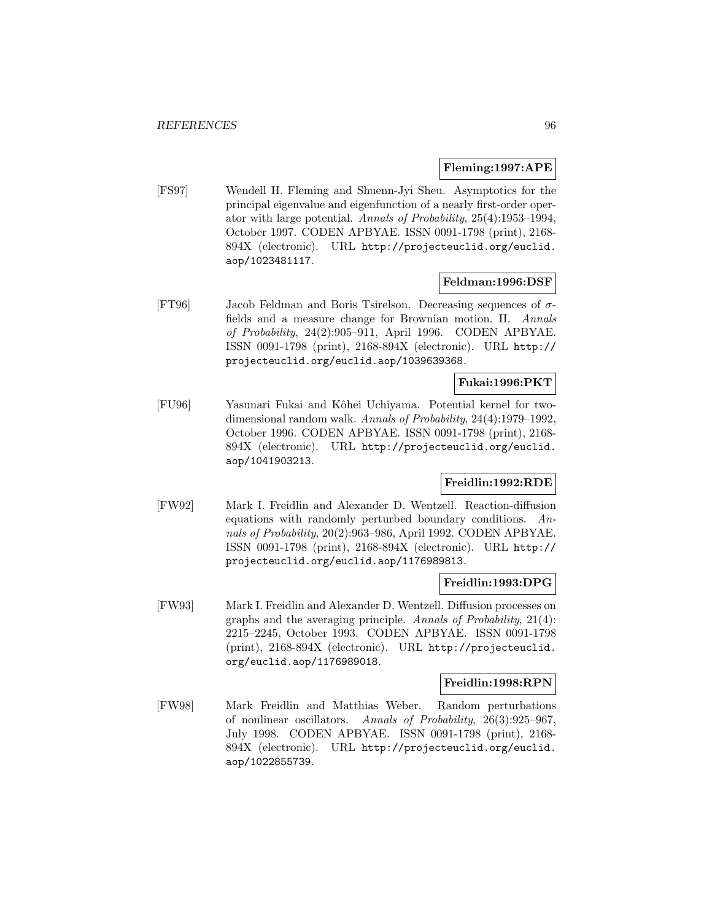#### **Fleming:1997:APE**

[FS97] Wendell H. Fleming and Shuenn-Jyi Sheu. Asymptotics for the principal eigenvalue and eigenfunction of a nearly first-order operator with large potential. Annals of Probability, 25(4):1953–1994, October 1997. CODEN APBYAE. ISSN 0091-1798 (print), 2168- 894X (electronic). URL http://projecteuclid.org/euclid. aop/1023481117.

## **Feldman:1996:DSF**

[FT96] Jacob Feldman and Boris Tsirelson. Decreasing sequences of σfields and a measure change for Brownian motion. II. Annals of Probability, 24(2):905–911, April 1996. CODEN APBYAE. ISSN 0091-1798 (print), 2168-894X (electronic). URL http:// projecteuclid.org/euclid.aop/1039639368.

# **Fukai:1996:PKT**

[FU96] Yasunari Fukai and Kˆohei Uchiyama. Potential kernel for twodimensional random walk. Annals of Probability, 24(4):1979–1992, October 1996. CODEN APBYAE. ISSN 0091-1798 (print), 2168- 894X (electronic). URL http://projecteuclid.org/euclid. aop/1041903213.

# **Freidlin:1992:RDE**

[FW92] Mark I. Freidlin and Alexander D. Wentzell. Reaction-diffusion equations with randomly perturbed boundary conditions. Annals of Probability, 20(2):963–986, April 1992. CODEN APBYAE. ISSN 0091-1798 (print), 2168-894X (electronic). URL http:// projecteuclid.org/euclid.aop/1176989813.

#### **Freidlin:1993:DPG**

[FW93] Mark I. Freidlin and Alexander D. Wentzell. Diffusion processes on graphs and the averaging principle. Annals of Probability, 21(4): 2215–2245, October 1993. CODEN APBYAE. ISSN 0091-1798 (print), 2168-894X (electronic). URL http://projecteuclid. org/euclid.aop/1176989018.

#### **Freidlin:1998:RPN**

[FW98] Mark Freidlin and Matthias Weber. Random perturbations of nonlinear oscillators. Annals of Probability, 26(3):925–967, July 1998. CODEN APBYAE. ISSN 0091-1798 (print), 2168- 894X (electronic). URL http://projecteuclid.org/euclid. aop/1022855739.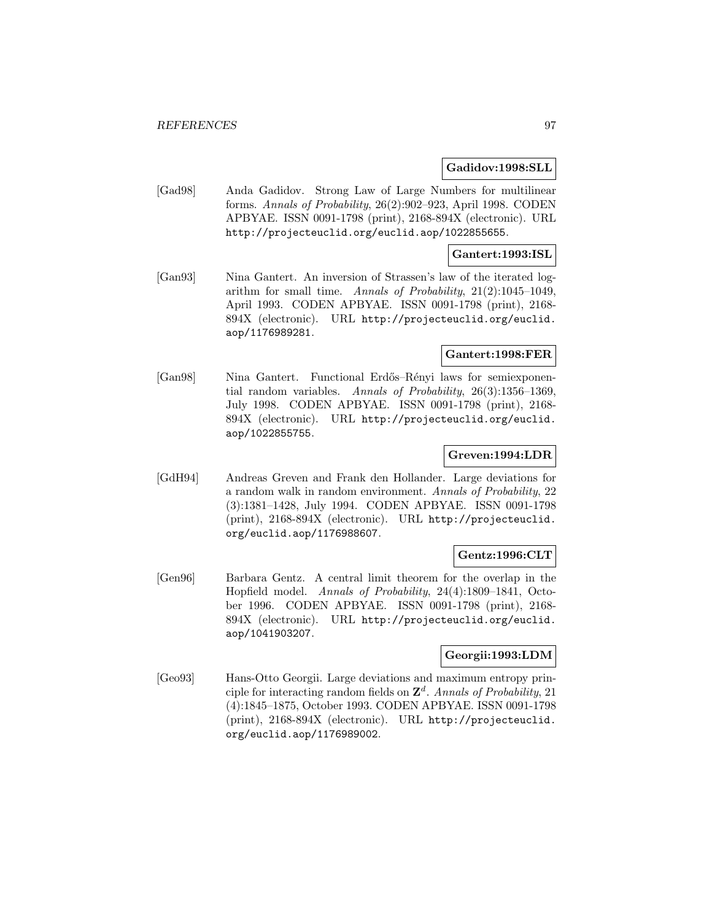#### **Gadidov:1998:SLL**

[Gad98] Anda Gadidov. Strong Law of Large Numbers for multilinear forms. Annals of Probability, 26(2):902–923, April 1998. CODEN APBYAE. ISSN 0091-1798 (print), 2168-894X (electronic). URL http://projecteuclid.org/euclid.aop/1022855655.

# **Gantert:1993:ISL**

[Gan93] Nina Gantert. An inversion of Strassen's law of the iterated logarithm for small time. Annals of Probability, 21(2):1045–1049, April 1993. CODEN APBYAE. ISSN 0091-1798 (print), 2168- 894X (electronic). URL http://projecteuclid.org/euclid. aop/1176989281.

#### **Gantert:1998:FER**

[Gan98] Nina Gantert. Functional Erd˝os–R´enyi laws for semiexponential random variables. Annals of Probability, 26(3):1356–1369, July 1998. CODEN APBYAE. ISSN 0091-1798 (print), 2168- 894X (electronic). URL http://projecteuclid.org/euclid. aop/1022855755.

### **Greven:1994:LDR**

[GdH94] Andreas Greven and Frank den Hollander. Large deviations for a random walk in random environment. Annals of Probability, 22 (3):1381–1428, July 1994. CODEN APBYAE. ISSN 0091-1798 (print), 2168-894X (electronic). URL http://projecteuclid. org/euclid.aop/1176988607.

# **Gentz:1996:CLT**

[Gen96] Barbara Gentz. A central limit theorem for the overlap in the Hopfield model. Annals of Probability, 24(4):1809–1841, October 1996. CODEN APBYAE. ISSN 0091-1798 (print), 2168- 894X (electronic). URL http://projecteuclid.org/euclid. aop/1041903207.

# **Georgii:1993:LDM**

[Geo93] Hans-Otto Georgii. Large deviations and maximum entropy principle for interacting random fields on  $\mathbb{Z}^d$ . Annals of Probability, 21 (4):1845–1875, October 1993. CODEN APBYAE. ISSN 0091-1798 (print), 2168-894X (electronic). URL http://projecteuclid. org/euclid.aop/1176989002.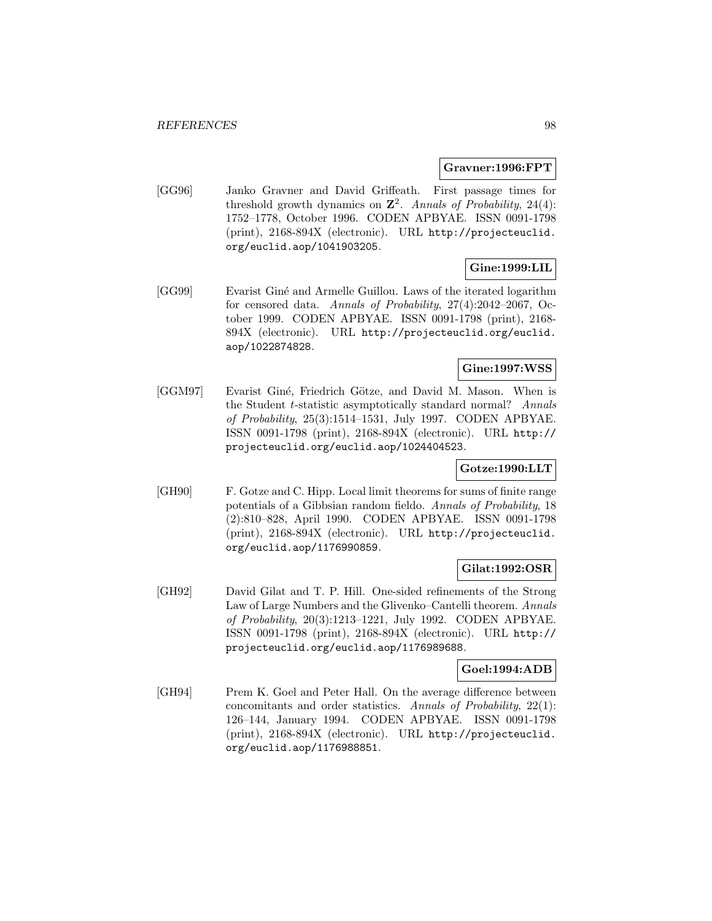#### **Gravner:1996:FPT**

[GG96] Janko Gravner and David Griffeath. First passage times for threshold growth dynamics on  $\mathbb{Z}^2$ . Annals of Probability, 24(4): 1752–1778, October 1996. CODEN APBYAE. ISSN 0091-1798 (print), 2168-894X (electronic). URL http://projecteuclid. org/euclid.aop/1041903205.

# **Gine:1999:LIL**

[GG99] Evarist Giné and Armelle Guillou. Laws of the iterated logarithm for censored data. Annals of Probability, 27(4):2042–2067, October 1999. CODEN APBYAE. ISSN 0091-1798 (print), 2168- 894X (electronic). URL http://projecteuclid.org/euclid. aop/1022874828.

# **Gine:1997:WSS**

[GGM97] Evarist Giné, Friedrich Götze, and David M. Mason. When is the Student t-statistic asymptotically standard normal? Annals of Probability, 25(3):1514–1531, July 1997. CODEN APBYAE. ISSN 0091-1798 (print), 2168-894X (electronic). URL http:// projecteuclid.org/euclid.aop/1024404523.

### **Gotze:1990:LLT**

[GH90] F. Gotze and C. Hipp. Local limit theorems for sums of finite range potentials of a Gibbsian random fieldo. Annals of Probability, 18 (2):810–828, April 1990. CODEN APBYAE. ISSN 0091-1798 (print), 2168-894X (electronic). URL http://projecteuclid. org/euclid.aop/1176990859.

### **Gilat:1992:OSR**

[GH92] David Gilat and T. P. Hill. One-sided refinements of the Strong Law of Large Numbers and the Glivenko–Cantelli theorem. Annals of Probability, 20(3):1213–1221, July 1992. CODEN APBYAE. ISSN 0091-1798 (print), 2168-894X (electronic). URL http:// projecteuclid.org/euclid.aop/1176989688.

# **Goel:1994:ADB**

[GH94] Prem K. Goel and Peter Hall. On the average difference between concomitants and order statistics. Annals of Probability, 22(1): 126–144, January 1994. CODEN APBYAE. ISSN 0091-1798 (print), 2168-894X (electronic). URL http://projecteuclid. org/euclid.aop/1176988851.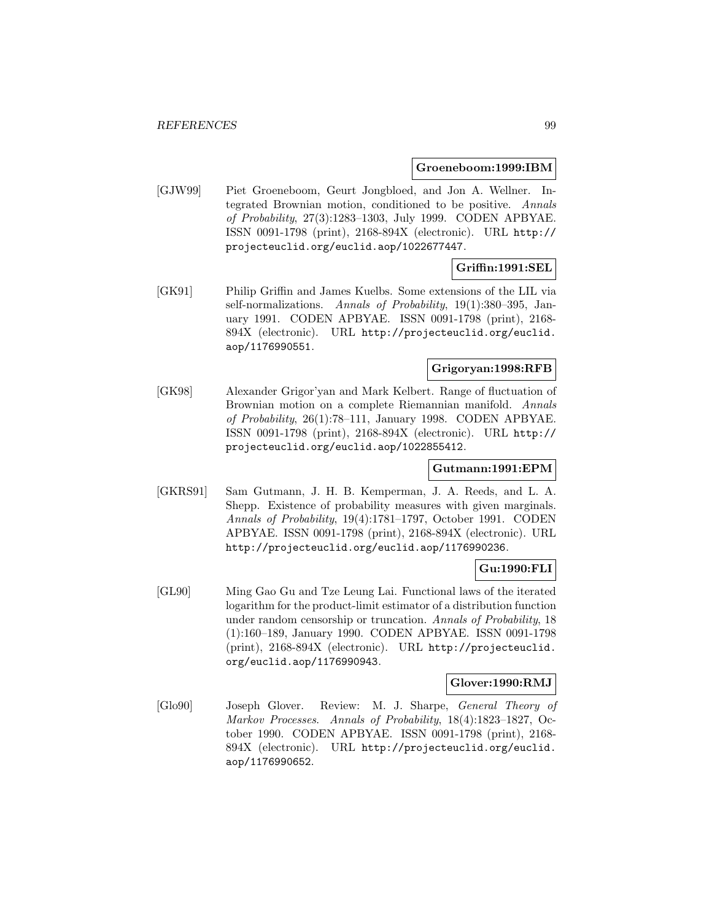#### **Groeneboom:1999:IBM**

[GJW99] Piet Groeneboom, Geurt Jongbloed, and Jon A. Wellner. Integrated Brownian motion, conditioned to be positive. Annals of Probability, 27(3):1283–1303, July 1999. CODEN APBYAE. ISSN 0091-1798 (print), 2168-894X (electronic). URL http:// projecteuclid.org/euclid.aop/1022677447.

# **Griffin:1991:SEL**

[GK91] Philip Griffin and James Kuelbs. Some extensions of the LIL via self-normalizations. Annals of Probability, 19(1):380–395, January 1991. CODEN APBYAE. ISSN 0091-1798 (print), 2168- 894X (electronic). URL http://projecteuclid.org/euclid. aop/1176990551.

### **Grigoryan:1998:RFB**

[GK98] Alexander Grigor'yan and Mark Kelbert. Range of fluctuation of Brownian motion on a complete Riemannian manifold. Annals of Probability, 26(1):78–111, January 1998. CODEN APBYAE. ISSN 0091-1798 (print), 2168-894X (electronic). URL http:// projecteuclid.org/euclid.aop/1022855412.

### **Gutmann:1991:EPM**

[GKRS91] Sam Gutmann, J. H. B. Kemperman, J. A. Reeds, and L. A. Shepp. Existence of probability measures with given marginals. Annals of Probability, 19(4):1781–1797, October 1991. CODEN APBYAE. ISSN 0091-1798 (print), 2168-894X (electronic). URL http://projecteuclid.org/euclid.aop/1176990236.

# **Gu:1990:FLI**

[GL90] Ming Gao Gu and Tze Leung Lai. Functional laws of the iterated logarithm for the product-limit estimator of a distribution function under random censorship or truncation. Annals of Probability, 18 (1):160–189, January 1990. CODEN APBYAE. ISSN 0091-1798 (print), 2168-894X (electronic). URL http://projecteuclid. org/euclid.aop/1176990943.

### **Glover:1990:RMJ**

[Glo90] Joseph Glover. Review: M. J. Sharpe, General Theory of Markov Processes. Annals of Probability, 18(4):1823–1827, October 1990. CODEN APBYAE. ISSN 0091-1798 (print), 2168- 894X (electronic). URL http://projecteuclid.org/euclid. aop/1176990652.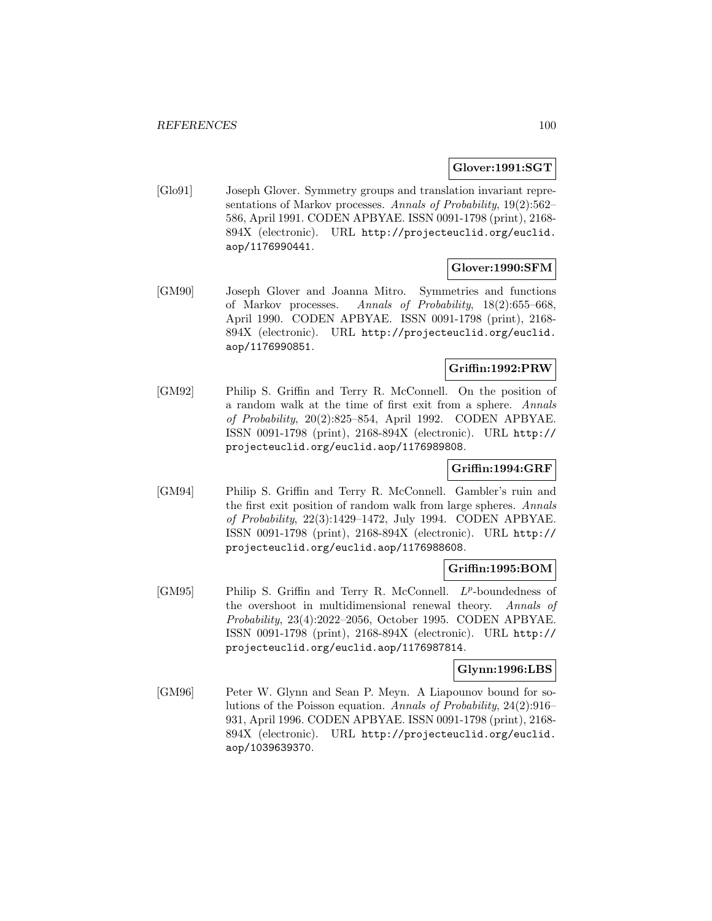### **Glover:1991:SGT**

[Glo91] Joseph Glover. Symmetry groups and translation invariant representations of Markov processes. Annals of Probability, 19(2):562– 586, April 1991. CODEN APBYAE. ISSN 0091-1798 (print), 2168- 894X (electronic). URL http://projecteuclid.org/euclid. aop/1176990441.

# **Glover:1990:SFM**

[GM90] Joseph Glover and Joanna Mitro. Symmetries and functions of Markov processes. Annals of Probability, 18(2):655–668, April 1990. CODEN APBYAE. ISSN 0091-1798 (print), 2168- 894X (electronic). URL http://projecteuclid.org/euclid. aop/1176990851.

# **Griffin:1992:PRW**

[GM92] Philip S. Griffin and Terry R. McConnell. On the position of a random walk at the time of first exit from a sphere. Annals of Probability, 20(2):825–854, April 1992. CODEN APBYAE. ISSN 0091-1798 (print), 2168-894X (electronic). URL http:// projecteuclid.org/euclid.aop/1176989808.

# **Griffin:1994:GRF**

[GM94] Philip S. Griffin and Terry R. McConnell. Gambler's ruin and the first exit position of random walk from large spheres. Annals of Probability, 22(3):1429–1472, July 1994. CODEN APBYAE. ISSN 0091-1798 (print), 2168-894X (electronic). URL http:// projecteuclid.org/euclid.aop/1176988608.

### **Griffin:1995:BOM**

 $[GM95]$  Philip S. Griffin and Terry R. McConnell.  $L^p$ -boundedness of the overshoot in multidimensional renewal theory. Annals of Probability, 23(4):2022–2056, October 1995. CODEN APBYAE. ISSN 0091-1798 (print), 2168-894X (electronic). URL http:// projecteuclid.org/euclid.aop/1176987814.

# **Glynn:1996:LBS**

[GM96] Peter W. Glynn and Sean P. Meyn. A Liapounov bound for solutions of the Poisson equation. Annals of Probability, 24(2):916– 931, April 1996. CODEN APBYAE. ISSN 0091-1798 (print), 2168- 894X (electronic). URL http://projecteuclid.org/euclid. aop/1039639370.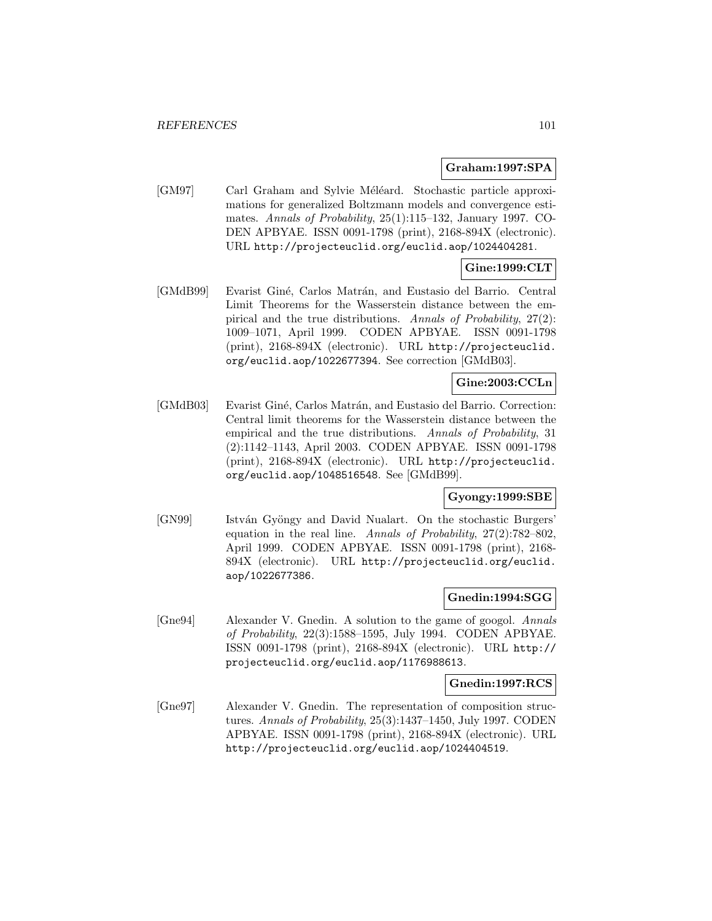### **Graham:1997:SPA**

[GM97] Carl Graham and Sylvie Méléard. Stochastic particle approximations for generalized Boltzmann models and convergence estimates. Annals of Probability, 25(1):115–132, January 1997. CO-DEN APBYAE. ISSN 0091-1798 (print), 2168-894X (electronic). URL http://projecteuclid.org/euclid.aop/1024404281.

# **Gine:1999:CLT**

[GMdB99] Evarist Giné, Carlos Matrán, and Eustasio del Barrio. Central Limit Theorems for the Wasserstein distance between the empirical and the true distributions. Annals of Probability, 27(2): 1009–1071, April 1999. CODEN APBYAE. ISSN 0091-1798 (print), 2168-894X (electronic). URL http://projecteuclid. org/euclid.aop/1022677394. See correction [GMdB03].

# **Gine:2003:CCLn**

[GMdB03] Evarist Giné, Carlos Matrán, and Eustasio del Barrio. Correction: Central limit theorems for the Wasserstein distance between the empirical and the true distributions. Annals of Probability, 31 (2):1142–1143, April 2003. CODEN APBYAE. ISSN 0091-1798 (print), 2168-894X (electronic). URL http://projecteuclid. org/euclid.aop/1048516548. See [GMdB99].

### **Gyongy:1999:SBE**

[GN99] István Gyöngy and David Nualart. On the stochastic Burgers' equation in the real line. Annals of Probability, 27(2):782–802, April 1999. CODEN APBYAE. ISSN 0091-1798 (print), 2168- 894X (electronic). URL http://projecteuclid.org/euclid. aop/1022677386.

### **Gnedin:1994:SGG**

[Gne94] Alexander V. Gnedin. A solution to the game of googol. Annals of Probability, 22(3):1588–1595, July 1994. CODEN APBYAE. ISSN 0091-1798 (print), 2168-894X (electronic). URL http:// projecteuclid.org/euclid.aop/1176988613.

### **Gnedin:1997:RCS**

[Gne97] Alexander V. Gnedin. The representation of composition structures. Annals of Probability, 25(3):1437–1450, July 1997. CODEN APBYAE. ISSN 0091-1798 (print), 2168-894X (electronic). URL http://projecteuclid.org/euclid.aop/1024404519.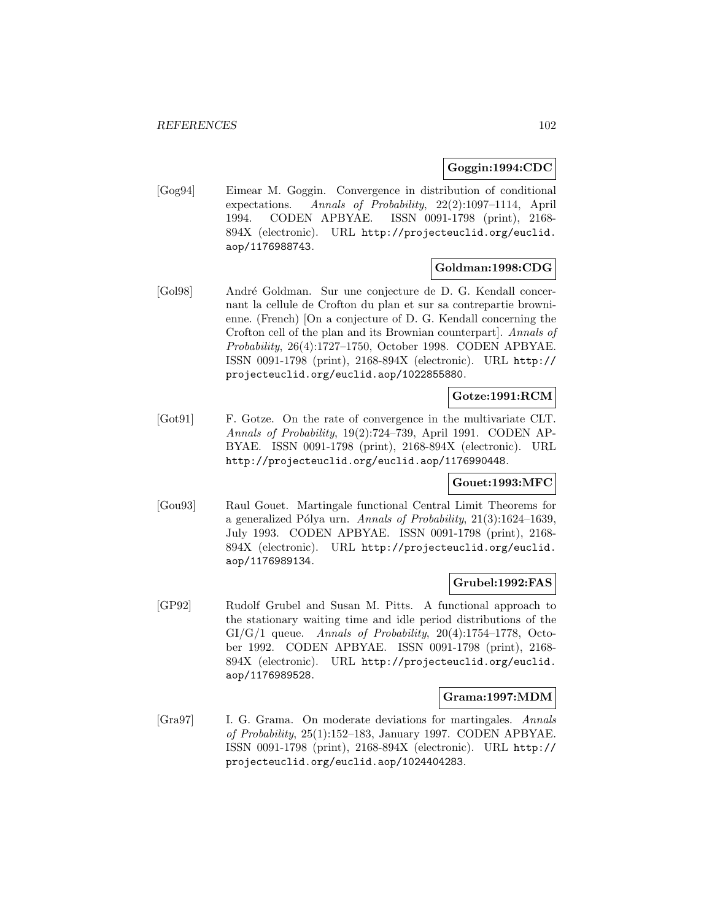### **Goggin:1994:CDC**

[Gog94] Eimear M. Goggin. Convergence in distribution of conditional expectations. Annals of Probability, 22(2):1097–1114, April 1994. CODEN APBYAE. ISSN 0091-1798 (print), 2168- 894X (electronic). URL http://projecteuclid.org/euclid. aop/1176988743.

# **Goldman:1998:CDG**

[Gol98] André Goldman. Sur une conjecture de D. G. Kendall concernant la cellule de Crofton du plan et sur sa contrepartie brownienne. (French) [On a conjecture of D. G. Kendall concerning the Crofton cell of the plan and its Brownian counterpart]. Annals of Probability, 26(4):1727–1750, October 1998. CODEN APBYAE. ISSN 0091-1798 (print), 2168-894X (electronic). URL http:// projecteuclid.org/euclid.aop/1022855880.

# **Gotze:1991:RCM**

[Got91] F. Gotze. On the rate of convergence in the multivariate CLT. Annals of Probability, 19(2):724–739, April 1991. CODEN AP-BYAE. ISSN 0091-1798 (print), 2168-894X (electronic). URL http://projecteuclid.org/euclid.aop/1176990448.

# **Gouet:1993:MFC**

[Gou93] Raul Gouet. Martingale functional Central Limit Theorems for a generalized Pólya urn. Annals of Probability,  $21(3):1624-1639$ , July 1993. CODEN APBYAE. ISSN 0091-1798 (print), 2168- 894X (electronic). URL http://projecteuclid.org/euclid. aop/1176989134.

#### **Grubel:1992:FAS**

[GP92] Rudolf Grubel and Susan M. Pitts. A functional approach to the stationary waiting time and idle period distributions of the  $GI/G/1$  queue. Annals of Probability,  $20(4):1754-1778$ , October 1992. CODEN APBYAE. ISSN 0091-1798 (print), 2168- 894X (electronic). URL http://projecteuclid.org/euclid. aop/1176989528.

### **Grama:1997:MDM**

[Gra97] I. G. Grama. On moderate deviations for martingales. Annals of Probability, 25(1):152–183, January 1997. CODEN APBYAE. ISSN 0091-1798 (print), 2168-894X (electronic). URL http:// projecteuclid.org/euclid.aop/1024404283.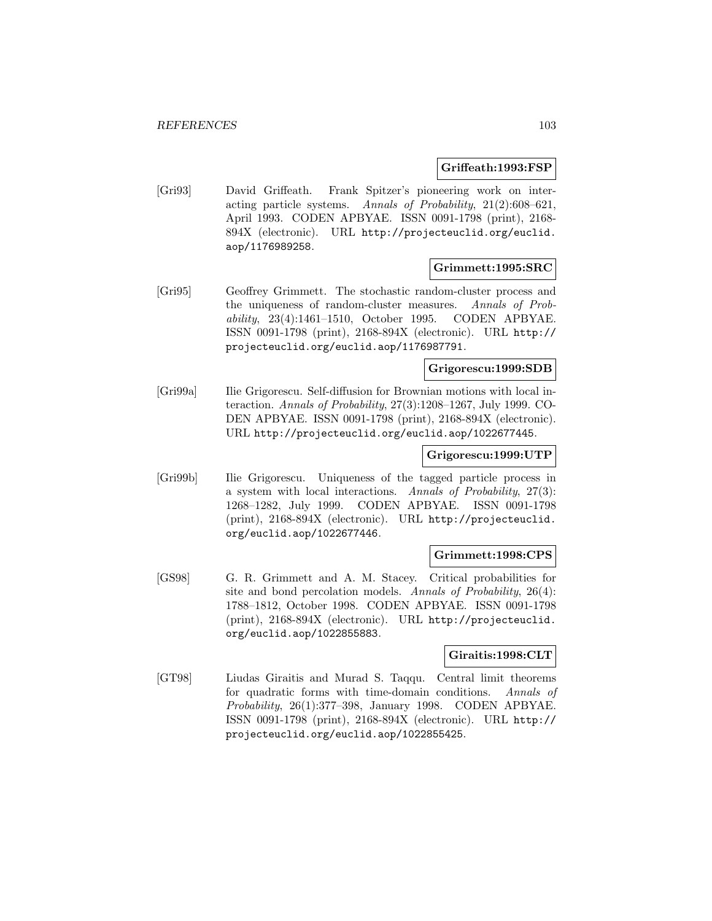### **Griffeath:1993:FSP**

[Gri93] David Griffeath. Frank Spitzer's pioneering work on interacting particle systems. Annals of Probability, 21(2):608–621, April 1993. CODEN APBYAE. ISSN 0091-1798 (print), 2168- 894X (electronic). URL http://projecteuclid.org/euclid. aop/1176989258.

### **Grimmett:1995:SRC**

[Gri95] Geoffrey Grimmett. The stochastic random-cluster process and the uniqueness of random-cluster measures. Annals of Probability, 23(4):1461–1510, October 1995. CODEN APBYAE. ISSN 0091-1798 (print), 2168-894X (electronic). URL http:// projecteuclid.org/euclid.aop/1176987791.

## **Grigorescu:1999:SDB**

[Gri99a] Ilie Grigorescu. Self-diffusion for Brownian motions with local interaction. Annals of Probability, 27(3):1208–1267, July 1999. CO-DEN APBYAE. ISSN 0091-1798 (print), 2168-894X (electronic). URL http://projecteuclid.org/euclid.aop/1022677445.

#### **Grigorescu:1999:UTP**

[Gri99b] Ilie Grigorescu. Uniqueness of the tagged particle process in a system with local interactions. Annals of Probability, 27(3): 1268–1282, July 1999. CODEN APBYAE. ISSN 0091-1798 (print), 2168-894X (electronic). URL http://projecteuclid. org/euclid.aop/1022677446.

#### **Grimmett:1998:CPS**

[GS98] G. R. Grimmett and A. M. Stacey. Critical probabilities for site and bond percolation models. Annals of Probability, 26(4): 1788–1812, October 1998. CODEN APBYAE. ISSN 0091-1798 (print), 2168-894X (electronic). URL http://projecteuclid. org/euclid.aop/1022855883.

### **Giraitis:1998:CLT**

[GT98] Liudas Giraitis and Murad S. Taqqu. Central limit theorems for quadratic forms with time-domain conditions. Annals of Probability, 26(1):377–398, January 1998. CODEN APBYAE. ISSN 0091-1798 (print), 2168-894X (electronic). URL http:// projecteuclid.org/euclid.aop/1022855425.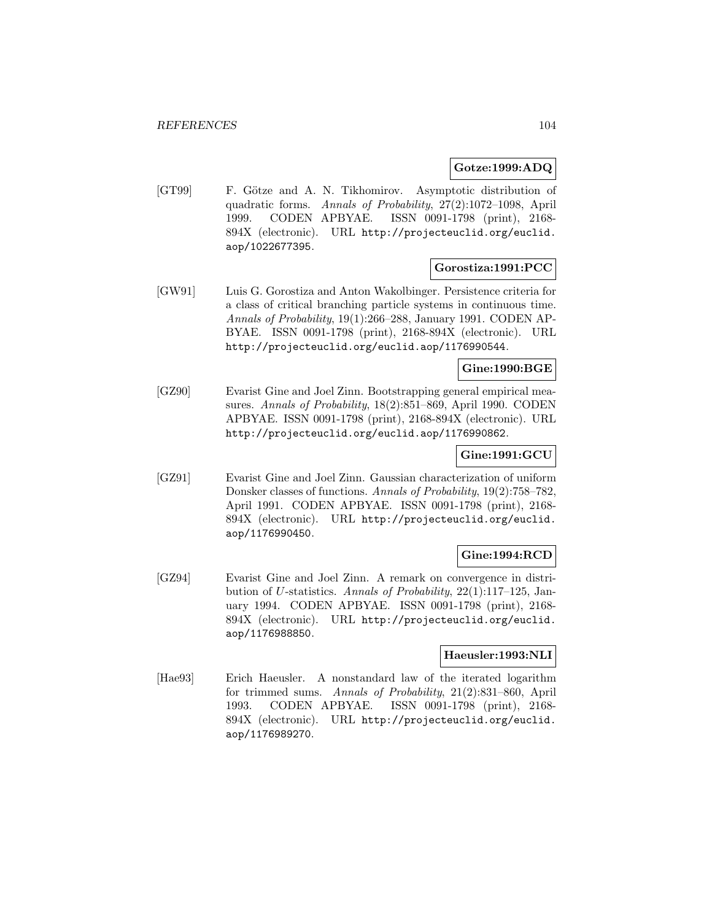### **Gotze:1999:ADQ**

[GT99] F. Götze and A. N. Tikhomirov. Asymptotic distribution of quadratic forms. Annals of Probability, 27(2):1072–1098, April 1999. CODEN APBYAE. ISSN 0091-1798 (print), 2168- 894X (electronic). URL http://projecteuclid.org/euclid. aop/1022677395.

# **Gorostiza:1991:PCC**

[GW91] Luis G. Gorostiza and Anton Wakolbinger. Persistence criteria for a class of critical branching particle systems in continuous time. Annals of Probability, 19(1):266–288, January 1991. CODEN AP-BYAE. ISSN 0091-1798 (print), 2168-894X (electronic). URL http://projecteuclid.org/euclid.aop/1176990544.

## **Gine:1990:BGE**

[GZ90] Evarist Gine and Joel Zinn. Bootstrapping general empirical measures. Annals of Probability, 18(2):851–869, April 1990. CODEN APBYAE. ISSN 0091-1798 (print), 2168-894X (electronic). URL http://projecteuclid.org/euclid.aop/1176990862.

### **Gine:1991:GCU**

[GZ91] Evarist Gine and Joel Zinn. Gaussian characterization of uniform Donsker classes of functions. Annals of Probability, 19(2):758–782, April 1991. CODEN APBYAE. ISSN 0091-1798 (print), 2168- 894X (electronic). URL http://projecteuclid.org/euclid. aop/1176990450.

# **Gine:1994:RCD**

[GZ94] Evarist Gine and Joel Zinn. A remark on convergence in distribution of U-statistics. Annals of Probability, 22(1):117–125, January 1994. CODEN APBYAE. ISSN 0091-1798 (print), 2168- 894X (electronic). URL http://projecteuclid.org/euclid. aop/1176988850.

### **Haeusler:1993:NLI**

[Hae93] Erich Haeusler. A nonstandard law of the iterated logarithm for trimmed sums. Annals of Probability, 21(2):831–860, April 1993. CODEN APBYAE. ISSN 0091-1798 (print), 2168- 894X (electronic). URL http://projecteuclid.org/euclid. aop/1176989270.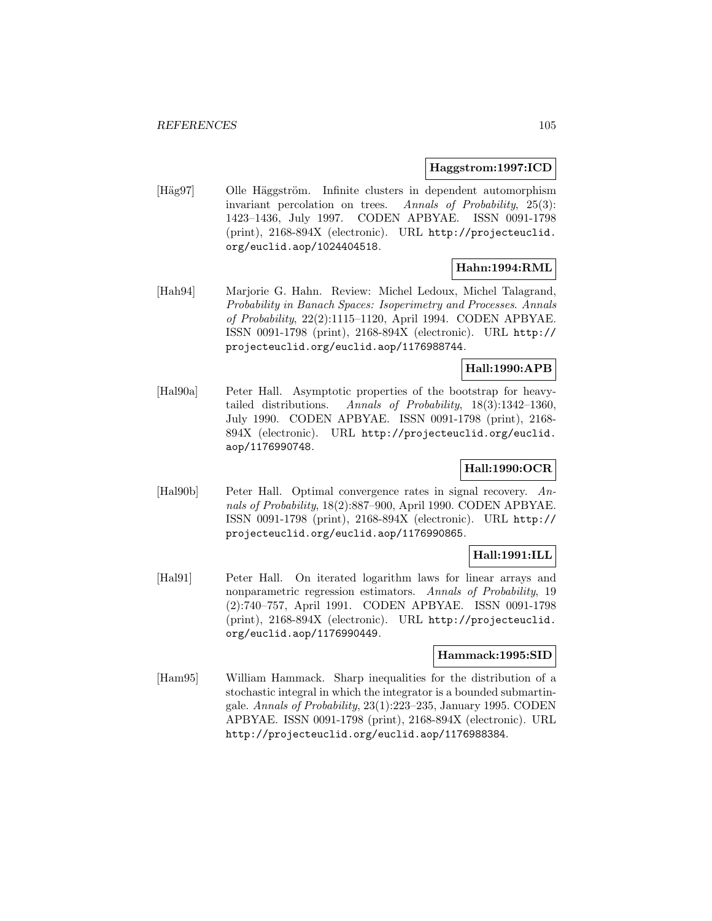#### **Haggstrom:1997:ICD**

[Häg97] Olle Häggström. Infinite clusters in dependent automorphism invariant percolation on trees. Annals of Probability, 25(3): 1423–1436, July 1997. CODEN APBYAE. ISSN 0091-1798 (print), 2168-894X (electronic). URL http://projecteuclid. org/euclid.aop/1024404518.

# **Hahn:1994:RML**

[Hah94] Marjorie G. Hahn. Review: Michel Ledoux, Michel Talagrand, Probability in Banach Spaces: Isoperimetry and Processes. Annals of Probability, 22(2):1115–1120, April 1994. CODEN APBYAE. ISSN 0091-1798 (print), 2168-894X (electronic). URL http:// projecteuclid.org/euclid.aop/1176988744.

# **Hall:1990:APB**

[Hal90a] Peter Hall. Asymptotic properties of the bootstrap for heavytailed distributions. Annals of Probability, 18(3):1342–1360, July 1990. CODEN APBYAE. ISSN 0091-1798 (print), 2168- 894X (electronic). URL http://projecteuclid.org/euclid. aop/1176990748.

# **Hall:1990:OCR**

[Hal90b] Peter Hall. Optimal convergence rates in signal recovery. Annals of Probability, 18(2):887–900, April 1990. CODEN APBYAE. ISSN 0091-1798 (print), 2168-894X (electronic). URL http:// projecteuclid.org/euclid.aop/1176990865.

# **Hall:1991:ILL**

[Hal91] Peter Hall. On iterated logarithm laws for linear arrays and nonparametric regression estimators. Annals of Probability, 19 (2):740–757, April 1991. CODEN APBYAE. ISSN 0091-1798 (print), 2168-894X (electronic). URL http://projecteuclid. org/euclid.aop/1176990449.

### **Hammack:1995:SID**

[Ham95] William Hammack. Sharp inequalities for the distribution of a stochastic integral in which the integrator is a bounded submartingale. Annals of Probability, 23(1):223–235, January 1995. CODEN APBYAE. ISSN 0091-1798 (print), 2168-894X (electronic). URL http://projecteuclid.org/euclid.aop/1176988384.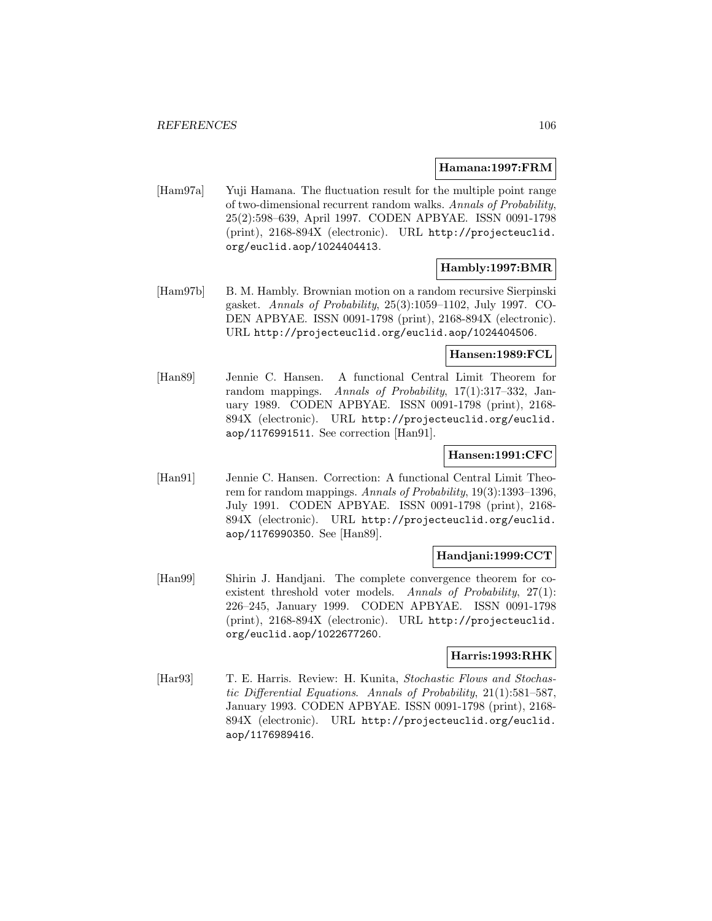#### **Hamana:1997:FRM**

[Ham97a] Yuji Hamana. The fluctuation result for the multiple point range of two-dimensional recurrent random walks. Annals of Probability, 25(2):598–639, April 1997. CODEN APBYAE. ISSN 0091-1798 (print), 2168-894X (electronic). URL http://projecteuclid. org/euclid.aop/1024404413.

# **Hambly:1997:BMR**

[Ham97b] B. M. Hambly. Brownian motion on a random recursive Sierpinski gasket. Annals of Probability, 25(3):1059–1102, July 1997. CO-DEN APBYAE. ISSN 0091-1798 (print), 2168-894X (electronic). URL http://projecteuclid.org/euclid.aop/1024404506.

### **Hansen:1989:FCL**

[Han89] Jennie C. Hansen. A functional Central Limit Theorem for random mappings. Annals of Probability, 17(1):317–332, January 1989. CODEN APBYAE. ISSN 0091-1798 (print), 2168- 894X (electronic). URL http://projecteuclid.org/euclid. aop/1176991511. See correction [Han91].

### **Hansen:1991:CFC**

[Han91] Jennie C. Hansen. Correction: A functional Central Limit Theorem for random mappings. Annals of Probability, 19(3):1393–1396, July 1991. CODEN APBYAE. ISSN 0091-1798 (print), 2168- 894X (electronic). URL http://projecteuclid.org/euclid. aop/1176990350. See [Han89].

### **Handjani:1999:CCT**

[Han99] Shirin J. Handjani. The complete convergence theorem for coexistent threshold voter models. Annals of Probability, 27(1): 226–245, January 1999. CODEN APBYAE. ISSN 0091-1798 (print), 2168-894X (electronic). URL http://projecteuclid. org/euclid.aop/1022677260.

### **Harris:1993:RHK**

[Har93] T. E. Harris. Review: H. Kunita, Stochastic Flows and Stochastic Differential Equations. Annals of Probability, 21(1):581–587, January 1993. CODEN APBYAE. ISSN 0091-1798 (print), 2168- 894X (electronic). URL http://projecteuclid.org/euclid. aop/1176989416.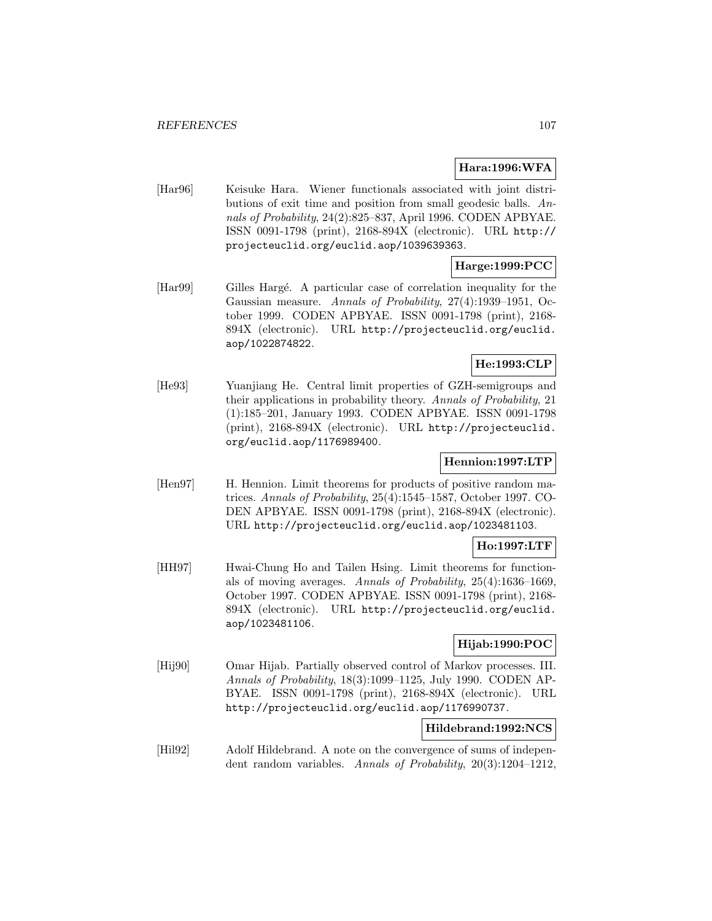# **Hara:1996:WFA**

[Har96] Keisuke Hara. Wiener functionals associated with joint distributions of exit time and position from small geodesic balls. Annals of Probability, 24(2):825–837, April 1996. CODEN APBYAE. ISSN 0091-1798 (print), 2168-894X (electronic). URL http:// projecteuclid.org/euclid.aop/1039639363.

# **Harge:1999:PCC**

[Har99] Gilles Hargé. A particular case of correlation inequality for the Gaussian measure. Annals of Probability, 27(4):1939–1951, October 1999. CODEN APBYAE. ISSN 0091-1798 (print), 2168- 894X (electronic). URL http://projecteuclid.org/euclid. aop/1022874822.

# **He:1993:CLP**

[He93] Yuanjiang He. Central limit properties of GZH-semigroups and their applications in probability theory. Annals of Probability, 21 (1):185–201, January 1993. CODEN APBYAE. ISSN 0091-1798 (print), 2168-894X (electronic). URL http://projecteuclid. org/euclid.aop/1176989400.

# **Hennion:1997:LTP**

[Hen97] H. Hennion. Limit theorems for products of positive random matrices. Annals of Probability, 25(4):1545–1587, October 1997. CO-DEN APBYAE. ISSN 0091-1798 (print), 2168-894X (electronic). URL http://projecteuclid.org/euclid.aop/1023481103.

### **Ho:1997:LTF**

[HH97] Hwai-Chung Ho and Tailen Hsing. Limit theorems for functionals of moving averages. Annals of Probability, 25(4):1636–1669, October 1997. CODEN APBYAE. ISSN 0091-1798 (print), 2168- 894X (electronic). URL http://projecteuclid.org/euclid. aop/1023481106.

### **Hijab:1990:POC**

[Hij90] Omar Hijab. Partially observed control of Markov processes. III. Annals of Probability, 18(3):1099–1125, July 1990. CODEN AP-BYAE. ISSN 0091-1798 (print), 2168-894X (electronic). URL http://projecteuclid.org/euclid.aop/1176990737.

### **Hildebrand:1992:NCS**

[Hil92] Adolf Hildebrand. A note on the convergence of sums of independent random variables. Annals of Probability, 20(3):1204–1212,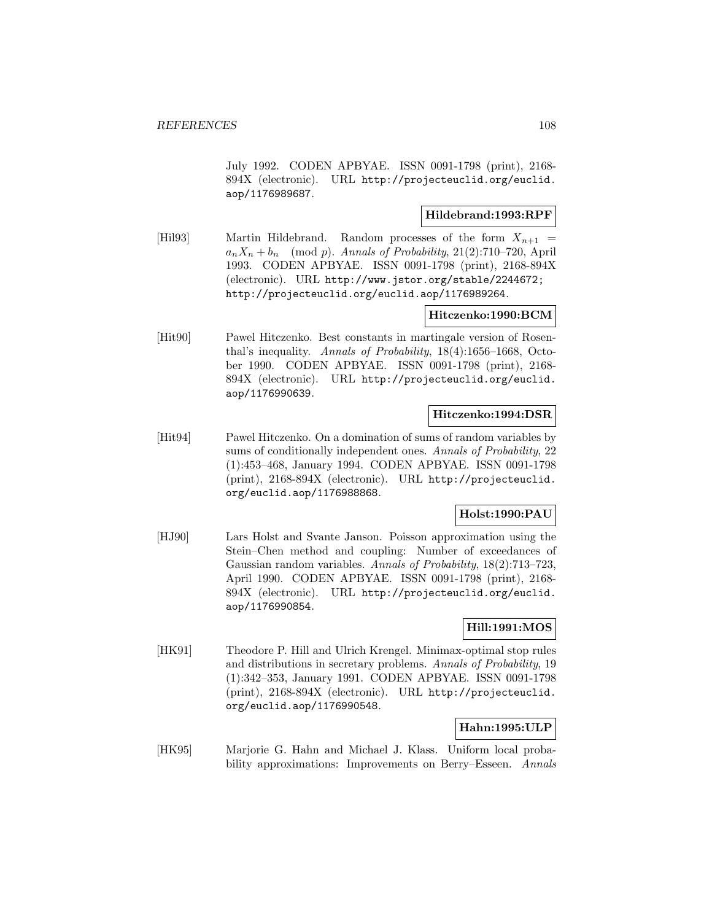July 1992. CODEN APBYAE. ISSN 0091-1798 (print), 2168- 894X (electronic). URL http://projecteuclid.org/euclid. aop/1176989687.

# **Hildebrand:1993:RPF**

[Hil93] Martin Hildebrand. Random processes of the form  $X_{n+1}$  =  $a_nX_n + b_n \pmod{p}$ . Annals of Probability, 21(2):710–720, April 1993. CODEN APBYAE. ISSN 0091-1798 (print), 2168-894X (electronic). URL http://www.jstor.org/stable/2244672; http://projecteuclid.org/euclid.aop/1176989264.

### **Hitczenko:1990:BCM**

[Hit90] Pawel Hitczenko. Best constants in martingale version of Rosenthal's inequality. Annals of Probability, 18(4):1656–1668, October 1990. CODEN APBYAE. ISSN 0091-1798 (print), 2168- 894X (electronic). URL http://projecteuclid.org/euclid. aop/1176990639.

# **Hitczenko:1994:DSR**

[Hit94] Pawel Hitczenko. On a domination of sums of random variables by sums of conditionally independent ones. Annals of Probability, 22 (1):453–468, January 1994. CODEN APBYAE. ISSN 0091-1798 (print), 2168-894X (electronic). URL http://projecteuclid. org/euclid.aop/1176988868.

# **Holst:1990:PAU**

[HJ90] Lars Holst and Svante Janson. Poisson approximation using the Stein–Chen method and coupling: Number of exceedances of Gaussian random variables. Annals of Probability, 18(2):713–723, April 1990. CODEN APBYAE. ISSN 0091-1798 (print), 2168- 894X (electronic). URL http://projecteuclid.org/euclid. aop/1176990854.

# **Hill:1991:MOS**

[HK91] Theodore P. Hill and Ulrich Krengel. Minimax-optimal stop rules and distributions in secretary problems. Annals of Probability, 19 (1):342–353, January 1991. CODEN APBYAE. ISSN 0091-1798 (print), 2168-894X (electronic). URL http://projecteuclid. org/euclid.aop/1176990548.

# **Hahn:1995:ULP**

[HK95] Marjorie G. Hahn and Michael J. Klass. Uniform local probability approximations: Improvements on Berry–Esseen. Annals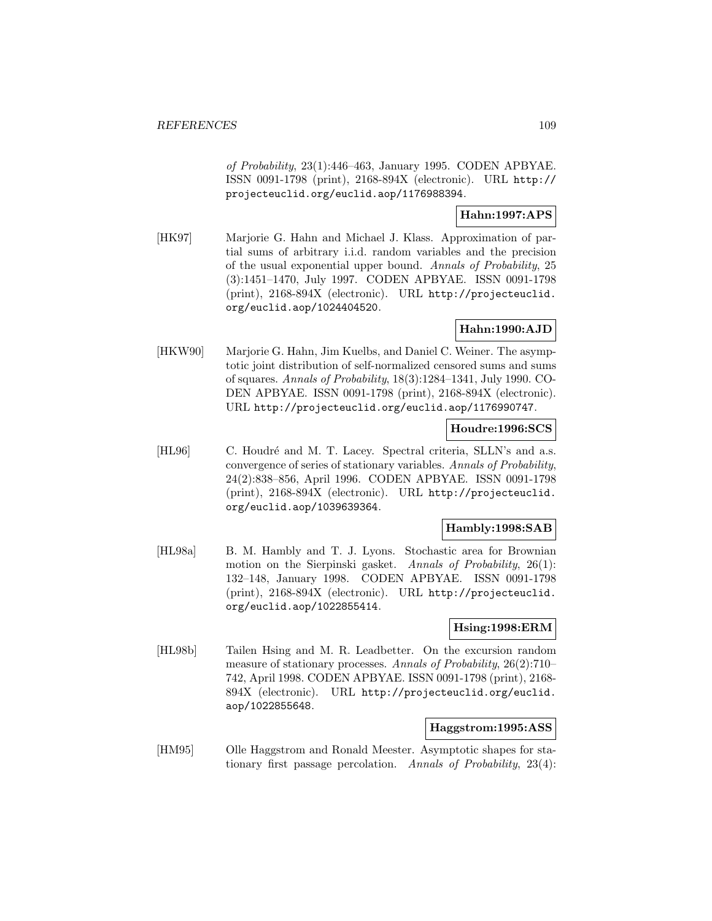of Probability, 23(1):446–463, January 1995. CODEN APBYAE. ISSN 0091-1798 (print), 2168-894X (electronic). URL http:// projecteuclid.org/euclid.aop/1176988394.

# **Hahn:1997:APS**

[HK97] Marjorie G. Hahn and Michael J. Klass. Approximation of partial sums of arbitrary i.i.d. random variables and the precision of the usual exponential upper bound. Annals of Probability, 25 (3):1451–1470, July 1997. CODEN APBYAE. ISSN 0091-1798 (print), 2168-894X (electronic). URL http://projecteuclid. org/euclid.aop/1024404520.

# **Hahn:1990:AJD**

[HKW90] Marjorie G. Hahn, Jim Kuelbs, and Daniel C. Weiner. The asymptotic joint distribution of self-normalized censored sums and sums of squares. Annals of Probability, 18(3):1284–1341, July 1990. CO-DEN APBYAE. ISSN 0091-1798 (print), 2168-894X (electronic). URL http://projecteuclid.org/euclid.aop/1176990747.

# **Houdre:1996:SCS**

[HL96] C. Houdré and M. T. Lacey. Spectral criteria, SLLN's and a.s. convergence of series of stationary variables. Annals of Probability, 24(2):838–856, April 1996. CODEN APBYAE. ISSN 0091-1798 (print), 2168-894X (electronic). URL http://projecteuclid. org/euclid.aop/1039639364.

### **Hambly:1998:SAB**

[HL98a] B. M. Hambly and T. J. Lyons. Stochastic area for Brownian motion on the Sierpinski gasket. Annals of Probability, 26(1): 132–148, January 1998. CODEN APBYAE. ISSN 0091-1798 (print), 2168-894X (electronic). URL http://projecteuclid. org/euclid.aop/1022855414.

# **Hsing:1998:ERM**

[HL98b] Tailen Hsing and M. R. Leadbetter. On the excursion random measure of stationary processes. Annals of Probability, 26(2):710– 742, April 1998. CODEN APBYAE. ISSN 0091-1798 (print), 2168- 894X (electronic). URL http://projecteuclid.org/euclid. aop/1022855648.

# **Haggstrom:1995:ASS**

[HM95] Olle Haggstrom and Ronald Meester. Asymptotic shapes for stationary first passage percolation. Annals of Probability, 23(4):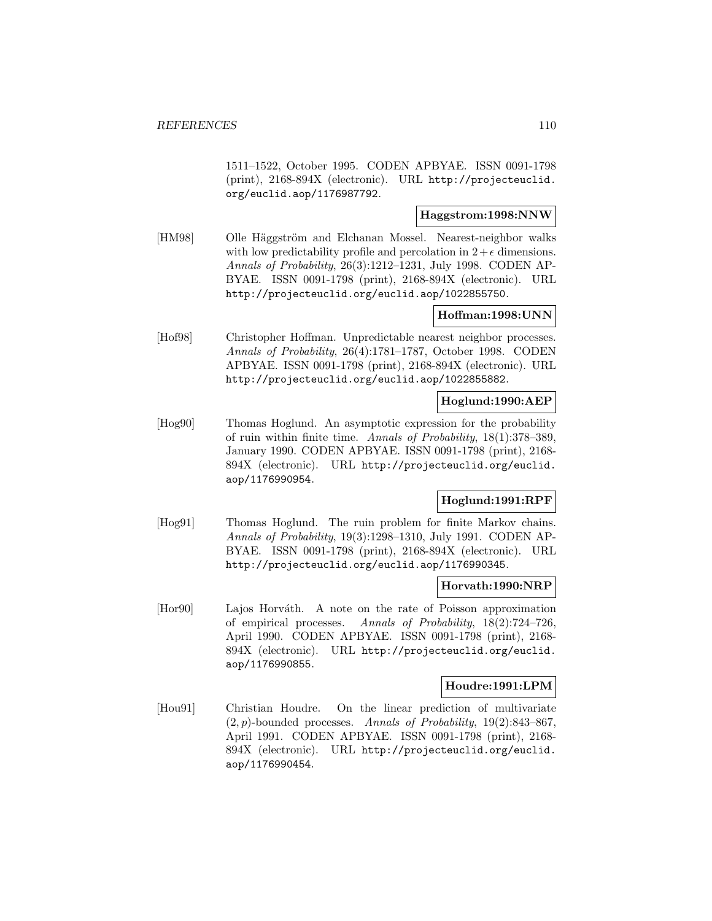1511–1522, October 1995. CODEN APBYAE. ISSN 0091-1798 (print), 2168-894X (electronic). URL http://projecteuclid. org/euclid.aop/1176987792.

### **Haggstrom:1998:NNW**

[HM98] Olle Häggström and Elchanan Mossel. Nearest-neighbor walks with low predictability profile and percolation in  $2+\epsilon$  dimensions. Annals of Probability, 26(3):1212–1231, July 1998. CODEN AP-BYAE. ISSN 0091-1798 (print), 2168-894X (electronic). URL http://projecteuclid.org/euclid.aop/1022855750.

# **Hoffman:1998:UNN**

[Hof98] Christopher Hoffman. Unpredictable nearest neighbor processes. Annals of Probability, 26(4):1781–1787, October 1998. CODEN APBYAE. ISSN 0091-1798 (print), 2168-894X (electronic). URL http://projecteuclid.org/euclid.aop/1022855882.

# **Hoglund:1990:AEP**

[Hog90] Thomas Hoglund. An asymptotic expression for the probability of ruin within finite time. Annals of Probability, 18(1):378–389, January 1990. CODEN APBYAE. ISSN 0091-1798 (print), 2168- 894X (electronic). URL http://projecteuclid.org/euclid. aop/1176990954.

# **Hoglund:1991:RPF**

[Hog91] Thomas Hoglund. The ruin problem for finite Markov chains. Annals of Probability, 19(3):1298–1310, July 1991. CODEN AP-BYAE. ISSN 0091-1798 (print), 2168-894X (electronic). URL http://projecteuclid.org/euclid.aop/1176990345.

### **Horvath:1990:NRP**

[Hor90] Lajos Horváth. A note on the rate of Poisson approximation of empirical processes. Annals of Probability, 18(2):724–726, April 1990. CODEN APBYAE. ISSN 0091-1798 (print), 2168- 894X (electronic). URL http://projecteuclid.org/euclid. aop/1176990855.

### **Houdre:1991:LPM**

[Hou91] Christian Houdre. On the linear prediction of multivariate  $(2, p)$ -bounded processes. Annals of Probability, 19(2):843–867, April 1991. CODEN APBYAE. ISSN 0091-1798 (print), 2168- 894X (electronic). URL http://projecteuclid.org/euclid. aop/1176990454.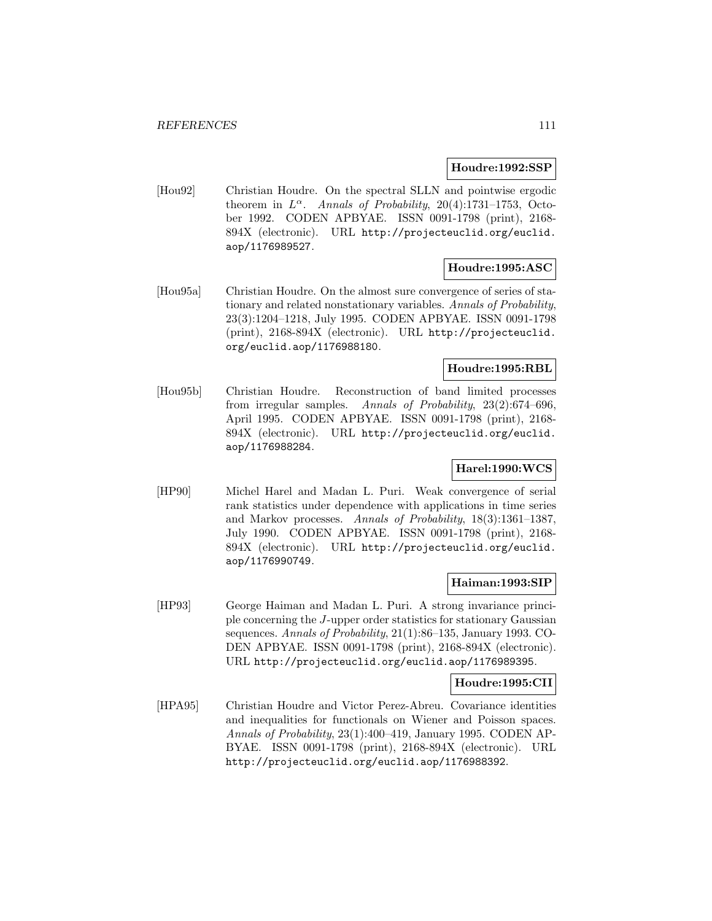#### **Houdre:1992:SSP**

[Hou92] Christian Houdre. On the spectral SLLN and pointwise ergodic theorem in  $L^{\alpha}$ . Annals of Probability, 20(4):1731–1753, October 1992. CODEN APBYAE. ISSN 0091-1798 (print), 2168- 894X (electronic). URL http://projecteuclid.org/euclid. aop/1176989527.

### **Houdre:1995:ASC**

[Hou95a] Christian Houdre. On the almost sure convergence of series of stationary and related nonstationary variables. Annals of Probability, 23(3):1204–1218, July 1995. CODEN APBYAE. ISSN 0091-1798 (print), 2168-894X (electronic). URL http://projecteuclid. org/euclid.aop/1176988180.

# **Houdre:1995:RBL**

[Hou95b] Christian Houdre. Reconstruction of band limited processes from irregular samples. Annals of Probability, 23(2):674–696, April 1995. CODEN APBYAE. ISSN 0091-1798 (print), 2168- 894X (electronic). URL http://projecteuclid.org/euclid. aop/1176988284.

# **Harel:1990:WCS**

[HP90] Michel Harel and Madan L. Puri. Weak convergence of serial rank statistics under dependence with applications in time series and Markov processes. Annals of Probability, 18(3):1361–1387, July 1990. CODEN APBYAE. ISSN 0091-1798 (print), 2168- 894X (electronic). URL http://projecteuclid.org/euclid. aop/1176990749.

#### **Haiman:1993:SIP**

[HP93] George Haiman and Madan L. Puri. A strong invariance principle concerning the J-upper order statistics for stationary Gaussian sequences. Annals of Probability, 21(1):86–135, January 1993. CO-DEN APBYAE. ISSN 0091-1798 (print), 2168-894X (electronic). URL http://projecteuclid.org/euclid.aop/1176989395.

### **Houdre:1995:CII**

[HPA95] Christian Houdre and Victor Perez-Abreu. Covariance identities and inequalities for functionals on Wiener and Poisson spaces. Annals of Probability, 23(1):400–419, January 1995. CODEN AP-BYAE. ISSN 0091-1798 (print), 2168-894X (electronic). URL http://projecteuclid.org/euclid.aop/1176988392.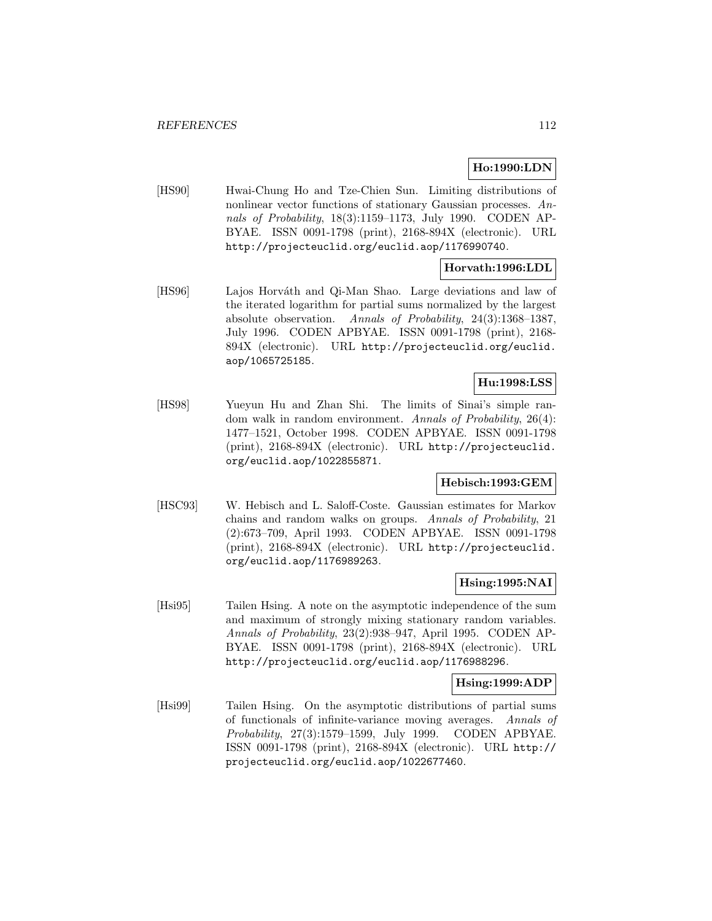# **Ho:1990:LDN**

[HS90] Hwai-Chung Ho and Tze-Chien Sun. Limiting distributions of nonlinear vector functions of stationary Gaussian processes. Annals of Probability, 18(3):1159–1173, July 1990. CODEN AP-BYAE. ISSN 0091-1798 (print), 2168-894X (electronic). URL http://projecteuclid.org/euclid.aop/1176990740.

# **Horvath:1996:LDL**

[HS96] Lajos Horváth and Qi-Man Shao. Large deviations and law of the iterated logarithm for partial sums normalized by the largest absolute observation. Annals of Probability, 24(3):1368–1387, July 1996. CODEN APBYAE. ISSN 0091-1798 (print), 2168- 894X (electronic). URL http://projecteuclid.org/euclid. aop/1065725185.

# **Hu:1998:LSS**

[HS98] Yueyun Hu and Zhan Shi. The limits of Sinai's simple random walk in random environment. Annals of Probability, 26(4): 1477–1521, October 1998. CODEN APBYAE. ISSN 0091-1798 (print), 2168-894X (electronic). URL http://projecteuclid. org/euclid.aop/1022855871.

# **Hebisch:1993:GEM**

[HSC93] W. Hebisch and L. Saloff-Coste. Gaussian estimates for Markov chains and random walks on groups. Annals of Probability, 21 (2):673–709, April 1993. CODEN APBYAE. ISSN 0091-1798 (print), 2168-894X (electronic). URL http://projecteuclid. org/euclid.aop/1176989263.

### **Hsing:1995:NAI**

[Hsi95] Tailen Hsing. A note on the asymptotic independence of the sum and maximum of strongly mixing stationary random variables. Annals of Probability, 23(2):938–947, April 1995. CODEN AP-BYAE. ISSN 0091-1798 (print), 2168-894X (electronic). URL http://projecteuclid.org/euclid.aop/1176988296.

#### **Hsing:1999:ADP**

[Hsi99] Tailen Hsing. On the asymptotic distributions of partial sums of functionals of infinite-variance moving averages. Annals of Probability, 27(3):1579–1599, July 1999. CODEN APBYAE. ISSN 0091-1798 (print), 2168-894X (electronic). URL http:// projecteuclid.org/euclid.aop/1022677460.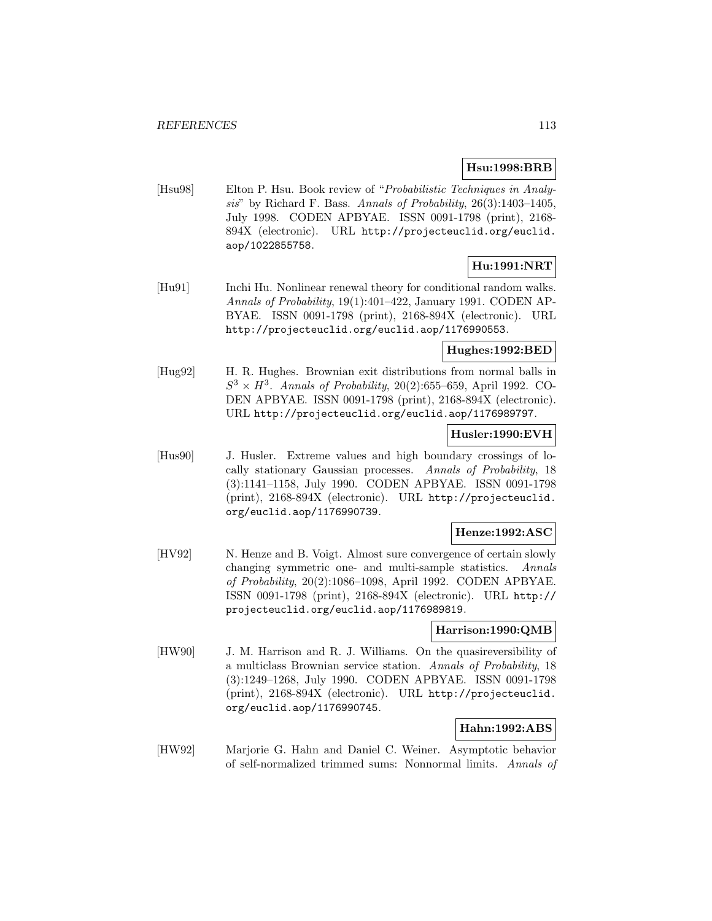# **Hsu:1998:BRB**

[Hsu98] Elton P. Hsu. Book review of "Probabilistic Techniques in Analysis" by Richard F. Bass. Annals of Probability, 26(3):1403–1405, July 1998. CODEN APBYAE. ISSN 0091-1798 (print), 2168- 894X (electronic). URL http://projecteuclid.org/euclid. aop/1022855758.

# **Hu:1991:NRT**

[Hu91] Inchi Hu. Nonlinear renewal theory for conditional random walks. Annals of Probability, 19(1):401–422, January 1991. CODEN AP-BYAE. ISSN 0091-1798 (print), 2168-894X (electronic). URL http://projecteuclid.org/euclid.aop/1176990553.

### **Hughes:1992:BED**

[Hug92] H. R. Hughes. Brownian exit distributions from normal balls in  $S^3 \times H^3$ . Annals of Probability, 20(2):655–659, April 1992. CO-DEN APBYAE. ISSN 0091-1798 (print), 2168-894X (electronic). URL http://projecteuclid.org/euclid.aop/1176989797.

# **Husler:1990:EVH**

[Hus90] J. Husler. Extreme values and high boundary crossings of locally stationary Gaussian processes. Annals of Probability, 18 (3):1141–1158, July 1990. CODEN APBYAE. ISSN 0091-1798 (print), 2168-894X (electronic). URL http://projecteuclid. org/euclid.aop/1176990739.

# **Henze:1992:ASC**

[HV92] N. Henze and B. Voigt. Almost sure convergence of certain slowly changing symmetric one- and multi-sample statistics. Annals of Probability, 20(2):1086–1098, April 1992. CODEN APBYAE. ISSN 0091-1798 (print), 2168-894X (electronic). URL http:// projecteuclid.org/euclid.aop/1176989819.

### **Harrison:1990:QMB**

[HW90] J. M. Harrison and R. J. Williams. On the quasireversibility of a multiclass Brownian service station. Annals of Probability, 18 (3):1249–1268, July 1990. CODEN APBYAE. ISSN 0091-1798 (print), 2168-894X (electronic). URL http://projecteuclid. org/euclid.aop/1176990745.

# **Hahn:1992:ABS**

[HW92] Marjorie G. Hahn and Daniel C. Weiner. Asymptotic behavior of self-normalized trimmed sums: Nonnormal limits. Annals of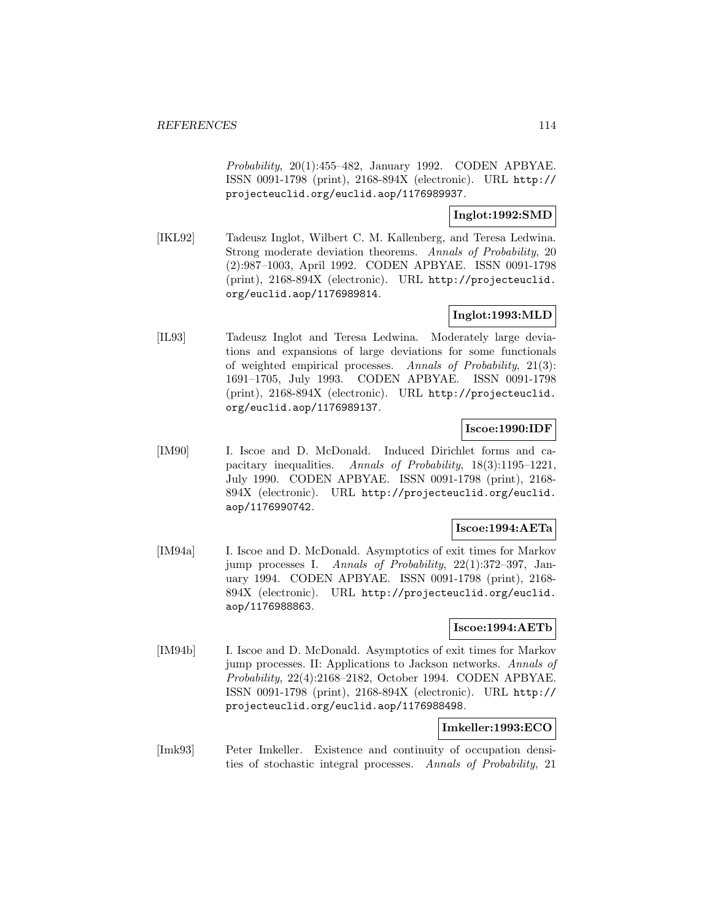Probability, 20(1):455–482, January 1992. CODEN APBYAE. ISSN 0091-1798 (print), 2168-894X (electronic). URL http:// projecteuclid.org/euclid.aop/1176989937.

# **Inglot:1992:SMD**

[IKL92] Tadeusz Inglot, Wilbert C. M. Kallenberg, and Teresa Ledwina. Strong moderate deviation theorems. Annals of Probability, 20 (2):987–1003, April 1992. CODEN APBYAE. ISSN 0091-1798 (print), 2168-894X (electronic). URL http://projecteuclid. org/euclid.aop/1176989814.

# **Inglot:1993:MLD**

[IL93] Tadeusz Inglot and Teresa Ledwina. Moderately large deviations and expansions of large deviations for some functionals of weighted empirical processes. Annals of Probability, 21(3): 1691–1705, July 1993. CODEN APBYAE. ISSN 0091-1798 (print), 2168-894X (electronic). URL http://projecteuclid. org/euclid.aop/1176989137.

### **Iscoe:1990:IDF**

[IM90] I. Iscoe and D. McDonald. Induced Dirichlet forms and capacitary inequalities. Annals of Probability, 18(3):1195–1221, July 1990. CODEN APBYAE. ISSN 0091-1798 (print), 2168- 894X (electronic). URL http://projecteuclid.org/euclid. aop/1176990742.

### **Iscoe:1994:AETa**

[IM94a] I. Iscoe and D. McDonald. Asymptotics of exit times for Markov jump processes I. Annals of Probability, 22(1):372–397, January 1994. CODEN APBYAE. ISSN 0091-1798 (print), 2168- 894X (electronic). URL http://projecteuclid.org/euclid. aop/1176988863.

### **Iscoe:1994:AETb**

[IM94b] I. Iscoe and D. McDonald. Asymptotics of exit times for Markov jump processes. II: Applications to Jackson networks. Annals of Probability, 22(4):2168–2182, October 1994. CODEN APBYAE. ISSN 0091-1798 (print), 2168-894X (electronic). URL http:// projecteuclid.org/euclid.aop/1176988498.

# **Imkeller:1993:ECO**

[Imk93] Peter Imkeller. Existence and continuity of occupation densities of stochastic integral processes. Annals of Probability, 21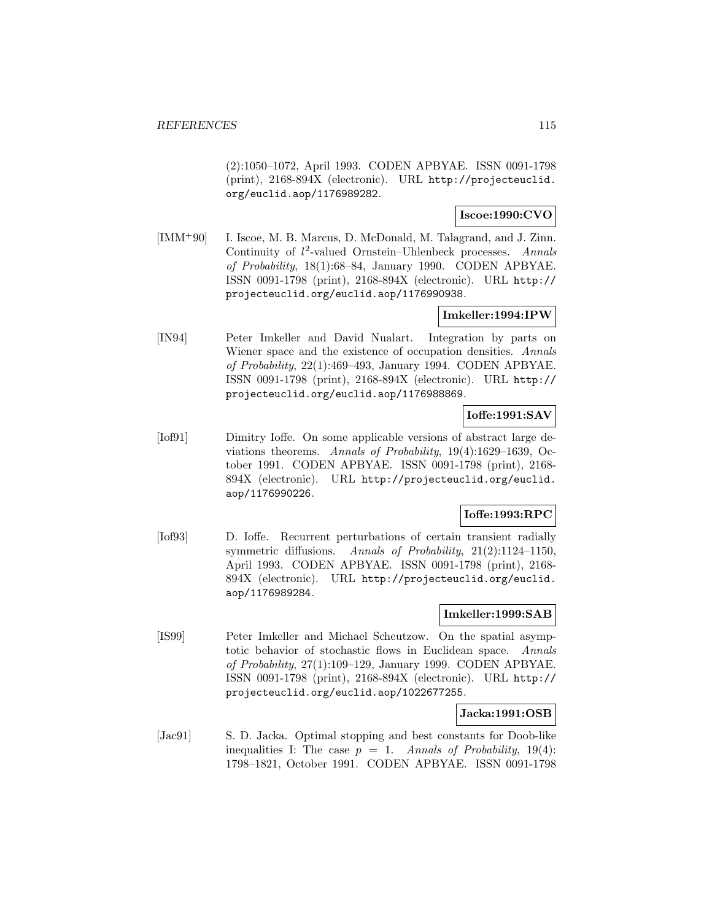(2):1050–1072, April 1993. CODEN APBYAE. ISSN 0091-1798 (print), 2168-894X (electronic). URL http://projecteuclid. org/euclid.aop/1176989282.

# **Iscoe:1990:CVO**

[IMM<sup>+</sup>90] I. Iscoe, M. B. Marcus, D. McDonald, M. Talagrand, and J. Zinn. Continuity of  $l^2$ -valued Ornstein–Uhlenbeck processes. Annals of Probability, 18(1):68–84, January 1990. CODEN APBYAE. ISSN 0091-1798 (print), 2168-894X (electronic). URL http:// projecteuclid.org/euclid.aop/1176990938.

# **Imkeller:1994:IPW**

[IN94] Peter Imkeller and David Nualart. Integration by parts on Wiener space and the existence of occupation densities. Annals of Probability, 22(1):469–493, January 1994. CODEN APBYAE. ISSN 0091-1798 (print), 2168-894X (electronic). URL http:// projecteuclid.org/euclid.aop/1176988869.

# **Ioffe:1991:SAV**

[Iof91] Dimitry Ioffe. On some applicable versions of abstract large deviations theorems. Annals of Probability, 19(4):1629–1639, October 1991. CODEN APBYAE. ISSN 0091-1798 (print), 2168- 894X (electronic). URL http://projecteuclid.org/euclid. aop/1176990226.

# **Ioffe:1993:RPC**

[Iof93] D. Ioffe. Recurrent perturbations of certain transient radially symmetric diffusions. Annals of Probability, 21(2):1124–1150, April 1993. CODEN APBYAE. ISSN 0091-1798 (print), 2168- 894X (electronic). URL http://projecteuclid.org/euclid. aop/1176989284.

# **Imkeller:1999:SAB**

[IS99] Peter Imkeller and Michael Scheutzow. On the spatial asymptotic behavior of stochastic flows in Euclidean space. Annals of Probability, 27(1):109–129, January 1999. CODEN APBYAE. ISSN 0091-1798 (print), 2168-894X (electronic). URL http:// projecteuclid.org/euclid.aop/1022677255.

### **Jacka:1991:OSB**

[Jac91] S. D. Jacka. Optimal stopping and best constants for Doob-like inequalities I: The case  $p = 1$ . Annals of Probability, 19(4): 1798–1821, October 1991. CODEN APBYAE. ISSN 0091-1798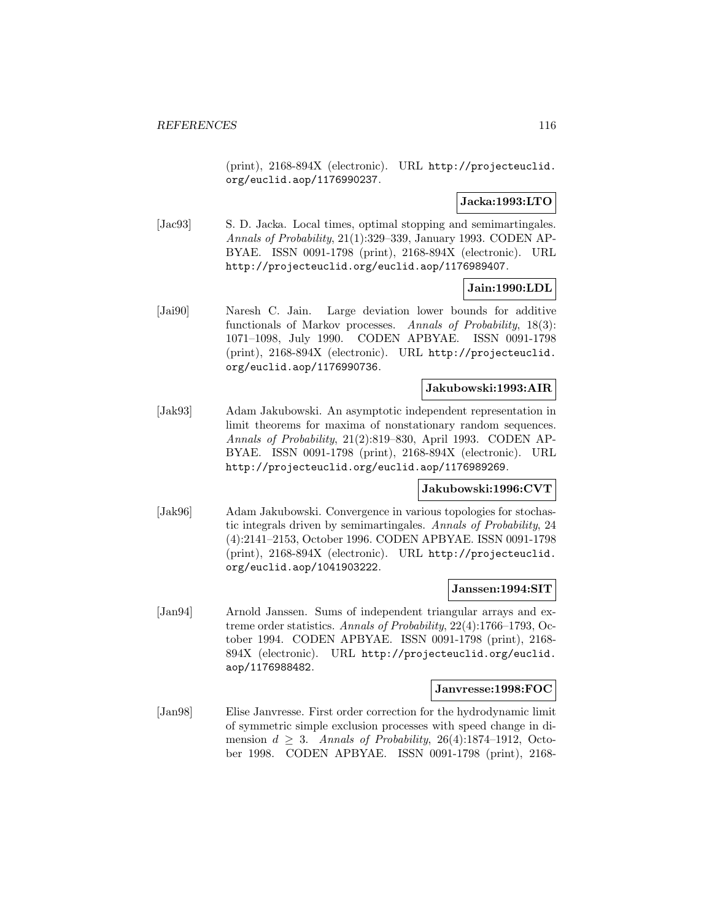(print), 2168-894X (electronic). URL http://projecteuclid. org/euclid.aop/1176990237.

### **Jacka:1993:LTO**

[Jac93] S. D. Jacka. Local times, optimal stopping and semimartingales. Annals of Probability, 21(1):329–339, January 1993. CODEN AP-BYAE. ISSN 0091-1798 (print), 2168-894X (electronic). URL http://projecteuclid.org/euclid.aop/1176989407.

### **Jain:1990:LDL**

[Jai90] Naresh C. Jain. Large deviation lower bounds for additive functionals of Markov processes. Annals of Probability, 18(3): 1071–1098, July 1990. CODEN APBYAE. ISSN 0091-1798 (print), 2168-894X (electronic). URL http://projecteuclid. org/euclid.aop/1176990736.

#### **Jakubowski:1993:AIR**

[Jak93] Adam Jakubowski. An asymptotic independent representation in limit theorems for maxima of nonstationary random sequences. Annals of Probability, 21(2):819–830, April 1993. CODEN AP-BYAE. ISSN 0091-1798 (print), 2168-894X (electronic). URL http://projecteuclid.org/euclid.aop/1176989269.

### **Jakubowski:1996:CVT**

[Jak96] Adam Jakubowski. Convergence in various topologies for stochastic integrals driven by semimartingales. Annals of Probability, 24 (4):2141–2153, October 1996. CODEN APBYAE. ISSN 0091-1798 (print), 2168-894X (electronic). URL http://projecteuclid. org/euclid.aop/1041903222.

#### **Janssen:1994:SIT**

[Jan94] Arnold Janssen. Sums of independent triangular arrays and extreme order statistics. Annals of Probability, 22(4):1766–1793, October 1994. CODEN APBYAE. ISSN 0091-1798 (print), 2168- 894X (electronic). URL http://projecteuclid.org/euclid. aop/1176988482.

#### **Janvresse:1998:FOC**

[Jan98] Elise Janvresse. First order correction for the hydrodynamic limit of symmetric simple exclusion processes with speed change in dimension  $d > 3$ . Annals of Probability, 26(4):1874–1912, October 1998. CODEN APBYAE. ISSN 0091-1798 (print), 2168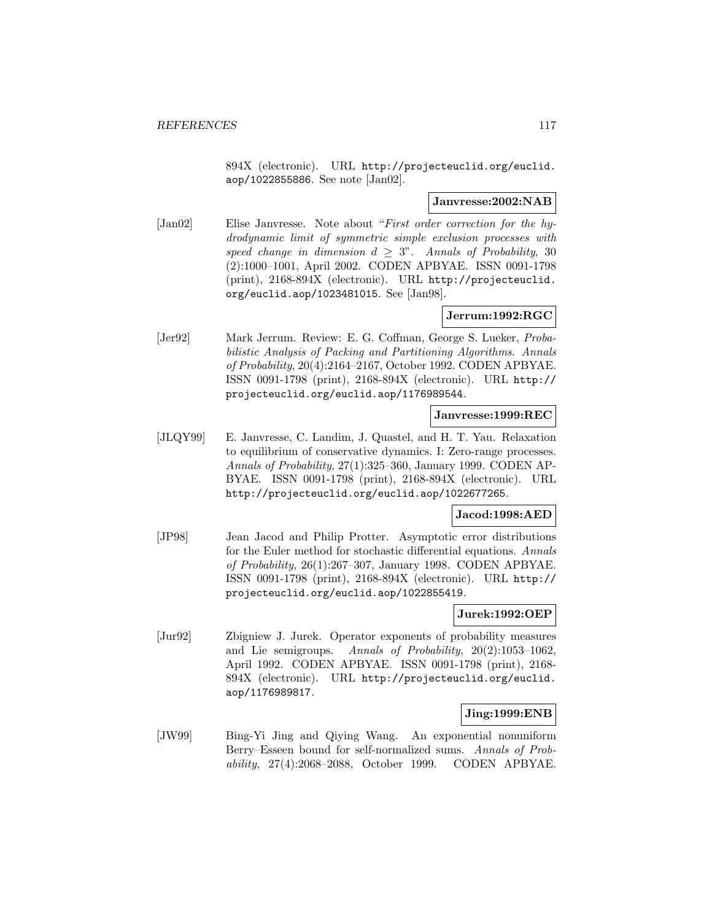894X (electronic). URL http://projecteuclid.org/euclid. aop/1022855886. See note [Jan02].

#### **Janvresse:2002:NAB**

[Jan02] Elise Janvresse. Note about "First order correction for the hydrodynamic limit of symmetric simple exclusion processes with speed change in dimension  $d \geq 3$ ". Annals of Probability, 30 (2):1000–1001, April 2002. CODEN APBYAE. ISSN 0091-1798 (print), 2168-894X (electronic). URL http://projecteuclid. org/euclid.aop/1023481015. See [Jan98].

# **Jerrum:1992:RGC**

[Jer92] Mark Jerrum. Review: E. G. Coffman, George S. Lueker, Probabilistic Analysis of Packing and Partitioning Algorithms. Annals of Probability, 20(4):2164–2167, October 1992. CODEN APBYAE. ISSN 0091-1798 (print), 2168-894X (electronic). URL http:// projecteuclid.org/euclid.aop/1176989544.

# **Janvresse:1999:REC**

[JLQY99] E. Janvresse, C. Landim, J. Quastel, and H. T. Yau. Relaxation to equilibrium of conservative dynamics. I: Zero-range processes. Annals of Probability, 27(1):325–360, January 1999. CODEN AP-BYAE. ISSN 0091-1798 (print), 2168-894X (electronic). URL http://projecteuclid.org/euclid.aop/1022677265.

### **Jacod:1998:AED**

[JP98] Jean Jacod and Philip Protter. Asymptotic error distributions for the Euler method for stochastic differential equations. Annals of Probability, 26(1):267–307, January 1998. CODEN APBYAE. ISSN 0091-1798 (print), 2168-894X (electronic). URL http:// projecteuclid.org/euclid.aop/1022855419.

### **Jurek:1992:OEP**

[Jur92] Zbigniew J. Jurek. Operator exponents of probability measures and Lie semigroups. Annals of Probability, 20(2):1053–1062, April 1992. CODEN APBYAE. ISSN 0091-1798 (print), 2168- 894X (electronic). URL http://projecteuclid.org/euclid. aop/1176989817.

### **Jing:1999:ENB**

[JW99] Bing-Yi Jing and Qiying Wang. An exponential nonuniform Berry–Esseen bound for self-normalized sums. Annals of Probability, 27(4):2068–2088, October 1999. CODEN APBYAE.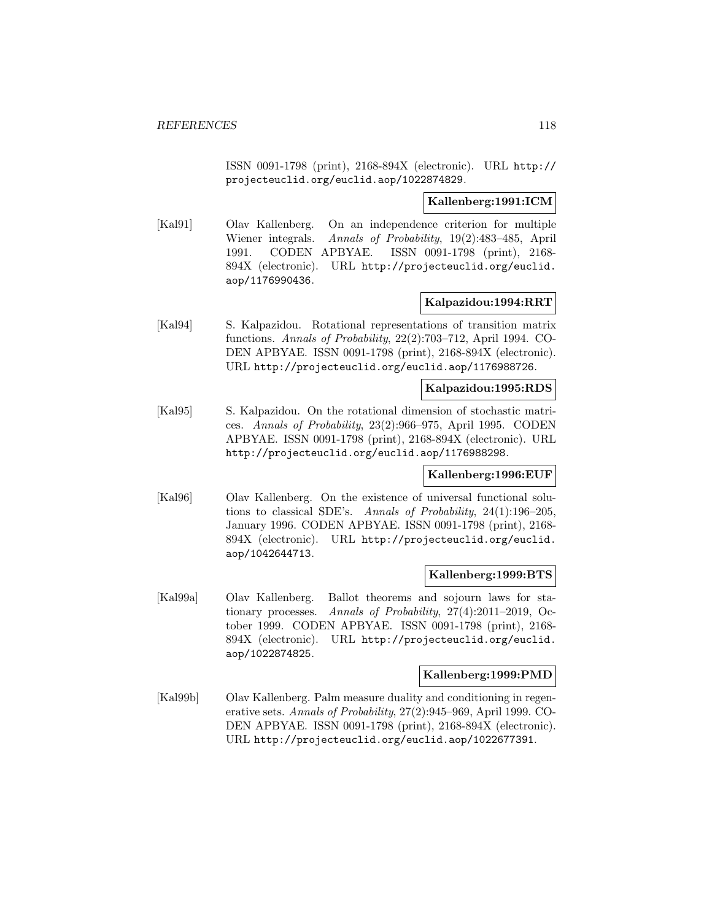ISSN 0091-1798 (print), 2168-894X (electronic). URL http:// projecteuclid.org/euclid.aop/1022874829.

### **Kallenberg:1991:ICM**

[Kal91] Olav Kallenberg. On an independence criterion for multiple Wiener integrals. Annals of Probability, 19(2):483–485, April 1991. CODEN APBYAE. ISSN 0091-1798 (print), 2168- 894X (electronic). URL http://projecteuclid.org/euclid. aop/1176990436.

### **Kalpazidou:1994:RRT**

[Kal94] S. Kalpazidou. Rotational representations of transition matrix functions. Annals of Probability, 22(2):703–712, April 1994. CO-DEN APBYAE. ISSN 0091-1798 (print), 2168-894X (electronic). URL http://projecteuclid.org/euclid.aop/1176988726.

#### **Kalpazidou:1995:RDS**

[Kal95] S. Kalpazidou. On the rotational dimension of stochastic matrices. Annals of Probability, 23(2):966–975, April 1995. CODEN APBYAE. ISSN 0091-1798 (print), 2168-894X (electronic). URL http://projecteuclid.org/euclid.aop/1176988298.

### **Kallenberg:1996:EUF**

[Kal96] Olav Kallenberg. On the existence of universal functional solutions to classical SDE's. Annals of Probability, 24(1):196–205, January 1996. CODEN APBYAE. ISSN 0091-1798 (print), 2168- 894X (electronic). URL http://projecteuclid.org/euclid. aop/1042644713.

### **Kallenberg:1999:BTS**

[Kal99a] Olav Kallenberg. Ballot theorems and sojourn laws for stationary processes. Annals of Probability, 27(4):2011–2019, October 1999. CODEN APBYAE. ISSN 0091-1798 (print), 2168- 894X (electronic). URL http://projecteuclid.org/euclid. aop/1022874825.

### **Kallenberg:1999:PMD**

[Kal99b] Olav Kallenberg. Palm measure duality and conditioning in regenerative sets. Annals of Probability, 27(2):945–969, April 1999. CO-DEN APBYAE. ISSN 0091-1798 (print), 2168-894X (electronic). URL http://projecteuclid.org/euclid.aop/1022677391.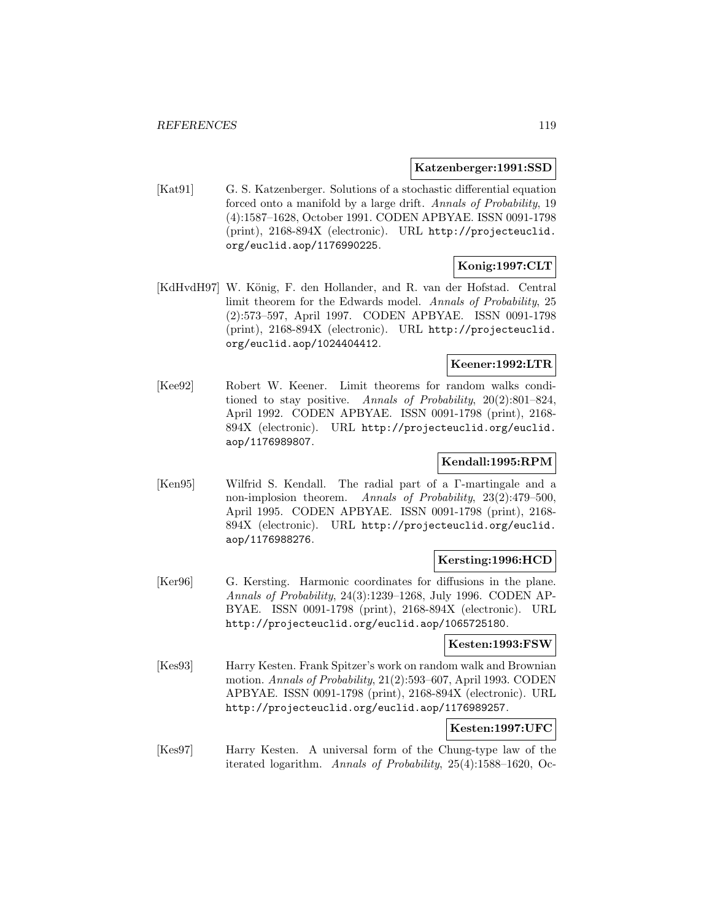#### **Katzenberger:1991:SSD**

[Kat91] G. S. Katzenberger. Solutions of a stochastic differential equation forced onto a manifold by a large drift. Annals of Probability, 19 (4):1587–1628, October 1991. CODEN APBYAE. ISSN 0091-1798 (print), 2168-894X (electronic). URL http://projecteuclid. org/euclid.aop/1176990225.

# **Konig:1997:CLT**

[KdHvdH97] W. König, F. den Hollander, and R. van der Hofstad. Central limit theorem for the Edwards model. Annals of Probability, 25 (2):573–597, April 1997. CODEN APBYAE. ISSN 0091-1798 (print), 2168-894X (electronic). URL http://projecteuclid. org/euclid.aop/1024404412.

# **Keener:1992:LTR**

[Kee92] Robert W. Keener. Limit theorems for random walks conditioned to stay positive. Annals of Probability, 20(2):801–824, April 1992. CODEN APBYAE. ISSN 0091-1798 (print), 2168- 894X (electronic). URL http://projecteuclid.org/euclid. aop/1176989807.

# **Kendall:1995:RPM**

[Ken95] Wilfrid S. Kendall. The radial part of a Γ-martingale and a non-implosion theorem. Annals of Probability, 23(2):479–500, April 1995. CODEN APBYAE. ISSN 0091-1798 (print), 2168- 894X (electronic). URL http://projecteuclid.org/euclid. aop/1176988276.

### **Kersting:1996:HCD**

[Ker96] G. Kersting. Harmonic coordinates for diffusions in the plane. Annals of Probability, 24(3):1239–1268, July 1996. CODEN AP-BYAE. ISSN 0091-1798 (print), 2168-894X (electronic). URL http://projecteuclid.org/euclid.aop/1065725180.

#### **Kesten:1993:FSW**

[Kes93] Harry Kesten. Frank Spitzer's work on random walk and Brownian motion. Annals of Probability, 21(2):593–607, April 1993. CODEN APBYAE. ISSN 0091-1798 (print), 2168-894X (electronic). URL http://projecteuclid.org/euclid.aop/1176989257.

# **Kesten:1997:UFC**

[Kes97] Harry Kesten. A universal form of the Chung-type law of the iterated logarithm. Annals of Probability, 25(4):1588–1620, Oc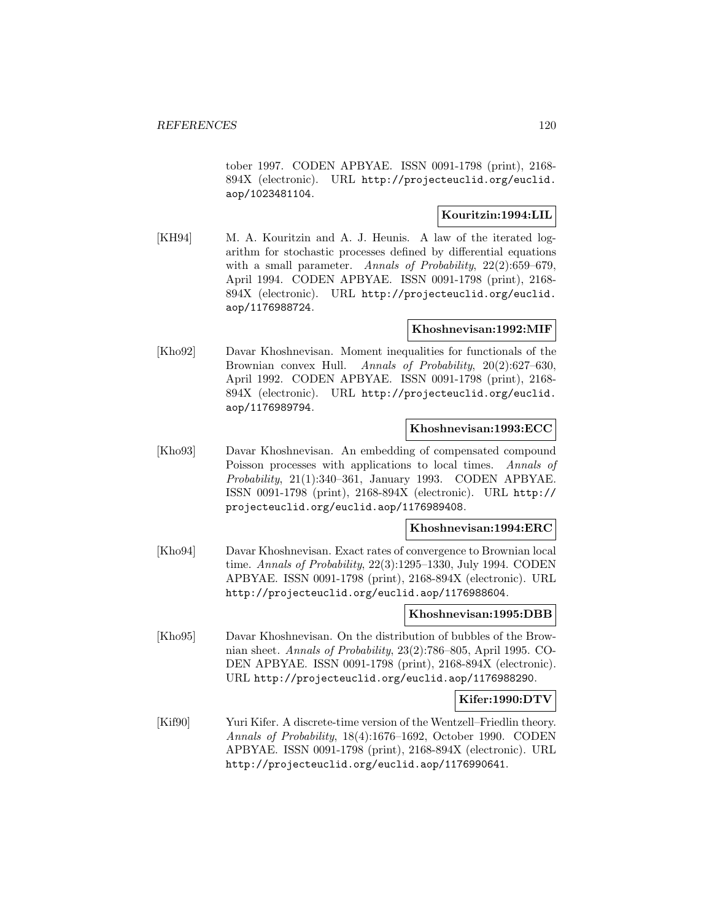tober 1997. CODEN APBYAE. ISSN 0091-1798 (print), 2168- 894X (electronic). URL http://projecteuclid.org/euclid. aop/1023481104.

# **Kouritzin:1994:LIL**

[KH94] M. A. Kouritzin and A. J. Heunis. A law of the iterated logarithm for stochastic processes defined by differential equations with a small parameter. Annals of Probability, 22(2):659–679, April 1994. CODEN APBYAE. ISSN 0091-1798 (print), 2168- 894X (electronic). URL http://projecteuclid.org/euclid. aop/1176988724.

# **Khoshnevisan:1992:MIF**

[Kho92] Davar Khoshnevisan. Moment inequalities for functionals of the Brownian convex Hull. Annals of Probability, 20(2):627–630, April 1992. CODEN APBYAE. ISSN 0091-1798 (print), 2168- 894X (electronic). URL http://projecteuclid.org/euclid. aop/1176989794.

# **Khoshnevisan:1993:ECC**

[Kho93] Davar Khoshnevisan. An embedding of compensated compound Poisson processes with applications to local times. Annals of Probability, 21(1):340–361, January 1993. CODEN APBYAE. ISSN 0091-1798 (print), 2168-894X (electronic). URL http:// projecteuclid.org/euclid.aop/1176989408.

**Khoshnevisan:1994:ERC**

[Kho94] Davar Khoshnevisan. Exact rates of convergence to Brownian local time. Annals of Probability, 22(3):1295–1330, July 1994. CODEN APBYAE. ISSN 0091-1798 (print), 2168-894X (electronic). URL http://projecteuclid.org/euclid.aop/1176988604.

### **Khoshnevisan:1995:DBB**

[Kho95] Davar Khoshnevisan. On the distribution of bubbles of the Brownian sheet. Annals of Probability, 23(2):786–805, April 1995. CO-DEN APBYAE. ISSN 0091-1798 (print), 2168-894X (electronic). URL http://projecteuclid.org/euclid.aop/1176988290.

# **Kifer:1990:DTV**

[Kif90] Yuri Kifer. A discrete-time version of the Wentzell–Friedlin theory. Annals of Probability, 18(4):1676–1692, October 1990. CODEN APBYAE. ISSN 0091-1798 (print), 2168-894X (electronic). URL http://projecteuclid.org/euclid.aop/1176990641.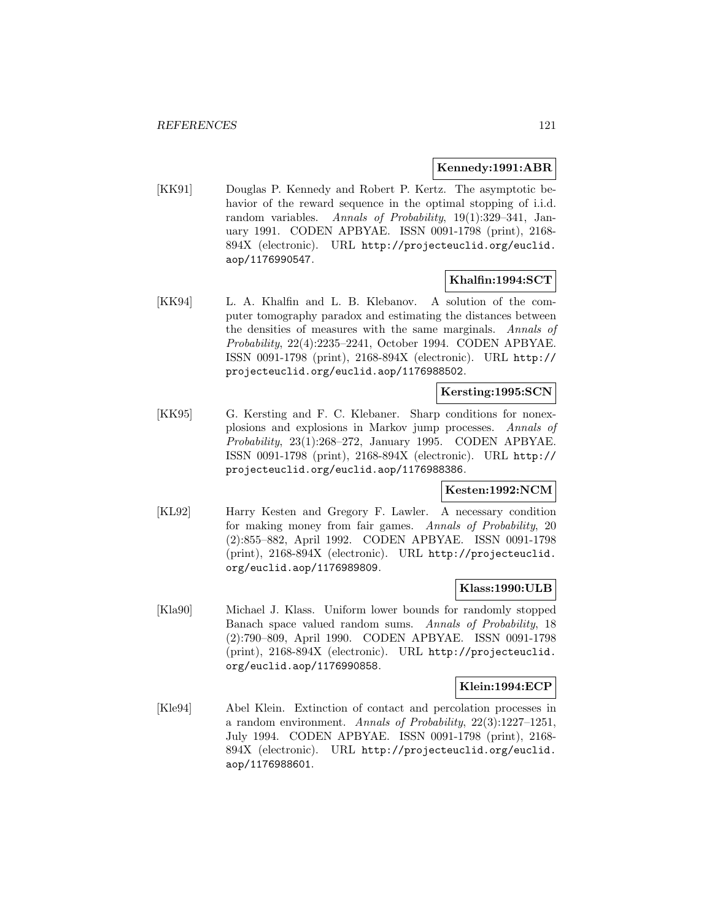### **Kennedy:1991:ABR**

[KK91] Douglas P. Kennedy and Robert P. Kertz. The asymptotic behavior of the reward sequence in the optimal stopping of i.i.d. random variables. Annals of Probability, 19(1):329–341, January 1991. CODEN APBYAE. ISSN 0091-1798 (print), 2168- 894X (electronic). URL http://projecteuclid.org/euclid. aop/1176990547.

# **Khalfin:1994:SCT**

[KK94] L. A. Khalfin and L. B. Klebanov. A solution of the computer tomography paradox and estimating the distances between the densities of measures with the same marginals. Annals of Probability, 22(4):2235–2241, October 1994. CODEN APBYAE. ISSN 0091-1798 (print), 2168-894X (electronic). URL http:// projecteuclid.org/euclid.aop/1176988502.

### **Kersting:1995:SCN**

[KK95] G. Kersting and F. C. Klebaner. Sharp conditions for nonexplosions and explosions in Markov jump processes. Annals of Probability, 23(1):268–272, January 1995. CODEN APBYAE. ISSN 0091-1798 (print), 2168-894X (electronic). URL http:// projecteuclid.org/euclid.aop/1176988386.

### **Kesten:1992:NCM**

[KL92] Harry Kesten and Gregory F. Lawler. A necessary condition for making money from fair games. Annals of Probability, 20 (2):855–882, April 1992. CODEN APBYAE. ISSN 0091-1798 (print), 2168-894X (electronic). URL http://projecteuclid. org/euclid.aop/1176989809.

### **Klass:1990:ULB**

[Kla90] Michael J. Klass. Uniform lower bounds for randomly stopped Banach space valued random sums. Annals of Probability, 18 (2):790–809, April 1990. CODEN APBYAE. ISSN 0091-1798 (print), 2168-894X (electronic). URL http://projecteuclid. org/euclid.aop/1176990858.

### **Klein:1994:ECP**

[Kle94] Abel Klein. Extinction of contact and percolation processes in a random environment. Annals of Probability, 22(3):1227–1251, July 1994. CODEN APBYAE. ISSN 0091-1798 (print), 2168- 894X (electronic). URL http://projecteuclid.org/euclid. aop/1176988601.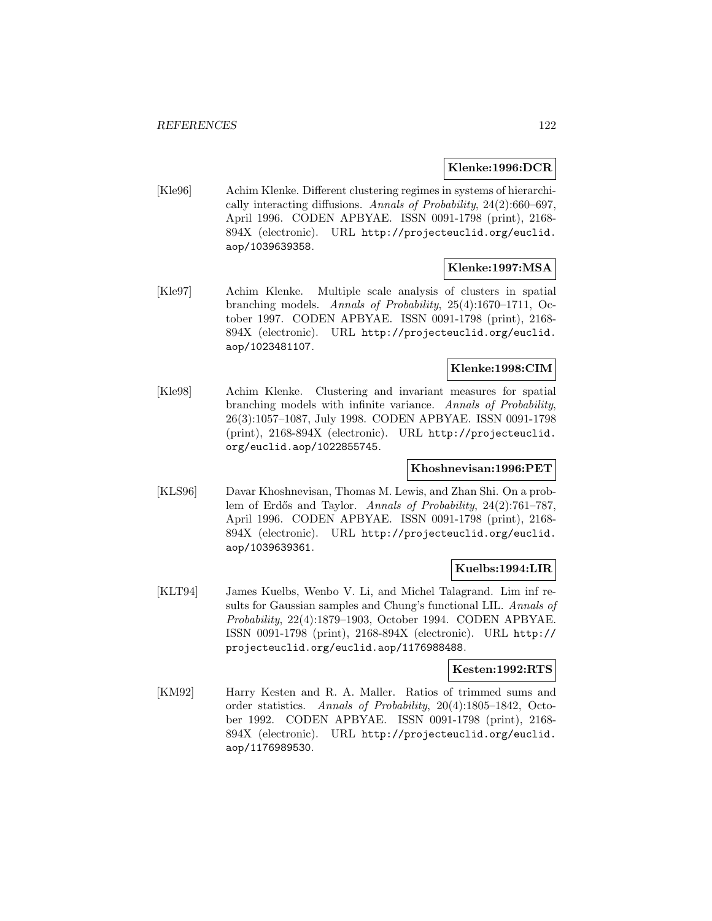#### **Klenke:1996:DCR**

[Kle96] Achim Klenke. Different clustering regimes in systems of hierarchically interacting diffusions. Annals of Probability, 24(2):660–697, April 1996. CODEN APBYAE. ISSN 0091-1798 (print), 2168- 894X (electronic). URL http://projecteuclid.org/euclid. aop/1039639358.

### **Klenke:1997:MSA**

[Kle97] Achim Klenke. Multiple scale analysis of clusters in spatial branching models. Annals of Probability, 25(4):1670–1711, October 1997. CODEN APBYAE. ISSN 0091-1798 (print), 2168- 894X (electronic). URL http://projecteuclid.org/euclid. aop/1023481107.

# **Klenke:1998:CIM**

[Kle98] Achim Klenke. Clustering and invariant measures for spatial branching models with infinite variance. Annals of Probability, 26(3):1057–1087, July 1998. CODEN APBYAE. ISSN 0091-1798 (print), 2168-894X (electronic). URL http://projecteuclid. org/euclid.aop/1022855745.

### **Khoshnevisan:1996:PET**

[KLS96] Davar Khoshnevisan, Thomas M. Lewis, and Zhan Shi. On a problem of Erdős and Taylor. Annals of Probability, 24(2):761–787, April 1996. CODEN APBYAE. ISSN 0091-1798 (print), 2168- 894X (electronic). URL http://projecteuclid.org/euclid. aop/1039639361.

### **Kuelbs:1994:LIR**

[KLT94] James Kuelbs, Wenbo V. Li, and Michel Talagrand. Lim inf results for Gaussian samples and Chung's functional LIL. Annals of Probability, 22(4):1879–1903, October 1994. CODEN APBYAE. ISSN 0091-1798 (print), 2168-894X (electronic). URL http:// projecteuclid.org/euclid.aop/1176988488.

### **Kesten:1992:RTS**

[KM92] Harry Kesten and R. A. Maller. Ratios of trimmed sums and order statistics. Annals of Probability, 20(4):1805–1842, October 1992. CODEN APBYAE. ISSN 0091-1798 (print), 2168- 894X (electronic). URL http://projecteuclid.org/euclid. aop/1176989530.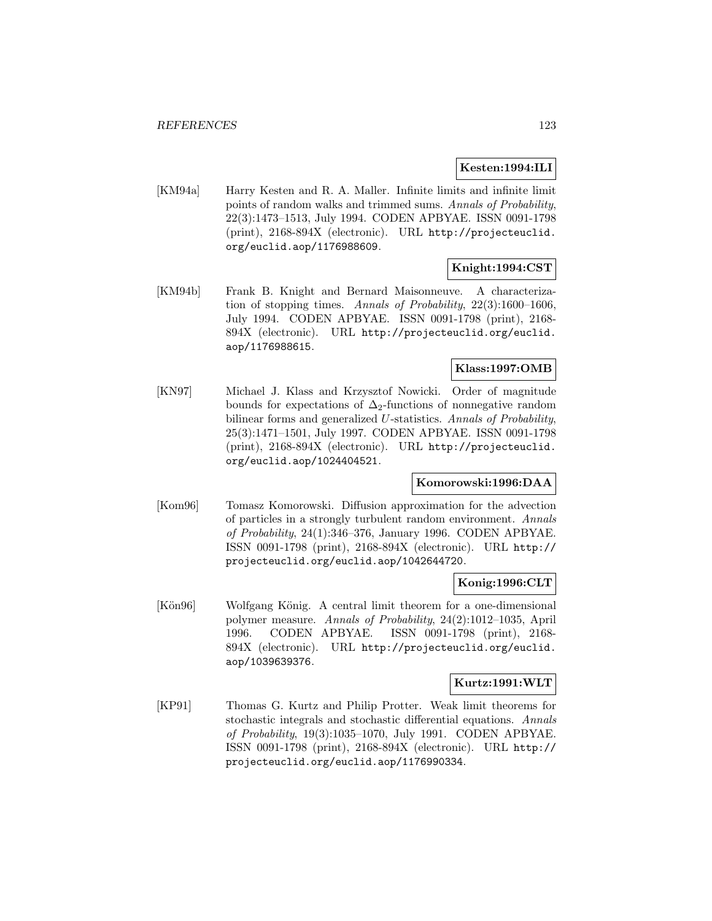### **Kesten:1994:ILI**

[KM94a] Harry Kesten and R. A. Maller. Infinite limits and infinite limit points of random walks and trimmed sums. Annals of Probability, 22(3):1473–1513, July 1994. CODEN APBYAE. ISSN 0091-1798 (print), 2168-894X (electronic). URL http://projecteuclid. org/euclid.aop/1176988609.

# **Knight:1994:CST**

[KM94b] Frank B. Knight and Bernard Maisonneuve. A characterization of stopping times. Annals of Probability, 22(3):1600–1606, July 1994. CODEN APBYAE. ISSN 0091-1798 (print), 2168- 894X (electronic). URL http://projecteuclid.org/euclid. aop/1176988615.

# **Klass:1997:OMB**

[KN97] Michael J. Klass and Krzysztof Nowicki. Order of magnitude bounds for expectations of  $\Delta_2$ -functions of nonnegative random bilinear forms and generalized U-statistics. Annals of Probability, 25(3):1471–1501, July 1997. CODEN APBYAE. ISSN 0091-1798 (print), 2168-894X (electronic). URL http://projecteuclid. org/euclid.aop/1024404521.

# **Komorowski:1996:DAA**

[Kom96] Tomasz Komorowski. Diffusion approximation for the advection of particles in a strongly turbulent random environment. Annals of Probability, 24(1):346–376, January 1996. CODEN APBYAE. ISSN 0091-1798 (print), 2168-894X (electronic). URL http:// projecteuclid.org/euclid.aop/1042644720.

### **Konig:1996:CLT**

[Kön96] Wolfgang König. A central limit theorem for a one-dimensional polymer measure. Annals of Probability, 24(2):1012–1035, April 1996. CODEN APBYAE. ISSN 0091-1798 (print), 2168- 894X (electronic). URL http://projecteuclid.org/euclid. aop/1039639376.

### **Kurtz:1991:WLT**

[KP91] Thomas G. Kurtz and Philip Protter. Weak limit theorems for stochastic integrals and stochastic differential equations. Annals of Probability, 19(3):1035–1070, July 1991. CODEN APBYAE. ISSN 0091-1798 (print), 2168-894X (electronic). URL http:// projecteuclid.org/euclid.aop/1176990334.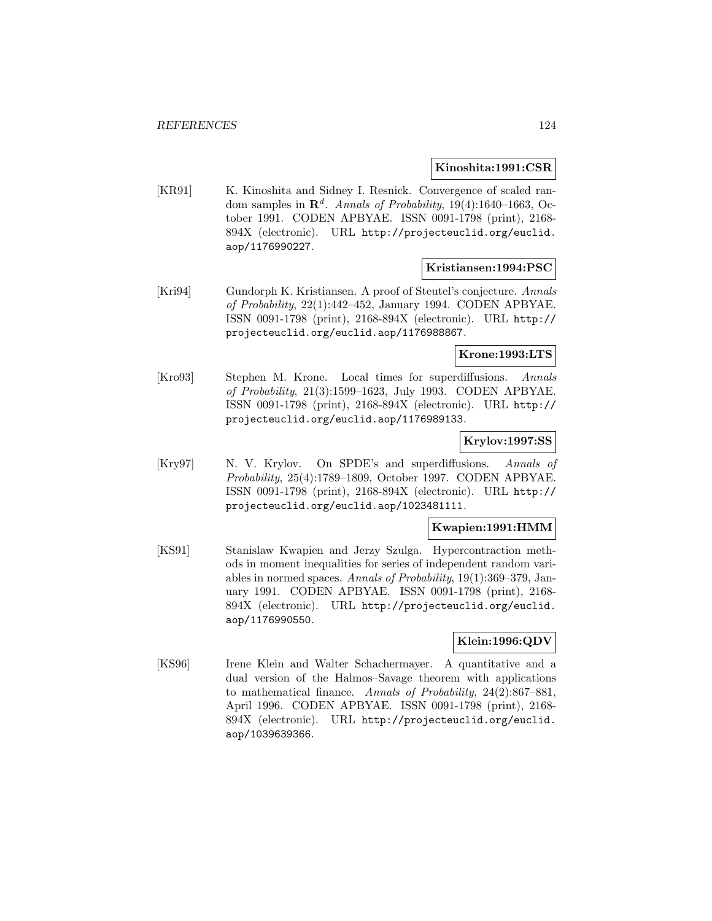#### **Kinoshita:1991:CSR**

[KR91] K. Kinoshita and Sidney I. Resnick. Convergence of scaled random samples in  $\mathbb{R}^d$ . Annals of Probability, 19(4):1640–1663, October 1991. CODEN APBYAE. ISSN 0091-1798 (print), 2168- 894X (electronic). URL http://projecteuclid.org/euclid. aop/1176990227.

### **Kristiansen:1994:PSC**

[Kri94] Gundorph K. Kristiansen. A proof of Steutel's conjecture. Annals of Probability, 22(1):442–452, January 1994. CODEN APBYAE. ISSN 0091-1798 (print), 2168-894X (electronic). URL http:// projecteuclid.org/euclid.aop/1176988867.

# **Krone:1993:LTS**

[Kro93] Stephen M. Krone. Local times for superdiffusions. Annals of Probability, 21(3):1599–1623, July 1993. CODEN APBYAE. ISSN 0091-1798 (print), 2168-894X (electronic). URL http:// projecteuclid.org/euclid.aop/1176989133.

# **Krylov:1997:SS**

[Kry97] N. V. Krylov. On SPDE's and superdiffusions. Annals of Probability, 25(4):1789–1809, October 1997. CODEN APBYAE. ISSN 0091-1798 (print), 2168-894X (electronic). URL http:// projecteuclid.org/euclid.aop/1023481111.

### **Kwapien:1991:HMM**

[KS91] Stanislaw Kwapien and Jerzy Szulga. Hypercontraction methods in moment inequalities for series of independent random variables in normed spaces. Annals of Probability, 19(1):369–379, January 1991. CODEN APBYAE. ISSN 0091-1798 (print), 2168- 894X (electronic). URL http://projecteuclid.org/euclid. aop/1176990550.

### **Klein:1996:QDV**

[KS96] Irene Klein and Walter Schachermayer. A quantitative and a dual version of the Halmos–Savage theorem with applications to mathematical finance. Annals of Probability, 24(2):867–881, April 1996. CODEN APBYAE. ISSN 0091-1798 (print), 2168- 894X (electronic). URL http://projecteuclid.org/euclid. aop/1039639366.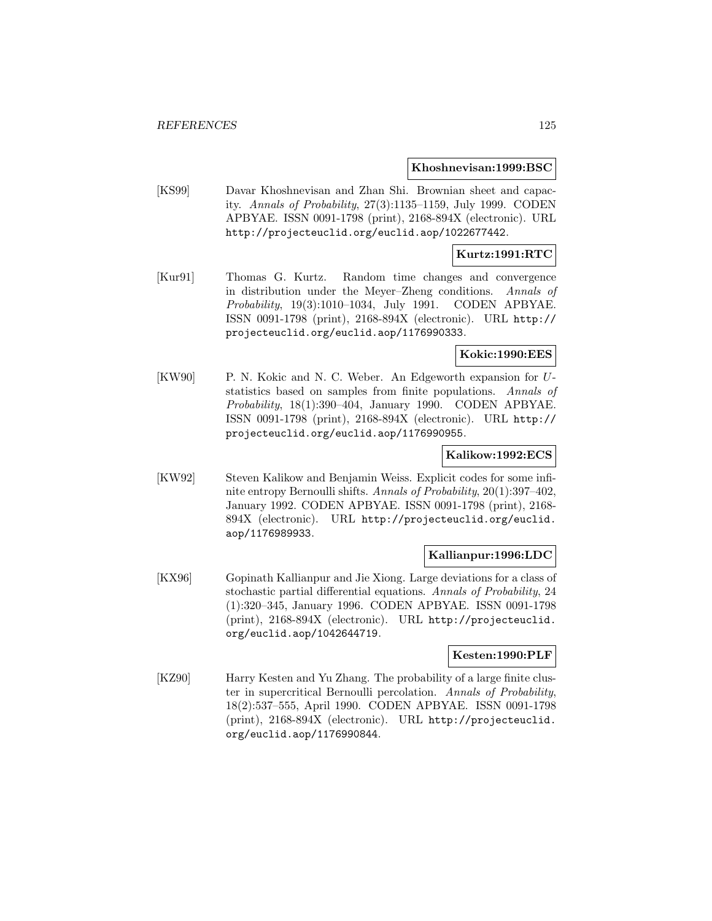#### **Khoshnevisan:1999:BSC**

[KS99] Davar Khoshnevisan and Zhan Shi. Brownian sheet and capacity. Annals of Probability, 27(3):1135–1159, July 1999. CODEN APBYAE. ISSN 0091-1798 (print), 2168-894X (electronic). URL http://projecteuclid.org/euclid.aop/1022677442.

### **Kurtz:1991:RTC**

[Kur91] Thomas G. Kurtz. Random time changes and convergence in distribution under the Meyer–Zheng conditions. Annals of Probability, 19(3):1010–1034, July 1991. CODEN APBYAE. ISSN 0091-1798 (print), 2168-894X (electronic). URL http:// projecteuclid.org/euclid.aop/1176990333.

#### **Kokic:1990:EES**

[KW90] P. N. Kokic and N. C. Weber. An Edgeworth expansion for Ustatistics based on samples from finite populations. Annals of Probability, 18(1):390–404, January 1990. CODEN APBYAE. ISSN 0091-1798 (print), 2168-894X (electronic). URL http:// projecteuclid.org/euclid.aop/1176990955.

#### **Kalikow:1992:ECS**

[KW92] Steven Kalikow and Benjamin Weiss. Explicit codes for some infinite entropy Bernoulli shifts. Annals of Probability, 20(1):397–402, January 1992. CODEN APBYAE. ISSN 0091-1798 (print), 2168- 894X (electronic). URL http://projecteuclid.org/euclid. aop/1176989933.

### **Kallianpur:1996:LDC**

[KX96] Gopinath Kallianpur and Jie Xiong. Large deviations for a class of stochastic partial differential equations. Annals of Probability, 24 (1):320–345, January 1996. CODEN APBYAE. ISSN 0091-1798 (print), 2168-894X (electronic). URL http://projecteuclid. org/euclid.aop/1042644719.

#### **Kesten:1990:PLF**

[KZ90] Harry Kesten and Yu Zhang. The probability of a large finite cluster in supercritical Bernoulli percolation. Annals of Probability, 18(2):537–555, April 1990. CODEN APBYAE. ISSN 0091-1798 (print), 2168-894X (electronic). URL http://projecteuclid. org/euclid.aop/1176990844.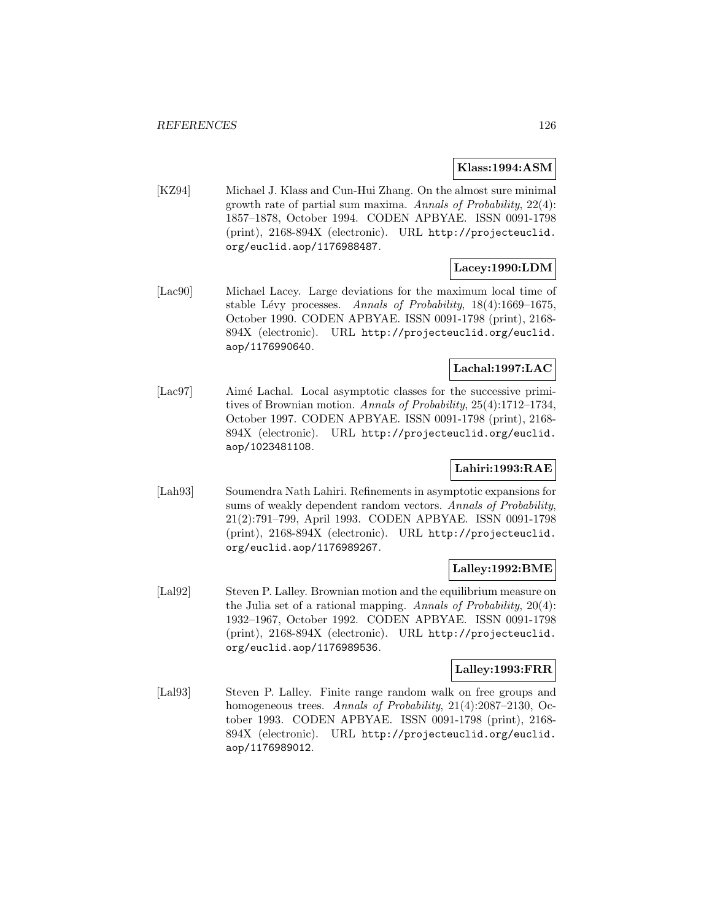### **Klass:1994:ASM**

[KZ94] Michael J. Klass and Cun-Hui Zhang. On the almost sure minimal growth rate of partial sum maxima. Annals of Probability, 22(4): 1857–1878, October 1994. CODEN APBYAE. ISSN 0091-1798 (print), 2168-894X (electronic). URL http://projecteuclid. org/euclid.aop/1176988487.

# **Lacey:1990:LDM**

[Lac90] Michael Lacey. Large deviations for the maximum local time of stable Lévy processes. Annals of Probability,  $18(4):1669-1675$ , October 1990. CODEN APBYAE. ISSN 0091-1798 (print), 2168- 894X (electronic). URL http://projecteuclid.org/euclid. aop/1176990640.

# **Lachal:1997:LAC**

[Lac97] Aimé Lachal. Local asymptotic classes for the successive primitives of Brownian motion. Annals of Probability, 25(4):1712–1734, October 1997. CODEN APBYAE. ISSN 0091-1798 (print), 2168- 894X (electronic). URL http://projecteuclid.org/euclid. aop/1023481108.

# **Lahiri:1993:RAE**

[Lah93] Soumendra Nath Lahiri. Refinements in asymptotic expansions for sums of weakly dependent random vectors. Annals of Probability, 21(2):791–799, April 1993. CODEN APBYAE. ISSN 0091-1798 (print), 2168-894X (electronic). URL http://projecteuclid. org/euclid.aop/1176989267.

### **Lalley:1992:BME**

[Lal92] Steven P. Lalley. Brownian motion and the equilibrium measure on the Julia set of a rational mapping. Annals of Probability, 20(4): 1932–1967, October 1992. CODEN APBYAE. ISSN 0091-1798 (print), 2168-894X (electronic). URL http://projecteuclid. org/euclid.aop/1176989536.

# **Lalley:1993:FRR**

[Lal93] Steven P. Lalley. Finite range random walk on free groups and homogeneous trees. Annals of Probability, 21(4):2087–2130, October 1993. CODEN APBYAE. ISSN 0091-1798 (print), 2168- 894X (electronic). URL http://projecteuclid.org/euclid. aop/1176989012.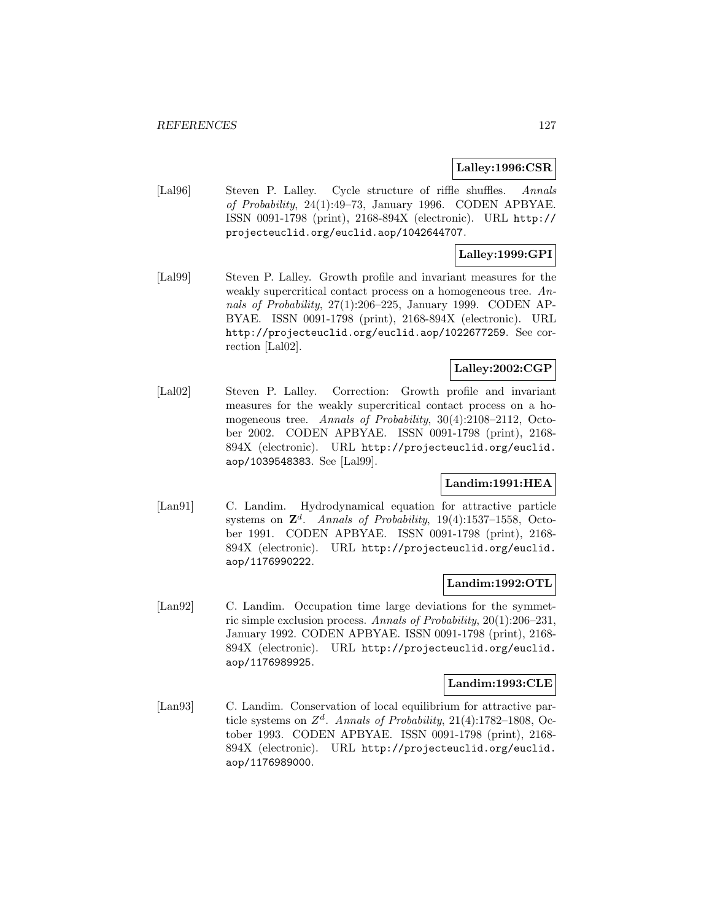### **Lalley:1996:CSR**

[Lal96] Steven P. Lalley. Cycle structure of riffle shuffles. Annals of Probability, 24(1):49–73, January 1996. CODEN APBYAE. ISSN 0091-1798 (print), 2168-894X (electronic). URL http:// projecteuclid.org/euclid.aop/1042644707.

# **Lalley:1999:GPI**

[Lal99] Steven P. Lalley. Growth profile and invariant measures for the weakly supercritical contact process on a homogeneous tree. Annals of Probability, 27(1):206–225, January 1999. CODEN AP-BYAE. ISSN 0091-1798 (print), 2168-894X (electronic). URL http://projecteuclid.org/euclid.aop/1022677259. See correction [Lal02].

# **Lalley:2002:CGP**

[Lal02] Steven P. Lalley. Correction: Growth profile and invariant measures for the weakly supercritical contact process on a homogeneous tree. Annals of Probability, 30(4):2108-2112, October 2002. CODEN APBYAE. ISSN 0091-1798 (print), 2168- 894X (electronic). URL http://projecteuclid.org/euclid. aop/1039548383. See [Lal99].

# **Landim:1991:HEA**

[Lan91] C. Landim. Hydrodynamical equation for attractive particle systems on  $\mathbb{Z}^d$ . Annals of Probability, 19(4):1537–1558, October 1991. CODEN APBYAE. ISSN 0091-1798 (print), 2168- 894X (electronic). URL http://projecteuclid.org/euclid. aop/1176990222.

### **Landim:1992:OTL**

[Lan92] C. Landim. Occupation time large deviations for the symmetric simple exclusion process. Annals of Probability, 20(1):206–231, January 1992. CODEN APBYAE. ISSN 0091-1798 (print), 2168- 894X (electronic). URL http://projecteuclid.org/euclid. aop/1176989925.

# **Landim:1993:CLE**

[Lan93] C. Landim. Conservation of local equilibrium for attractive particle systems on  $Z^d$ . Annals of Probability, 21(4):1782–1808, October 1993. CODEN APBYAE. ISSN 0091-1798 (print), 2168- 894X (electronic). URL http://projecteuclid.org/euclid. aop/1176989000.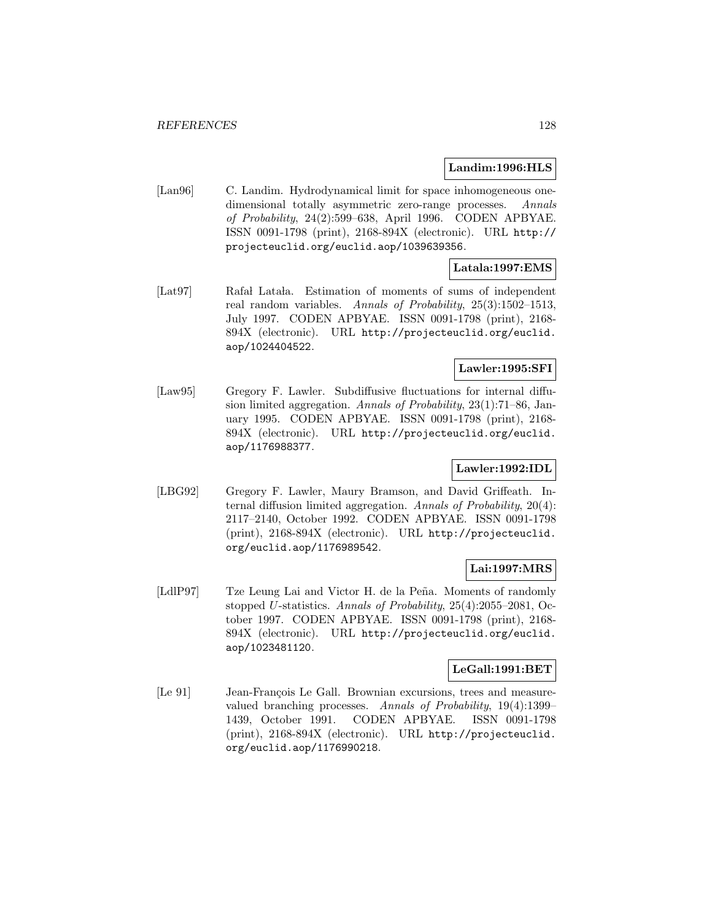#### **Landim:1996:HLS**

[Lan96] C. Landim. Hydrodynamical limit for space inhomogeneous onedimensional totally asymmetric zero-range processes. Annals of Probability, 24(2):599–638, April 1996. CODEN APBYAE. ISSN 0091-1798 (print), 2168-894X (electronic). URL http:// projecteuclid.org/euclid.aop/1039639356.

# **Latala:1997:EMS**

[Lat97] Rafa Lata la. Estimation of moments of sums of independent real random variables. Annals of Probability, 25(3):1502–1513, July 1997. CODEN APBYAE. ISSN 0091-1798 (print), 2168- 894X (electronic). URL http://projecteuclid.org/euclid. aop/1024404522.

# **Lawler:1995:SFI**

[Law95] Gregory F. Lawler. Subdiffusive fluctuations for internal diffusion limited aggregation. Annals of Probability, 23(1):71–86, January 1995. CODEN APBYAE. ISSN 0091-1798 (print), 2168- 894X (electronic). URL http://projecteuclid.org/euclid. aop/1176988377.

# **Lawler:1992:IDL**

[LBG92] Gregory F. Lawler, Maury Bramson, and David Griffeath. Internal diffusion limited aggregation. Annals of Probability, 20(4): 2117–2140, October 1992. CODEN APBYAE. ISSN 0091-1798 (print), 2168-894X (electronic). URL http://projecteuclid. org/euclid.aop/1176989542.

# **Lai:1997:MRS**

[LdlP97] Tze Leung Lai and Victor H. de la Peña. Moments of randomly stopped U-statistics. Annals of Probability, 25(4):2055–2081, October 1997. CODEN APBYAE. ISSN 0091-1798 (print), 2168- 894X (electronic). URL http://projecteuclid.org/euclid. aop/1023481120.

# **LeGall:1991:BET**

[Le 91] Jean-François Le Gall. Brownian excursions, trees and measurevalued branching processes. Annals of Probability, 19(4):1399– 1439, October 1991. CODEN APBYAE. ISSN 0091-1798 (print), 2168-894X (electronic). URL http://projecteuclid. org/euclid.aop/1176990218.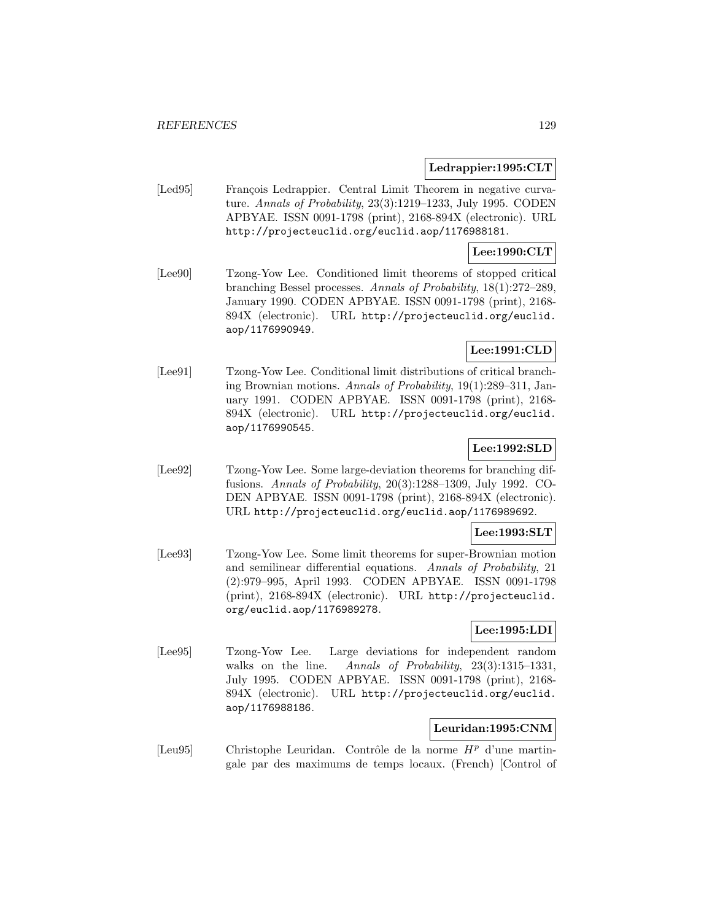### **Ledrappier:1995:CLT**

[Led95] François Ledrappier. Central Limit Theorem in negative curvature. Annals of Probability, 23(3):1219–1233, July 1995. CODEN APBYAE. ISSN 0091-1798 (print), 2168-894X (electronic). URL http://projecteuclid.org/euclid.aop/1176988181.

# **Lee:1990:CLT**

[Lee90] Tzong-Yow Lee. Conditioned limit theorems of stopped critical branching Bessel processes. Annals of Probability, 18(1):272–289, January 1990. CODEN APBYAE. ISSN 0091-1798 (print), 2168- 894X (electronic). URL http://projecteuclid.org/euclid. aop/1176990949.

# **Lee:1991:CLD**

[Lee91] Tzong-Yow Lee. Conditional limit distributions of critical branching Brownian motions. Annals of Probability, 19(1):289–311, January 1991. CODEN APBYAE. ISSN 0091-1798 (print), 2168- 894X (electronic). URL http://projecteuclid.org/euclid. aop/1176990545.

# **Lee:1992:SLD**

[Lee92] Tzong-Yow Lee. Some large-deviation theorems for branching diffusions. Annals of Probability, 20(3):1288–1309, July 1992. CO-DEN APBYAE. ISSN 0091-1798 (print), 2168-894X (electronic). URL http://projecteuclid.org/euclid.aop/1176989692.

### **Lee:1993:SLT**

[Lee93] Tzong-Yow Lee. Some limit theorems for super-Brownian motion and semilinear differential equations. Annals of Probability, 21 (2):979–995, April 1993. CODEN APBYAE. ISSN 0091-1798 (print), 2168-894X (electronic). URL http://projecteuclid. org/euclid.aop/1176989278.

### **Lee:1995:LDI**

[Lee95] Tzong-Yow Lee. Large deviations for independent random walks on the line. Annals of Probability, 23(3):1315–1331, July 1995. CODEN APBYAE. ISSN 0091-1798 (print), 2168- 894X (electronic). URL http://projecteuclid.org/euclid. aop/1176988186.

### **Leuridan:1995:CNM**

[Leu95] Christophe Leuridan. Contrôle de la norme  $H<sup>p</sup>$  d'une martingale par des maximums de temps locaux. (French) [Control of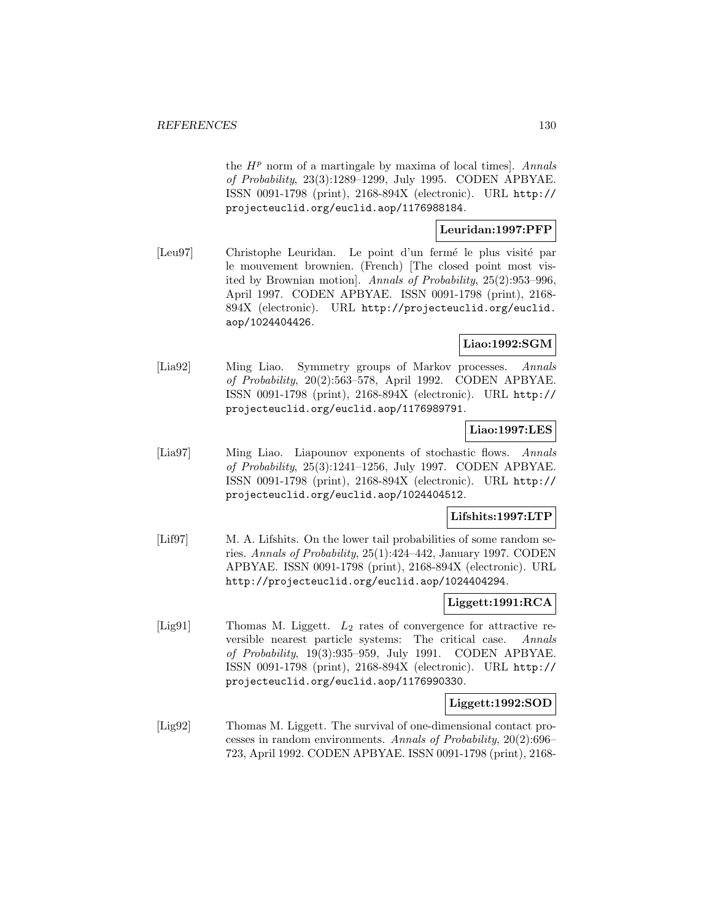the  $H<sup>p</sup>$  norm of a martingale by maxima of local times]. Annals of Probability, 23(3):1289–1299, July 1995. CODEN APBYAE. ISSN 0091-1798 (print), 2168-894X (electronic). URL http:// projecteuclid.org/euclid.aop/1176988184.

### **Leuridan:1997:PFP**

[Leu97] Christophe Leuridan. Le point d'un fermé le plus visité par le mouvement brownien. (French) [The closed point most visited by Brownian motion]. Annals of Probability, 25(2):953–996, April 1997. CODEN APBYAE. ISSN 0091-1798 (print), 2168- 894X (electronic). URL http://projecteuclid.org/euclid. aop/1024404426.

# **Liao:1992:SGM**

[Lia92] Ming Liao. Symmetry groups of Markov processes. Annals of Probability, 20(2):563–578, April 1992. CODEN APBYAE. ISSN 0091-1798 (print), 2168-894X (electronic). URL http:// projecteuclid.org/euclid.aop/1176989791.

### **Liao:1997:LES**

[Lia97] Ming Liao. Liapounov exponents of stochastic flows. Annals of Probability, 25(3):1241–1256, July 1997. CODEN APBYAE. ISSN 0091-1798 (print), 2168-894X (electronic). URL http:// projecteuclid.org/euclid.aop/1024404512.

### **Lifshits:1997:LTP**

[Lif97] M. A. Lifshits. On the lower tail probabilities of some random series. Annals of Probability, 25(1):424–442, January 1997. CODEN APBYAE. ISSN 0091-1798 (print), 2168-894X (electronic). URL http://projecteuclid.org/euclid.aop/1024404294.

### **Liggett:1991:RCA**

[Lig91] Thomas M. Liggett.  $L_2$  rates of convergence for attractive reversible nearest particle systems: The critical case. Annals of Probability, 19(3):935–959, July 1991. CODEN APBYAE. ISSN 0091-1798 (print), 2168-894X (electronic). URL http:// projecteuclid.org/euclid.aop/1176990330.

## **Liggett:1992:SOD**

[Lig92] Thomas M. Liggett. The survival of one-dimensional contact processes in random environments. Annals of Probability, 20(2):696– 723, April 1992. CODEN APBYAE. ISSN 0091-1798 (print), 2168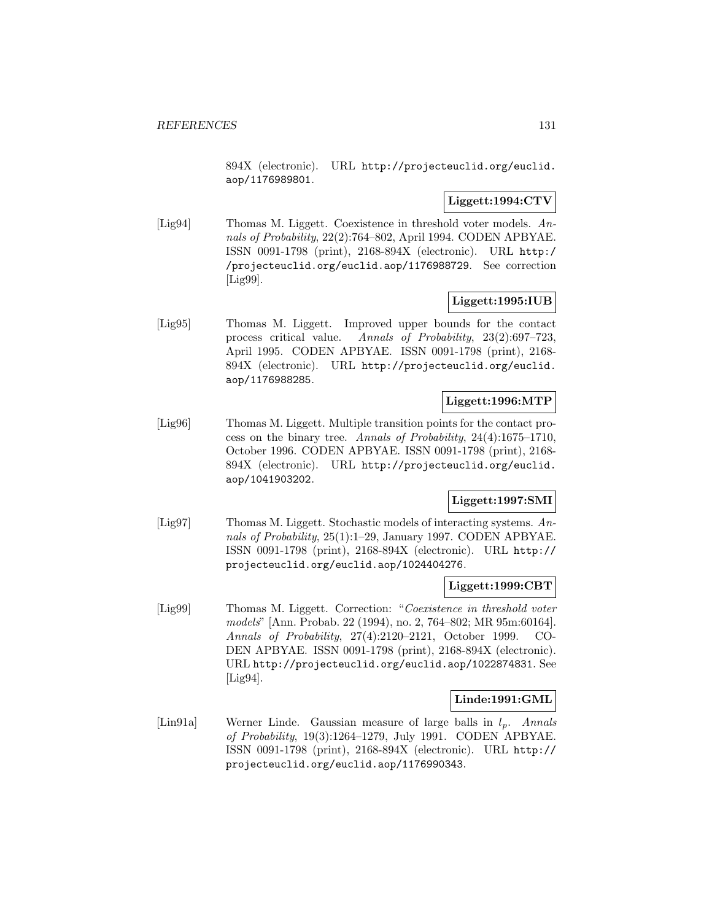894X (electronic). URL http://projecteuclid.org/euclid. aop/1176989801.

### **Liggett:1994:CTV**

[Lig94] Thomas M. Liggett. Coexistence in threshold voter models. Annals of Probability, 22(2):764–802, April 1994. CODEN APBYAE. ISSN 0091-1798 (print), 2168-894X (electronic). URL http:/ /projecteuclid.org/euclid.aop/1176988729. See correction [Lig99].

# **Liggett:1995:IUB**

[Lig95] Thomas M. Liggett. Improved upper bounds for the contact process critical value. Annals of Probability, 23(2):697–723, April 1995. CODEN APBYAE. ISSN 0091-1798 (print), 2168- 894X (electronic). URL http://projecteuclid.org/euclid. aop/1176988285.

# **Liggett:1996:MTP**

[Lig96] Thomas M. Liggett. Multiple transition points for the contact process on the binary tree. Annals of Probability, 24(4):1675–1710, October 1996. CODEN APBYAE. ISSN 0091-1798 (print), 2168- 894X (electronic). URL http://projecteuclid.org/euclid. aop/1041903202.

# **Liggett:1997:SMI**

[Lig97] Thomas M. Liggett. Stochastic models of interacting systems. Annals of Probability, 25(1):1-29, January 1997. CODEN APBYAE. ISSN 0091-1798 (print), 2168-894X (electronic). URL http:// projecteuclid.org/euclid.aop/1024404276.

### **Liggett:1999:CBT**

[Lig99] Thomas M. Liggett. Correction: "Coexistence in threshold voter models" [Ann. Probab. 22 (1994), no. 2, 764–802; MR 95m:60164]. Annals of Probability, 27(4):2120–2121, October 1999. CO-DEN APBYAE. ISSN 0091-1798 (print), 2168-894X (electronic). URL http://projecteuclid.org/euclid.aop/1022874831. See [Lig94].

# **Linde:1991:GML**

[Lin91a] Werner Linde. Gaussian measure of large balls in  $l_p$ . Annals of Probability, 19(3):1264–1279, July 1991. CODEN APBYAE. ISSN 0091-1798 (print), 2168-894X (electronic). URL http:// projecteuclid.org/euclid.aop/1176990343.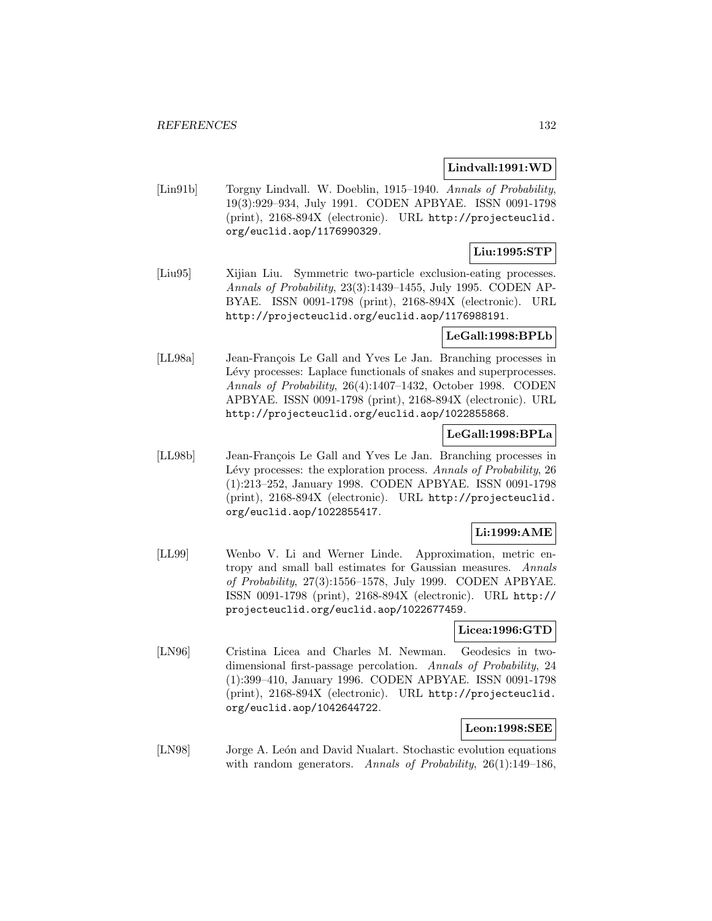#### **Lindvall:1991:WD**

[Lin91b] Torgny Lindvall. W. Doeblin, 1915–1940. Annals of Probability, 19(3):929–934, July 1991. CODEN APBYAE. ISSN 0091-1798 (print), 2168-894X (electronic). URL http://projecteuclid. org/euclid.aop/1176990329.

# **Liu:1995:STP**

[Liu95] Xijian Liu. Symmetric two-particle exclusion-eating processes. Annals of Probability, 23(3):1439–1455, July 1995. CODEN AP-BYAE. ISSN 0091-1798 (print), 2168-894X (electronic). URL http://projecteuclid.org/euclid.aop/1176988191.

### **LeGall:1998:BPLb**

[LL98a] Jean-François Le Gall and Yves Le Jan. Branching processes in Lévy processes: Laplace functionals of snakes and superprocesses. Annals of Probability, 26(4):1407–1432, October 1998. CODEN APBYAE. ISSN 0091-1798 (print), 2168-894X (electronic). URL http://projecteuclid.org/euclid.aop/1022855868.

# **LeGall:1998:BPLa**

[LL98b] Jean-François Le Gall and Yves Le Jan. Branching processes in Lévy processes: the exploration process. Annals of Probability, 26 (1):213–252, January 1998. CODEN APBYAE. ISSN 0091-1798 (print), 2168-894X (electronic). URL http://projecteuclid. org/euclid.aop/1022855417.

# **Li:1999:AME**

[LL99] Wenbo V. Li and Werner Linde. Approximation, metric entropy and small ball estimates for Gaussian measures. Annals of Probability, 27(3):1556–1578, July 1999. CODEN APBYAE. ISSN 0091-1798 (print), 2168-894X (electronic). URL http:// projecteuclid.org/euclid.aop/1022677459.

### **Licea:1996:GTD**

[LN96] Cristina Licea and Charles M. Newman. Geodesics in twodimensional first-passage percolation. Annals of Probability, 24 (1):399–410, January 1996. CODEN APBYAE. ISSN 0091-1798 (print), 2168-894X (electronic). URL http://projecteuclid. org/euclid.aop/1042644722.

### **Leon:1998:SEE**

[LN98] Jorge A. León and David Nualart. Stochastic evolution equations with random generators. Annals of Probability, 26(1):149–186,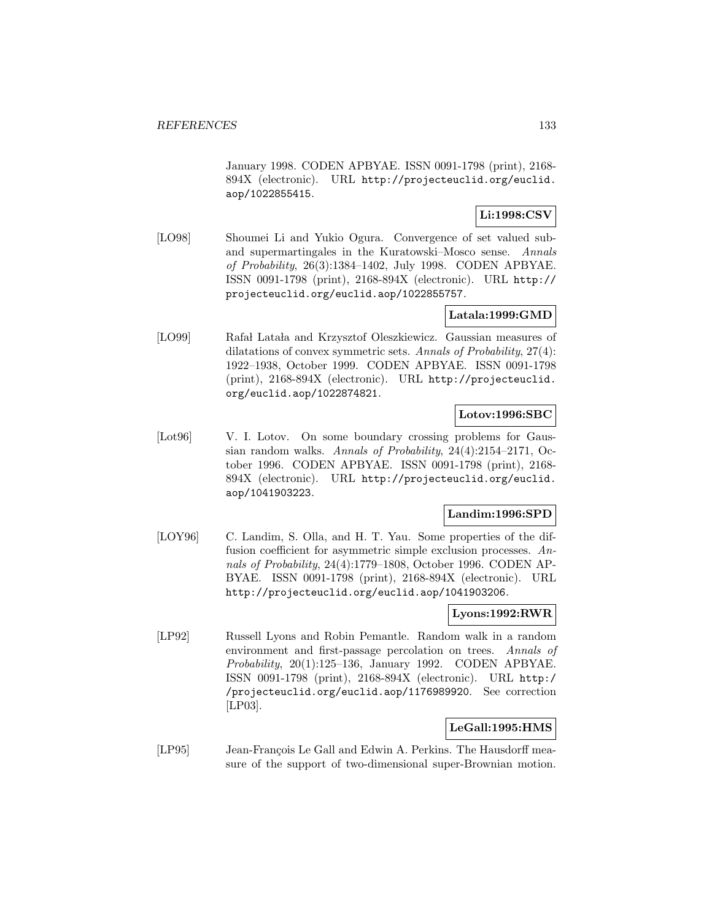January 1998. CODEN APBYAE. ISSN 0091-1798 (print), 2168- 894X (electronic). URL http://projecteuclid.org/euclid. aop/1022855415.

# **Li:1998:CSV**

[LO98] Shoumei Li and Yukio Ogura. Convergence of set valued suband supermartingales in the Kuratowski–Mosco sense. Annals of Probability, 26(3):1384–1402, July 1998. CODEN APBYAE. ISSN 0091-1798 (print), 2168-894X (electronic). URL http:// projecteuclid.org/euclid.aop/1022855757.

# **Latala:1999:GMD**

[LO99] Rafał Latała and Krzysztof Oleszkiewicz. Gaussian measures of dilatations of convex symmetric sets. Annals of Probability, 27(4): 1922–1938, October 1999. CODEN APBYAE. ISSN 0091-1798 (print), 2168-894X (electronic). URL http://projecteuclid. org/euclid.aop/1022874821.

# **Lotov:1996:SBC**

[Lot96] V. I. Lotov. On some boundary crossing problems for Gaussian random walks. Annals of Probability, 24(4):2154–2171, October 1996. CODEN APBYAE. ISSN 0091-1798 (print), 2168- 894X (electronic). URL http://projecteuclid.org/euclid. aop/1041903223.

# **Landim:1996:SPD**

[LOY96] C. Landim, S. Olla, and H. T. Yau. Some properties of the diffusion coefficient for asymmetric simple exclusion processes. Annals of Probability, 24(4):1779–1808, October 1996. CODEN AP-BYAE. ISSN 0091-1798 (print), 2168-894X (electronic). URL http://projecteuclid.org/euclid.aop/1041903206.

# **Lyons:1992:RWR**

[LP92] Russell Lyons and Robin Pemantle. Random walk in a random environment and first-passage percolation on trees. Annals of Probability, 20(1):125–136, January 1992. CODEN APBYAE. ISSN 0091-1798 (print), 2168-894X (electronic). URL http:/ /projecteuclid.org/euclid.aop/1176989920. See correction [LP03].

# **LeGall:1995:HMS**

[LP95] Jean-François Le Gall and Edwin A. Perkins. The Hausdorff measure of the support of two-dimensional super-Brownian motion.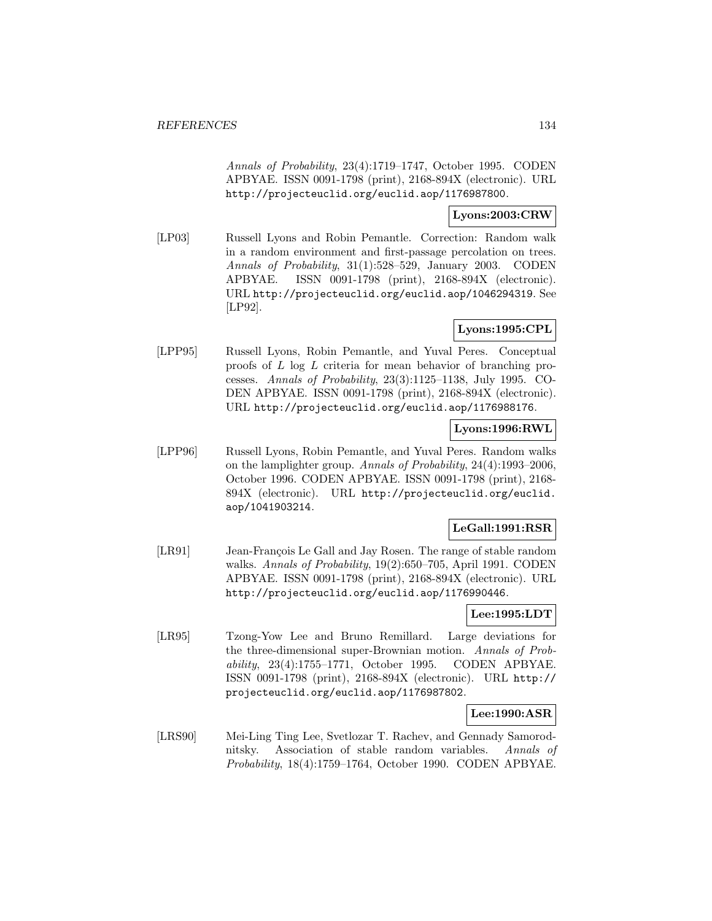Annals of Probability, 23(4):1719–1747, October 1995. CODEN APBYAE. ISSN 0091-1798 (print), 2168-894X (electronic). URL http://projecteuclid.org/euclid.aop/1176987800.

# **Lyons:2003:CRW**

[LP03] Russell Lyons and Robin Pemantle. Correction: Random walk in a random environment and first-passage percolation on trees. Annals of Probability, 31(1):528–529, January 2003. CODEN APBYAE. ISSN 0091-1798 (print), 2168-894X (electronic). URL http://projecteuclid.org/euclid.aop/1046294319. See [LP92].

# **Lyons:1995:CPL**

[LPP95] Russell Lyons, Robin Pemantle, and Yuval Peres. Conceptual proofs of L log L criteria for mean behavior of branching processes. Annals of Probability, 23(3):1125–1138, July 1995. CO-DEN APBYAE. ISSN 0091-1798 (print), 2168-894X (electronic). URL http://projecteuclid.org/euclid.aop/1176988176.

# **Lyons:1996:RWL**

[LPP96] Russell Lyons, Robin Pemantle, and Yuval Peres. Random walks on the lamplighter group. Annals of Probability, 24(4):1993–2006, October 1996. CODEN APBYAE. ISSN 0091-1798 (print), 2168- 894X (electronic). URL http://projecteuclid.org/euclid. aop/1041903214.

# **LeGall:1991:RSR**

[LR91] Jean-François Le Gall and Jay Rosen. The range of stable random walks. Annals of Probability, 19(2):650–705, April 1991. CODEN APBYAE. ISSN 0091-1798 (print), 2168-894X (electronic). URL http://projecteuclid.org/euclid.aop/1176990446.

# **Lee:1995:LDT**

[LR95] Tzong-Yow Lee and Bruno Remillard. Large deviations for the three-dimensional super-Brownian motion. Annals of Probability, 23(4):1755–1771, October 1995. CODEN APBYAE. ISSN 0091-1798 (print), 2168-894X (electronic). URL http:// projecteuclid.org/euclid.aop/1176987802.

# **Lee:1990:ASR**

[LRS90] Mei-Ling Ting Lee, Svetlozar T. Rachev, and Gennady Samorodnitsky. Association of stable random variables. Annals of Probability, 18(4):1759–1764, October 1990. CODEN APBYAE.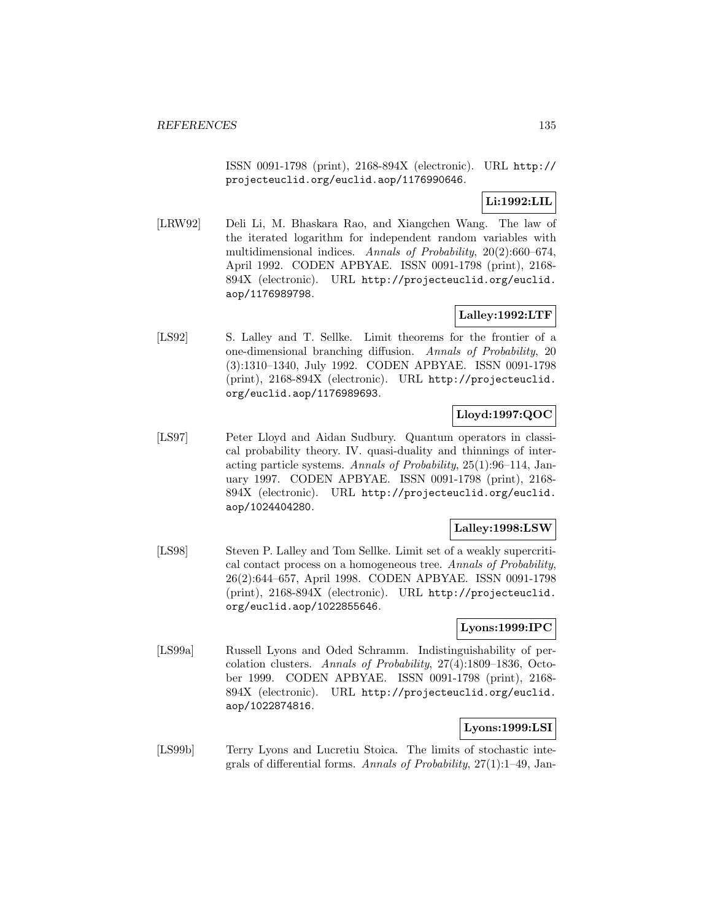ISSN 0091-1798 (print), 2168-894X (electronic). URL http:// projecteuclid.org/euclid.aop/1176990646.

# **Li:1992:LIL**

[LRW92] Deli Li, M. Bhaskara Rao, and Xiangchen Wang. The law of the iterated logarithm for independent random variables with multidimensional indices. Annals of Probability, 20(2):660–674, April 1992. CODEN APBYAE. ISSN 0091-1798 (print), 2168- 894X (electronic). URL http://projecteuclid.org/euclid. aop/1176989798.

# **Lalley:1992:LTF**

[LS92] S. Lalley and T. Sellke. Limit theorems for the frontier of a one-dimensional branching diffusion. Annals of Probability, 20 (3):1310–1340, July 1992. CODEN APBYAE. ISSN 0091-1798 (print), 2168-894X (electronic). URL http://projecteuclid. org/euclid.aop/1176989693.

# **Lloyd:1997:QOC**

[LS97] Peter Lloyd and Aidan Sudbury. Quantum operators in classical probability theory. IV. quasi-duality and thinnings of interacting particle systems. Annals of Probability, 25(1):96–114, January 1997. CODEN APBYAE. ISSN 0091-1798 (print), 2168- 894X (electronic). URL http://projecteuclid.org/euclid. aop/1024404280.

# **Lalley:1998:LSW**

[LS98] Steven P. Lalley and Tom Sellke. Limit set of a weakly supercritical contact process on a homogeneous tree. Annals of Probability, 26(2):644–657, April 1998. CODEN APBYAE. ISSN 0091-1798 (print), 2168-894X (electronic). URL http://projecteuclid. org/euclid.aop/1022855646.

# **Lyons:1999:IPC**

[LS99a] Russell Lyons and Oded Schramm. Indistinguishability of percolation clusters. Annals of Probability, 27(4):1809–1836, October 1999. CODEN APBYAE. ISSN 0091-1798 (print), 2168- 894X (electronic). URL http://projecteuclid.org/euclid. aop/1022874816.

# **Lyons:1999:LSI**

[LS99b] Terry Lyons and Lucretiu Stoica. The limits of stochastic integrals of differential forms. Annals of Probability, 27(1):1–49, Jan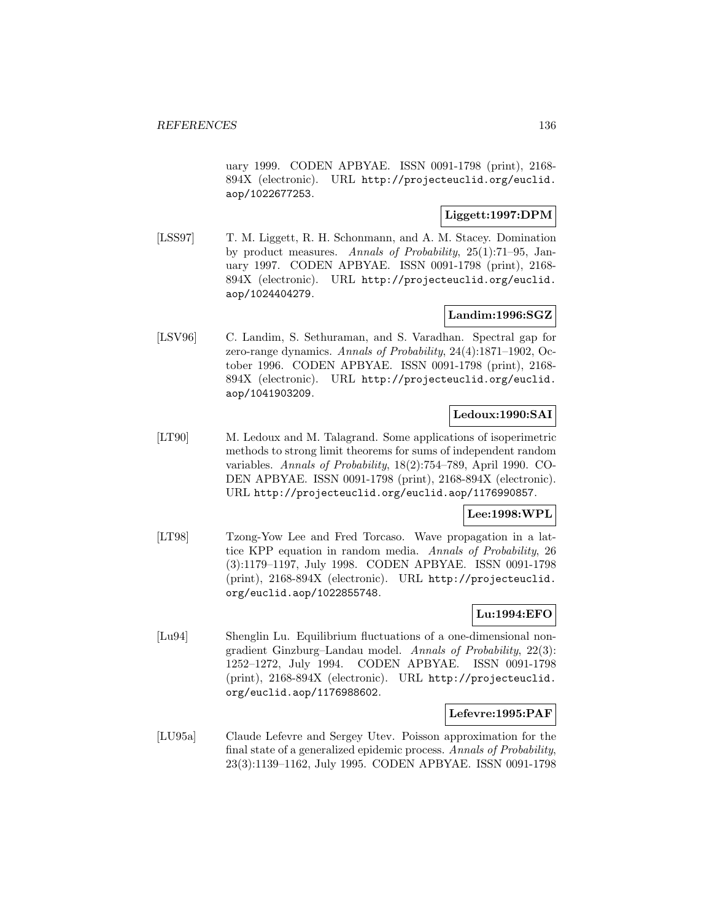uary 1999. CODEN APBYAE. ISSN 0091-1798 (print), 2168- 894X (electronic). URL http://projecteuclid.org/euclid. aop/1022677253.

# **Liggett:1997:DPM**

[LSS97] T. M. Liggett, R. H. Schonmann, and A. M. Stacey. Domination by product measures. Annals of Probability, 25(1):71–95, January 1997. CODEN APBYAE. ISSN 0091-1798 (print), 2168- 894X (electronic). URL http://projecteuclid.org/euclid. aop/1024404279.

# **Landim:1996:SGZ**

[LSV96] C. Landim, S. Sethuraman, and S. Varadhan. Spectral gap for zero-range dynamics. Annals of Probability, 24(4):1871–1902, October 1996. CODEN APBYAE. ISSN 0091-1798 (print), 2168- 894X (electronic). URL http://projecteuclid.org/euclid. aop/1041903209.

# **Ledoux:1990:SAI**

[LT90] M. Ledoux and M. Talagrand. Some applications of isoperimetric methods to strong limit theorems for sums of independent random variables. Annals of Probability, 18(2):754–789, April 1990. CO-DEN APBYAE. ISSN 0091-1798 (print), 2168-894X (electronic). URL http://projecteuclid.org/euclid.aop/1176990857.

# **Lee:1998:WPL**

[LT98] Tzong-Yow Lee and Fred Torcaso. Wave propagation in a lattice KPP equation in random media. Annals of Probability, 26 (3):1179–1197, July 1998. CODEN APBYAE. ISSN 0091-1798 (print), 2168-894X (electronic). URL http://projecteuclid. org/euclid.aop/1022855748.

# **Lu:1994:EFO**

[Lu94] Shenglin Lu. Equilibrium fluctuations of a one-dimensional nongradient Ginzburg–Landau model. Annals of Probability, 22(3): 1252–1272, July 1994. CODEN APBYAE. ISSN 0091-1798 (print), 2168-894X (electronic). URL http://projecteuclid. org/euclid.aop/1176988602.

### **Lefevre:1995:PAF**

[LU95a] Claude Lefevre and Sergey Utev. Poisson approximation for the final state of a generalized epidemic process. Annals of Probability, 23(3):1139–1162, July 1995. CODEN APBYAE. ISSN 0091-1798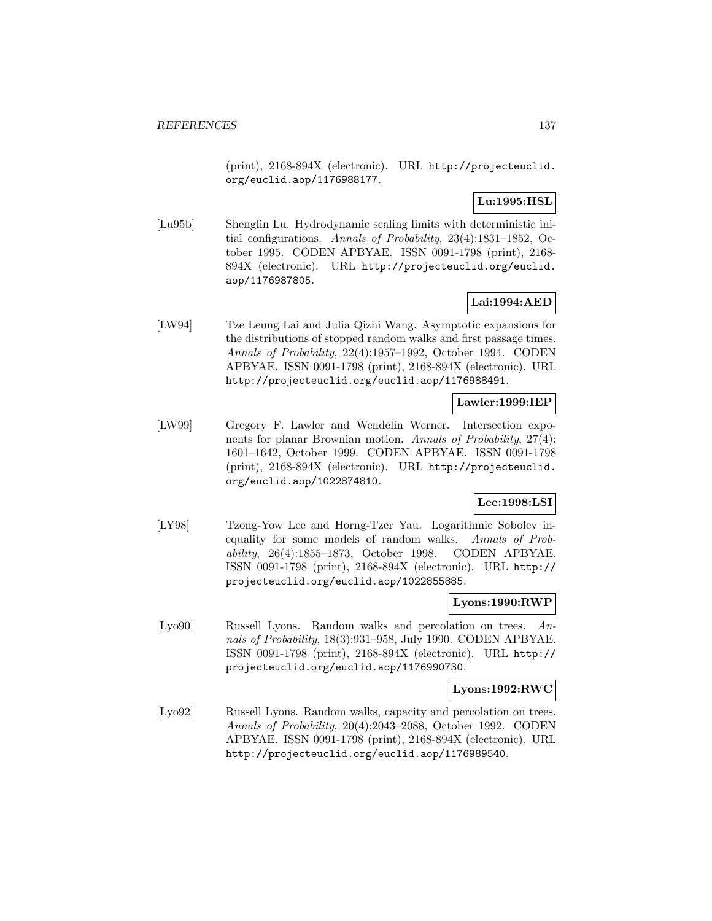(print), 2168-894X (electronic). URL http://projecteuclid. org/euclid.aop/1176988177.

# **Lu:1995:HSL**

[Lu95b] Shenglin Lu. Hydrodynamic scaling limits with deterministic initial configurations. Annals of Probability, 23(4):1831–1852, October 1995. CODEN APBYAE. ISSN 0091-1798 (print), 2168- 894X (electronic). URL http://projecteuclid.org/euclid. aop/1176987805.

# **Lai:1994:AED**

[LW94] Tze Leung Lai and Julia Qizhi Wang. Asymptotic expansions for the distributions of stopped random walks and first passage times. Annals of Probability, 22(4):1957–1992, October 1994. CODEN APBYAE. ISSN 0091-1798 (print), 2168-894X (electronic). URL http://projecteuclid.org/euclid.aop/1176988491.

# **Lawler:1999:IEP**

[LW99] Gregory F. Lawler and Wendelin Werner. Intersection exponents for planar Brownian motion. Annals of Probability, 27(4): 1601–1642, October 1999. CODEN APBYAE. ISSN 0091-1798 (print), 2168-894X (electronic). URL http://projecteuclid. org/euclid.aop/1022874810.

### **Lee:1998:LSI**

[LY98] Tzong-Yow Lee and Horng-Tzer Yau. Logarithmic Sobolev inequality for some models of random walks. Annals of Probability, 26(4):1855–1873, October 1998. CODEN APBYAE. ISSN 0091-1798 (print), 2168-894X (electronic). URL http:// projecteuclid.org/euclid.aop/1022855885.

### **Lyons:1990:RWP**

[Lyo90] Russell Lyons. Random walks and percolation on trees. Annals of Probability, 18(3):931–958, July 1990. CODEN APBYAE. ISSN 0091-1798 (print), 2168-894X (electronic). URL http:// projecteuclid.org/euclid.aop/1176990730.

### **Lyons:1992:RWC**

[Lyo92] Russell Lyons. Random walks, capacity and percolation on trees. Annals of Probability, 20(4):2043–2088, October 1992. CODEN APBYAE. ISSN 0091-1798 (print), 2168-894X (electronic). URL http://projecteuclid.org/euclid.aop/1176989540.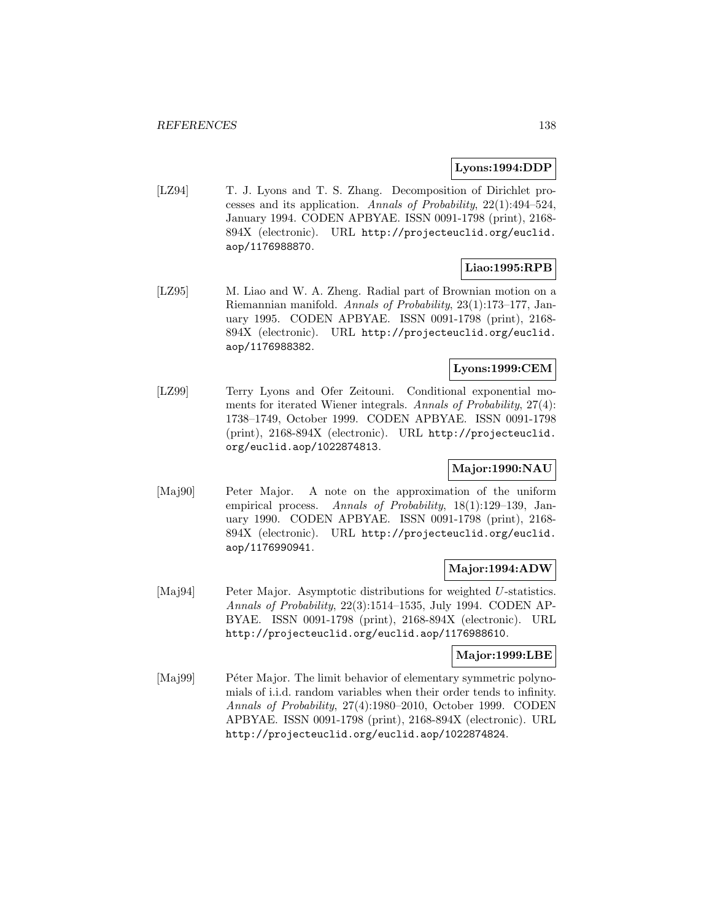#### **Lyons:1994:DDP**

[LZ94] T. J. Lyons and T. S. Zhang. Decomposition of Dirichlet processes and its application. Annals of Probability, 22(1):494–524, January 1994. CODEN APBYAE. ISSN 0091-1798 (print), 2168- 894X (electronic). URL http://projecteuclid.org/euclid. aop/1176988870.

# **Liao:1995:RPB**

[LZ95] M. Liao and W. A. Zheng. Radial part of Brownian motion on a Riemannian manifold. Annals of Probability, 23(1):173–177, January 1995. CODEN APBYAE. ISSN 0091-1798 (print), 2168- 894X (electronic). URL http://projecteuclid.org/euclid. aop/1176988382.

# **Lyons:1999:CEM**

[LZ99] Terry Lyons and Ofer Zeitouni. Conditional exponential moments for iterated Wiener integrals. Annals of Probability, 27(4): 1738–1749, October 1999. CODEN APBYAE. ISSN 0091-1798 (print), 2168-894X (electronic). URL http://projecteuclid. org/euclid.aop/1022874813.

# **Major:1990:NAU**

[Maj90] Peter Major. A note on the approximation of the uniform empirical process. Annals of Probability, 18(1):129–139, January 1990. CODEN APBYAE. ISSN 0091-1798 (print), 2168- 894X (electronic). URL http://projecteuclid.org/euclid. aop/1176990941.

### **Major:1994:ADW**

[Maj94] Peter Major. Asymptotic distributions for weighted U-statistics. Annals of Probability, 22(3):1514–1535, July 1994. CODEN AP-BYAE. ISSN 0091-1798 (print), 2168-894X (electronic). URL http://projecteuclid.org/euclid.aop/1176988610.

### **Major:1999:LBE**

[Maj99] Péter Major. The limit behavior of elementary symmetric polynomials of i.i.d. random variables when their order tends to infinity. Annals of Probability, 27(4):1980–2010, October 1999. CODEN APBYAE. ISSN 0091-1798 (print), 2168-894X (electronic). URL http://projecteuclid.org/euclid.aop/1022874824.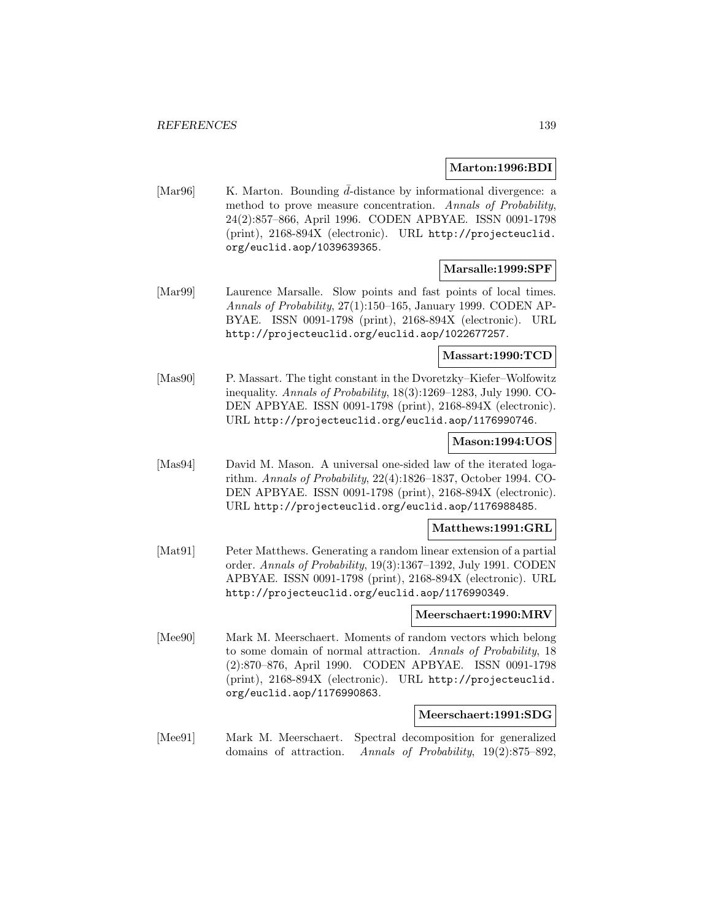#### **Marton:1996:BDI**

[Mar96] K. Marton. Bounding  $\bar{d}$ -distance by informational divergence: a method to prove measure concentration. Annals of Probability, 24(2):857–866, April 1996. CODEN APBYAE. ISSN 0091-1798 (print), 2168-894X (electronic). URL http://projecteuclid. org/euclid.aop/1039639365.

# **Marsalle:1999:SPF**

[Mar99] Laurence Marsalle. Slow points and fast points of local times. Annals of Probability, 27(1):150–165, January 1999. CODEN AP-BYAE. ISSN 0091-1798 (print), 2168-894X (electronic). URL http://projecteuclid.org/euclid.aop/1022677257.

### **Massart:1990:TCD**

[Mas90] P. Massart. The tight constant in the Dvoretzky–Kiefer–Wolfowitz inequality. Annals of Probability, 18(3):1269–1283, July 1990. CO-DEN APBYAE. ISSN 0091-1798 (print), 2168-894X (electronic). URL http://projecteuclid.org/euclid.aop/1176990746.

#### **Mason:1994:UOS**

[Mas94] David M. Mason. A universal one-sided law of the iterated logarithm. Annals of Probability, 22(4):1826–1837, October 1994. CO-DEN APBYAE. ISSN 0091-1798 (print), 2168-894X (electronic). URL http://projecteuclid.org/euclid.aop/1176988485.

#### **Matthews:1991:GRL**

[Mat91] Peter Matthews. Generating a random linear extension of a partial order. Annals of Probability, 19(3):1367–1392, July 1991. CODEN APBYAE. ISSN 0091-1798 (print), 2168-894X (electronic). URL http://projecteuclid.org/euclid.aop/1176990349.

### **Meerschaert:1990:MRV**

[Mee90] Mark M. Meerschaert. Moments of random vectors which belong to some domain of normal attraction. Annals of Probability, 18 (2):870–876, April 1990. CODEN APBYAE. ISSN 0091-1798 (print), 2168-894X (electronic). URL http://projecteuclid. org/euclid.aop/1176990863.

#### **Meerschaert:1991:SDG**

[Mee91] Mark M. Meerschaert. Spectral decomposition for generalized domains of attraction. Annals of Probability, 19(2):875–892,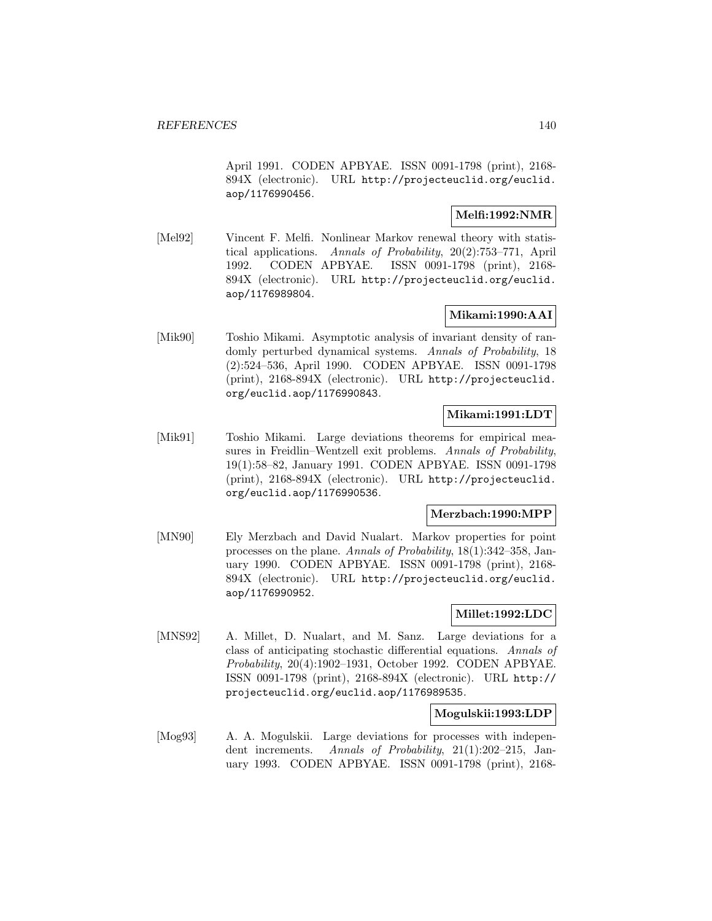April 1991. CODEN APBYAE. ISSN 0091-1798 (print), 2168- 894X (electronic). URL http://projecteuclid.org/euclid. aop/1176990456.

### **Melfi:1992:NMR**

[Mel92] Vincent F. Melfi. Nonlinear Markov renewal theory with statistical applications. Annals of Probability, 20(2):753–771, April 1992. CODEN APBYAE. ISSN 0091-1798 (print), 2168- 894X (electronic). URL http://projecteuclid.org/euclid. aop/1176989804.

# **Mikami:1990:AAI**

[Mik90] Toshio Mikami. Asymptotic analysis of invariant density of randomly perturbed dynamical systems. Annals of Probability, 18 (2):524–536, April 1990. CODEN APBYAE. ISSN 0091-1798 (print), 2168-894X (electronic). URL http://projecteuclid. org/euclid.aop/1176990843.

# **Mikami:1991:LDT**

[Mik91] Toshio Mikami. Large deviations theorems for empirical measures in Freidlin–Wentzell exit problems. Annals of Probability, 19(1):58–82, January 1991. CODEN APBYAE. ISSN 0091-1798 (print), 2168-894X (electronic). URL http://projecteuclid. org/euclid.aop/1176990536.

### **Merzbach:1990:MPP**

[MN90] Ely Merzbach and David Nualart. Markov properties for point processes on the plane. Annals of Probability, 18(1):342–358, January 1990. CODEN APBYAE. ISSN 0091-1798 (print), 2168- 894X (electronic). URL http://projecteuclid.org/euclid. aop/1176990952.

# **Millet:1992:LDC**

[MNS92] A. Millet, D. Nualart, and M. Sanz. Large deviations for a class of anticipating stochastic differential equations. Annals of Probability, 20(4):1902–1931, October 1992. CODEN APBYAE. ISSN 0091-1798 (print), 2168-894X (electronic). URL http:// projecteuclid.org/euclid.aop/1176989535.

### **Mogulskii:1993:LDP**

[Mog93] A. A. Mogulskii. Large deviations for processes with independent increments. Annals of Probability, 21(1):202–215, January 1993. CODEN APBYAE. ISSN 0091-1798 (print), 2168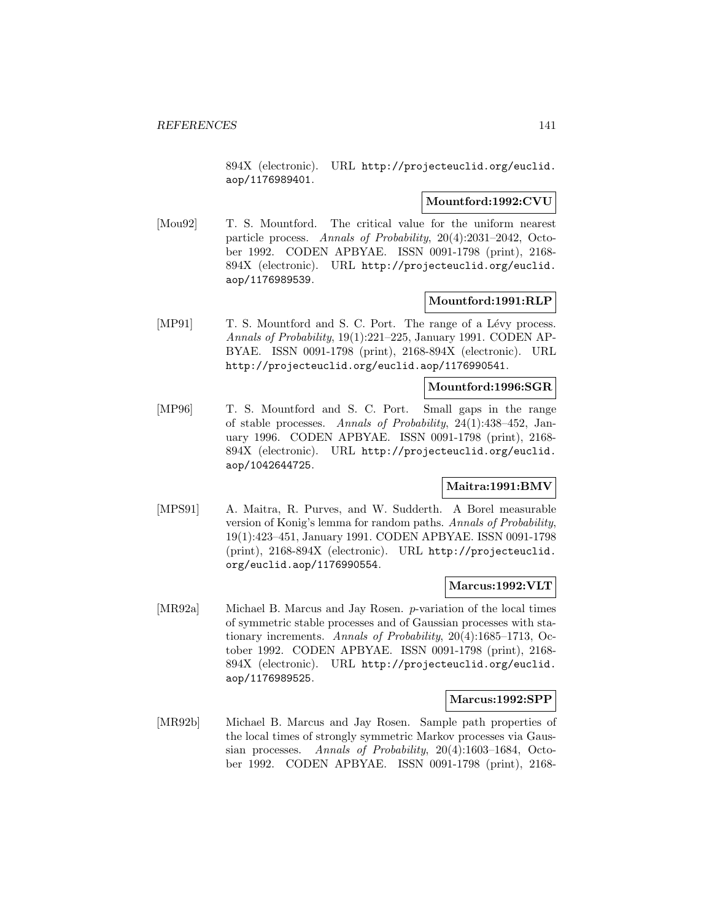894X (electronic). URL http://projecteuclid.org/euclid. aop/1176989401.

### **Mountford:1992:CVU**

[Mou92] T. S. Mountford. The critical value for the uniform nearest particle process. Annals of Probability, 20(4):2031–2042, October 1992. CODEN APBYAE. ISSN 0091-1798 (print), 2168- 894X (electronic). URL http://projecteuclid.org/euclid. aop/1176989539.

### **Mountford:1991:RLP**

[MP91] T. S. Mountford and S. C. Port. The range of a Lévy process. Annals of Probability, 19(1):221–225, January 1991. CODEN AP-BYAE. ISSN 0091-1798 (print), 2168-894X (electronic). URL http://projecteuclid.org/euclid.aop/1176990541.

# **Mountford:1996:SGR**

[MP96] T. S. Mountford and S. C. Port. Small gaps in the range of stable processes. Annals of Probability, 24(1):438–452, January 1996. CODEN APBYAE. ISSN 0091-1798 (print), 2168- 894X (electronic). URL http://projecteuclid.org/euclid. aop/1042644725.

### **Maitra:1991:BMV**

[MPS91] A. Maitra, R. Purves, and W. Sudderth. A Borel measurable version of Konig's lemma for random paths. Annals of Probability, 19(1):423–451, January 1991. CODEN APBYAE. ISSN 0091-1798 (print), 2168-894X (electronic). URL http://projecteuclid. org/euclid.aop/1176990554.

### **Marcus:1992:VLT**

[MR92a] Michael B. Marcus and Jay Rosen. p-variation of the local times of symmetric stable processes and of Gaussian processes with stationary increments. Annals of Probability, 20(4):1685–1713, October 1992. CODEN APBYAE. ISSN 0091-1798 (print), 2168- 894X (electronic). URL http://projecteuclid.org/euclid. aop/1176989525.

### **Marcus:1992:SPP**

[MR92b] Michael B. Marcus and Jay Rosen. Sample path properties of the local times of strongly symmetric Markov processes via Gaussian processes. Annals of Probability, 20(4):1603–1684, October 1992. CODEN APBYAE. ISSN 0091-1798 (print), 2168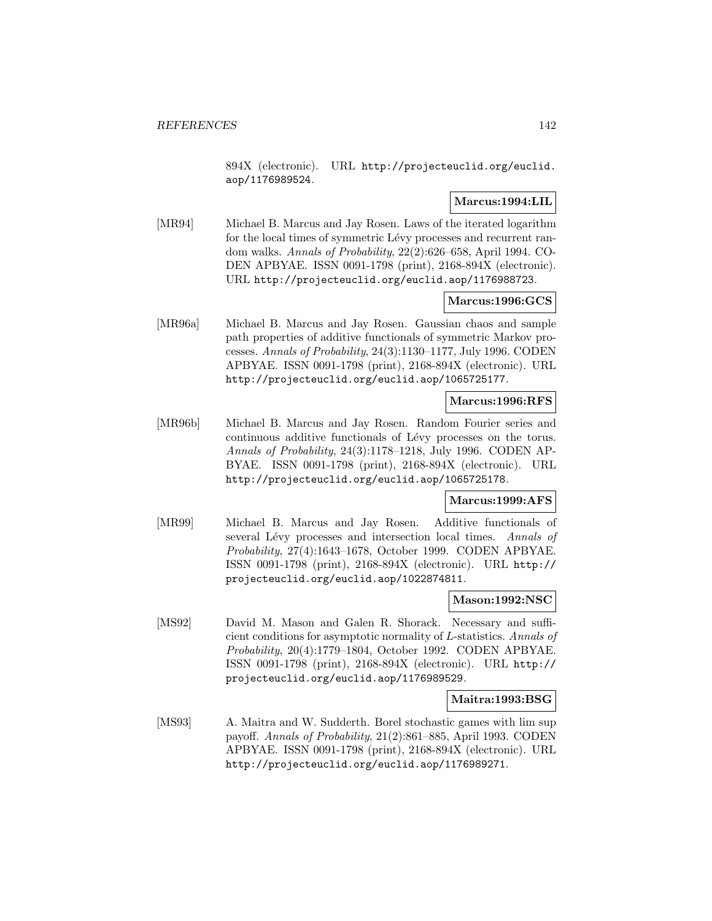894X (electronic). URL http://projecteuclid.org/euclid. aop/1176989524.

# **Marcus:1994:LIL**

[MR94] Michael B. Marcus and Jay Rosen. Laws of the iterated logarithm for the local times of symmetric Lévy processes and recurrent random walks. Annals of Probability, 22(2):626–658, April 1994. CO-DEN APBYAE. ISSN 0091-1798 (print), 2168-894X (electronic). URL http://projecteuclid.org/euclid.aop/1176988723.

### **Marcus:1996:GCS**

[MR96a] Michael B. Marcus and Jay Rosen. Gaussian chaos and sample path properties of additive functionals of symmetric Markov processes. Annals of Probability, 24(3):1130–1177, July 1996. CODEN APBYAE. ISSN 0091-1798 (print), 2168-894X (electronic). URL http://projecteuclid.org/euclid.aop/1065725177.

# **Marcus:1996:RFS**

[MR96b] Michael B. Marcus and Jay Rosen. Random Fourier series and continuous additive functionals of Lévy processes on the torus. Annals of Probability, 24(3):1178–1218, July 1996. CODEN AP-BYAE. ISSN 0091-1798 (print), 2168-894X (electronic). URL http://projecteuclid.org/euclid.aop/1065725178.

### **Marcus:1999:AFS**

[MR99] Michael B. Marcus and Jay Rosen. Additive functionals of several Lévy processes and intersection local times. Annals of Probability, 27(4):1643–1678, October 1999. CODEN APBYAE. ISSN 0091-1798 (print), 2168-894X (electronic). URL http:// projecteuclid.org/euclid.aop/1022874811.

### **Mason:1992:NSC**

[MS92] David M. Mason and Galen R. Shorack. Necessary and sufficient conditions for asymptotic normality of L-statistics. Annals of Probability, 20(4):1779–1804, October 1992. CODEN APBYAE. ISSN 0091-1798 (print), 2168-894X (electronic). URL http:// projecteuclid.org/euclid.aop/1176989529.

### **Maitra:1993:BSG**

[MS93] A. Maitra and W. Sudderth. Borel stochastic games with lim sup payoff. Annals of Probability, 21(2):861–885, April 1993. CODEN APBYAE. ISSN 0091-1798 (print), 2168-894X (electronic). URL http://projecteuclid.org/euclid.aop/1176989271.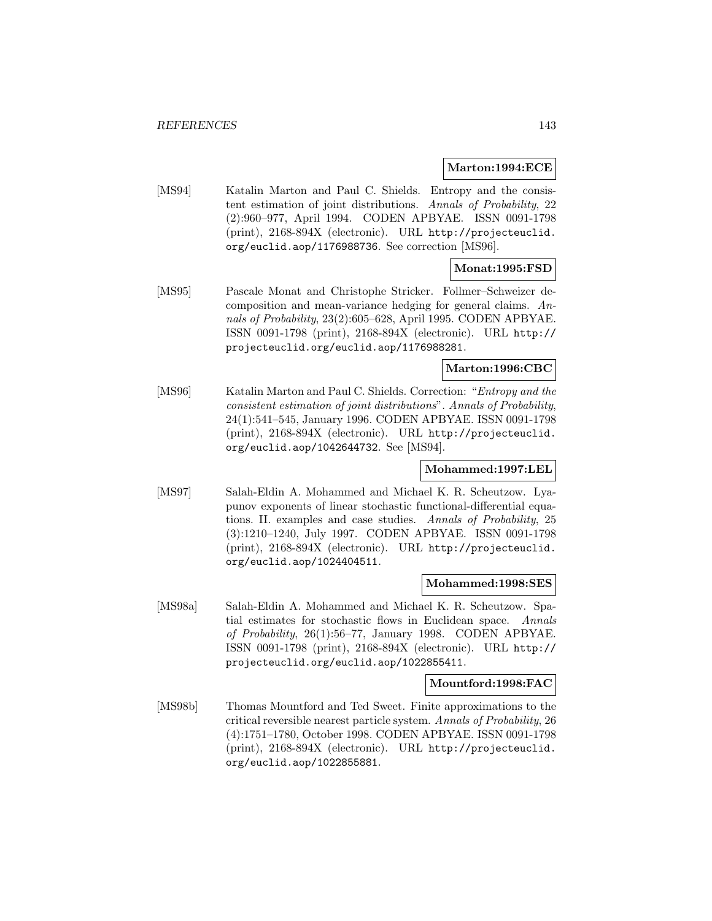#### **Marton:1994:ECE**

[MS94] Katalin Marton and Paul C. Shields. Entropy and the consistent estimation of joint distributions. Annals of Probability, 22 (2):960–977, April 1994. CODEN APBYAE. ISSN 0091-1798 (print), 2168-894X (electronic). URL http://projecteuclid. org/euclid.aop/1176988736. See correction [MS96].

# **Monat:1995:FSD**

[MS95] Pascale Monat and Christophe Stricker. Follmer–Schweizer decomposition and mean-variance hedging for general claims. Annals of Probability, 23(2):605–628, April 1995. CODEN APBYAE. ISSN 0091-1798 (print), 2168-894X (electronic). URL http:// projecteuclid.org/euclid.aop/1176988281.

# **Marton:1996:CBC**

[MS96] Katalin Marton and Paul C. Shields. Correction: "Entropy and the consistent estimation of joint distributions". Annals of Probability, 24(1):541–545, January 1996. CODEN APBYAE. ISSN 0091-1798 (print), 2168-894X (electronic). URL http://projecteuclid. org/euclid.aop/1042644732. See [MS94].

# **Mohammed:1997:LEL**

[MS97] Salah-Eldin A. Mohammed and Michael K. R. Scheutzow. Lyapunov exponents of linear stochastic functional-differential equations. II. examples and case studies. Annals of Probability, 25 (3):1210–1240, July 1997. CODEN APBYAE. ISSN 0091-1798 (print), 2168-894X (electronic). URL http://projecteuclid. org/euclid.aop/1024404511.

#### **Mohammed:1998:SES**

[MS98a] Salah-Eldin A. Mohammed and Michael K. R. Scheutzow. Spatial estimates for stochastic flows in Euclidean space. Annals of Probability, 26(1):56–77, January 1998. CODEN APBYAE. ISSN 0091-1798 (print), 2168-894X (electronic). URL http:// projecteuclid.org/euclid.aop/1022855411.

#### **Mountford:1998:FAC**

[MS98b] Thomas Mountford and Ted Sweet. Finite approximations to the critical reversible nearest particle system. Annals of Probability, 26 (4):1751–1780, October 1998. CODEN APBYAE. ISSN 0091-1798 (print), 2168-894X (electronic). URL http://projecteuclid. org/euclid.aop/1022855881.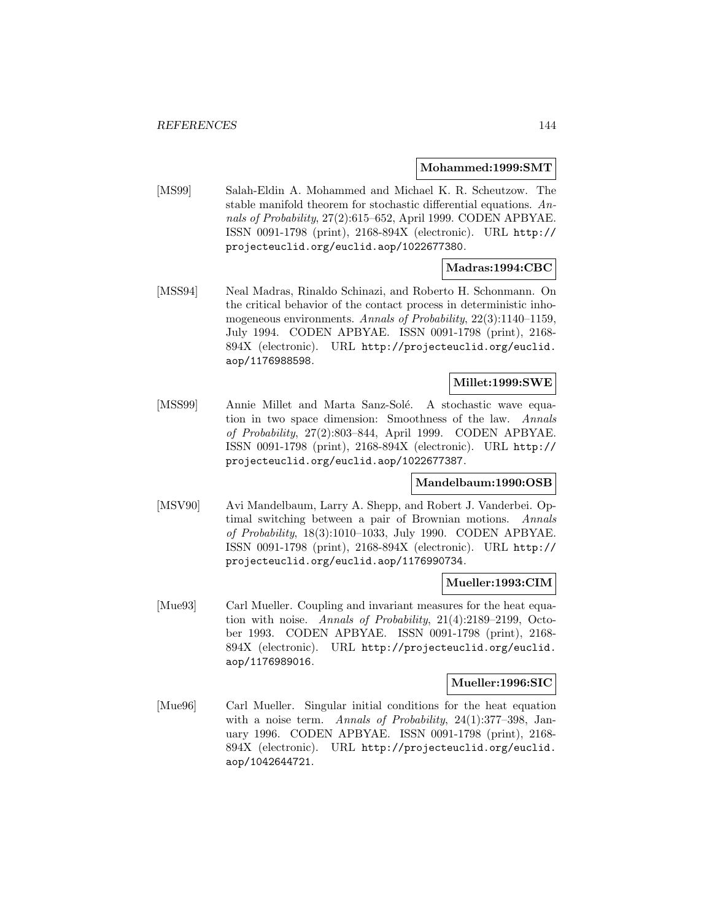#### **Mohammed:1999:SMT**

[MS99] Salah-Eldin A. Mohammed and Michael K. R. Scheutzow. The stable manifold theorem for stochastic differential equations. Annals of Probability, 27(2):615–652, April 1999. CODEN APBYAE. ISSN 0091-1798 (print), 2168-894X (electronic). URL http:// projecteuclid.org/euclid.aop/1022677380.

# **Madras:1994:CBC**

[MSS94] Neal Madras, Rinaldo Schinazi, and Roberto H. Schonmann. On the critical behavior of the contact process in deterministic inhomogeneous environments. Annals of Probability, 22(3):1140–1159, July 1994. CODEN APBYAE. ISSN 0091-1798 (print), 2168- 894X (electronic). URL http://projecteuclid.org/euclid. aop/1176988598.

# **Millet:1999:SWE**

[MSS99] Annie Millet and Marta Sanz-Solé. A stochastic wave equation in two space dimension: Smoothness of the law. Annals of Probability, 27(2):803–844, April 1999. CODEN APBYAE. ISSN 0091-1798 (print), 2168-894X (electronic). URL http:// projecteuclid.org/euclid.aop/1022677387.

# **Mandelbaum:1990:OSB**

[MSV90] Avi Mandelbaum, Larry A. Shepp, and Robert J. Vanderbei. Optimal switching between a pair of Brownian motions. Annals of Probability, 18(3):1010–1033, July 1990. CODEN APBYAE. ISSN 0091-1798 (print), 2168-894X (electronic). URL http:// projecteuclid.org/euclid.aop/1176990734.

#### **Mueller:1993:CIM**

[Mue93] Carl Mueller. Coupling and invariant measures for the heat equation with noise. Annals of Probability, 21(4):2189–2199, October 1993. CODEN APBYAE. ISSN 0091-1798 (print), 2168- 894X (electronic). URL http://projecteuclid.org/euclid. aop/1176989016.

#### **Mueller:1996:SIC**

[Mue96] Carl Mueller. Singular initial conditions for the heat equation with a noise term. Annals of Probability,  $24(1):377-398$ , January 1996. CODEN APBYAE. ISSN 0091-1798 (print), 2168- 894X (electronic). URL http://projecteuclid.org/euclid. aop/1042644721.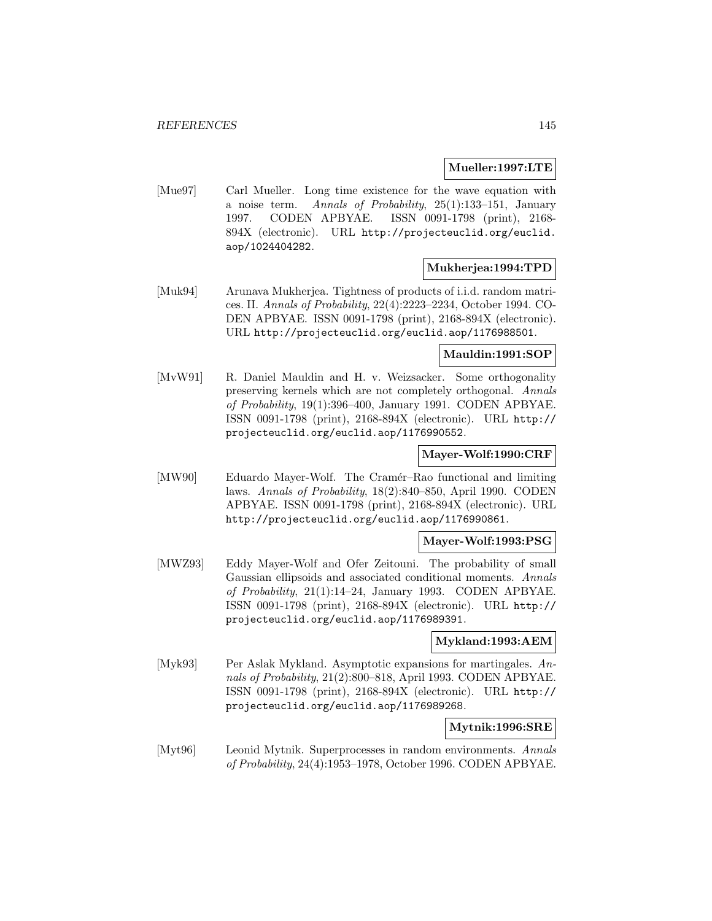#### **Mueller:1997:LTE**

[Mue97] Carl Mueller. Long time existence for the wave equation with a noise term. Annals of Probability, 25(1):133–151, January 1997. CODEN APBYAE. ISSN 0091-1798 (print), 2168- 894X (electronic). URL http://projecteuclid.org/euclid. aop/1024404282.

## **Mukherjea:1994:TPD**

[Muk94] Arunava Mukherjea. Tightness of products of i.i.d. random matrices. II. Annals of Probability, 22(4):2223–2234, October 1994. CO-DEN APBYAE. ISSN 0091-1798 (print), 2168-894X (electronic). URL http://projecteuclid.org/euclid.aop/1176988501.

## **Mauldin:1991:SOP**

[MvW91] R. Daniel Mauldin and H. v. Weizsacker. Some orthogonality preserving kernels which are not completely orthogonal. Annals of Probability, 19(1):396–400, January 1991. CODEN APBYAE. ISSN 0091-1798 (print), 2168-894X (electronic). URL http:// projecteuclid.org/euclid.aop/1176990552.

## **Mayer-Wolf:1990:CRF**

[MW90] Eduardo Mayer-Wolf. The Cramér–Rao functional and limiting laws. Annals of Probability, 18(2):840–850, April 1990. CODEN APBYAE. ISSN 0091-1798 (print), 2168-894X (electronic). URL http://projecteuclid.org/euclid.aop/1176990861.

## **Mayer-Wolf:1993:PSG**

[MWZ93] Eddy Mayer-Wolf and Ofer Zeitouni. The probability of small Gaussian ellipsoids and associated conditional moments. Annals of Probability, 21(1):14–24, January 1993. CODEN APBYAE. ISSN 0091-1798 (print), 2168-894X (electronic). URL http:// projecteuclid.org/euclid.aop/1176989391.

#### **Mykland:1993:AEM**

[Myk93] Per Aslak Mykland. Asymptotic expansions for martingales. Annals of Probability, 21(2):800–818, April 1993. CODEN APBYAE. ISSN 0091-1798 (print), 2168-894X (electronic). URL http:// projecteuclid.org/euclid.aop/1176989268.

## **Mytnik:1996:SRE**

[Myt96] Leonid Mytnik. Superprocesses in random environments. Annals of Probability, 24(4):1953–1978, October 1996. CODEN APBYAE.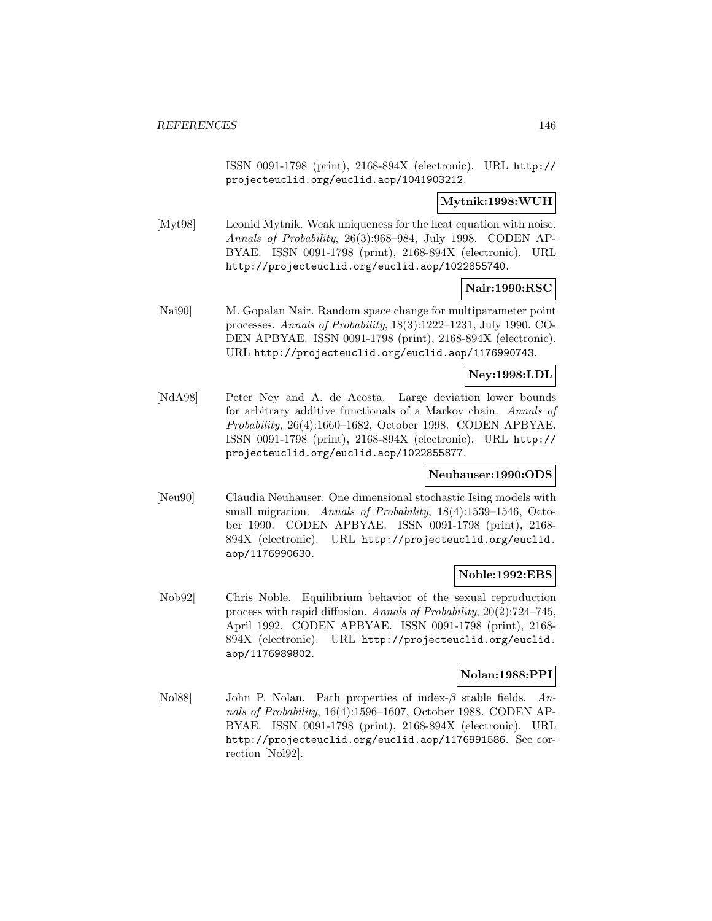ISSN 0091-1798 (print), 2168-894X (electronic). URL http:// projecteuclid.org/euclid.aop/1041903212.

# **Mytnik:1998:WUH**

[Myt98] Leonid Mytnik. Weak uniqueness for the heat equation with noise. Annals of Probability, 26(3):968–984, July 1998. CODEN AP-BYAE. ISSN 0091-1798 (print), 2168-894X (electronic). URL http://projecteuclid.org/euclid.aop/1022855740.

**Nair:1990:RSC**

[Nai90] M. Gopalan Nair. Random space change for multiparameter point processes. Annals of Probability, 18(3):1222–1231, July 1990. CO-DEN APBYAE. ISSN 0091-1798 (print), 2168-894X (electronic). URL http://projecteuclid.org/euclid.aop/1176990743.

# **Ney:1998:LDL**

[NdA98] Peter Ney and A. de Acosta. Large deviation lower bounds for arbitrary additive functionals of a Markov chain. Annals of Probability, 26(4):1660–1682, October 1998. CODEN APBYAE. ISSN 0091-1798 (print), 2168-894X (electronic). URL http:// projecteuclid.org/euclid.aop/1022855877.

## **Neuhauser:1990:ODS**

[Neu90] Claudia Neuhauser. One dimensional stochastic Ising models with small migration. Annals of Probability, 18(4):1539-1546, October 1990. CODEN APBYAE. ISSN 0091-1798 (print), 2168- 894X (electronic). URL http://projecteuclid.org/euclid. aop/1176990630.

# **Noble:1992:EBS**

[Nob92] Chris Noble. Equilibrium behavior of the sexual reproduction process with rapid diffusion. Annals of Probability, 20(2):724–745, April 1992. CODEN APBYAE. ISSN 0091-1798 (print), 2168- 894X (electronic). URL http://projecteuclid.org/euclid. aop/1176989802.

# **Nolan:1988:PPI**

[Nol88] John P. Nolan. Path properties of index- $\beta$  stable fields. Annals of Probability, 16(4):1596–1607, October 1988. CODEN AP-BYAE. ISSN 0091-1798 (print), 2168-894X (electronic). URL http://projecteuclid.org/euclid.aop/1176991586. See correction [Nol92].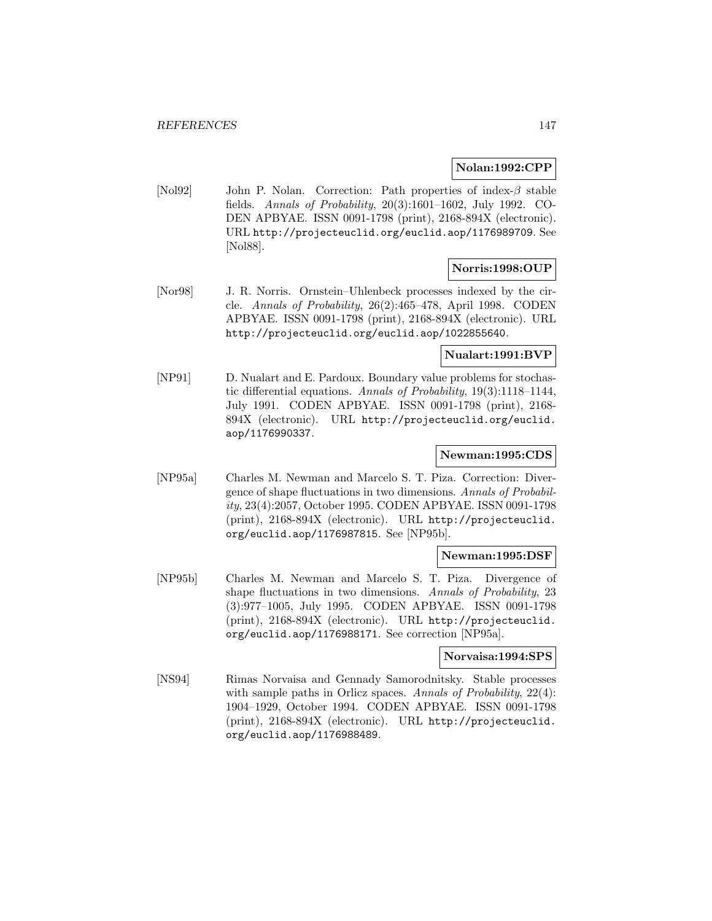## **Nolan:1992:CPP**

[Nol92] John P. Nolan. Correction: Path properties of index-β stable fields. Annals of Probability, 20(3):1601–1602, July 1992. CO-DEN APBYAE. ISSN 0091-1798 (print), 2168-894X (electronic). URL http://projecteuclid.org/euclid.aop/1176989709. See [Nol88].

# **Norris:1998:OUP**

[Nor98] J. R. Norris. Ornstein–Uhlenbeck processes indexed by the circle. Annals of Probability, 26(2):465–478, April 1998. CODEN APBYAE. ISSN 0091-1798 (print), 2168-894X (electronic). URL http://projecteuclid.org/euclid.aop/1022855640.

## **Nualart:1991:BVP**

[NP91] D. Nualart and E. Pardoux. Boundary value problems for stochastic differential equations. Annals of Probability, 19(3):1118–1144, July 1991. CODEN APBYAE. ISSN 0091-1798 (print), 2168- 894X (electronic). URL http://projecteuclid.org/euclid. aop/1176990337.

# **Newman:1995:CDS**

[NP95a] Charles M. Newman and Marcelo S. T. Piza. Correction: Divergence of shape fluctuations in two dimensions. Annals of Probability, 23(4):2057, October 1995. CODEN APBYAE. ISSN 0091-1798 (print), 2168-894X (electronic). URL http://projecteuclid. org/euclid.aop/1176987815. See [NP95b].

## **Newman:1995:DSF**

[NP95b] Charles M. Newman and Marcelo S. T. Piza. Divergence of shape fluctuations in two dimensions. Annals of Probability, 23 (3):977–1005, July 1995. CODEN APBYAE. ISSN 0091-1798 (print), 2168-894X (electronic). URL http://projecteuclid. org/euclid.aop/1176988171. See correction [NP95a].

#### **Norvaisa:1994:SPS**

[NS94] Rimas Norvaisa and Gennady Samorodnitsky. Stable processes with sample paths in Orlicz spaces. Annals of Probability, 22(4): 1904–1929, October 1994. CODEN APBYAE. ISSN 0091-1798 (print), 2168-894X (electronic). URL http://projecteuclid. org/euclid.aop/1176988489.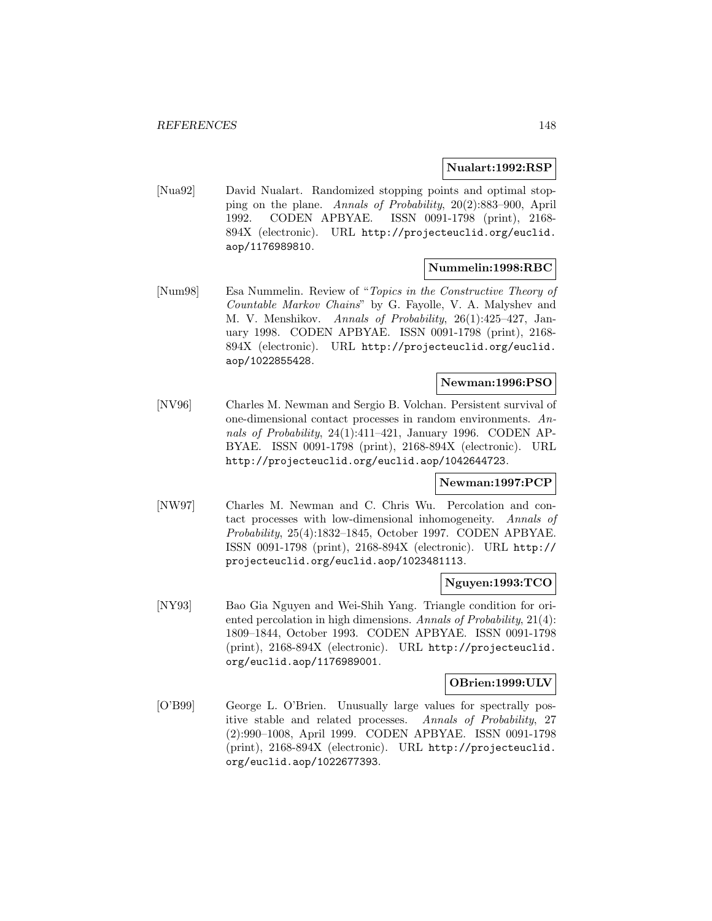#### **Nualart:1992:RSP**

[Nua92] David Nualart. Randomized stopping points and optimal stopping on the plane. Annals of Probability, 20(2):883–900, April 1992. CODEN APBYAE. ISSN 0091-1798 (print), 2168- 894X (electronic). URL http://projecteuclid.org/euclid. aop/1176989810.

## **Nummelin:1998:RBC**

[Num98] Esa Nummelin. Review of "Topics in the Constructive Theory of Countable Markov Chains" by G. Fayolle, V. A. Malyshev and M. V. Menshikov. Annals of Probability, 26(1):425–427, January 1998. CODEN APBYAE. ISSN 0091-1798 (print), 2168- 894X (electronic). URL http://projecteuclid.org/euclid. aop/1022855428.

# **Newman:1996:PSO**

[NV96] Charles M. Newman and Sergio B. Volchan. Persistent survival of one-dimensional contact processes in random environments. Annals of Probability, 24(1):411–421, January 1996. CODEN AP-BYAE. ISSN 0091-1798 (print), 2168-894X (electronic). URL http://projecteuclid.org/euclid.aop/1042644723.

## **Newman:1997:PCP**

[NW97] Charles M. Newman and C. Chris Wu. Percolation and contact processes with low-dimensional inhomogeneity. Annals of Probability, 25(4):1832–1845, October 1997. CODEN APBYAE. ISSN 0091-1798 (print), 2168-894X (electronic). URL http:// projecteuclid.org/euclid.aop/1023481113.

#### **Nguyen:1993:TCO**

[NY93] Bao Gia Nguyen and Wei-Shih Yang. Triangle condition for oriented percolation in high dimensions. Annals of Probability, 21(4): 1809–1844, October 1993. CODEN APBYAE. ISSN 0091-1798 (print), 2168-894X (electronic). URL http://projecteuclid. org/euclid.aop/1176989001.

#### **OBrien:1999:ULV**

[O'B99] George L. O'Brien. Unusually large values for spectrally positive stable and related processes. Annals of Probability, 27 (2):990–1008, April 1999. CODEN APBYAE. ISSN 0091-1798 (print), 2168-894X (electronic). URL http://projecteuclid. org/euclid.aop/1022677393.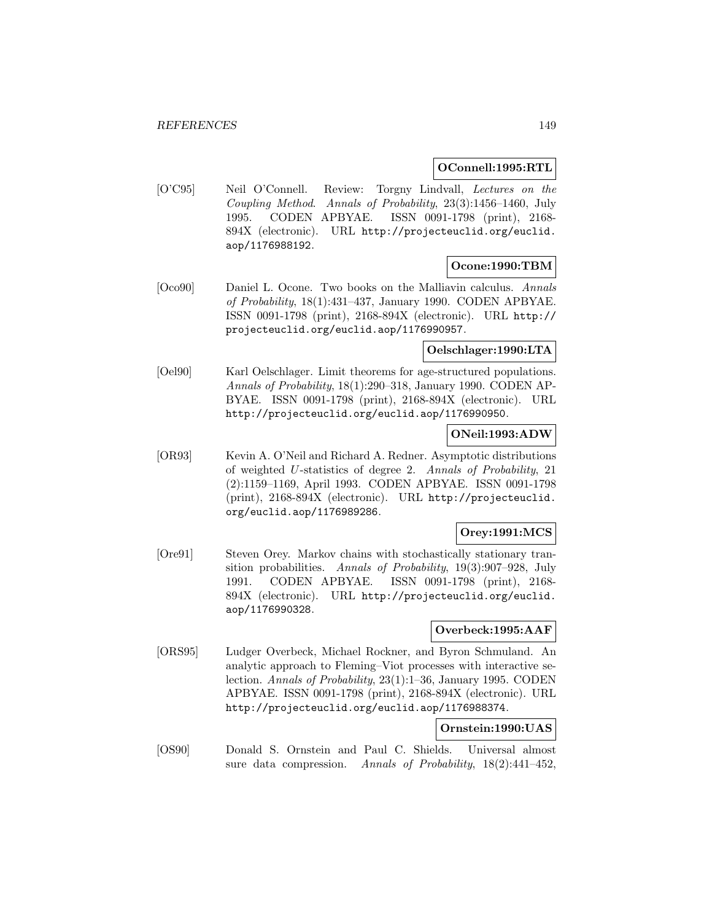## **OConnell:1995:RTL**

[O'C95] Neil O'Connell. Review: Torgny Lindvall, Lectures on the Coupling Method. Annals of Probability, 23(3):1456–1460, July 1995. CODEN APBYAE. ISSN 0091-1798 (print), 2168- 894X (electronic). URL http://projecteuclid.org/euclid. aop/1176988192.

# **Ocone:1990:TBM**

[Oco90] Daniel L. Ocone. Two books on the Malliavin calculus. Annals of Probability, 18(1):431–437, January 1990. CODEN APBYAE. ISSN 0091-1798 (print), 2168-894X (electronic). URL http:// projecteuclid.org/euclid.aop/1176990957.

## **Oelschlager:1990:LTA**

[Oel90] Karl Oelschlager. Limit theorems for age-structured populations. Annals of Probability, 18(1):290–318, January 1990. CODEN AP-BYAE. ISSN 0091-1798 (print), 2168-894X (electronic). URL http://projecteuclid.org/euclid.aop/1176990950.

## **ONeil:1993:ADW**

[OR93] Kevin A. O'Neil and Richard A. Redner. Asymptotic distributions of weighted U-statistics of degree 2. Annals of Probability, 21 (2):1159–1169, April 1993. CODEN APBYAE. ISSN 0091-1798 (print), 2168-894X (electronic). URL http://projecteuclid. org/euclid.aop/1176989286.

# **Orey:1991:MCS**

[Ore91] Steven Orey. Markov chains with stochastically stationary transition probabilities. Annals of Probability, 19(3):907–928, July 1991. CODEN APBYAE. ISSN 0091-1798 (print), 2168- 894X (electronic). URL http://projecteuclid.org/euclid. aop/1176990328.

# **Overbeck:1995:AAF**

[ORS95] Ludger Overbeck, Michael Rockner, and Byron Schmuland. An analytic approach to Fleming–Viot processes with interactive selection. Annals of Probability, 23(1):1–36, January 1995. CODEN APBYAE. ISSN 0091-1798 (print), 2168-894X (electronic). URL http://projecteuclid.org/euclid.aop/1176988374.

## **Ornstein:1990:UAS**

[OS90] Donald S. Ornstein and Paul C. Shields. Universal almost sure data compression. Annals of Probability, 18(2):441–452,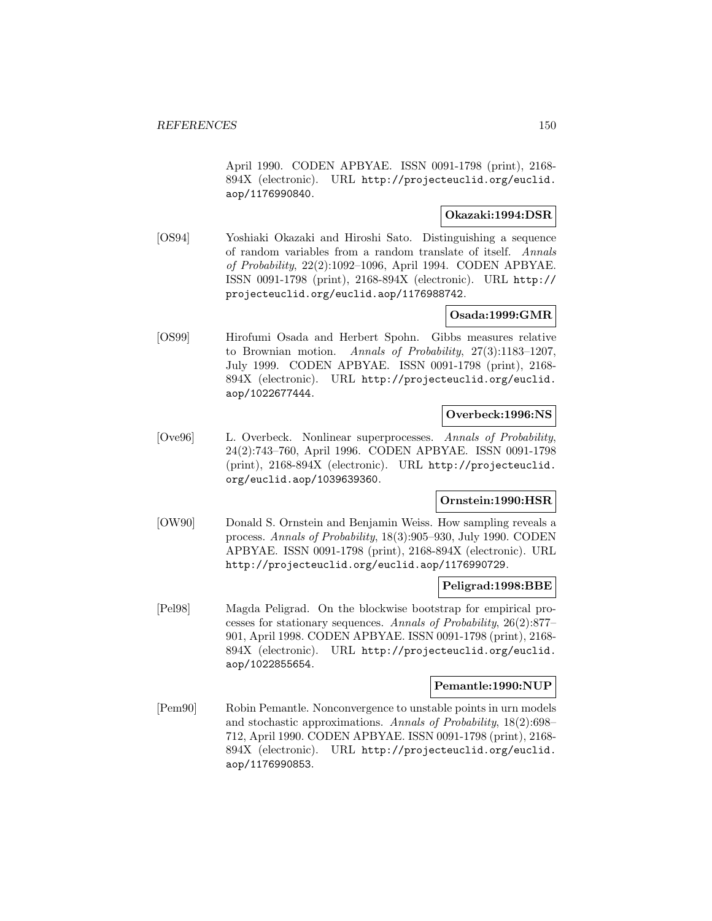April 1990. CODEN APBYAE. ISSN 0091-1798 (print), 2168- 894X (electronic). URL http://projecteuclid.org/euclid. aop/1176990840.

# **Okazaki:1994:DSR**

[OS94] Yoshiaki Okazaki and Hiroshi Sato. Distinguishing a sequence of random variables from a random translate of itself. Annals of Probability, 22(2):1092–1096, April 1994. CODEN APBYAE. ISSN 0091-1798 (print), 2168-894X (electronic). URL http:// projecteuclid.org/euclid.aop/1176988742.

# **Osada:1999:GMR**

[OS99] Hirofumi Osada and Herbert Spohn. Gibbs measures relative to Brownian motion. Annals of Probability, 27(3):1183–1207, July 1999. CODEN APBYAE. ISSN 0091-1798 (print), 2168- 894X (electronic). URL http://projecteuclid.org/euclid. aop/1022677444.

## **Overbeck:1996:NS**

[Ove96] L. Overbeck. Nonlinear superprocesses. Annals of Probability, 24(2):743–760, April 1996. CODEN APBYAE. ISSN 0091-1798 (print), 2168-894X (electronic). URL http://projecteuclid. org/euclid.aop/1039639360.

# **Ornstein:1990:HSR**

[OW90] Donald S. Ornstein and Benjamin Weiss. How sampling reveals a process. Annals of Probability, 18(3):905–930, July 1990. CODEN APBYAE. ISSN 0091-1798 (print), 2168-894X (electronic). URL http://projecteuclid.org/euclid.aop/1176990729.

## **Peligrad:1998:BBE**

[Pel98] Magda Peligrad. On the blockwise bootstrap for empirical processes for stationary sequences. Annals of Probability, 26(2):877– 901, April 1998. CODEN APBYAE. ISSN 0091-1798 (print), 2168- 894X (electronic). URL http://projecteuclid.org/euclid. aop/1022855654.

#### **Pemantle:1990:NUP**

[Pem90] Robin Pemantle. Nonconvergence to unstable points in urn models and stochastic approximations. Annals of Probability, 18(2):698– 712, April 1990. CODEN APBYAE. ISSN 0091-1798 (print), 2168- 894X (electronic). URL http://projecteuclid.org/euclid. aop/1176990853.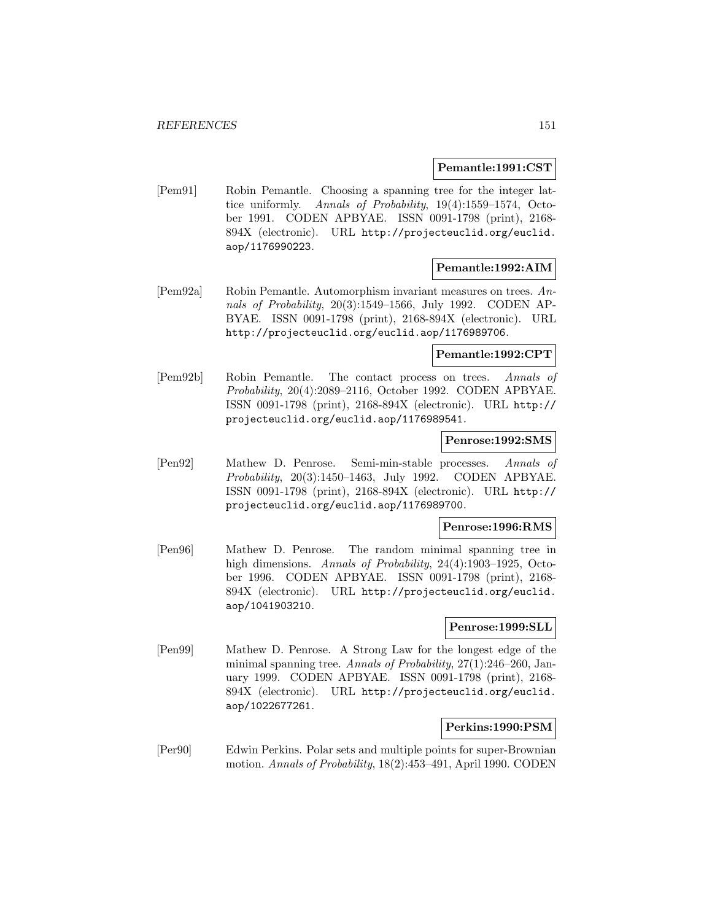#### **Pemantle:1991:CST**

[Pem91] Robin Pemantle. Choosing a spanning tree for the integer lattice uniformly. Annals of Probability, 19(4):1559–1574, October 1991. CODEN APBYAE. ISSN 0091-1798 (print), 2168- 894X (electronic). URL http://projecteuclid.org/euclid. aop/1176990223.

# **Pemantle:1992:AIM**

[Pem92a] Robin Pemantle. Automorphism invariant measures on trees. Annals of Probability, 20(3):1549–1566, July 1992. CODEN AP-BYAE. ISSN 0091-1798 (print), 2168-894X (electronic). URL http://projecteuclid.org/euclid.aop/1176989706.

#### **Pemantle:1992:CPT**

[Pem92b] Robin Pemantle. The contact process on trees. Annals of Probability, 20(4):2089–2116, October 1992. CODEN APBYAE. ISSN 0091-1798 (print), 2168-894X (electronic). URL http:// projecteuclid.org/euclid.aop/1176989541.

#### **Penrose:1992:SMS**

[Pen92] Mathew D. Penrose. Semi-min-stable processes. Annals of Probability, 20(3):1450–1463, July 1992. CODEN APBYAE. ISSN 0091-1798 (print), 2168-894X (electronic). URL http:// projecteuclid.org/euclid.aop/1176989700.

#### **Penrose:1996:RMS**

[Pen96] Mathew D. Penrose. The random minimal spanning tree in high dimensions. Annals of Probability, 24(4):1903–1925, October 1996. CODEN APBYAE. ISSN 0091-1798 (print), 2168- 894X (electronic). URL http://projecteuclid.org/euclid. aop/1041903210.

# **Penrose:1999:SLL**

[Pen99] Mathew D. Penrose. A Strong Law for the longest edge of the minimal spanning tree. Annals of Probability, 27(1):246–260, January 1999. CODEN APBYAE. ISSN 0091-1798 (print), 2168- 894X (electronic). URL http://projecteuclid.org/euclid. aop/1022677261.

# **Perkins:1990:PSM**

[Per90] Edwin Perkins. Polar sets and multiple points for super-Brownian motion. Annals of Probability, 18(2):453–491, April 1990. CODEN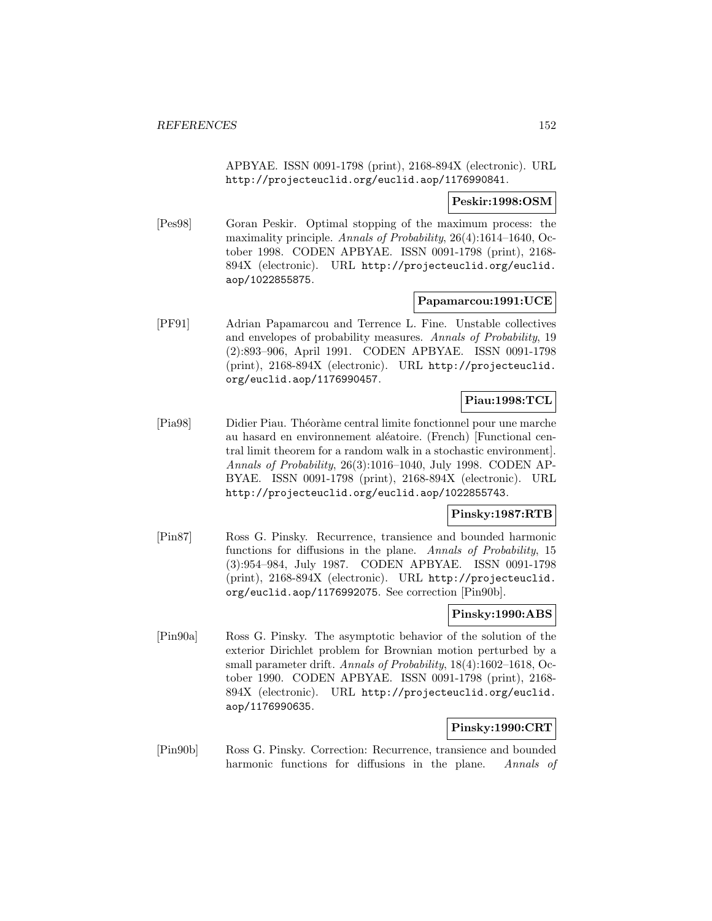APBYAE. ISSN 0091-1798 (print), 2168-894X (electronic). URL http://projecteuclid.org/euclid.aop/1176990841.

# **Peskir:1998:OSM**

[Pes98] Goran Peskir. Optimal stopping of the maximum process: the maximality principle. Annals of Probability, 26(4):1614–1640, October 1998. CODEN APBYAE. ISSN 0091-1798 (print), 2168- 894X (electronic). URL http://projecteuclid.org/euclid. aop/1022855875.

#### **Papamarcou:1991:UCE**

[PF91] Adrian Papamarcou and Terrence L. Fine. Unstable collectives and envelopes of probability measures. Annals of Probability, 19 (2):893–906, April 1991. CODEN APBYAE. ISSN 0091-1798 (print), 2168-894X (electronic). URL http://projecteuclid. org/euclid.aop/1176990457.

# **Piau:1998:TCL**

[Pia98] Didier Piau. Théoràme central limite fonctionnel pour une marche au hasard en environnement aléatoire. (French) [Functional central limit theorem for a random walk in a stochastic environment]. Annals of Probability, 26(3):1016–1040, July 1998. CODEN AP-BYAE. ISSN 0091-1798 (print), 2168-894X (electronic). URL http://projecteuclid.org/euclid.aop/1022855743.

# **Pinsky:1987:RTB**

[Pin87] Ross G. Pinsky. Recurrence, transience and bounded harmonic functions for diffusions in the plane. Annals of Probability, 15 (3):954–984, July 1987. CODEN APBYAE. ISSN 0091-1798 (print), 2168-894X (electronic). URL http://projecteuclid. org/euclid.aop/1176992075. See correction [Pin90b].

# **Pinsky:1990:ABS**

[Pin90a] Ross G. Pinsky. The asymptotic behavior of the solution of the exterior Dirichlet problem for Brownian motion perturbed by a small parameter drift. Annals of Probability, 18(4):1602–1618, October 1990. CODEN APBYAE. ISSN 0091-1798 (print), 2168- 894X (electronic). URL http://projecteuclid.org/euclid. aop/1176990635.

## **Pinsky:1990:CRT**

[Pin90b] Ross G. Pinsky. Correction: Recurrence, transience and bounded harmonic functions for diffusions in the plane. Annals of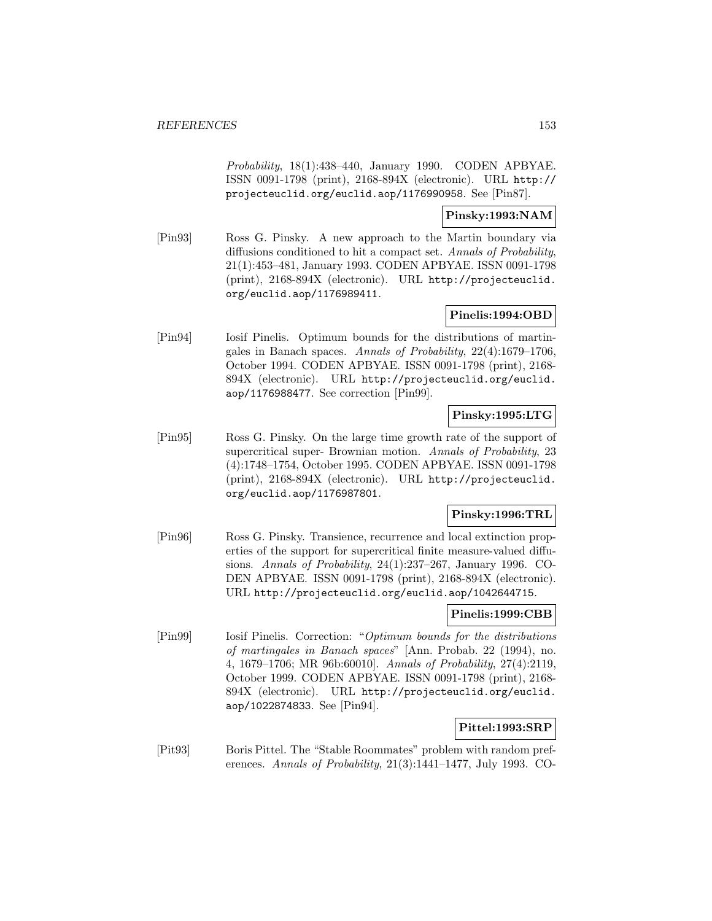Probability, 18(1):438–440, January 1990. CODEN APBYAE. ISSN 0091-1798 (print), 2168-894X (electronic). URL http:// projecteuclid.org/euclid.aop/1176990958. See [Pin87].

## **Pinsky:1993:NAM**

[Pin93] Ross G. Pinsky. A new approach to the Martin boundary via diffusions conditioned to hit a compact set. Annals of Probability, 21(1):453–481, January 1993. CODEN APBYAE. ISSN 0091-1798 (print), 2168-894X (electronic). URL http://projecteuclid. org/euclid.aop/1176989411.

# **Pinelis:1994:OBD**

[Pin94] Iosif Pinelis. Optimum bounds for the distributions of martingales in Banach spaces. Annals of Probability, 22(4):1679–1706, October 1994. CODEN APBYAE. ISSN 0091-1798 (print), 2168- 894X (electronic). URL http://projecteuclid.org/euclid. aop/1176988477. See correction [Pin99].

# **Pinsky:1995:LTG**

[Pin95] Ross G. Pinsky. On the large time growth rate of the support of supercritical super- Brownian motion. Annals of Probability, 23 (4):1748–1754, October 1995. CODEN APBYAE. ISSN 0091-1798 (print), 2168-894X (electronic). URL http://projecteuclid. org/euclid.aop/1176987801.

## **Pinsky:1996:TRL**

[Pin96] Ross G. Pinsky. Transience, recurrence and local extinction properties of the support for supercritical finite measure-valued diffusions. Annals of Probability, 24(1):237–267, January 1996. CO-DEN APBYAE. ISSN 0091-1798 (print), 2168-894X (electronic). URL http://projecteuclid.org/euclid.aop/1042644715.

# **Pinelis:1999:CBB**

[Pin99] Iosif Pinelis. Correction: "Optimum bounds for the distributions of martingales in Banach spaces" [Ann. Probab. 22 (1994), no. 4, 1679–1706; MR 96b:60010]. Annals of Probability, 27(4):2119, October 1999. CODEN APBYAE. ISSN 0091-1798 (print), 2168- 894X (electronic). URL http://projecteuclid.org/euclid. aop/1022874833. See [Pin94].

# **Pittel:1993:SRP**

[Pit93] Boris Pittel. The "Stable Roommates" problem with random preferences. Annals of Probability, 21(3):1441–1477, July 1993. CO-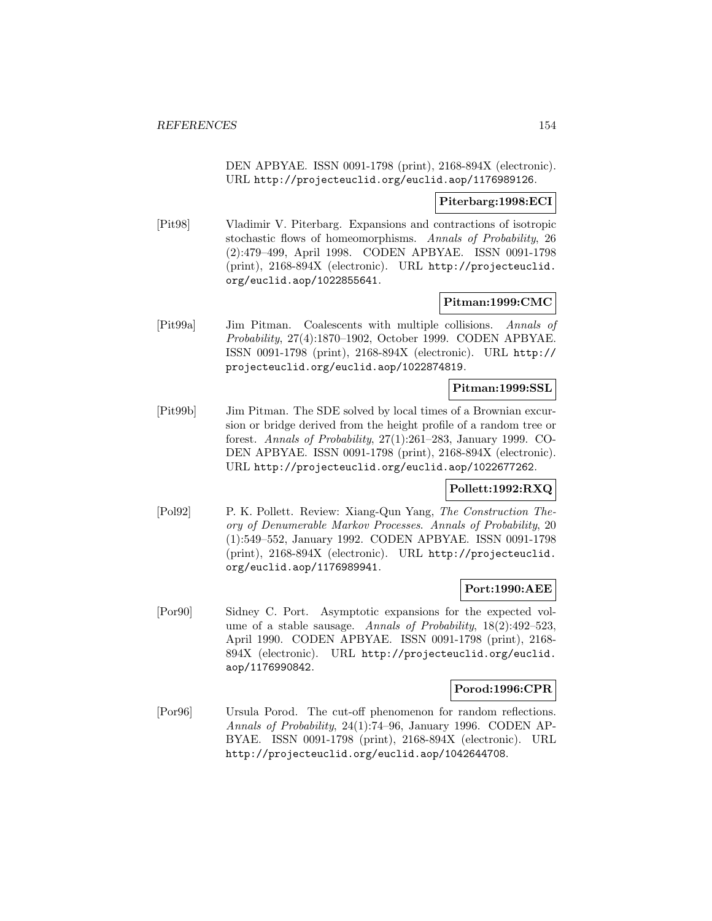DEN APBYAE. ISSN 0091-1798 (print), 2168-894X (electronic). URL http://projecteuclid.org/euclid.aop/1176989126.

## **Piterbarg:1998:ECI**

[Pit98] Vladimir V. Piterbarg. Expansions and contractions of isotropic stochastic flows of homeomorphisms. Annals of Probability, 26 (2):479–499, April 1998. CODEN APBYAE. ISSN 0091-1798 (print), 2168-894X (electronic). URL http://projecteuclid. org/euclid.aop/1022855641.

#### **Pitman:1999:CMC**

[Pit99a] Jim Pitman. Coalescents with multiple collisions. Annals of Probability, 27(4):1870–1902, October 1999. CODEN APBYAE. ISSN 0091-1798 (print), 2168-894X (electronic). URL http:// projecteuclid.org/euclid.aop/1022874819.

#### **Pitman:1999:SSL**

[Pit99b] Jim Pitman. The SDE solved by local times of a Brownian excursion or bridge derived from the height profile of a random tree or forest. Annals of Probability, 27(1):261–283, January 1999. CO-DEN APBYAE. ISSN 0091-1798 (print), 2168-894X (electronic). URL http://projecteuclid.org/euclid.aop/1022677262.

# **Pollett:1992:RXQ**

[Pol92] P. K. Pollett. Review: Xiang-Qun Yang, The Construction Theory of Denumerable Markov Processes. Annals of Probability, 20 (1):549–552, January 1992. CODEN APBYAE. ISSN 0091-1798 (print), 2168-894X (electronic). URL http://projecteuclid. org/euclid.aop/1176989941.

## **Port:1990:AEE**

[Por90] Sidney C. Port. Asymptotic expansions for the expected volume of a stable sausage. Annals of Probability, 18(2):492–523, April 1990. CODEN APBYAE. ISSN 0091-1798 (print), 2168- 894X (electronic). URL http://projecteuclid.org/euclid. aop/1176990842.

## **Porod:1996:CPR**

[Por96] Ursula Porod. The cut-off phenomenon for random reflections. Annals of Probability, 24(1):74–96, January 1996. CODEN AP-BYAE. ISSN 0091-1798 (print), 2168-894X (electronic). URL http://projecteuclid.org/euclid.aop/1042644708.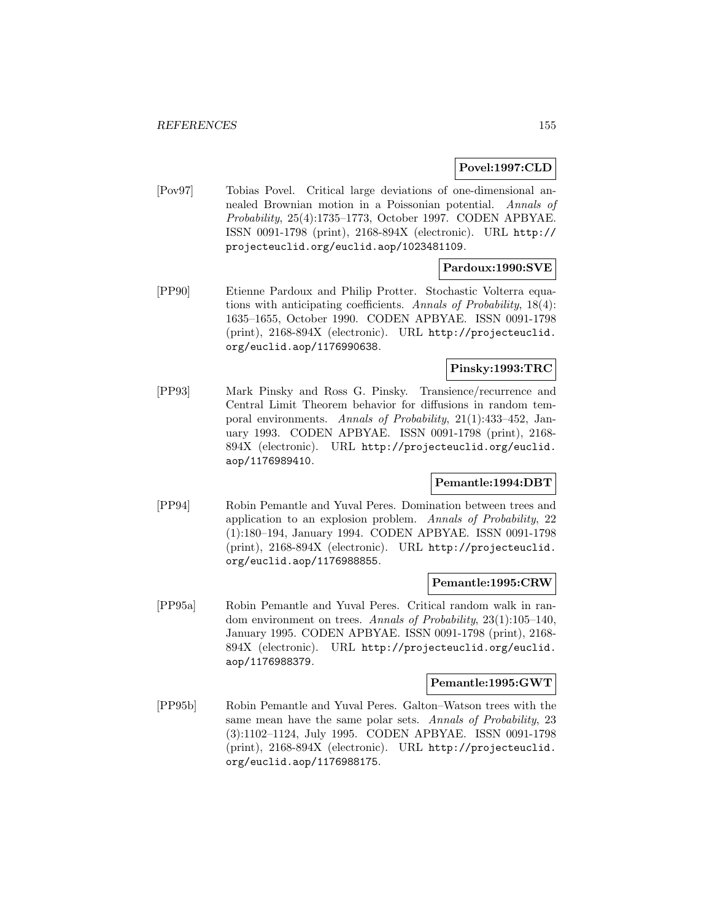## **Povel:1997:CLD**

[Pov97] Tobias Povel. Critical large deviations of one-dimensional annealed Brownian motion in a Poissonian potential. Annals of Probability, 25(4):1735–1773, October 1997. CODEN APBYAE. ISSN 0091-1798 (print), 2168-894X (electronic). URL http:// projecteuclid.org/euclid.aop/1023481109.

# **Pardoux:1990:SVE**

[PP90] Etienne Pardoux and Philip Protter. Stochastic Volterra equations with anticipating coefficients. Annals of Probability, 18(4): 1635–1655, October 1990. CODEN APBYAE. ISSN 0091-1798 (print), 2168-894X (electronic). URL http://projecteuclid. org/euclid.aop/1176990638.

# **Pinsky:1993:TRC**

[PP93] Mark Pinsky and Ross G. Pinsky. Transience/recurrence and Central Limit Theorem behavior for diffusions in random temporal environments. Annals of Probability, 21(1):433–452, January 1993. CODEN APBYAE. ISSN 0091-1798 (print), 2168- 894X (electronic). URL http://projecteuclid.org/euclid. aop/1176989410.

# **Pemantle:1994:DBT**

[PP94] Robin Pemantle and Yuval Peres. Domination between trees and application to an explosion problem. Annals of Probability, 22 (1):180–194, January 1994. CODEN APBYAE. ISSN 0091-1798 (print), 2168-894X (electronic). URL http://projecteuclid. org/euclid.aop/1176988855.

#### **Pemantle:1995:CRW**

[PP95a] Robin Pemantle and Yuval Peres. Critical random walk in random environment on trees. Annals of Probability, 23(1):105–140, January 1995. CODEN APBYAE. ISSN 0091-1798 (print), 2168- 894X (electronic). URL http://projecteuclid.org/euclid. aop/1176988379.

#### **Pemantle:1995:GWT**

[PP95b] Robin Pemantle and Yuval Peres. Galton–Watson trees with the same mean have the same polar sets. Annals of Probability, 23 (3):1102–1124, July 1995. CODEN APBYAE. ISSN 0091-1798 (print), 2168-894X (electronic). URL http://projecteuclid. org/euclid.aop/1176988175.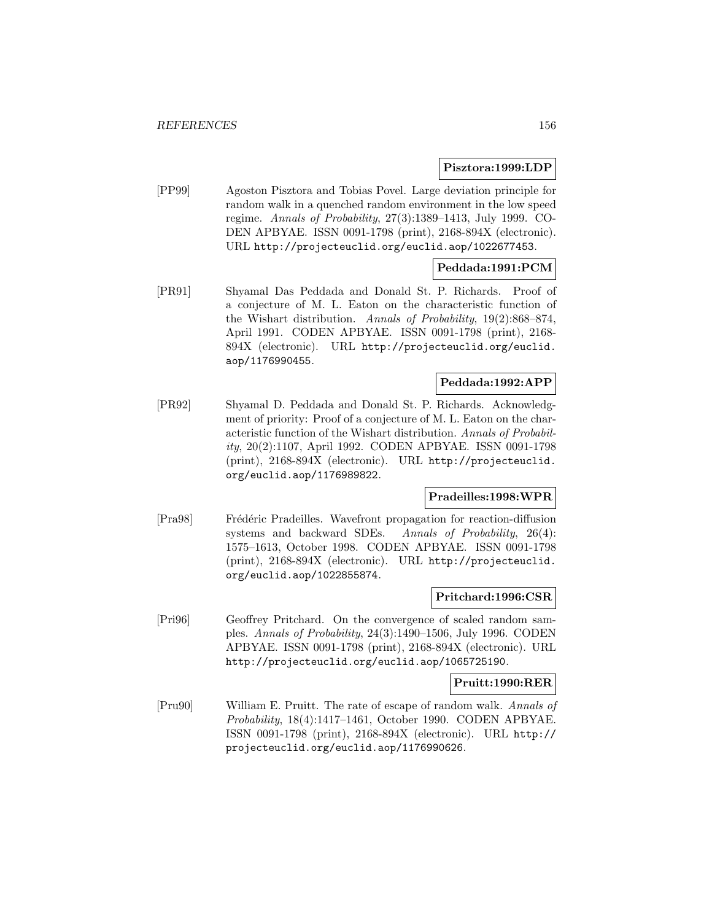## **Pisztora:1999:LDP**

[PP99] Agoston Pisztora and Tobias Povel. Large deviation principle for random walk in a quenched random environment in the low speed regime. Annals of Probability, 27(3):1389–1413, July 1999. CO-DEN APBYAE. ISSN 0091-1798 (print), 2168-894X (electronic). URL http://projecteuclid.org/euclid.aop/1022677453.

# **Peddada:1991:PCM**

[PR91] Shyamal Das Peddada and Donald St. P. Richards. Proof of a conjecture of M. L. Eaton on the characteristic function of the Wishart distribution. Annals of Probability, 19(2):868–874, April 1991. CODEN APBYAE. ISSN 0091-1798 (print), 2168- 894X (electronic). URL http://projecteuclid.org/euclid. aop/1176990455.

# **Peddada:1992:APP**

[PR92] Shyamal D. Peddada and Donald St. P. Richards. Acknowledgment of priority: Proof of a conjecture of M. L. Eaton on the characteristic function of the Wishart distribution. Annals of Probability, 20(2):1107, April 1992. CODEN APBYAE. ISSN 0091-1798 (print), 2168-894X (electronic). URL http://projecteuclid. org/euclid.aop/1176989822.

#### **Pradeilles:1998:WPR**

[Pra98] Frédéric Pradeilles. Wavefront propagation for reaction-diffusion systems and backward SDEs. Annals of Probability, 26(4): 1575–1613, October 1998. CODEN APBYAE. ISSN 0091-1798 (print), 2168-894X (electronic). URL http://projecteuclid. org/euclid.aop/1022855874.

#### **Pritchard:1996:CSR**

[Pri96] Geoffrey Pritchard. On the convergence of scaled random samples. Annals of Probability, 24(3):1490–1506, July 1996. CODEN APBYAE. ISSN 0091-1798 (print), 2168-894X (electronic). URL http://projecteuclid.org/euclid.aop/1065725190.

#### **Pruitt:1990:RER**

[Pru90] William E. Pruitt. The rate of escape of random walk. Annals of Probability, 18(4):1417–1461, October 1990. CODEN APBYAE. ISSN 0091-1798 (print), 2168-894X (electronic). URL http:// projecteuclid.org/euclid.aop/1176990626.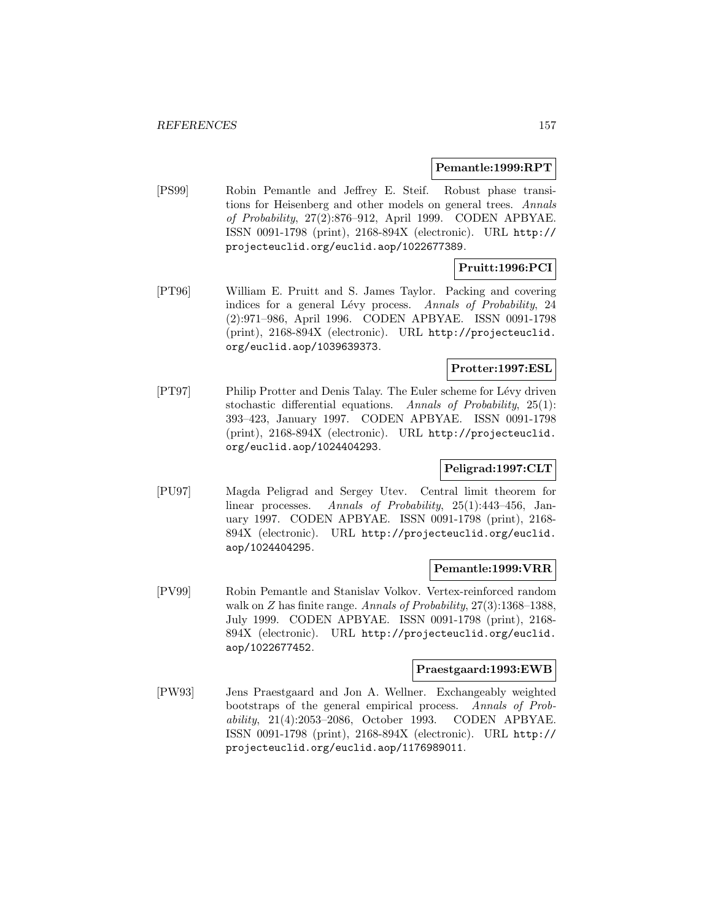#### **Pemantle:1999:RPT**

[PS99] Robin Pemantle and Jeffrey E. Steif. Robust phase transitions for Heisenberg and other models on general trees. Annals of Probability, 27(2):876–912, April 1999. CODEN APBYAE. ISSN 0091-1798 (print), 2168-894X (electronic). URL http:// projecteuclid.org/euclid.aop/1022677389.

# **Pruitt:1996:PCI**

[PT96] William E. Pruitt and S. James Taylor. Packing and covering indices for a general Lévy process. Annals of Probability, 24 (2):971–986, April 1996. CODEN APBYAE. ISSN 0091-1798 (print), 2168-894X (electronic). URL http://projecteuclid. org/euclid.aop/1039639373.

# **Protter:1997:ESL**

[PT97] Philip Protter and Denis Talay. The Euler scheme for Lévy driven stochastic differential equations. Annals of Probability, 25(1): 393–423, January 1997. CODEN APBYAE. ISSN 0091-1798 (print), 2168-894X (electronic). URL http://projecteuclid. org/euclid.aop/1024404293.

# **Peligrad:1997:CLT**

[PU97] Magda Peligrad and Sergey Utev. Central limit theorem for linear processes. Annals of Probability, 25(1):443–456, January 1997. CODEN APBYAE. ISSN 0091-1798 (print), 2168- 894X (electronic). URL http://projecteuclid.org/euclid. aop/1024404295.

#### **Pemantle:1999:VRR**

[PV99] Robin Pemantle and Stanislav Volkov. Vertex-reinforced random walk on Z has finite range. Annals of Probability,  $27(3)$ :1368-1388, July 1999. CODEN APBYAE. ISSN 0091-1798 (print), 2168- 894X (electronic). URL http://projecteuclid.org/euclid. aop/1022677452.

#### **Praestgaard:1993:EWB**

[PW93] Jens Praestgaard and Jon A. Wellner. Exchangeably weighted bootstraps of the general empirical process. Annals of Probability, 21(4):2053–2086, October 1993. CODEN APBYAE. ISSN 0091-1798 (print), 2168-894X (electronic). URL http:// projecteuclid.org/euclid.aop/1176989011.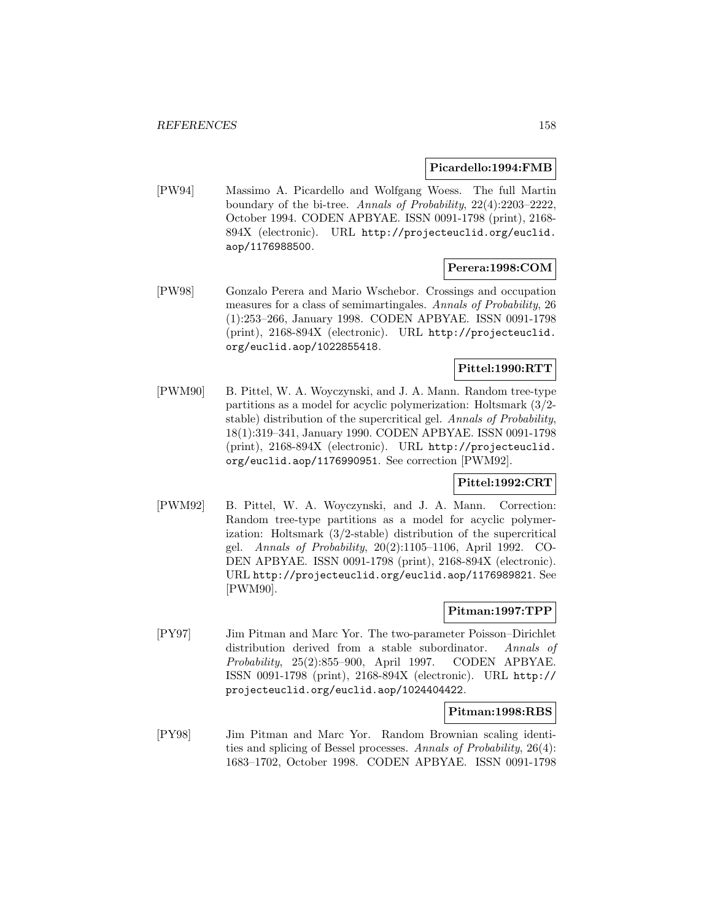#### **Picardello:1994:FMB**

[PW94] Massimo A. Picardello and Wolfgang Woess. The full Martin boundary of the bi-tree. Annals of Probability, 22(4):2203–2222, October 1994. CODEN APBYAE. ISSN 0091-1798 (print), 2168- 894X (electronic). URL http://projecteuclid.org/euclid. aop/1176988500.

## **Perera:1998:COM**

[PW98] Gonzalo Perera and Mario Wschebor. Crossings and occupation measures for a class of semimartingales. Annals of Probability, 26 (1):253–266, January 1998. CODEN APBYAE. ISSN 0091-1798 (print), 2168-894X (electronic). URL http://projecteuclid. org/euclid.aop/1022855418.

# **Pittel:1990:RTT**

[PWM90] B. Pittel, W. A. Woyczynski, and J. A. Mann. Random tree-type partitions as a model for acyclic polymerization: Holtsmark (3/2 stable) distribution of the supercritical gel. Annals of Probability, 18(1):319–341, January 1990. CODEN APBYAE. ISSN 0091-1798 (print), 2168-894X (electronic). URL http://projecteuclid. org/euclid.aop/1176990951. See correction [PWM92].

# **Pittel:1992:CRT**

[PWM92] B. Pittel, W. A. Woyczynski, and J. A. Mann. Correction: Random tree-type partitions as a model for acyclic polymerization: Holtsmark (3/2-stable) distribution of the supercritical gel. Annals of Probability, 20(2):1105–1106, April 1992. CO-DEN APBYAE. ISSN 0091-1798 (print), 2168-894X (electronic). URL http://projecteuclid.org/euclid.aop/1176989821. See [PWM90].

## **Pitman:1997:TPP**

[PY97] Jim Pitman and Marc Yor. The two-parameter Poisson–Dirichlet distribution derived from a stable subordinator. Annals of Probability, 25(2):855–900, April 1997. CODEN APBYAE. ISSN 0091-1798 (print), 2168-894X (electronic). URL http:// projecteuclid.org/euclid.aop/1024404422.

#### **Pitman:1998:RBS**

[PY98] Jim Pitman and Marc Yor. Random Brownian scaling identities and splicing of Bessel processes. Annals of Probability, 26(4): 1683–1702, October 1998. CODEN APBYAE. ISSN 0091-1798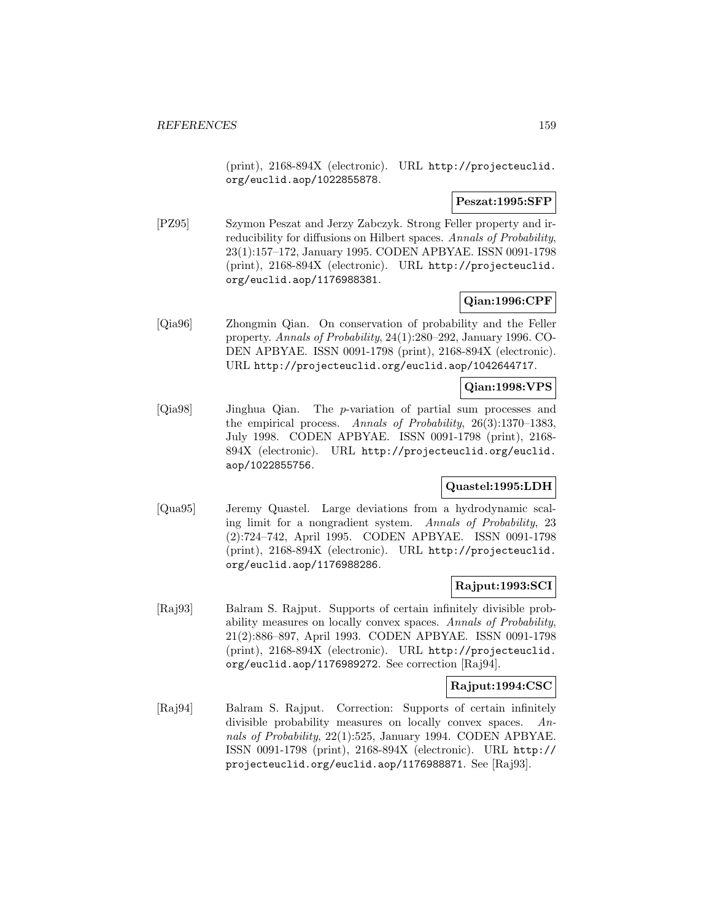(print), 2168-894X (electronic). URL http://projecteuclid. org/euclid.aop/1022855878.

## **Peszat:1995:SFP**

[PZ95] Szymon Peszat and Jerzy Zabczyk. Strong Feller property and irreducibility for diffusions on Hilbert spaces. Annals of Probability, 23(1):157–172, January 1995. CODEN APBYAE. ISSN 0091-1798 (print), 2168-894X (electronic). URL http://projecteuclid. org/euclid.aop/1176988381.

# **Qian:1996:CPF**

[Qia96] Zhongmin Qian. On conservation of probability and the Feller property. Annals of Probability, 24(1):280–292, January 1996. CO-DEN APBYAE. ISSN 0091-1798 (print), 2168-894X (electronic). URL http://projecteuclid.org/euclid.aop/1042644717.

# **Qian:1998:VPS**

[Qia98] Jinghua Qian. The p-variation of partial sum processes and the empirical process. Annals of Probability, 26(3):1370–1383, July 1998. CODEN APBYAE. ISSN 0091-1798 (print), 2168- 894X (electronic). URL http://projecteuclid.org/euclid. aop/1022855756.

## **Quastel:1995:LDH**

[Qua95] Jeremy Quastel. Large deviations from a hydrodynamic scaling limit for a nongradient system. Annals of Probability, 23 (2):724–742, April 1995. CODEN APBYAE. ISSN 0091-1798 (print), 2168-894X (electronic). URL http://projecteuclid. org/euclid.aop/1176988286.

# **Rajput:1993:SCI**

[Raj93] Balram S. Rajput. Supports of certain infinitely divisible probability measures on locally convex spaces. Annals of Probability, 21(2):886–897, April 1993. CODEN APBYAE. ISSN 0091-1798 (print), 2168-894X (electronic). URL http://projecteuclid. org/euclid.aop/1176989272. See correction [Raj94].

## **Rajput:1994:CSC**

[Raj94] Balram S. Rajput. Correction: Supports of certain infinitely divisible probability measures on locally convex spaces. Annals of Probability, 22(1):525, January 1994. CODEN APBYAE. ISSN 0091-1798 (print), 2168-894X (electronic). URL http:// projecteuclid.org/euclid.aop/1176988871. See [Raj93].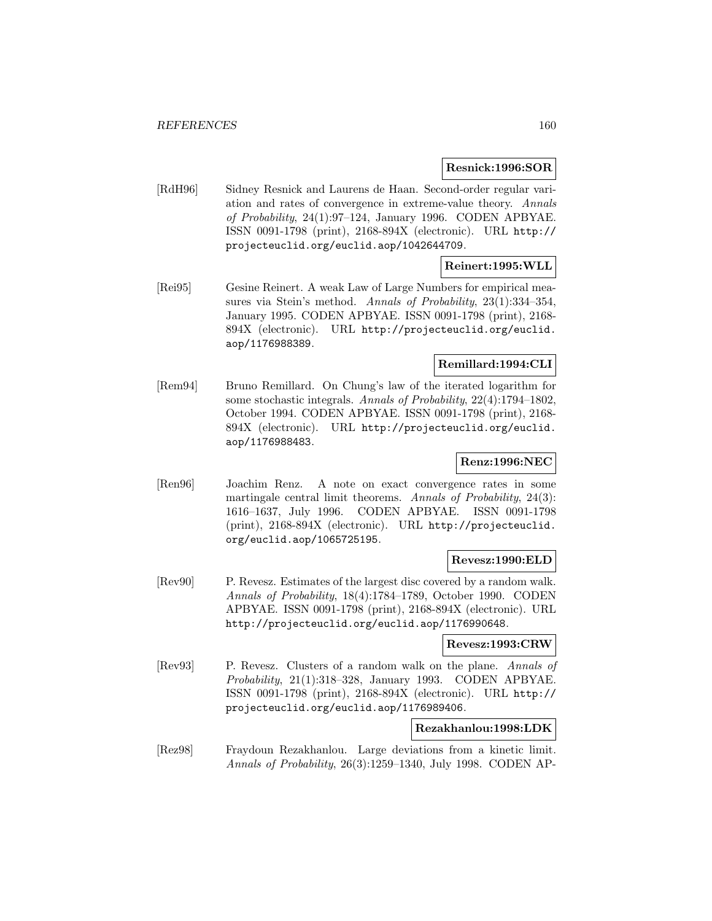#### **Resnick:1996:SOR**

[RdH96] Sidney Resnick and Laurens de Haan. Second-order regular variation and rates of convergence in extreme-value theory. Annals of Probability, 24(1):97–124, January 1996. CODEN APBYAE. ISSN 0091-1798 (print), 2168-894X (electronic). URL http:// projecteuclid.org/euclid.aop/1042644709.

## **Reinert:1995:WLL**

[Rei95] Gesine Reinert. A weak Law of Large Numbers for empirical measures via Stein's method. Annals of Probability, 23(1):334-354, January 1995. CODEN APBYAE. ISSN 0091-1798 (print), 2168- 894X (electronic). URL http://projecteuclid.org/euclid. aop/1176988389.

# **Remillard:1994:CLI**

[Rem94] Bruno Remillard. On Chung's law of the iterated logarithm for some stochastic integrals. Annals of Probability, 22(4):1794–1802, October 1994. CODEN APBYAE. ISSN 0091-1798 (print), 2168- 894X (electronic). URL http://projecteuclid.org/euclid. aop/1176988483.

# **Renz:1996:NEC**

[Ren96] Joachim Renz. A note on exact convergence rates in some martingale central limit theorems. Annals of Probability, 24(3): 1616–1637, July 1996. CODEN APBYAE. ISSN 0091-1798 (print), 2168-894X (electronic). URL http://projecteuclid. org/euclid.aop/1065725195.

## **Revesz:1990:ELD**

[Rev90] P. Revesz. Estimates of the largest disc covered by a random walk. Annals of Probability, 18(4):1784–1789, October 1990. CODEN APBYAE. ISSN 0091-1798 (print), 2168-894X (electronic). URL http://projecteuclid.org/euclid.aop/1176990648.

#### **Revesz:1993:CRW**

[Rev93] P. Revesz. Clusters of a random walk on the plane. Annals of Probability, 21(1):318–328, January 1993. CODEN APBYAE. ISSN 0091-1798 (print), 2168-894X (electronic). URL http:// projecteuclid.org/euclid.aop/1176989406.

## **Rezakhanlou:1998:LDK**

[Rez98] Fraydoun Rezakhanlou. Large deviations from a kinetic limit. Annals of Probability, 26(3):1259–1340, July 1998. CODEN AP-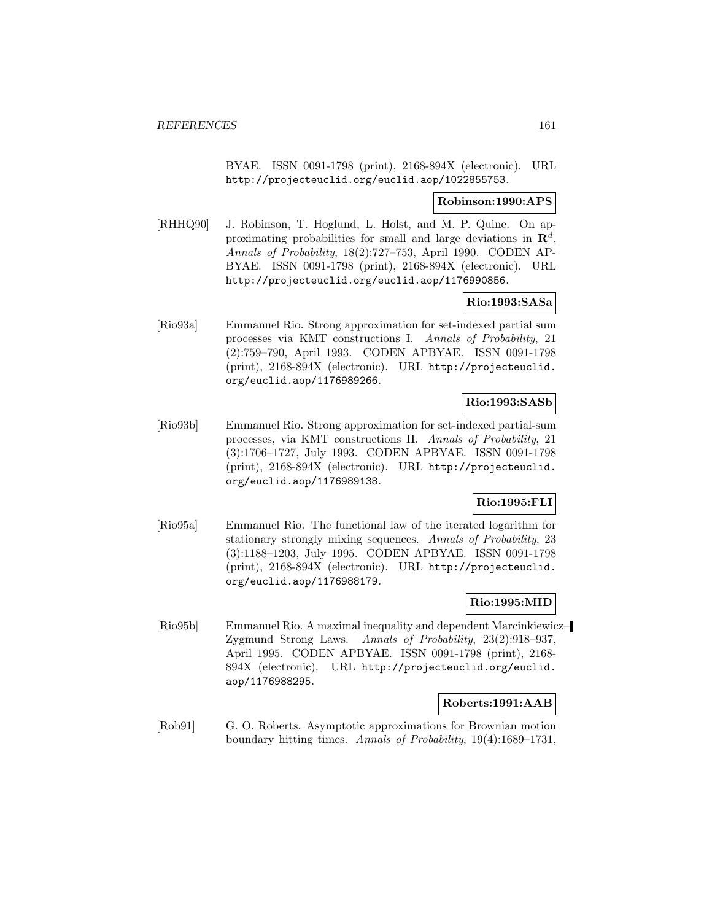BYAE. ISSN 0091-1798 (print), 2168-894X (electronic). URL http://projecteuclid.org/euclid.aop/1022855753.

#### **Robinson:1990:APS**

[RHHQ90] J. Robinson, T. Hoglund, L. Holst, and M. P. Quine. On approximating probabilities for small and large deviations in  $\mathbb{R}^d$ . Annals of Probability, 18(2):727–753, April 1990. CODEN AP-BYAE. ISSN 0091-1798 (print), 2168-894X (electronic). URL http://projecteuclid.org/euclid.aop/1176990856.

# **Rio:1993:SASa**

[Rio93a] Emmanuel Rio. Strong approximation for set-indexed partial sum processes via KMT constructions I. Annals of Probability, 21 (2):759–790, April 1993. CODEN APBYAE. ISSN 0091-1798 (print), 2168-894X (electronic). URL http://projecteuclid. org/euclid.aop/1176989266.

# **Rio:1993:SASb**

[Rio93b] Emmanuel Rio. Strong approximation for set-indexed partial-sum processes, via KMT constructions II. Annals of Probability, 21 (3):1706–1727, July 1993. CODEN APBYAE. ISSN 0091-1798 (print), 2168-894X (electronic). URL http://projecteuclid. org/euclid.aop/1176989138.

# **Rio:1995:FLI**

[Rio95a] Emmanuel Rio. The functional law of the iterated logarithm for stationary strongly mixing sequences. Annals of Probability, 23 (3):1188–1203, July 1995. CODEN APBYAE. ISSN 0091-1798 (print), 2168-894X (electronic). URL http://projecteuclid. org/euclid.aop/1176988179.

# **Rio:1995:MID**

[Rio95b] Emmanuel Rio. A maximal inequality and dependent Marcinkiewicz– Zygmund Strong Laws. Annals of Probability, 23(2):918–937, April 1995. CODEN APBYAE. ISSN 0091-1798 (print), 2168- 894X (electronic). URL http://projecteuclid.org/euclid. aop/1176988295.

## **Roberts:1991:AAB**

[Rob91] G. O. Roberts. Asymptotic approximations for Brownian motion boundary hitting times. Annals of Probability, 19(4):1689–1731,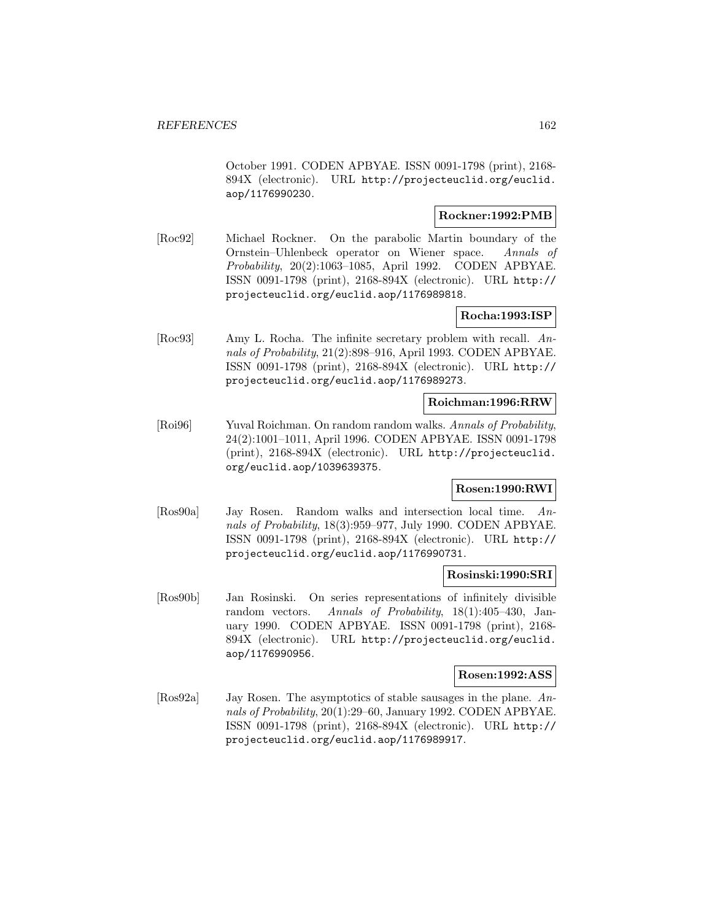October 1991. CODEN APBYAE. ISSN 0091-1798 (print), 2168- 894X (electronic). URL http://projecteuclid.org/euclid. aop/1176990230.

## **Rockner:1992:PMB**

[Roc92] Michael Rockner. On the parabolic Martin boundary of the Ornstein–Uhlenbeck operator on Wiener space. Annals of Probability, 20(2):1063–1085, April 1992. CODEN APBYAE. ISSN 0091-1798 (print), 2168-894X (electronic). URL http:// projecteuclid.org/euclid.aop/1176989818.

## **Rocha:1993:ISP**

[Roc93] Amy L. Rocha. The infinite secretary problem with recall. Annals of Probability, 21(2):898–916, April 1993. CODEN APBYAE. ISSN 0091-1798 (print), 2168-894X (electronic). URL http:// projecteuclid.org/euclid.aop/1176989273.

# **Roichman:1996:RRW**

[Roi96] Yuval Roichman. On random random walks. Annals of Probability, 24(2):1001–1011, April 1996. CODEN APBYAE. ISSN 0091-1798 (print), 2168-894X (electronic). URL http://projecteuclid. org/euclid.aop/1039639375.

# **Rosen:1990:RWI**

[Ros90a] Jay Rosen. Random walks and intersection local time. Annals of Probability, 18(3):959–977, July 1990. CODEN APBYAE. ISSN 0091-1798 (print), 2168-894X (electronic). URL http:// projecteuclid.org/euclid.aop/1176990731.

## **Rosinski:1990:SRI**

[Ros90b] Jan Rosinski. On series representations of infinitely divisible random vectors. Annals of Probability, 18(1):405–430, January 1990. CODEN APBYAE. ISSN 0091-1798 (print), 2168- 894X (electronic). URL http://projecteuclid.org/euclid. aop/1176990956.

## **Rosen:1992:ASS**

[Ros92a] Jay Rosen. The asymptotics of stable sausages in the plane. Annals of Probability, 20(1):29–60, January 1992. CODEN APBYAE. ISSN 0091-1798 (print), 2168-894X (electronic). URL http:// projecteuclid.org/euclid.aop/1176989917.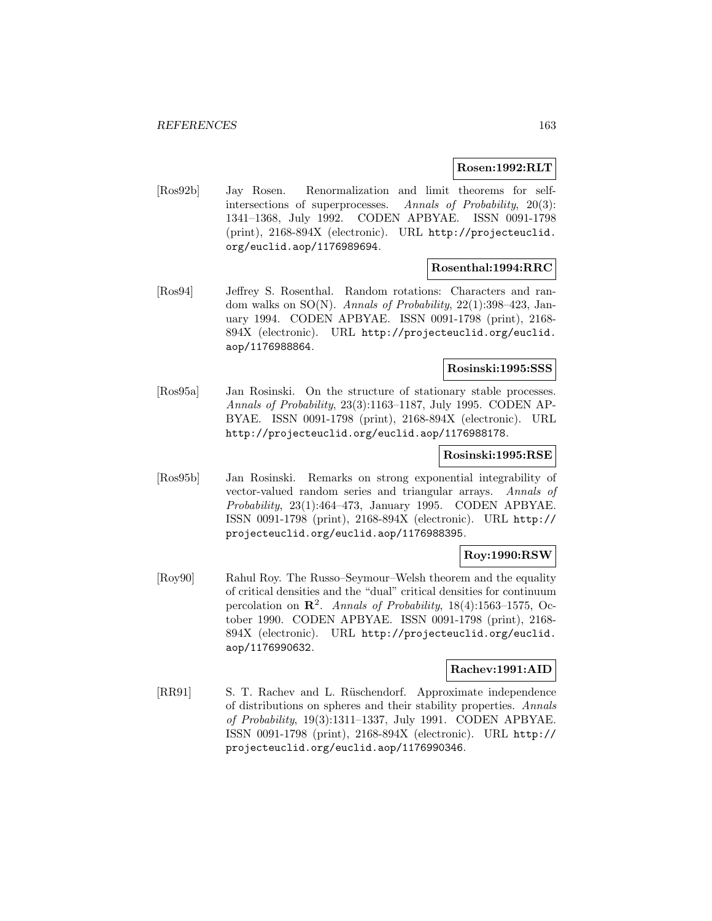#### **Rosen:1992:RLT**

[Ros92b] Jay Rosen. Renormalization and limit theorems for selfintersections of superprocesses. Annals of Probability, 20(3): 1341–1368, July 1992. CODEN APBYAE. ISSN 0091-1798 (print), 2168-894X (electronic). URL http://projecteuclid. org/euclid.aop/1176989694.

#### **Rosenthal:1994:RRC**

[Ros94] Jeffrey S. Rosenthal. Random rotations: Characters and random walks on  $SO(N)$ . Annals of Probability, 22(1):398-423, January 1994. CODEN APBYAE. ISSN 0091-1798 (print), 2168- 894X (electronic). URL http://projecteuclid.org/euclid. aop/1176988864.

## **Rosinski:1995:SSS**

[Ros95a] Jan Rosinski. On the structure of stationary stable processes. Annals of Probability, 23(3):1163–1187, July 1995. CODEN AP-BYAE. ISSN 0091-1798 (print), 2168-894X (electronic). URL http://projecteuclid.org/euclid.aop/1176988178.

#### **Rosinski:1995:RSE**

[Ros95b] Jan Rosinski. Remarks on strong exponential integrability of vector-valued random series and triangular arrays. Annals of Probability, 23(1):464–473, January 1995. CODEN APBYAE. ISSN 0091-1798 (print), 2168-894X (electronic). URL http:// projecteuclid.org/euclid.aop/1176988395.

# **Roy:1990:RSW**

[Roy90] Rahul Roy. The Russo–Seymour–Welsh theorem and the equality of critical densities and the "dual" critical densities for continuum percolation on **R**<sup>2</sup>. Annals of Probability, 18(4):1563–1575, October 1990. CODEN APBYAE. ISSN 0091-1798 (print), 2168- 894X (electronic). URL http://projecteuclid.org/euclid. aop/1176990632.

#### **Rachev:1991:AID**

[RR91] S. T. Rachev and L. Rüschendorf. Approximate independence of distributions on spheres and their stability properties. Annals of Probability, 19(3):1311–1337, July 1991. CODEN APBYAE. ISSN 0091-1798 (print), 2168-894X (electronic). URL http:// projecteuclid.org/euclid.aop/1176990346.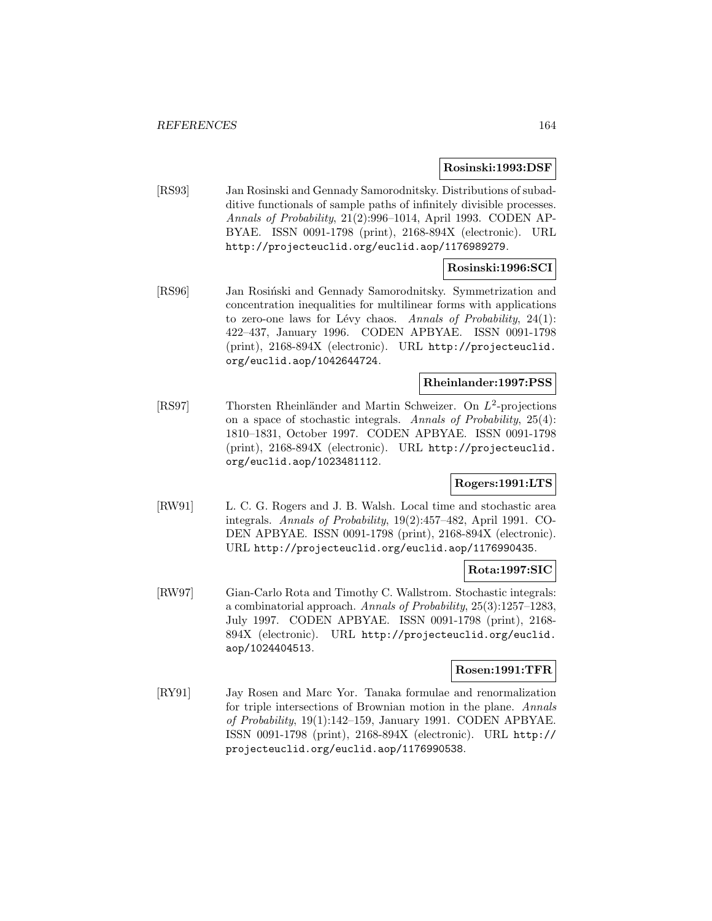#### **Rosinski:1993:DSF**

[RS93] Jan Rosinski and Gennady Samorodnitsky. Distributions of subadditive functionals of sample paths of infinitely divisible processes. Annals of Probability, 21(2):996–1014, April 1993. CODEN AP-BYAE. ISSN 0091-1798 (print), 2168-894X (electronic). URL http://projecteuclid.org/euclid.aop/1176989279.

# **Rosinski:1996:SCI**

[RS96] Jan Rosiński and Gennady Samorodnitsky. Symmetrization and concentration inequalities for multilinear forms with applications to zero-one laws for Lévy chaos. Annals of Probability,  $24(1)$ : 422–437, January 1996. CODEN APBYAE. ISSN 0091-1798 (print), 2168-894X (electronic). URL http://projecteuclid. org/euclid.aop/1042644724.

# **Rheinlander:1997:PSS**

[RS97] Thorsten Rheinländer and Martin Schweizer. On  $L^2$ -projections on a space of stochastic integrals. Annals of Probability, 25(4): 1810–1831, October 1997. CODEN APBYAE. ISSN 0091-1798 (print), 2168-894X (electronic). URL http://projecteuclid. org/euclid.aop/1023481112.

## **Rogers:1991:LTS**

[RW91] L. C. G. Rogers and J. B. Walsh. Local time and stochastic area integrals. Annals of Probability, 19(2):457–482, April 1991. CO-DEN APBYAE. ISSN 0091-1798 (print), 2168-894X (electronic). URL http://projecteuclid.org/euclid.aop/1176990435.

## **Rota:1997:SIC**

[RW97] Gian-Carlo Rota and Timothy C. Wallstrom. Stochastic integrals: a combinatorial approach. Annals of Probability, 25(3):1257–1283, July 1997. CODEN APBYAE. ISSN 0091-1798 (print), 2168- 894X (electronic). URL http://projecteuclid.org/euclid. aop/1024404513.

## **Rosen:1991:TFR**

[RY91] Jay Rosen and Marc Yor. Tanaka formulae and renormalization for triple intersections of Brownian motion in the plane. Annals of Probability, 19(1):142–159, January 1991. CODEN APBYAE. ISSN 0091-1798 (print), 2168-894X (electronic). URL http:// projecteuclid.org/euclid.aop/1176990538.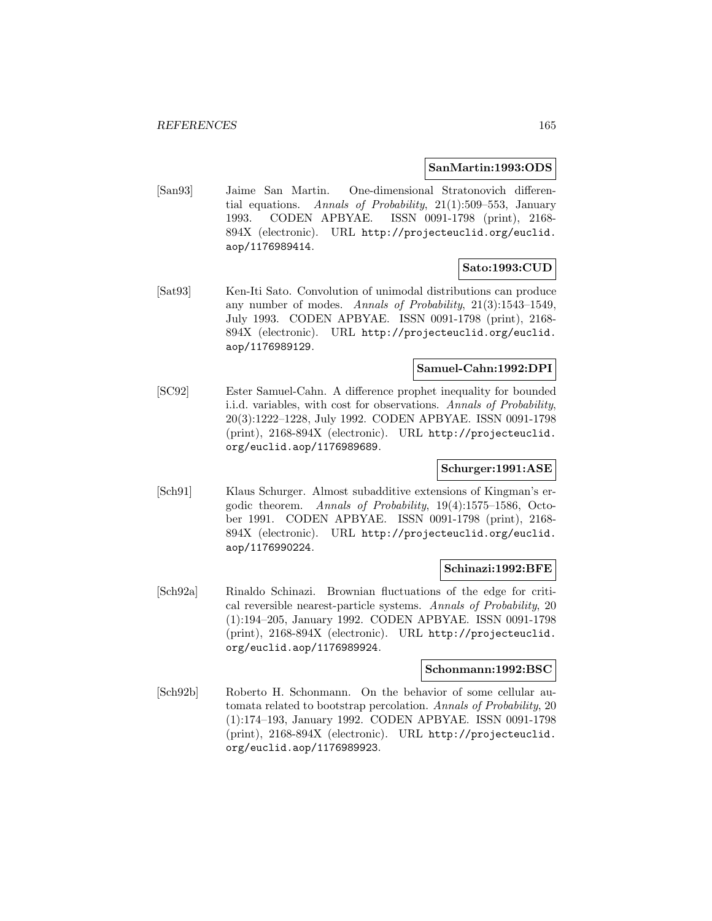#### **SanMartin:1993:ODS**

[San93] Jaime San Martin. One-dimensional Stratonovich differential equations. Annals of Probability, 21(1):509–553, January 1993. CODEN APBYAE. ISSN 0091-1798 (print), 2168- 894X (electronic). URL http://projecteuclid.org/euclid. aop/1176989414.

## **Sato:1993:CUD**

[Sat93] Ken-Iti Sato. Convolution of unimodal distributions can produce any number of modes. Annals of Probability, 21(3):1543–1549, July 1993. CODEN APBYAE. ISSN 0091-1798 (print), 2168- 894X (electronic). URL http://projecteuclid.org/euclid. aop/1176989129.

# **Samuel-Cahn:1992:DPI**

[SC92] Ester Samuel-Cahn. A difference prophet inequality for bounded i.i.d. variables, with cost for observations. Annals of Probability, 20(3):1222–1228, July 1992. CODEN APBYAE. ISSN 0091-1798 (print), 2168-894X (electronic). URL http://projecteuclid. org/euclid.aop/1176989689.

# **Schurger:1991:ASE**

[Sch91] Klaus Schurger. Almost subadditive extensions of Kingman's ergodic theorem. Annals of Probability, 19(4):1575–1586, October 1991. CODEN APBYAE. ISSN 0091-1798 (print), 2168- 894X (electronic). URL http://projecteuclid.org/euclid. aop/1176990224.

#### **Schinazi:1992:BFE**

[Sch92a] Rinaldo Schinazi. Brownian fluctuations of the edge for critical reversible nearest-particle systems. Annals of Probability, 20 (1):194–205, January 1992. CODEN APBYAE. ISSN 0091-1798 (print), 2168-894X (electronic). URL http://projecteuclid. org/euclid.aop/1176989924.

## **Schonmann:1992:BSC**

[Sch92b] Roberto H. Schonmann. On the behavior of some cellular automata related to bootstrap percolation. Annals of Probability, 20 (1):174–193, January 1992. CODEN APBYAE. ISSN 0091-1798 (print), 2168-894X (electronic). URL http://projecteuclid. org/euclid.aop/1176989923.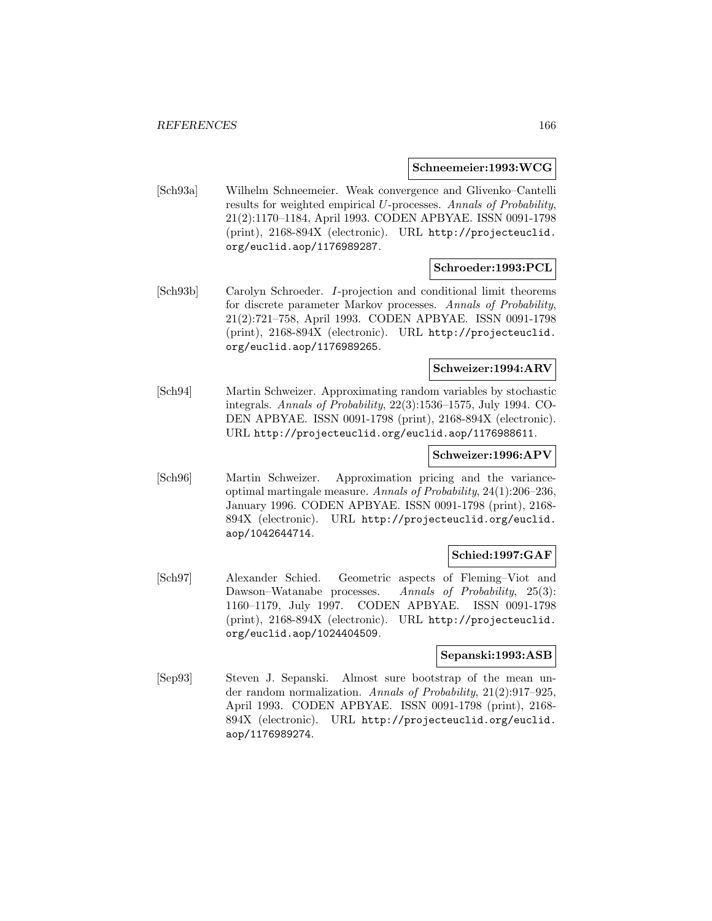#### **Schneemeier:1993:WCG**

[Sch93a] Wilhelm Schneemeier. Weak convergence and Glivenko–Cantelli results for weighted empirical U-processes. Annals of Probability, 21(2):1170–1184, April 1993. CODEN APBYAE. ISSN 0091-1798 (print), 2168-894X (electronic). URL http://projecteuclid. org/euclid.aop/1176989287.

# **Schroeder:1993:PCL**

[Sch93b] Carolyn Schroeder. I-projection and conditional limit theorems for discrete parameter Markov processes. Annals of Probability, 21(2):721–758, April 1993. CODEN APBYAE. ISSN 0091-1798 (print), 2168-894X (electronic). URL http://projecteuclid. org/euclid.aop/1176989265.

# **Schweizer:1994:ARV**

[Sch94] Martin Schweizer. Approximating random variables by stochastic integrals. Annals of Probability, 22(3):1536–1575, July 1994. CO-DEN APBYAE. ISSN 0091-1798 (print), 2168-894X (electronic). URL http://projecteuclid.org/euclid.aop/1176988611.

#### **Schweizer:1996:APV**

[Sch96] Martin Schweizer. Approximation pricing and the varianceoptimal martingale measure. Annals of Probability, 24(1):206–236, January 1996. CODEN APBYAE. ISSN 0091-1798 (print), 2168- 894X (electronic). URL http://projecteuclid.org/euclid. aop/1042644714.

## **Schied:1997:GAF**

[Sch97] Alexander Schied. Geometric aspects of Fleming–Viot and Dawson–Watanabe processes. Annals of Probability, 25(3): 1160–1179, July 1997. CODEN APBYAE. ISSN 0091-1798 (print), 2168-894X (electronic). URL http://projecteuclid. org/euclid.aop/1024404509.

#### **Sepanski:1993:ASB**

[Sep93] Steven J. Sepanski. Almost sure bootstrap of the mean under random normalization. Annals of Probability, 21(2):917–925, April 1993. CODEN APBYAE. ISSN 0091-1798 (print), 2168- 894X (electronic). URL http://projecteuclid.org/euclid. aop/1176989274.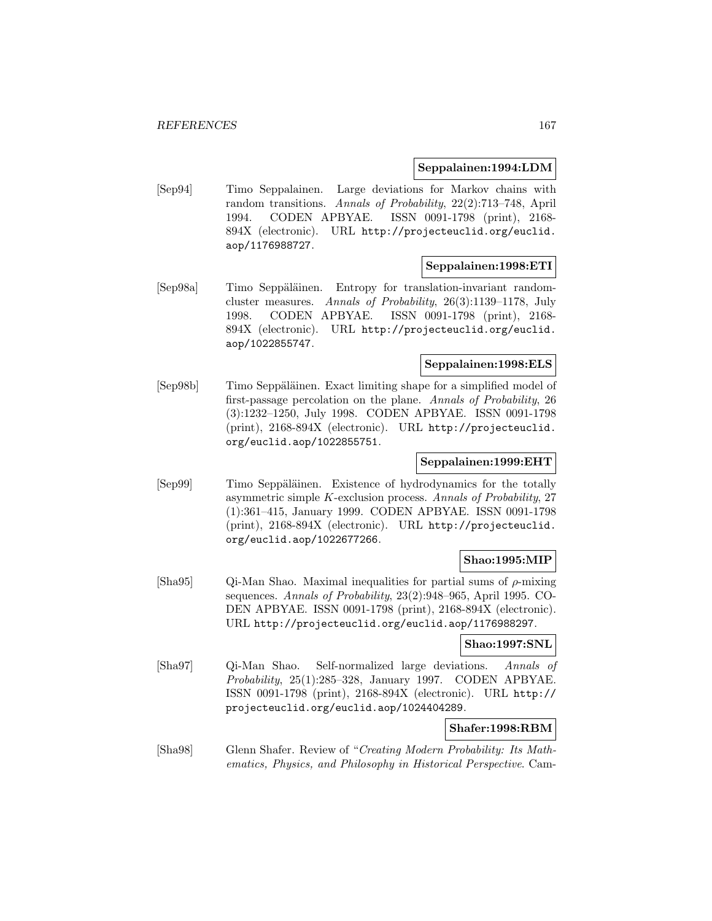#### **Seppalainen:1994:LDM**

[Sep94] Timo Seppalainen. Large deviations for Markov chains with random transitions. Annals of Probability, 22(2):713–748, April 1994. CODEN APBYAE. ISSN 0091-1798 (print), 2168- 894X (electronic). URL http://projecteuclid.org/euclid. aop/1176988727.

#### **Seppalainen:1998:ETI**

[Sep98a] Timo Seppäläinen. Entropy for translation-invariant randomcluster measures. Annals of Probability, 26(3):1139–1178, July 1998. CODEN APBYAE. ISSN 0091-1798 (print), 2168- 894X (electronic). URL http://projecteuclid.org/euclid. aop/1022855747.

## **Seppalainen:1998:ELS**

[Sep98b] Timo Seppäläinen. Exact limiting shape for a simplified model of first-passage percolation on the plane. Annals of Probability, 26 (3):1232–1250, July 1998. CODEN APBYAE. ISSN 0091-1798 (print), 2168-894X (electronic). URL http://projecteuclid. org/euclid.aop/1022855751.

## **Seppalainen:1999:EHT**

[Sep99] Timo Seppäläinen. Existence of hydrodynamics for the totally asymmetric simple K-exclusion process. Annals of Probability, 27 (1):361–415, January 1999. CODEN APBYAE. ISSN 0091-1798 (print), 2168-894X (electronic). URL http://projecteuclid. org/euclid.aop/1022677266.

## **Shao:1995:MIP**

[Sha95] Qi-Man Shao. Maximal inequalities for partial sums of  $\rho$ -mixing sequences. Annals of Probability, 23(2):948–965, April 1995. CO-DEN APBYAE. ISSN 0091-1798 (print), 2168-894X (electronic). URL http://projecteuclid.org/euclid.aop/1176988297.

#### **Shao:1997:SNL**

[Sha97] Qi-Man Shao. Self-normalized large deviations. Annals of Probability, 25(1):285–328, January 1997. CODEN APBYAE. ISSN 0091-1798 (print), 2168-894X (electronic). URL http:// projecteuclid.org/euclid.aop/1024404289.

## **Shafer:1998:RBM**

[Sha98] Glenn Shafer. Review of "Creating Modern Probability: Its Mathematics, Physics, and Philosophy in Historical Perspective. Cam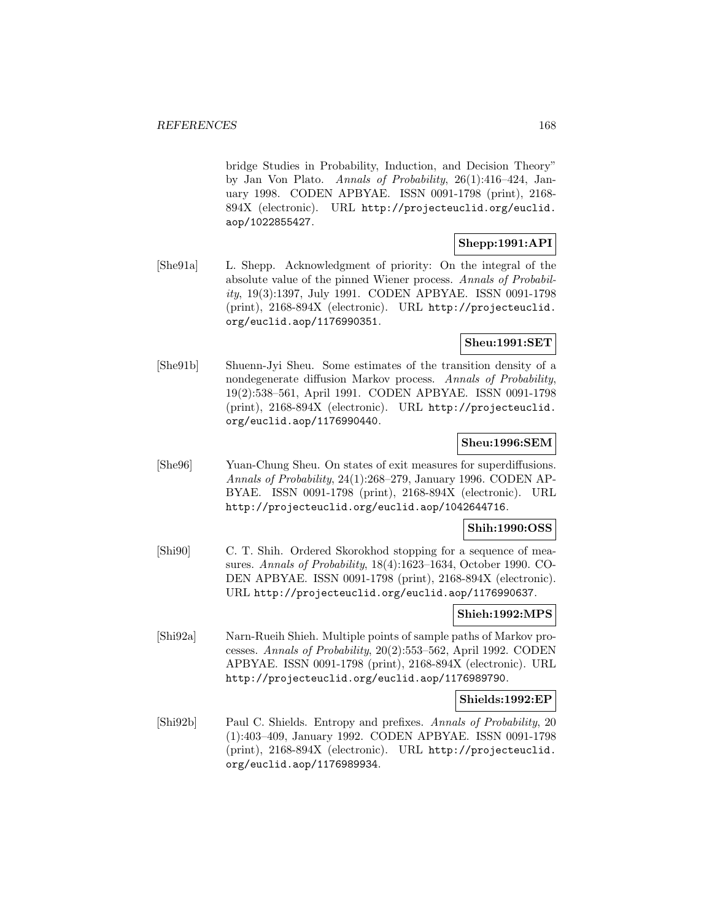bridge Studies in Probability, Induction, and Decision Theory" by Jan Von Plato. Annals of Probability, 26(1):416–424, January 1998. CODEN APBYAE. ISSN 0091-1798 (print), 2168- 894X (electronic). URL http://projecteuclid.org/euclid. aop/1022855427.

# **Shepp:1991:API**

[She91a] L. Shepp. Acknowledgment of priority: On the integral of the absolute value of the pinned Wiener process. Annals of Probability, 19(3):1397, July 1991. CODEN APBYAE. ISSN 0091-1798 (print), 2168-894X (electronic). URL http://projecteuclid. org/euclid.aop/1176990351.

# **Sheu:1991:SET**

[She91b] Shuenn-Jyi Sheu. Some estimates of the transition density of a nondegenerate diffusion Markov process. Annals of Probability, 19(2):538–561, April 1991. CODEN APBYAE. ISSN 0091-1798 (print), 2168-894X (electronic). URL http://projecteuclid. org/euclid.aop/1176990440.

## **Sheu:1996:SEM**

[She96] Yuan-Chung Sheu. On states of exit measures for superdiffusions. Annals of Probability, 24(1):268–279, January 1996. CODEN AP-BYAE. ISSN 0091-1798 (print), 2168-894X (electronic). URL http://projecteuclid.org/euclid.aop/1042644716.

## **Shih:1990:OSS**

[Shi90] C. T. Shih. Ordered Skorokhod stopping for a sequence of measures. Annals of Probability, 18(4):1623–1634, October 1990. CO-DEN APBYAE. ISSN 0091-1798 (print), 2168-894X (electronic). URL http://projecteuclid.org/euclid.aop/1176990637.

## **Shieh:1992:MPS**

[Shi92a] Narn-Rueih Shieh. Multiple points of sample paths of Markov processes. Annals of Probability, 20(2):553–562, April 1992. CODEN APBYAE. ISSN 0091-1798 (print), 2168-894X (electronic). URL http://projecteuclid.org/euclid.aop/1176989790.

## **Shields:1992:EP**

[Shi92b] Paul C. Shields. Entropy and prefixes. Annals of Probability, 20 (1):403–409, January 1992. CODEN APBYAE. ISSN 0091-1798 (print), 2168-894X (electronic). URL http://projecteuclid. org/euclid.aop/1176989934.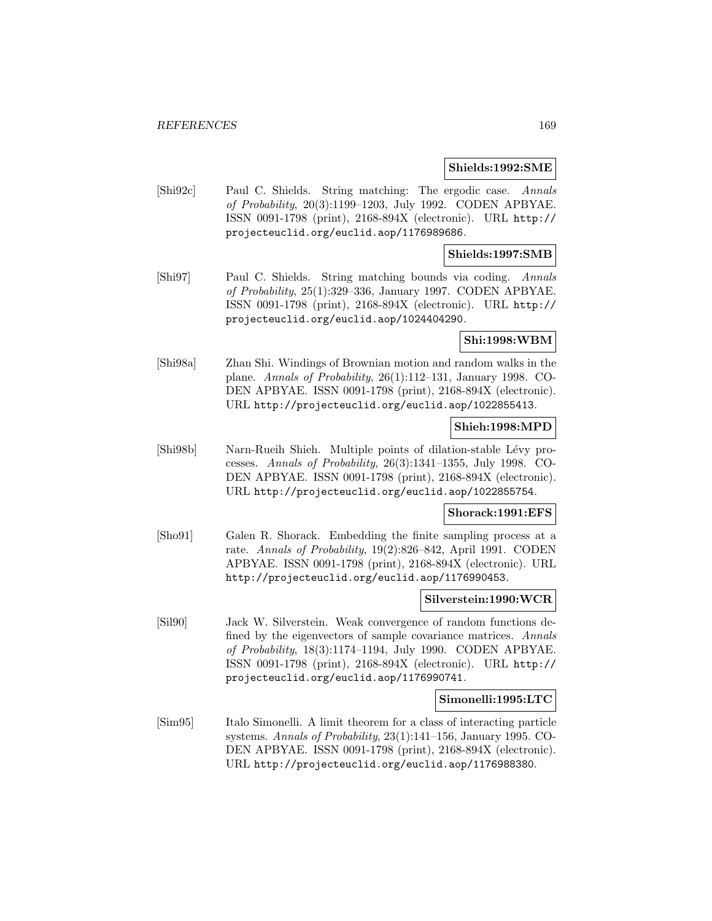#### **Shields:1992:SME**

[Shi92c] Paul C. Shields. String matching: The ergodic case. Annals of Probability, 20(3):1199–1203, July 1992. CODEN APBYAE. ISSN 0091-1798 (print), 2168-894X (electronic). URL http:// projecteuclid.org/euclid.aop/1176989686.

#### **Shields:1997:SMB**

[Shi97] Paul C. Shields. String matching bounds via coding. Annals of Probability, 25(1):329–336, January 1997. CODEN APBYAE. ISSN 0091-1798 (print), 2168-894X (electronic). URL http:// projecteuclid.org/euclid.aop/1024404290.

#### **Shi:1998:WBM**

[Shi98a] Zhan Shi. Windings of Brownian motion and random walks in the plane. Annals of Probability, 26(1):112–131, January 1998. CO-DEN APBYAE. ISSN 0091-1798 (print), 2168-894X (electronic). URL http://projecteuclid.org/euclid.aop/1022855413.

#### **Shieh:1998:MPD**

[Shi98b] Narn-Rueih Shieh. Multiple points of dilation-stable Lévy processes. Annals of Probability, 26(3):1341–1355, July 1998. CO-DEN APBYAE. ISSN 0091-1798 (print), 2168-894X (electronic). URL http://projecteuclid.org/euclid.aop/1022855754.

# **Shorack:1991:EFS**

[Sho91] Galen R. Shorack. Embedding the finite sampling process at a rate. Annals of Probability, 19(2):826–842, April 1991. CODEN APBYAE. ISSN 0091-1798 (print), 2168-894X (electronic). URL http://projecteuclid.org/euclid.aop/1176990453.

#### **Silverstein:1990:WCR**

[Sil90] Jack W. Silverstein. Weak convergence of random functions defined by the eigenvectors of sample covariance matrices. Annals of Probability, 18(3):1174–1194, July 1990. CODEN APBYAE. ISSN 0091-1798 (print), 2168-894X (electronic). URL http:// projecteuclid.org/euclid.aop/1176990741.

#### **Simonelli:1995:LTC**

[Sim95] Italo Simonelli. A limit theorem for a class of interacting particle systems. Annals of Probability, 23(1):141–156, January 1995. CO-DEN APBYAE. ISSN 0091-1798 (print), 2168-894X (electronic). URL http://projecteuclid.org/euclid.aop/1176988380.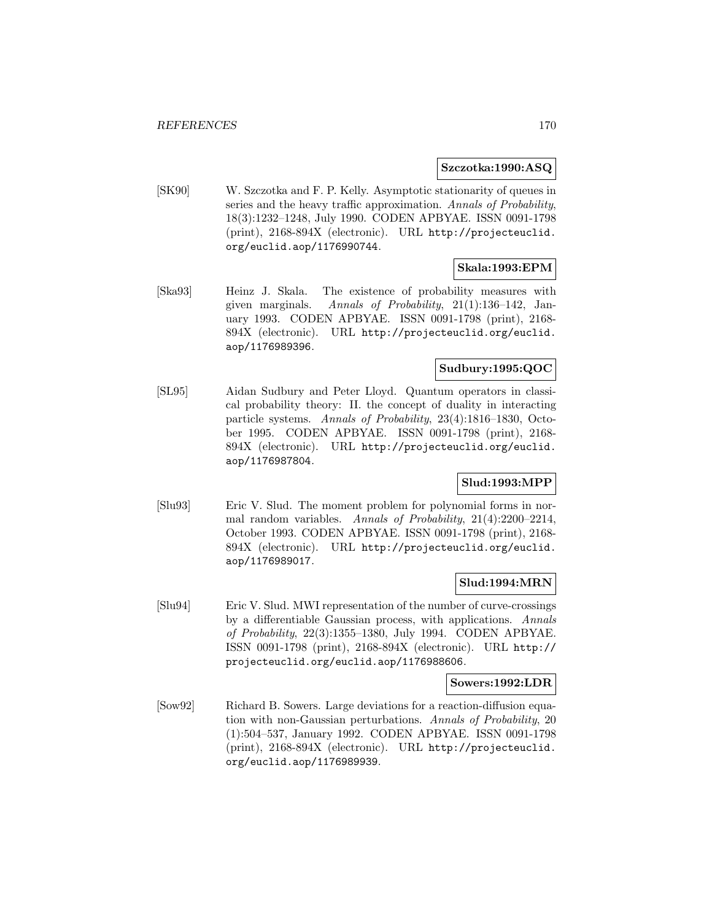### **Szczotka:1990:ASQ**

[SK90] W. Szczotka and F. P. Kelly. Asymptotic stationarity of queues in series and the heavy traffic approximation. Annals of Probability, 18(3):1232–1248, July 1990. CODEN APBYAE. ISSN 0091-1798 (print), 2168-894X (electronic). URL http://projecteuclid. org/euclid.aop/1176990744.

# **Skala:1993:EPM**

[Ska93] Heinz J. Skala. The existence of probability measures with given marginals. Annals of Probability, 21(1):136–142, January 1993. CODEN APBYAE. ISSN 0091-1798 (print), 2168- 894X (electronic). URL http://projecteuclid.org/euclid. aop/1176989396.

# **Sudbury:1995:QOC**

[SL95] Aidan Sudbury and Peter Lloyd. Quantum operators in classical probability theory: II. the concept of duality in interacting particle systems. Annals of Probability, 23(4):1816–1830, October 1995. CODEN APBYAE. ISSN 0091-1798 (print), 2168- 894X (electronic). URL http://projecteuclid.org/euclid. aop/1176987804.

# **Slud:1993:MPP**

[Slu93] Eric V. Slud. The moment problem for polynomial forms in normal random variables. Annals of Probability, 21(4):2200–2214, October 1993. CODEN APBYAE. ISSN 0091-1798 (print), 2168- 894X (electronic). URL http://projecteuclid.org/euclid. aop/1176989017.

## **Slud:1994:MRN**

[Slu94] Eric V. Slud. MWI representation of the number of curve-crossings by a differentiable Gaussian process, with applications. Annals of Probability, 22(3):1355–1380, July 1994. CODEN APBYAE. ISSN 0091-1798 (print), 2168-894X (electronic). URL http:// projecteuclid.org/euclid.aop/1176988606.

#### **Sowers:1992:LDR**

[Sow92] Richard B. Sowers. Large deviations for a reaction-diffusion equation with non-Gaussian perturbations. Annals of Probability, 20 (1):504–537, January 1992. CODEN APBYAE. ISSN 0091-1798 (print), 2168-894X (electronic). URL http://projecteuclid. org/euclid.aop/1176989939.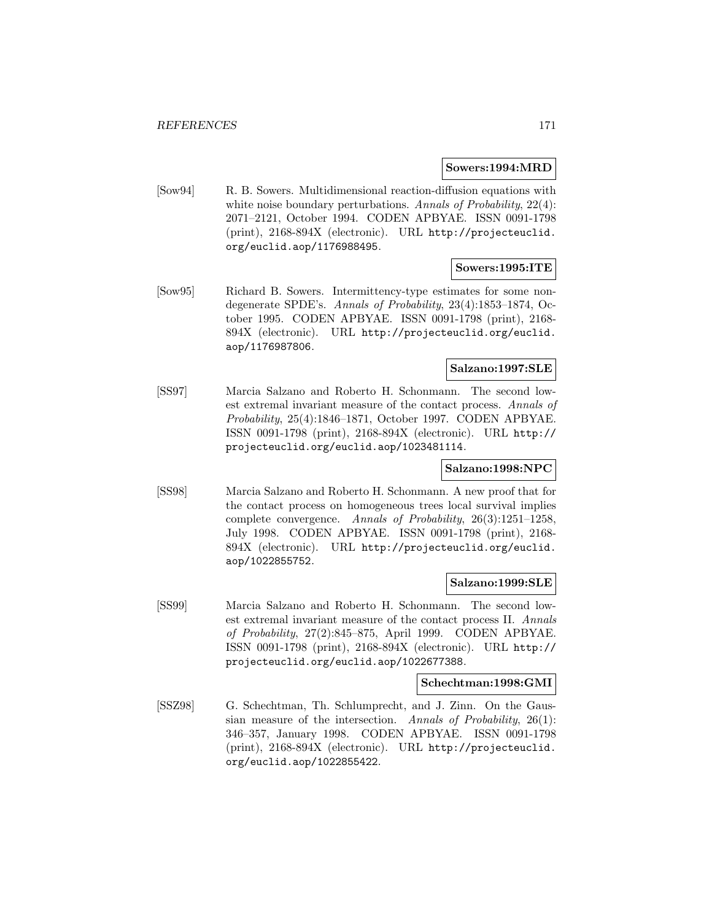#### **Sowers:1994:MRD**

[Sow94] R. B. Sowers. Multidimensional reaction-diffusion equations with white noise boundary perturbations. Annals of Probability, 22(4): 2071–2121, October 1994. CODEN APBYAE. ISSN 0091-1798 (print), 2168-894X (electronic). URL http://projecteuclid. org/euclid.aop/1176988495.

## **Sowers:1995:ITE**

[Sow95] Richard B. Sowers. Intermittency-type estimates for some nondegenerate SPDE's. Annals of Probability, 23(4):1853–1874, October 1995. CODEN APBYAE. ISSN 0091-1798 (print), 2168- 894X (electronic). URL http://projecteuclid.org/euclid. aop/1176987806.

### **Salzano:1997:SLE**

[SS97] Marcia Salzano and Roberto H. Schonmann. The second lowest extremal invariant measure of the contact process. Annals of Probability, 25(4):1846–1871, October 1997. CODEN APBYAE. ISSN 0091-1798 (print), 2168-894X (electronic). URL http:// projecteuclid.org/euclid.aop/1023481114.

## **Salzano:1998:NPC**

[SS98] Marcia Salzano and Roberto H. Schonmann. A new proof that for the contact process on homogeneous trees local survival implies complete convergence. Annals of Probability, 26(3):1251–1258, July 1998. CODEN APBYAE. ISSN 0091-1798 (print), 2168- 894X (electronic). URL http://projecteuclid.org/euclid. aop/1022855752.

#### **Salzano:1999:SLE**

[SS99] Marcia Salzano and Roberto H. Schonmann. The second lowest extremal invariant measure of the contact process II. Annals of Probability, 27(2):845–875, April 1999. CODEN APBYAE. ISSN 0091-1798 (print), 2168-894X (electronic). URL http:// projecteuclid.org/euclid.aop/1022677388.

#### **Schechtman:1998:GMI**

[SSZ98] G. Schechtman, Th. Schlumprecht, and J. Zinn. On the Gaussian measure of the intersection. Annals of Probability, 26(1): 346–357, January 1998. CODEN APBYAE. ISSN 0091-1798 (print), 2168-894X (electronic). URL http://projecteuclid. org/euclid.aop/1022855422.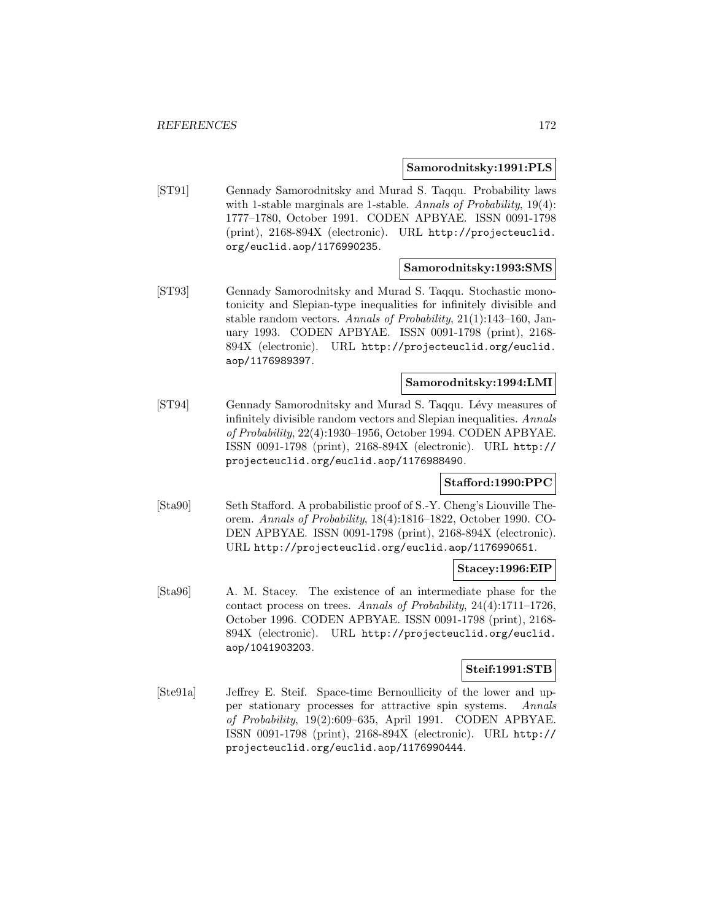#### **Samorodnitsky:1991:PLS**

[ST91] Gennady Samorodnitsky and Murad S. Taqqu. Probability laws with 1-stable marginals are 1-stable. Annals of Probability, 19(4): 1777–1780, October 1991. CODEN APBYAE. ISSN 0091-1798 (print), 2168-894X (electronic). URL http://projecteuclid. org/euclid.aop/1176990235.

#### **Samorodnitsky:1993:SMS**

[ST93] Gennady Samorodnitsky and Murad S. Taqqu. Stochastic monotonicity and Slepian-type inequalities for infinitely divisible and stable random vectors. Annals of Probability, 21(1):143–160, January 1993. CODEN APBYAE. ISSN 0091-1798 (print), 2168- 894X (electronic). URL http://projecteuclid.org/euclid. aop/1176989397.

# **Samorodnitsky:1994:LMI**

[ST94] Gennady Samorodnitsky and Murad S. Taqqu. Lévy measures of infinitely divisible random vectors and Slepian inequalities. Annals of Probability, 22(4):1930–1956, October 1994. CODEN APBYAE. ISSN 0091-1798 (print), 2168-894X (electronic). URL http:// projecteuclid.org/euclid.aop/1176988490.

# **Stafford:1990:PPC**

[Sta90] Seth Stafford. A probabilistic proof of S.-Y. Cheng's Liouville Theorem. Annals of Probability, 18(4):1816–1822, October 1990. CO-DEN APBYAE. ISSN 0091-1798 (print), 2168-894X (electronic). URL http://projecteuclid.org/euclid.aop/1176990651.

## **Stacey:1996:EIP**

[Sta96] A. M. Stacey. The existence of an intermediate phase for the contact process on trees. Annals of Probability, 24(4):1711–1726, October 1996. CODEN APBYAE. ISSN 0091-1798 (print), 2168- 894X (electronic). URL http://projecteuclid.org/euclid. aop/1041903203.

#### **Steif:1991:STB**

[Ste91a] Jeffrey E. Steif. Space-time Bernoullicity of the lower and upper stationary processes for attractive spin systems. Annals of Probability, 19(2):609–635, April 1991. CODEN APBYAE. ISSN 0091-1798 (print), 2168-894X (electronic). URL http:// projecteuclid.org/euclid.aop/1176990444.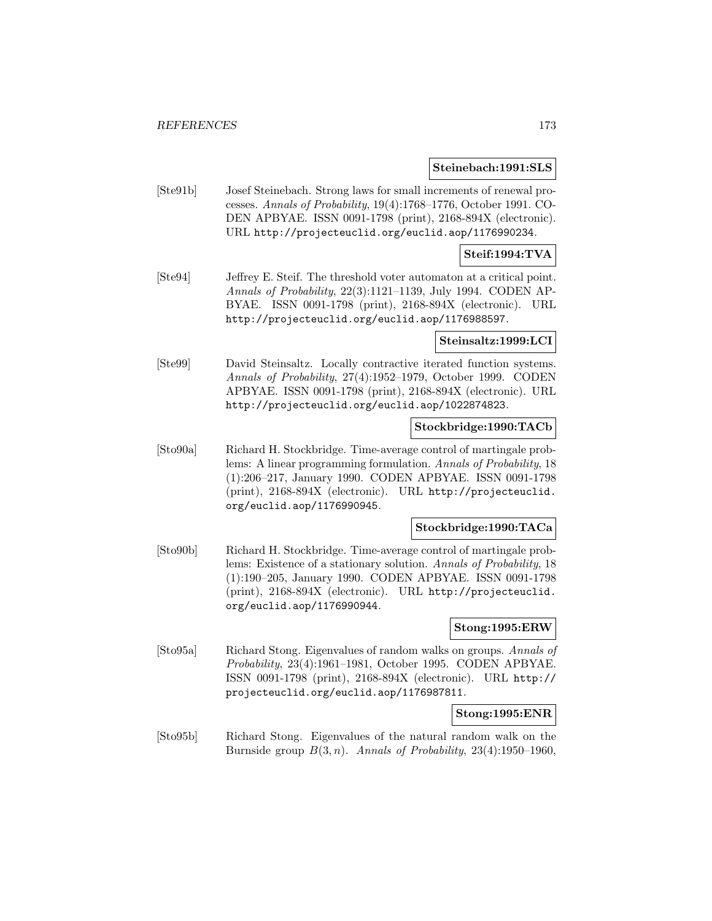#### **Steinebach:1991:SLS**

[Ste91b] Josef Steinebach. Strong laws for small increments of renewal processes. Annals of Probability, 19(4):1768–1776, October 1991. CO-DEN APBYAE. ISSN 0091-1798 (print), 2168-894X (electronic). URL http://projecteuclid.org/euclid.aop/1176990234.

## **Steif:1994:TVA**

[Ste94] Jeffrey E. Steif. The threshold voter automaton at a critical point. Annals of Probability, 22(3):1121–1139, July 1994. CODEN AP-BYAE. ISSN 0091-1798 (print), 2168-894X (electronic). URL http://projecteuclid.org/euclid.aop/1176988597.

#### **Steinsaltz:1999:LCI**

[Ste99] David Steinsaltz. Locally contractive iterated function systems. Annals of Probability, 27(4):1952–1979, October 1999. CODEN APBYAE. ISSN 0091-1798 (print), 2168-894X (electronic). URL http://projecteuclid.org/euclid.aop/1022874823.

# **Stockbridge:1990:TACb**

[Sto90a] Richard H. Stockbridge. Time-average control of martingale problems: A linear programming formulation. Annals of Probability, 18 (1):206–217, January 1990. CODEN APBYAE. ISSN 0091-1798 (print), 2168-894X (electronic). URL http://projecteuclid. org/euclid.aop/1176990945.

#### **Stockbridge:1990:TACa**

[Sto90b] Richard H. Stockbridge. Time-average control of martingale problems: Existence of a stationary solution. Annals of Probability, 18 (1):190–205, January 1990. CODEN APBYAE. ISSN 0091-1798 (print), 2168-894X (electronic). URL http://projecteuclid. org/euclid.aop/1176990944.

#### **Stong:1995:ERW**

[Sto95a] Richard Stong. Eigenvalues of random walks on groups. Annals of Probability, 23(4):1961–1981, October 1995. CODEN APBYAE. ISSN 0091-1798 (print), 2168-894X (electronic). URL http:// projecteuclid.org/euclid.aop/1176987811.

#### **Stong:1995:ENR**

[Sto95b] Richard Stong. Eigenvalues of the natural random walk on the Burnside group  $B(3, n)$ . Annals of Probability, 23(4):1950-1960,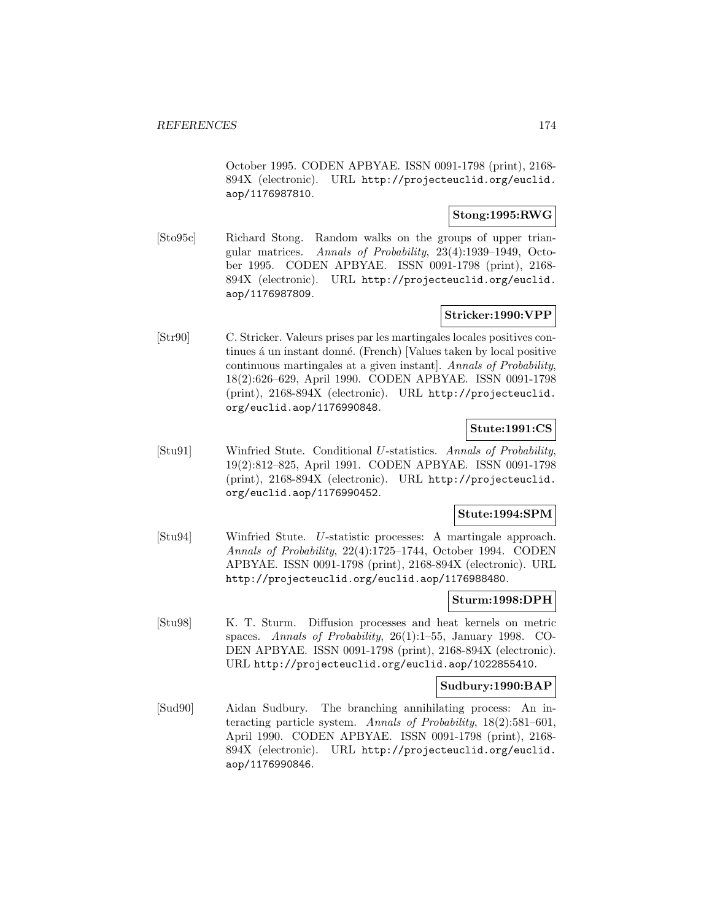October 1995. CODEN APBYAE. ISSN 0091-1798 (print), 2168- 894X (electronic). URL http://projecteuclid.org/euclid. aop/1176987810.

# **Stong:1995:RWG**

[Sto95c] Richard Stong. Random walks on the groups of upper triangular matrices. Annals of Probability, 23(4):1939–1949, October 1995. CODEN APBYAE. ISSN 0091-1798 (print), 2168- 894X (electronic). URL http://projecteuclid.org/euclid. aop/1176987809.

# **Stricker:1990:VPP**

[Str90] C. Stricker. Valeurs prises par les martingales locales positives continues á un instant donné. (French) [Values taken by local positive continuous martingales at a given instant]. Annals of Probability, 18(2):626–629, April 1990. CODEN APBYAE. ISSN 0091-1798 (print), 2168-894X (electronic). URL http://projecteuclid. org/euclid.aop/1176990848.

## **Stute:1991:CS**

[Stu91] Winfried Stute. Conditional U-statistics. Annals of Probability, 19(2):812–825, April 1991. CODEN APBYAE. ISSN 0091-1798 (print), 2168-894X (electronic). URL http://projecteuclid. org/euclid.aop/1176990452.

## **Stute:1994:SPM**

[Stu94] Winfried Stute. U-statistic processes: A martingale approach. Annals of Probability, 22(4):1725–1744, October 1994. CODEN APBYAE. ISSN 0091-1798 (print), 2168-894X (electronic). URL http://projecteuclid.org/euclid.aop/1176988480.

#### **Sturm:1998:DPH**

[Stu98] K. T. Sturm. Diffusion processes and heat kernels on metric spaces. Annals of Probability, 26(1):1–55, January 1998. CO-DEN APBYAE. ISSN 0091-1798 (print), 2168-894X (electronic). URL http://projecteuclid.org/euclid.aop/1022855410.

#### **Sudbury:1990:BAP**

[Sud90] Aidan Sudbury. The branching annihilating process: An interacting particle system. Annals of Probability, 18(2):581–601, April 1990. CODEN APBYAE. ISSN 0091-1798 (print), 2168- 894X (electronic). URL http://projecteuclid.org/euclid. aop/1176990846.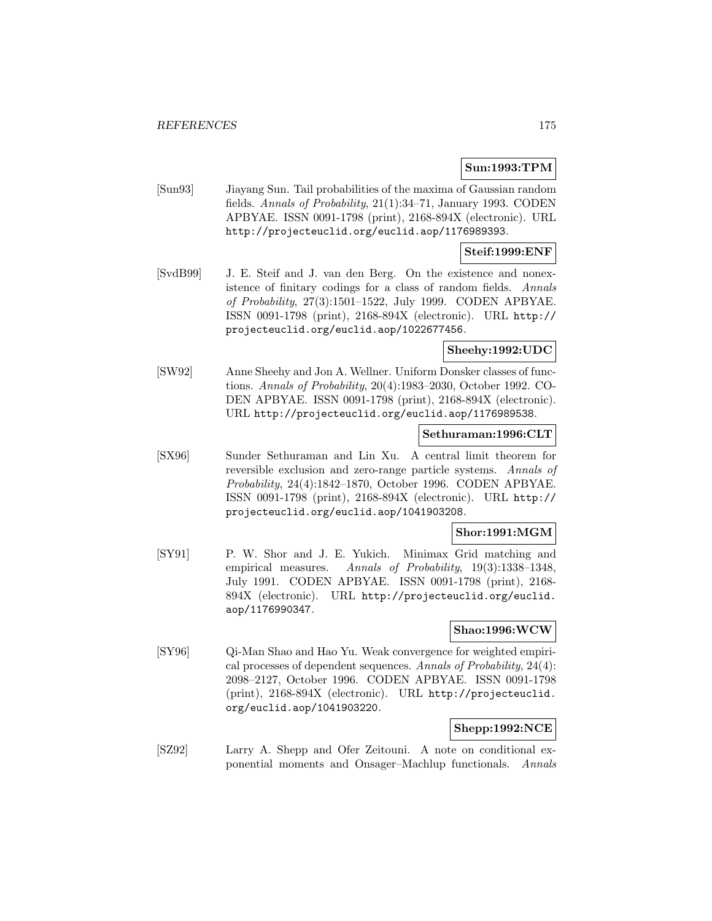# **Sun:1993:TPM**

[Sun93] Jiayang Sun. Tail probabilities of the maxima of Gaussian random fields. Annals of Probability, 21(1):34–71, January 1993. CODEN APBYAE. ISSN 0091-1798 (print), 2168-894X (electronic). URL http://projecteuclid.org/euclid.aop/1176989393.

## **Steif:1999:ENF**

[SvdB99] J. E. Steif and J. van den Berg. On the existence and nonexistence of finitary codings for a class of random fields. Annals of Probability, 27(3):1501–1522, July 1999. CODEN APBYAE. ISSN 0091-1798 (print), 2168-894X (electronic). URL http:// projecteuclid.org/euclid.aop/1022677456.

# **Sheehy:1992:UDC**

[SW92] Anne Sheehy and Jon A. Wellner. Uniform Donsker classes of functions. Annals of Probability, 20(4):1983–2030, October 1992. CO-DEN APBYAE. ISSN 0091-1798 (print), 2168-894X (electronic). URL http://projecteuclid.org/euclid.aop/1176989538.

## **Sethuraman:1996:CLT**

[SX96] Sunder Sethuraman and Lin Xu. A central limit theorem for reversible exclusion and zero-range particle systems. Annals of Probability, 24(4):1842–1870, October 1996. CODEN APBYAE. ISSN 0091-1798 (print), 2168-894X (electronic). URL http:// projecteuclid.org/euclid.aop/1041903208.

#### **Shor:1991:MGM**

[SY91] P. W. Shor and J. E. Yukich. Minimax Grid matching and empirical measures. Annals of Probability, 19(3):1338-1348, July 1991. CODEN APBYAE. ISSN 0091-1798 (print), 2168- 894X (electronic). URL http://projecteuclid.org/euclid. aop/1176990347.

#### **Shao:1996:WCW**

[SY96] Qi-Man Shao and Hao Yu. Weak convergence for weighted empirical processes of dependent sequences. Annals of Probability, 24(4): 2098–2127, October 1996. CODEN APBYAE. ISSN 0091-1798 (print), 2168-894X (electronic). URL http://projecteuclid. org/euclid.aop/1041903220.

# **Shepp:1992:NCE**

[SZ92] Larry A. Shepp and Ofer Zeitouni. A note on conditional exponential moments and Onsager–Machlup functionals. Annals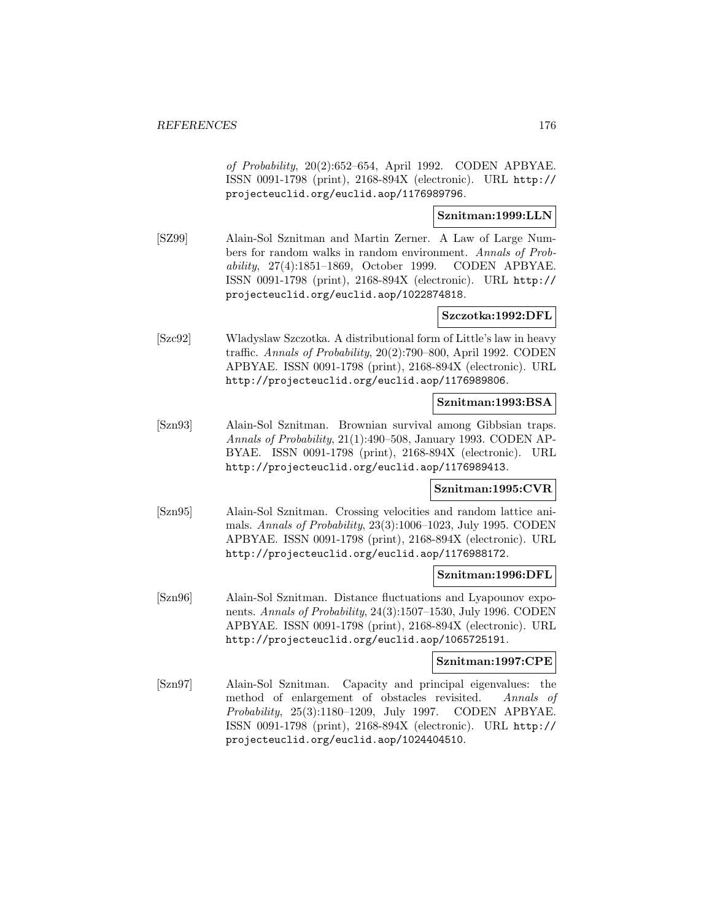of Probability, 20(2):652–654, April 1992. CODEN APBYAE. ISSN 0091-1798 (print), 2168-894X (electronic). URL http:// projecteuclid.org/euclid.aop/1176989796.

# **Sznitman:1999:LLN**

[SZ99] Alain-Sol Sznitman and Martin Zerner. A Law of Large Numbers for random walks in random environment. Annals of Probability, 27(4):1851–1869, October 1999. CODEN APBYAE. ISSN 0091-1798 (print), 2168-894X (electronic). URL http:// projecteuclid.org/euclid.aop/1022874818.

## **Szczotka:1992:DFL**

[Szc92] Wladyslaw Szczotka. A distributional form of Little's law in heavy traffic. Annals of Probability, 20(2):790–800, April 1992. CODEN APBYAE. ISSN 0091-1798 (print), 2168-894X (electronic). URL http://projecteuclid.org/euclid.aop/1176989806.

## **Sznitman:1993:BSA**

[Szn93] Alain-Sol Sznitman. Brownian survival among Gibbsian traps. Annals of Probability, 21(1):490–508, January 1993. CODEN AP-BYAE. ISSN 0091-1798 (print), 2168-894X (electronic). URL http://projecteuclid.org/euclid.aop/1176989413.

## **Sznitman:1995:CVR**

[Szn95] Alain-Sol Sznitman. Crossing velocities and random lattice animals. Annals of Probability, 23(3):1006–1023, July 1995. CODEN APBYAE. ISSN 0091-1798 (print), 2168-894X (electronic). URL http://projecteuclid.org/euclid.aop/1176988172.

## **Sznitman:1996:DFL**

[Szn96] Alain-Sol Sznitman. Distance fluctuations and Lyapounov exponents. Annals of Probability, 24(3):1507–1530, July 1996. CODEN APBYAE. ISSN 0091-1798 (print), 2168-894X (electronic). URL http://projecteuclid.org/euclid.aop/1065725191.

#### **Sznitman:1997:CPE**

[Szn97] Alain-Sol Sznitman. Capacity and principal eigenvalues: the method of enlargement of obstacles revisited. Annals of Probability, 25(3):1180–1209, July 1997. CODEN APBYAE. ISSN 0091-1798 (print), 2168-894X (electronic). URL http:// projecteuclid.org/euclid.aop/1024404510.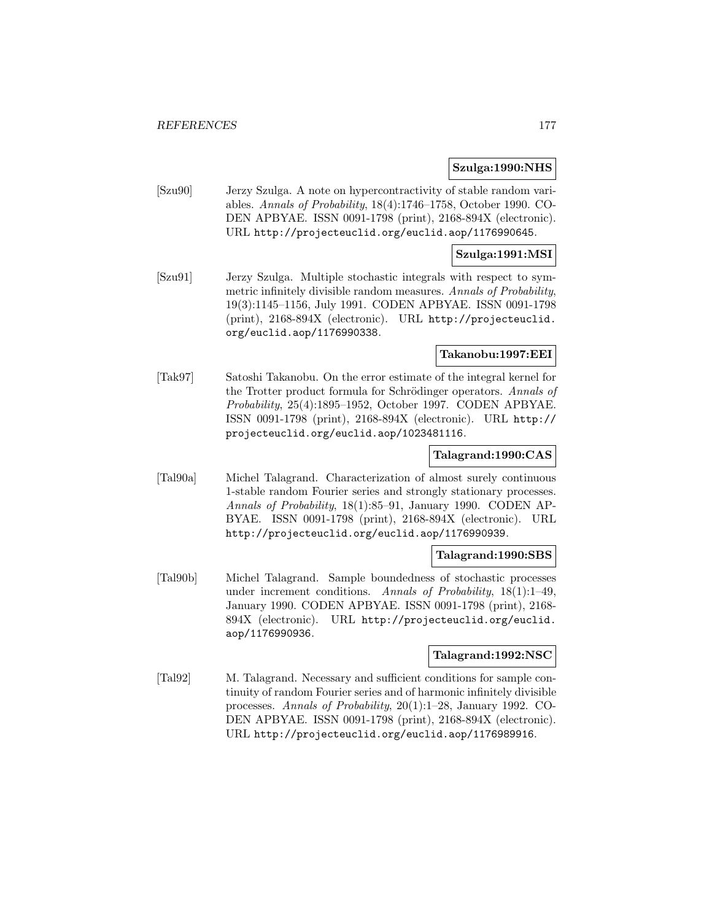#### **Szulga:1990:NHS**

[Szu90] Jerzy Szulga. A note on hypercontractivity of stable random variables. Annals of Probability, 18(4):1746–1758, October 1990. CO-DEN APBYAE. ISSN 0091-1798 (print), 2168-894X (electronic). URL http://projecteuclid.org/euclid.aop/1176990645.

## **Szulga:1991:MSI**

[Szu91] Jerzy Szulga. Multiple stochastic integrals with respect to symmetric infinitely divisible random measures. Annals of Probability, 19(3):1145–1156, July 1991. CODEN APBYAE. ISSN 0091-1798 (print), 2168-894X (electronic). URL http://projecteuclid. org/euclid.aop/1176990338.

## **Takanobu:1997:EEI**

[Tak97] Satoshi Takanobu. On the error estimate of the integral kernel for the Trotter product formula for Schrödinger operators. Annals of Probability, 25(4):1895–1952, October 1997. CODEN APBYAE. ISSN 0091-1798 (print), 2168-894X (electronic). URL http:// projecteuclid.org/euclid.aop/1023481116.

## **Talagrand:1990:CAS**

[Tal90a] Michel Talagrand. Characterization of almost surely continuous 1-stable random Fourier series and strongly stationary processes. Annals of Probability, 18(1):85–91, January 1990. CODEN AP-BYAE. ISSN 0091-1798 (print), 2168-894X (electronic). URL http://projecteuclid.org/euclid.aop/1176990939.

#### **Talagrand:1990:SBS**

[Tal90b] Michel Talagrand. Sample boundedness of stochastic processes under increment conditions. Annals of Probability, 18(1):1–49, January 1990. CODEN APBYAE. ISSN 0091-1798 (print), 2168- 894X (electronic). URL http://projecteuclid.org/euclid. aop/1176990936.

## **Talagrand:1992:NSC**

[Tal92] M. Talagrand. Necessary and sufficient conditions for sample continuity of random Fourier series and of harmonic infinitely divisible processes. Annals of Probability, 20(1):1–28, January 1992. CO-DEN APBYAE. ISSN 0091-1798 (print), 2168-894X (electronic). URL http://projecteuclid.org/euclid.aop/1176989916.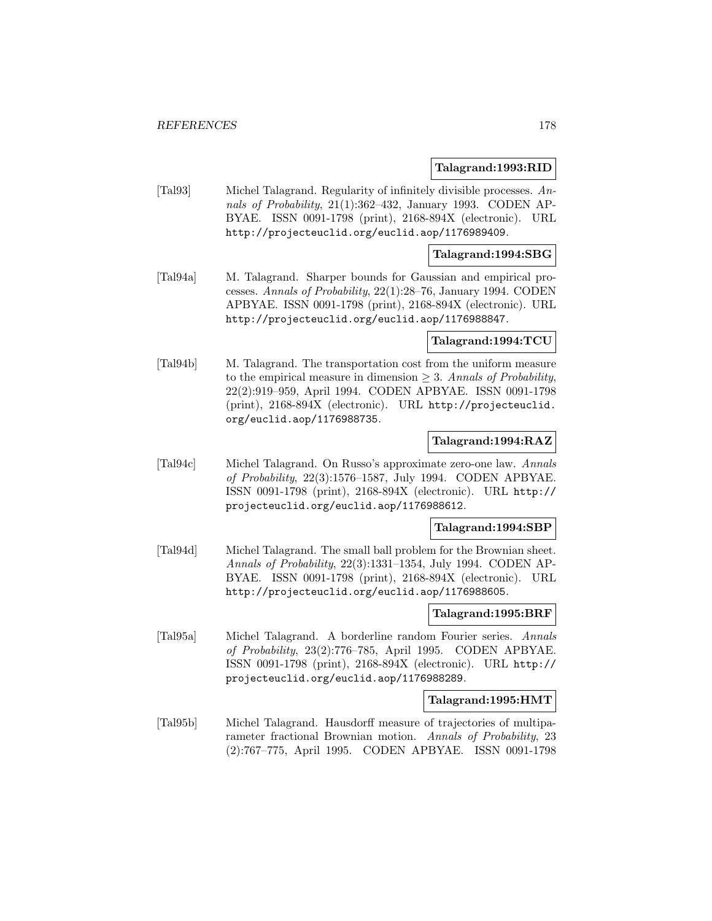#### **Talagrand:1993:RID**

[Tal93] Michel Talagrand. Regularity of infinitely divisible processes. Annals of Probability, 21(1):362–432, January 1993. CODEN AP-BYAE. ISSN 0091-1798 (print), 2168-894X (electronic). URL http://projecteuclid.org/euclid.aop/1176989409.

### **Talagrand:1994:SBG**

[Tal94a] M. Talagrand. Sharper bounds for Gaussian and empirical processes. Annals of Probability, 22(1):28–76, January 1994. CODEN APBYAE. ISSN 0091-1798 (print), 2168-894X (electronic). URL http://projecteuclid.org/euclid.aop/1176988847.

#### **Talagrand:1994:TCU**

[Tal94b] M. Talagrand. The transportation cost from the uniform measure to the empirical measure in dimension  $\geq$  3. Annals of Probability, 22(2):919–959, April 1994. CODEN APBYAE. ISSN 0091-1798 (print), 2168-894X (electronic). URL http://projecteuclid. org/euclid.aop/1176988735.

# **Talagrand:1994:RAZ**

[Tal94c] Michel Talagrand. On Russo's approximate zero-one law. Annals of Probability, 22(3):1576–1587, July 1994. CODEN APBYAE. ISSN 0091-1798 (print), 2168-894X (electronic). URL http:// projecteuclid.org/euclid.aop/1176988612.

#### **Talagrand:1994:SBP**

[Tal94d] Michel Talagrand. The small ball problem for the Brownian sheet. Annals of Probability, 22(3):1331–1354, July 1994. CODEN AP-BYAE. ISSN 0091-1798 (print), 2168-894X (electronic). URL http://projecteuclid.org/euclid.aop/1176988605.

## **Talagrand:1995:BRF**

[Tal95a] Michel Talagrand. A borderline random Fourier series. Annals of Probability, 23(2):776–785, April 1995. CODEN APBYAE. ISSN 0091-1798 (print), 2168-894X (electronic). URL http:// projecteuclid.org/euclid.aop/1176988289.

#### **Talagrand:1995:HMT**

[Tal95b] Michel Talagrand. Hausdorff measure of trajectories of multiparameter fractional Brownian motion. Annals of Probability, 23 (2):767–775, April 1995. CODEN APBYAE. ISSN 0091-1798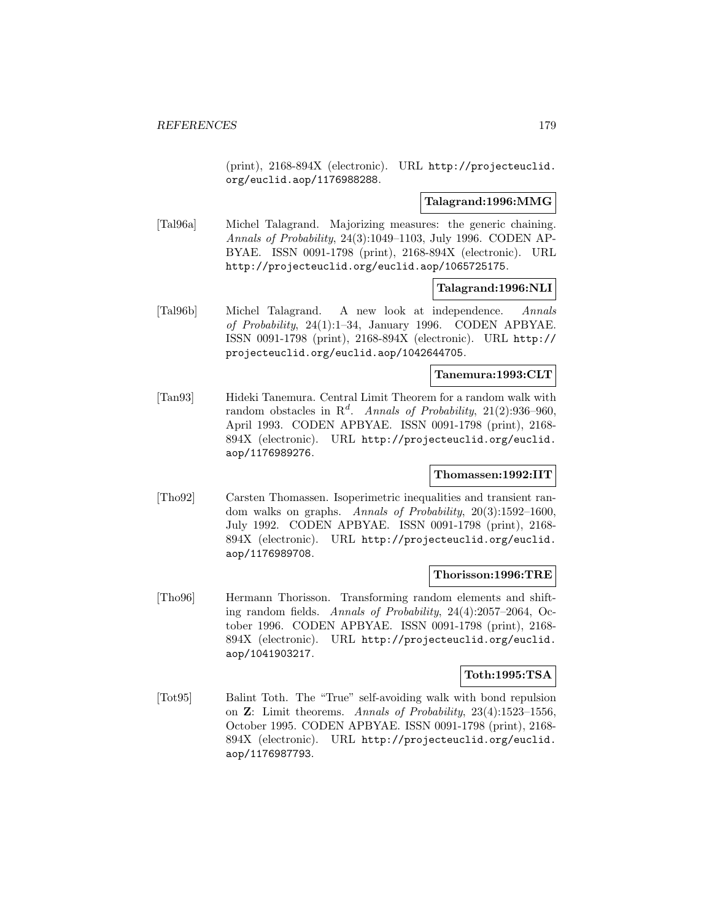(print), 2168-894X (electronic). URL http://projecteuclid. org/euclid.aop/1176988288.

#### **Talagrand:1996:MMG**

[Tal96a] Michel Talagrand. Majorizing measures: the generic chaining. Annals of Probability, 24(3):1049–1103, July 1996. CODEN AP-BYAE. ISSN 0091-1798 (print), 2168-894X (electronic). URL http://projecteuclid.org/euclid.aop/1065725175.

## **Talagrand:1996:NLI**

[Tal96b] Michel Talagrand. A new look at independence. Annals of Probability, 24(1):1–34, January 1996. CODEN APBYAE. ISSN 0091-1798 (print), 2168-894X (electronic). URL http:// projecteuclid.org/euclid.aop/1042644705.

# **Tanemura:1993:CLT**

[Tan93] Hideki Tanemura. Central Limit Theorem for a random walk with random obstacles in  $\mathbb{R}^d$ . Annals of Probability, 21(2):936–960, April 1993. CODEN APBYAE. ISSN 0091-1798 (print), 2168- 894X (electronic). URL http://projecteuclid.org/euclid. aop/1176989276.

#### **Thomassen:1992:IIT**

[Tho92] Carsten Thomassen. Isoperimetric inequalities and transient random walks on graphs. Annals of Probability, 20(3):1592–1600, July 1992. CODEN APBYAE. ISSN 0091-1798 (print), 2168- 894X (electronic). URL http://projecteuclid.org/euclid. aop/1176989708.

#### **Thorisson:1996:TRE**

[Tho96] Hermann Thorisson. Transforming random elements and shifting random fields. Annals of Probability, 24(4):2057–2064, October 1996. CODEN APBYAE. ISSN 0091-1798 (print), 2168- 894X (electronic). URL http://projecteuclid.org/euclid. aop/1041903217.

#### **Toth:1995:TSA**

[Tot95] Balint Toth. The "True" self-avoiding walk with bond repulsion on **Z**: Limit theorems. Annals of Probability, 23(4):1523–1556, October 1995. CODEN APBYAE. ISSN 0091-1798 (print), 2168- 894X (electronic). URL http://projecteuclid.org/euclid. aop/1176987793.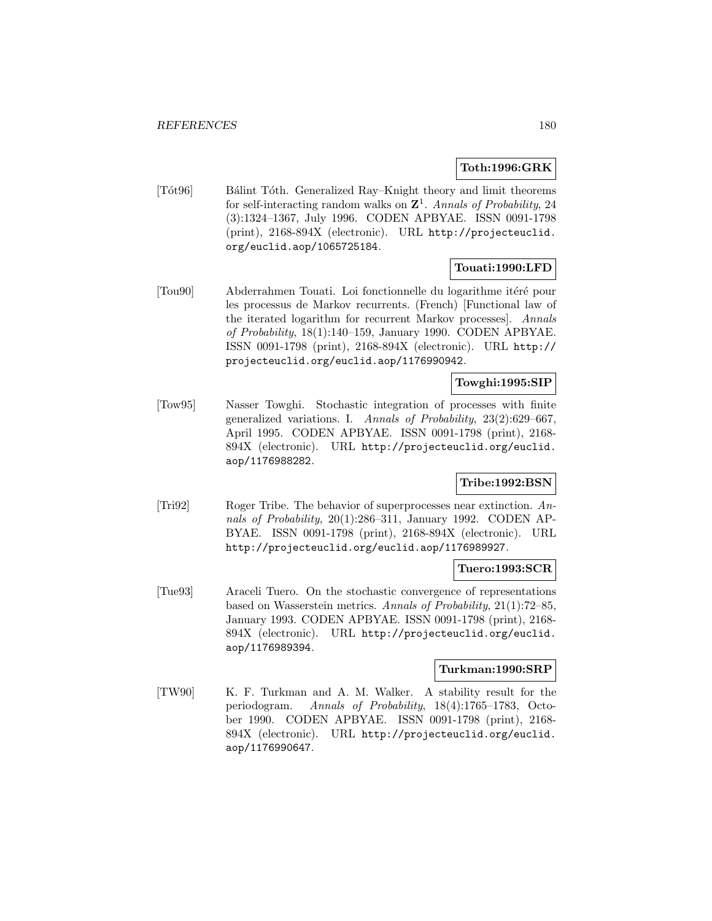## **Toth:1996:GRK**

[Tót96] Bálint Tóth. Generalized Ray–Knight theory and limit theorems for self-interacting random walks on  $\mathbb{Z}^1$ . Annals of Probability, 24 (3):1324–1367, July 1996. CODEN APBYAE. ISSN 0091-1798 (print), 2168-894X (electronic). URL http://projecteuclid. org/euclid.aop/1065725184.

# **Touati:1990:LFD**

[Tou90] Abderrahmen Touati. Loi fonctionnelle du logarithme it´er´e pour les processus de Markov recurrents. (French) [Functional law of the iterated logarithm for recurrent Markov processes]. Annals of Probability, 18(1):140–159, January 1990. CODEN APBYAE. ISSN 0091-1798 (print), 2168-894X (electronic). URL http:// projecteuclid.org/euclid.aop/1176990942.

# **Towghi:1995:SIP**

[Tow95] Nasser Towghi. Stochastic integration of processes with finite generalized variations. I. Annals of Probability, 23(2):629–667, April 1995. CODEN APBYAE. ISSN 0091-1798 (print), 2168- 894X (electronic). URL http://projecteuclid.org/euclid. aop/1176988282.

# **Tribe:1992:BSN**

[Tri92] Roger Tribe. The behavior of superprocesses near extinction. Annals of Probability, 20(1):286-311, January 1992. CODEN AP-BYAE. ISSN 0091-1798 (print), 2168-894X (electronic). URL http://projecteuclid.org/euclid.aop/1176989927.

# **Tuero:1993:SCR**

[Tue93] Araceli Tuero. On the stochastic convergence of representations based on Wasserstein metrics. Annals of Probability, 21(1):72–85, January 1993. CODEN APBYAE. ISSN 0091-1798 (print), 2168- 894X (electronic). URL http://projecteuclid.org/euclid. aop/1176989394.

## **Turkman:1990:SRP**

[TW90] K. F. Turkman and A. M. Walker. A stability result for the periodogram. Annals of Probability, 18(4):1765–1783, October 1990. CODEN APBYAE. ISSN 0091-1798 (print), 2168- 894X (electronic). URL http://projecteuclid.org/euclid. aop/1176990647.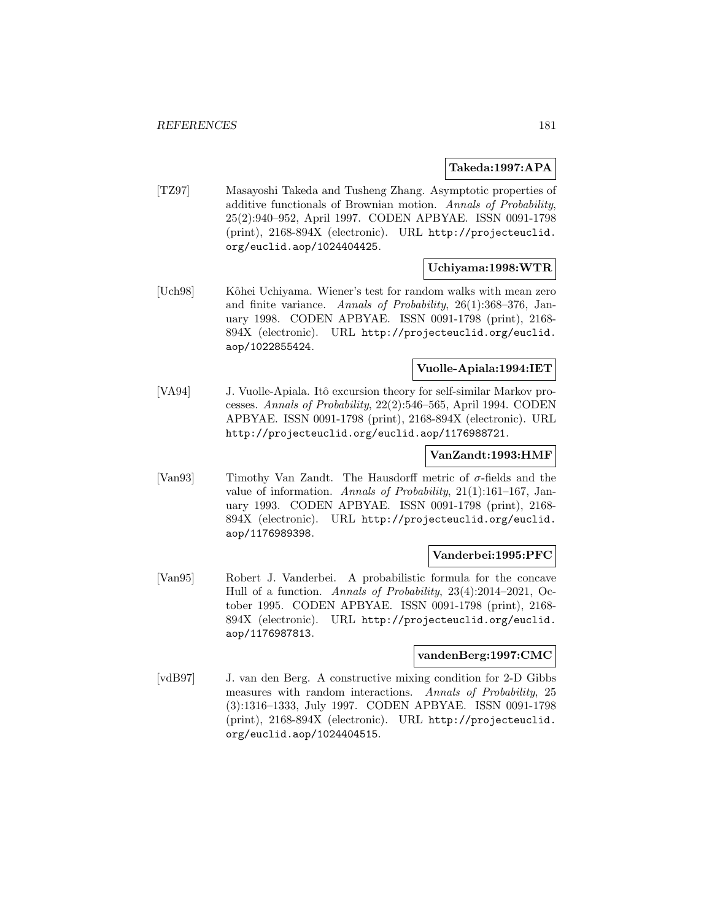#### **Takeda:1997:APA**

[TZ97] Masayoshi Takeda and Tusheng Zhang. Asymptotic properties of additive functionals of Brownian motion. Annals of Probability, 25(2):940–952, April 1997. CODEN APBYAE. ISSN 0091-1798 (print), 2168-894X (electronic). URL http://projecteuclid. org/euclid.aop/1024404425.

### **Uchiyama:1998:WTR**

[Uch98] Kˆohei Uchiyama. Wiener's test for random walks with mean zero and finite variance. Annals of Probability, 26(1):368–376, January 1998. CODEN APBYAE. ISSN 0091-1798 (print), 2168- 894X (electronic). URL http://projecteuclid.org/euclid. aop/1022855424.

## **Vuolle-Apiala:1994:IET**

[VA94] J. Vuolle-Apiala. Itô excursion theory for self-similar Markov processes. Annals of Probability, 22(2):546–565, April 1994. CODEN APBYAE. ISSN 0091-1798 (print), 2168-894X (electronic). URL http://projecteuclid.org/euclid.aop/1176988721.

#### **VanZandt:1993:HMF**

[Van93] Timothy Van Zandt. The Hausdorff metric of  $\sigma$ -fields and the value of information. Annals of Probability, 21(1):161–167, January 1993. CODEN APBYAE. ISSN 0091-1798 (print), 2168- 894X (electronic). URL http://projecteuclid.org/euclid. aop/1176989398.

#### **Vanderbei:1995:PFC**

[Van95] Robert J. Vanderbei. A probabilistic formula for the concave Hull of a function. Annals of Probability, 23(4):2014–2021, October 1995. CODEN APBYAE. ISSN 0091-1798 (print), 2168- 894X (electronic). URL http://projecteuclid.org/euclid. aop/1176987813.

#### **vandenBerg:1997:CMC**

[vdB97] J. van den Berg. A constructive mixing condition for 2-D Gibbs measures with random interactions. Annals of Probability, 25 (3):1316–1333, July 1997. CODEN APBYAE. ISSN 0091-1798 (print), 2168-894X (electronic). URL http://projecteuclid. org/euclid.aop/1024404515.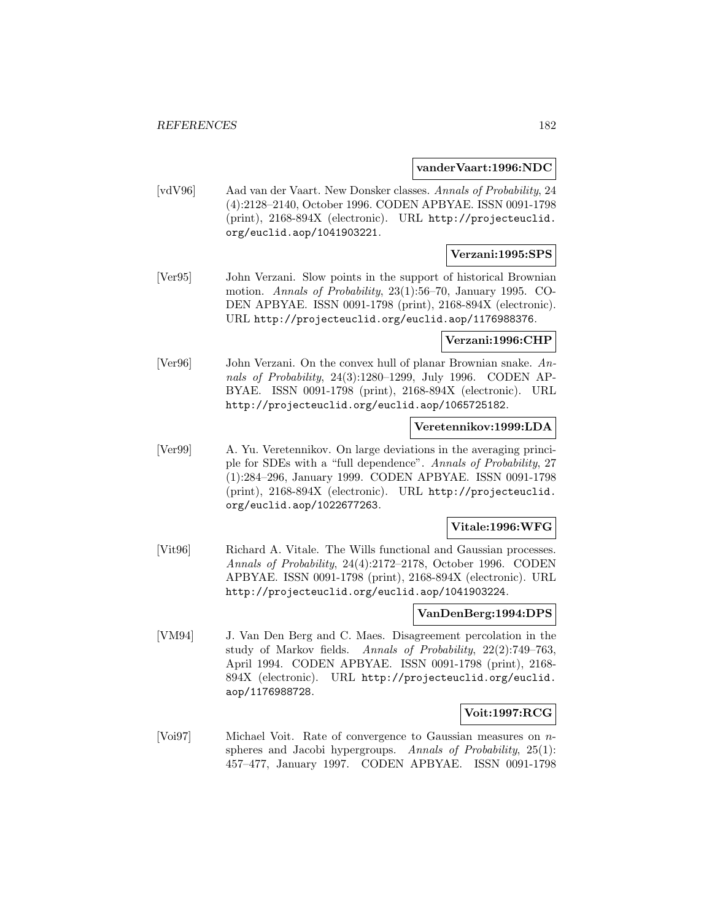#### **vanderVaart:1996:NDC**

[vdV96] Aad van der Vaart. New Donsker classes. Annals of Probability, 24 (4):2128–2140, October 1996. CODEN APBYAE. ISSN 0091-1798 (print), 2168-894X (electronic). URL http://projecteuclid. org/euclid.aop/1041903221.

### **Verzani:1995:SPS**

[Ver95] John Verzani. Slow points in the support of historical Brownian motion. Annals of Probability, 23(1):56–70, January 1995. CO-DEN APBYAE. ISSN 0091-1798 (print), 2168-894X (electronic). URL http://projecteuclid.org/euclid.aop/1176988376.

#### **Verzani:1996:CHP**

[Ver96] John Verzani. On the convex hull of planar Brownian snake. Annals of Probability, 24(3):1280–1299, July 1996. CODEN AP-BYAE. ISSN 0091-1798 (print), 2168-894X (electronic). URL http://projecteuclid.org/euclid.aop/1065725182.

#### **Veretennikov:1999:LDA**

[Ver99] A. Yu. Veretennikov. On large deviations in the averaging principle for SDEs with a "full dependence". Annals of Probability, 27 (1):284–296, January 1999. CODEN APBYAE. ISSN 0091-1798 (print), 2168-894X (electronic). URL http://projecteuclid. org/euclid.aop/1022677263.

### **Vitale:1996:WFG**

[Vit96] Richard A. Vitale. The Wills functional and Gaussian processes. Annals of Probability, 24(4):2172–2178, October 1996. CODEN APBYAE. ISSN 0091-1798 (print), 2168-894X (electronic). URL http://projecteuclid.org/euclid.aop/1041903224.

## **VanDenBerg:1994:DPS**

[VM94] J. Van Den Berg and C. Maes. Disagreement percolation in the study of Markov fields. Annals of Probability, 22(2):749–763, April 1994. CODEN APBYAE. ISSN 0091-1798 (print), 2168- 894X (electronic). URL http://projecteuclid.org/euclid. aop/1176988728.

### **Voit:1997:RCG**

[Voi97] Michael Voit. Rate of convergence to Gaussian measures on nspheres and Jacobi hypergroups. Annals of Probability, 25(1): 457–477, January 1997. CODEN APBYAE. ISSN 0091-1798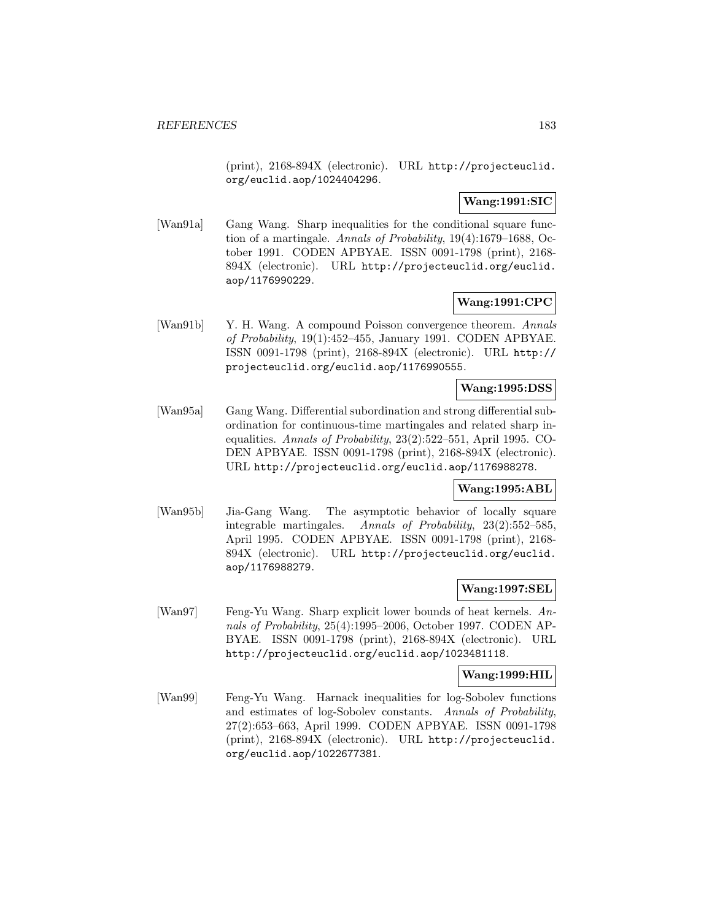(print), 2168-894X (electronic). URL http://projecteuclid. org/euclid.aop/1024404296.

### **Wang:1991:SIC**

[Wan91a] Gang Wang. Sharp inequalities for the conditional square function of a martingale. Annals of Probability, 19(4):1679–1688, October 1991. CODEN APBYAE. ISSN 0091-1798 (print), 2168- 894X (electronic). URL http://projecteuclid.org/euclid. aop/1176990229.

## **Wang:1991:CPC**

[Wan91b] Y. H. Wang. A compound Poisson convergence theorem. Annals of Probability, 19(1):452–455, January 1991. CODEN APBYAE. ISSN 0091-1798 (print), 2168-894X (electronic). URL http:// projecteuclid.org/euclid.aop/1176990555.

### **Wang:1995:DSS**

[Wan95a] Gang Wang. Differential subordination and strong differential subordination for continuous-time martingales and related sharp inequalities. Annals of Probability, 23(2):522–551, April 1995. CO-DEN APBYAE. ISSN 0091-1798 (print), 2168-894X (electronic). URL http://projecteuclid.org/euclid.aop/1176988278.

## **Wang:1995:ABL**

[Wan95b] Jia-Gang Wang. The asymptotic behavior of locally square integrable martingales. Annals of Probability, 23(2):552–585, April 1995. CODEN APBYAE. ISSN 0091-1798 (print), 2168- 894X (electronic). URL http://projecteuclid.org/euclid. aop/1176988279.

### **Wang:1997:SEL**

[Wan97] Feng-Yu Wang. Sharp explicit lower bounds of heat kernels. Annals of Probability, 25(4):1995–2006, October 1997. CODEN AP-BYAE. ISSN 0091-1798 (print), 2168-894X (electronic). URL http://projecteuclid.org/euclid.aop/1023481118.

### **Wang:1999:HIL**

[Wan99] Feng-Yu Wang. Harnack inequalities for log-Sobolev functions and estimates of log-Sobolev constants. Annals of Probability, 27(2):653–663, April 1999. CODEN APBYAE. ISSN 0091-1798 (print), 2168-894X (electronic). URL http://projecteuclid. org/euclid.aop/1022677381.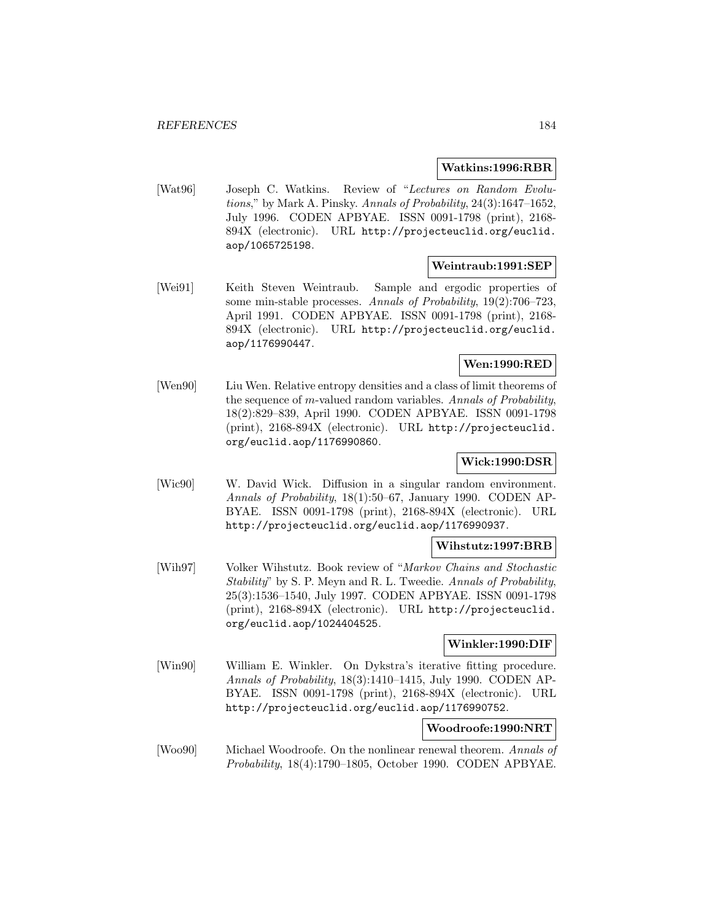#### **Watkins:1996:RBR**

[Wat96] Joseph C. Watkins. Review of "Lectures on Random Evolutions," by Mark A. Pinsky. Annals of Probability, 24(3):1647–1652, July 1996. CODEN APBYAE. ISSN 0091-1798 (print), 2168- 894X (electronic). URL http://projecteuclid.org/euclid. aop/1065725198.

#### **Weintraub:1991:SEP**

[Wei91] Keith Steven Weintraub. Sample and ergodic properties of some min-stable processes. Annals of Probability, 19(2):706–723, April 1991. CODEN APBYAE. ISSN 0091-1798 (print), 2168- 894X (electronic). URL http://projecteuclid.org/euclid. aop/1176990447.

## **Wen:1990:RED**

[Wen90] Liu Wen. Relative entropy densities and a class of limit theorems of the sequence of m-valued random variables. Annals of Probability, 18(2):829–839, April 1990. CODEN APBYAE. ISSN 0091-1798 (print), 2168-894X (electronic). URL http://projecteuclid. org/euclid.aop/1176990860.

### **Wick:1990:DSR**

[Wic90] W. David Wick. Diffusion in a singular random environment. Annals of Probability, 18(1):50–67, January 1990. CODEN AP-BYAE. ISSN 0091-1798 (print), 2168-894X (electronic). URL http://projecteuclid.org/euclid.aop/1176990937.

## **Wihstutz:1997:BRB**

[Wih97] Volker Wihstutz. Book review of "Markov Chains and Stochastic Stability" by S. P. Meyn and R. L. Tweedie. Annals of Probability, 25(3):1536–1540, July 1997. CODEN APBYAE. ISSN 0091-1798 (print), 2168-894X (electronic). URL http://projecteuclid. org/euclid.aop/1024404525.

### **Winkler:1990:DIF**

[Win90] William E. Winkler. On Dykstra's iterative fitting procedure. Annals of Probability, 18(3):1410–1415, July 1990. CODEN AP-BYAE. ISSN 0091-1798 (print), 2168-894X (electronic). URL http://projecteuclid.org/euclid.aop/1176990752.

### **Woodroofe:1990:NRT**

[Woo90] Michael Woodroofe. On the nonlinear renewal theorem. Annals of Probability, 18(4):1790–1805, October 1990. CODEN APBYAE.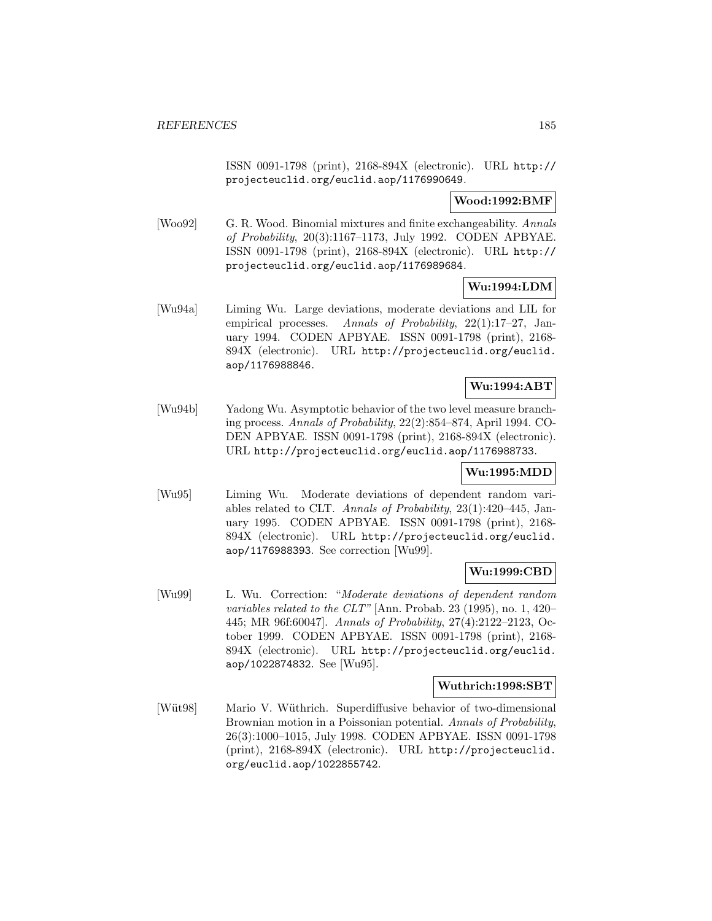ISSN 0091-1798 (print), 2168-894X (electronic). URL http:// projecteuclid.org/euclid.aop/1176990649.

## **Wood:1992:BMF**

[Woo92] G. R. Wood. Binomial mixtures and finite exchangeability. Annals of Probability, 20(3):1167–1173, July 1992. CODEN APBYAE. ISSN 0091-1798 (print), 2168-894X (electronic). URL http:// projecteuclid.org/euclid.aop/1176989684.

# **Wu:1994:LDM**

[Wu94a] Liming Wu. Large deviations, moderate deviations and LIL for empirical processes. Annals of Probability, 22(1):17-27, January 1994. CODEN APBYAE. ISSN 0091-1798 (print), 2168- 894X (electronic). URL http://projecteuclid.org/euclid. aop/1176988846.

## **Wu:1994:ABT**

[Wu94b] Yadong Wu. Asymptotic behavior of the two level measure branching process. Annals of Probability, 22(2):854–874, April 1994. CO-DEN APBYAE. ISSN 0091-1798 (print), 2168-894X (electronic). URL http://projecteuclid.org/euclid.aop/1176988733.

### **Wu:1995:MDD**

[Wu95] Liming Wu. Moderate deviations of dependent random variables related to CLT. Annals of Probability, 23(1):420–445, January 1995. CODEN APBYAE. ISSN 0091-1798 (print), 2168- 894X (electronic). URL http://projecteuclid.org/euclid. aop/1176988393. See correction [Wu99].

### **Wu:1999:CBD**

[Wu99] L. Wu. Correction: "Moderate deviations of dependent random variables related to the CLT" [Ann. Probab. 23 (1995), no. 1, 420– 445; MR 96f:60047]. Annals of Probability, 27(4):2122–2123, October 1999. CODEN APBYAE. ISSN 0091-1798 (print), 2168- 894X (electronic). URL http://projecteuclid.org/euclid. aop/1022874832. See [Wu95].

#### **Wuthrich:1998:SBT**

[Wüt98] Mario V. Wüthrich. Superdiffusive behavior of two-dimensional Brownian motion in a Poissonian potential. Annals of Probability, 26(3):1000–1015, July 1998. CODEN APBYAE. ISSN 0091-1798 (print), 2168-894X (electronic). URL http://projecteuclid. org/euclid.aop/1022855742.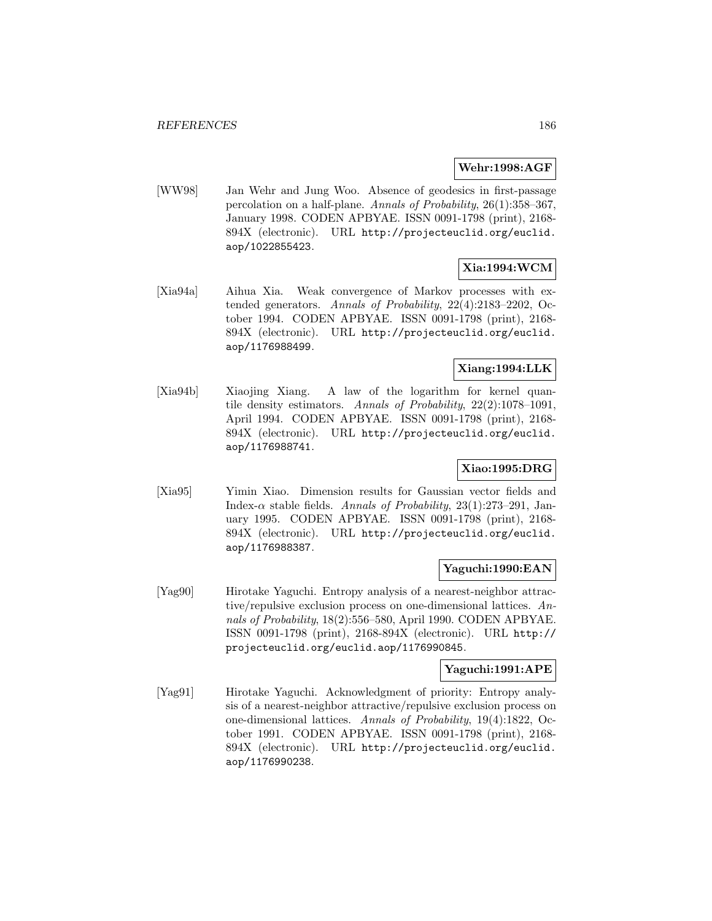### **Wehr:1998:AGF**

[WW98] Jan Wehr and Jung Woo. Absence of geodesics in first-passage percolation on a half-plane. Annals of Probability, 26(1):358–367, January 1998. CODEN APBYAE. ISSN 0091-1798 (print), 2168- 894X (electronic). URL http://projecteuclid.org/euclid. aop/1022855423.

# **Xia:1994:WCM**

[Xia94a] Aihua Xia. Weak convergence of Markov processes with extended generators. Annals of Probability, 22(4):2183–2202, October 1994. CODEN APBYAE. ISSN 0091-1798 (print), 2168- 894X (electronic). URL http://projecteuclid.org/euclid. aop/1176988499.

## **Xiang:1994:LLK**

[Xia94b] Xiaojing Xiang. A law of the logarithm for kernel quantile density estimators. Annals of Probability, 22(2):1078–1091, April 1994. CODEN APBYAE. ISSN 0091-1798 (print), 2168- 894X (electronic). URL http://projecteuclid.org/euclid. aop/1176988741.

## **Xiao:1995:DRG**

[Xia95] Yimin Xiao. Dimension results for Gaussian vector fields and Index- $\alpha$  stable fields. Annals of Probability, 23(1):273–291, January 1995. CODEN APBYAE. ISSN 0091-1798 (print), 2168- 894X (electronic). URL http://projecteuclid.org/euclid. aop/1176988387.

### **Yaguchi:1990:EAN**

[Yag90] Hirotake Yaguchi. Entropy analysis of a nearest-neighbor attractive/repulsive exclusion process on one-dimensional lattices. Annals of Probability, 18(2):556–580, April 1990. CODEN APBYAE. ISSN 0091-1798 (print), 2168-894X (electronic). URL http:// projecteuclid.org/euclid.aop/1176990845.

## **Yaguchi:1991:APE**

[Yag91] Hirotake Yaguchi. Acknowledgment of priority: Entropy analysis of a nearest-neighbor attractive/repulsive exclusion process on one-dimensional lattices. Annals of Probability, 19(4):1822, October 1991. CODEN APBYAE. ISSN 0091-1798 (print), 2168- 894X (electronic). URL http://projecteuclid.org/euclid. aop/1176990238.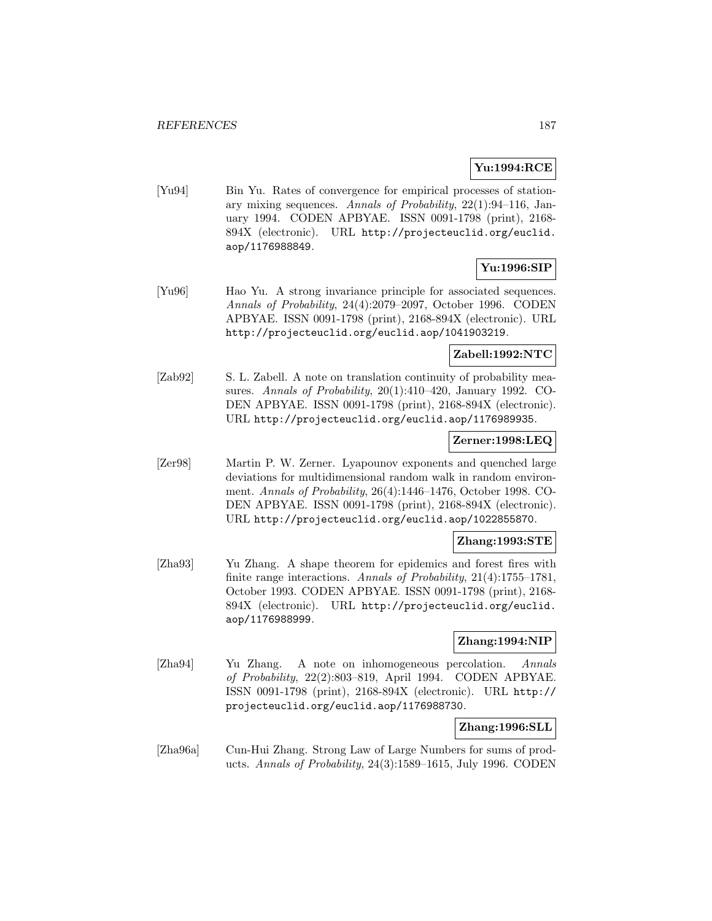## **Yu:1994:RCE**

[Yu94] Bin Yu. Rates of convergence for empirical processes of stationary mixing sequences. Annals of Probability, 22(1):94–116, January 1994. CODEN APBYAE. ISSN 0091-1798 (print), 2168- 894X (electronic). URL http://projecteuclid.org/euclid. aop/1176988849.

# **Yu:1996:SIP**

[Yu96] Hao Yu. A strong invariance principle for associated sequences. Annals of Probability, 24(4):2079–2097, October 1996. CODEN APBYAE. ISSN 0091-1798 (print), 2168-894X (electronic). URL http://projecteuclid.org/euclid.aop/1041903219.

## **Zabell:1992:NTC**

[Zab92] S. L. Zabell. A note on translation continuity of probability measures. Annals of Probability, 20(1):410–420, January 1992. CO-DEN APBYAE. ISSN 0091-1798 (print), 2168-894X (electronic). URL http://projecteuclid.org/euclid.aop/1176989935.

### **Zerner:1998:LEQ**

[Zer98] Martin P. W. Zerner. Lyapounov exponents and quenched large deviations for multidimensional random walk in random environment. Annals of Probability, 26(4):1446–1476, October 1998. CO-DEN APBYAE. ISSN 0091-1798 (print), 2168-894X (electronic). URL http://projecteuclid.org/euclid.aop/1022855870.

## **Zhang:1993:STE**

[Zha93] Yu Zhang. A shape theorem for epidemics and forest fires with finite range interactions. Annals of Probability, 21(4):1755–1781, October 1993. CODEN APBYAE. ISSN 0091-1798 (print), 2168- 894X (electronic). URL http://projecteuclid.org/euclid. aop/1176988999.

## **Zhang:1994:NIP**

[Zha94] Yu Zhang. A note on inhomogeneous percolation. Annals of Probability, 22(2):803–819, April 1994. CODEN APBYAE. ISSN 0091-1798 (print), 2168-894X (electronic). URL http:// projecteuclid.org/euclid.aop/1176988730.

## **Zhang:1996:SLL**

[Zha96a] Cun-Hui Zhang. Strong Law of Large Numbers for sums of products. Annals of Probability, 24(3):1589–1615, July 1996. CODEN